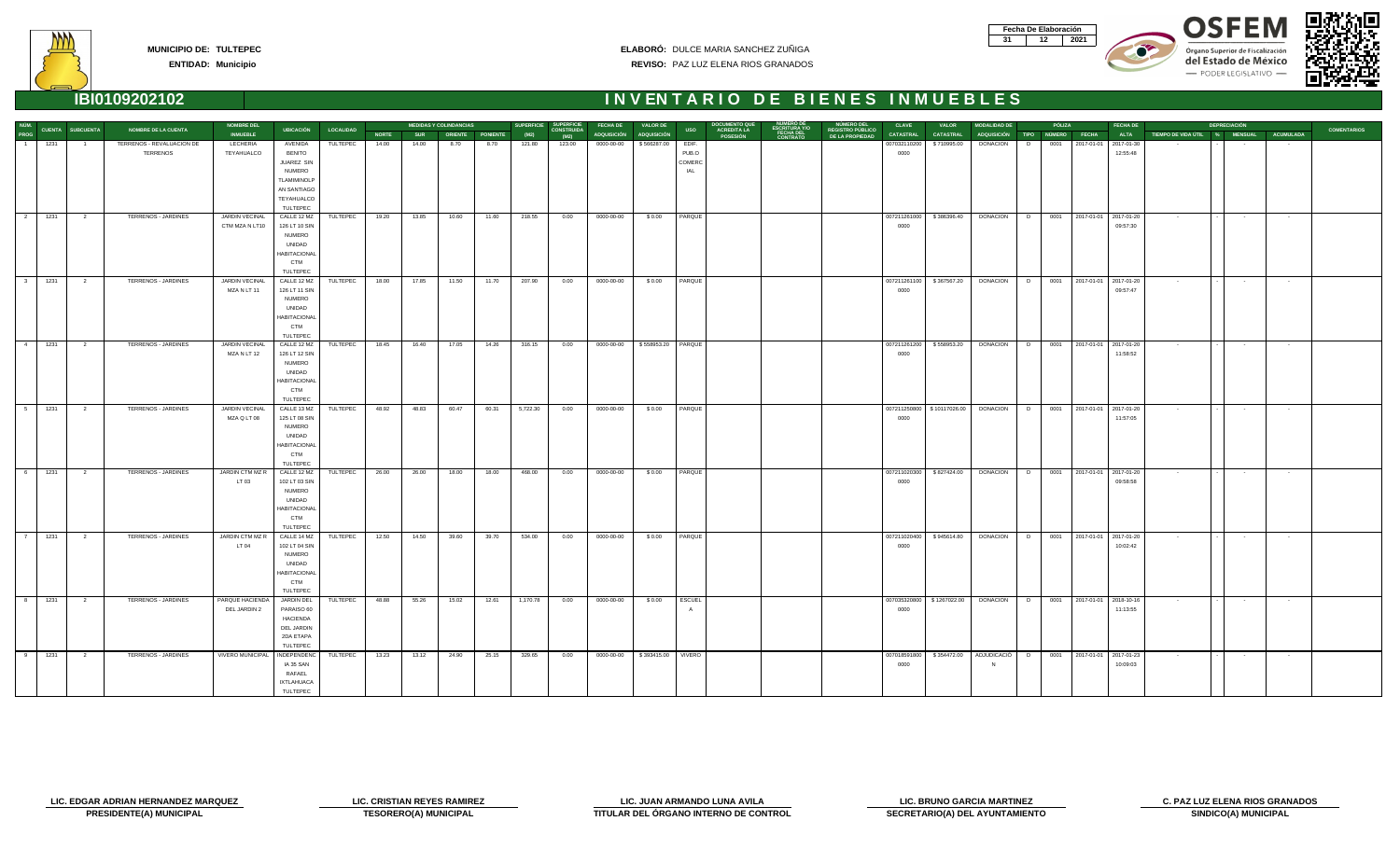| Fecha De Elaboración |     |
|----------------------|-----|
|                      | N91 |









**ENTIDAD: Municipio**

| NÚM.                                                                                     |                                                                                                                               | <b>NOMBRE DEL</b> |                         |                  |              |            | <b>MEDIDAS Y COLINDANCIAS</b> |                  |          | SUPERFICIE SUPERFICIE     | <b>FECHA DE</b>                   | VALOR DE           |            | <b>DOCUMENTO QUE</b>                  |                                        | <b>NÚMERO DEL</b>                          | <b>CLAVE</b>     | <b>VALOR</b>                                                                  | <b>MODALIDAD DE</b> |   | PÓLIZA |                              | <b>FECHA DE</b> |                               | <b>DEPRECIACIÓN</b> |                  |                    |
|------------------------------------------------------------------------------------------|-------------------------------------------------------------------------------------------------------------------------------|-------------------|-------------------------|------------------|--------------|------------|-------------------------------|------------------|----------|---------------------------|-----------------------------------|--------------------|------------|---------------------------------------|----------------------------------------|--------------------------------------------|------------------|-------------------------------------------------------------------------------|---------------------|---|--------|------------------------------|-----------------|-------------------------------|---------------------|------------------|--------------------|
| <b>CUENTA SUBCUENTA</b><br>PROG                                                          | <b>NOMBRE DE LA CUENTA</b>                                                                                                    | <b>INMUEBLE</b>   | UBICACIÓN               | <b>LOCALIDAD</b> | <b>NORTE</b> | <b>SUR</b> |                               | ORIENTE PONIENTE | (M2)     | <b>CONSTRUIDA</b><br>(M2) | ADQUISICIÓN ADQUISICIÓN           |                    | <b>USO</b> | <b>ACREDITA LA</b><br><b>POSESIÓN</b> | ESCRITURA Y/O<br>FECHA DEL<br>CONTRATO | <b>REGISTRO PÚBLICO</b><br>DE LA PROPIEDAD | <b>CATASTRAL</b> | <b>CATASTRAL</b>                                                              | ADQUISICIÓN TIPO    |   | NÚMERO | <b>FECHA</b>                 | <b>ALTA</b>     | TIEMPO DE VIDA ÚTIL % MENSUAL |                     | <b>ACUMULADA</b> | <b>COMENTARIOS</b> |
| 1231                                                                                     | TERRENOS - REVALUACION DE                                                                                                     | LECHERIA          | AVENIDA                 | TULTEPEC         | 14.00        | 14.00      | 8.70                          | 8.70             | 121.80   | 123.00                    | 0000-00-00                        | \$566287.00        | EDIF.      |                                       |                                        |                                            | 007032110200     | \$710995.00                                                                   | <b>DONACION</b>     | D | 0001   | 2017-01-01                   | 2017-01-30      |                               |                     |                  |                    |
|                                                                                          | <b>TERRENOS</b>                                                                                                               | TEYAHUALCO        | <b>BENITO</b>           |                  |              |            |                               |                  |          |                           |                                   |                    | PUB.O      |                                       |                                        |                                            | 0000             |                                                                               |                     |   |        |                              | 12:55:48        |                               |                     |                  |                    |
|                                                                                          |                                                                                                                               |                   | JUAREZ SIN              |                  |              |            |                               |                  |          |                           |                                   |                    | COMERC     |                                       |                                        |                                            |                  |                                                                               |                     |   |        |                              |                 |                               |                     |                  |                    |
|                                                                                          |                                                                                                                               |                   | <b>NUMERO</b>           |                  |              |            |                               |                  |          |                           |                                   |                    | IAL        |                                       |                                        |                                            |                  |                                                                               |                     |   |        |                              |                 |                               |                     |                  |                    |
|                                                                                          |                                                                                                                               |                   | <b>TLAMIMINOLP</b>      |                  |              |            |                               |                  |          |                           |                                   |                    |            |                                       |                                        |                                            |                  |                                                                               |                     |   |        |                              |                 |                               |                     |                  |                    |
|                                                                                          |                                                                                                                               |                   | AN SANTIAGO             |                  |              |            |                               |                  |          |                           |                                   |                    |            |                                       |                                        |                                            |                  |                                                                               |                     |   |        |                              |                 |                               |                     |                  |                    |
|                                                                                          |                                                                                                                               |                   | TEYAHUALCO<br>TULTEPEC  |                  |              |            |                               |                  |          |                           |                                   |                    |            |                                       |                                        |                                            |                  |                                                                               |                     |   |        |                              |                 |                               |                     |                  |                    |
| $\begin{array}{ccc} \n & 2 \n \end{array}$<br>1231<br>$\overline{\mathbf{2}}$            | TERRENOS - JARDINES                                                                                                           | JARDIN VECINAL    | CALLE 12 MZ             | TULTEPEC         | 19.20        | 13.85      | 10.60                         | 11.60            | 218.55   | 0.00                      | 0000-00-00                        | \$0.00             | PARQUE     |                                       |                                        |                                            | 007211261000     | \$386396.40                                                                   | <b>DONACION</b>     | D |        | 0001 2017-01-01 2017-01-20   |                 | $\sim$ 100 $\pm$              | $\sim 100$          | $\sim$ $-$       |                    |
|                                                                                          |                                                                                                                               | CTM MZA N LT10    | 126 LT 10 SIN           |                  |              |            |                               |                  |          |                           |                                   |                    |            |                                       |                                        |                                            | 0000             |                                                                               |                     |   |        |                              | 09:57:30        |                               |                     |                  |                    |
|                                                                                          |                                                                                                                               |                   | <b>NUMERO</b>           |                  |              |            |                               |                  |          |                           |                                   |                    |            |                                       |                                        |                                            |                  |                                                                               |                     |   |        |                              |                 |                               |                     |                  |                    |
|                                                                                          |                                                                                                                               |                   | UNIDAD                  |                  |              |            |                               |                  |          |                           |                                   |                    |            |                                       |                                        |                                            |                  |                                                                               |                     |   |        |                              |                 |                               |                     |                  |                    |
|                                                                                          |                                                                                                                               |                   | <b>HABITACIONAI</b>     |                  |              |            |                               |                  |          |                           |                                   |                    |            |                                       |                                        |                                            |                  |                                                                               |                     |   |        |                              |                 |                               |                     |                  |                    |
|                                                                                          |                                                                                                                               |                   | <b>CTM</b>              |                  |              |            |                               |                  |          |                           |                                   |                    |            |                                       |                                        |                                            |                  |                                                                               |                     |   |        |                              |                 |                               |                     |                  |                    |
|                                                                                          |                                                                                                                               |                   | TULTEPEC                |                  |              |            |                               |                  |          |                           |                                   |                    |            |                                       |                                        |                                            |                  |                                                                               |                     |   |        |                              |                 |                               |                     |                  |                    |
| $\begin{array}{ccc} & 3 \end{array}$<br>1231<br>$\overline{2}$                           | TERRENOS - JARDINES                                                                                                           | JARDIN VECINAL    | CALLE 12 MZ             | TULTEPEC         | 18.00        | 17.85      | 11.50                         | 11.70            | 207.90   | 0.00                      | 0000-00-00                        | \$0.00             | PARQUE     |                                       |                                        |                                            | 007211261100     | \$367567.20                                                                   | <b>DONACION</b>     | D |        | 0001 2017-01-01 2017-01-20   |                 | $\sim$ 100 $\pm$              | $\sim 100$          | $\sim$ $-$       |                    |
|                                                                                          |                                                                                                                               | MZA N LT 11       | 126 LT 11 SIN           |                  |              |            |                               |                  |          |                           |                                   |                    |            |                                       |                                        |                                            | 0000             |                                                                               |                     |   |        |                              | 09:57:47        |                               |                     |                  |                    |
|                                                                                          |                                                                                                                               |                   | <b>NUMERO</b>           |                  |              |            |                               |                  |          |                           |                                   |                    |            |                                       |                                        |                                            |                  |                                                                               |                     |   |        |                              |                 |                               |                     |                  |                    |
|                                                                                          |                                                                                                                               |                   | UNIDAD                  |                  |              |            |                               |                  |          |                           |                                   |                    |            |                                       |                                        |                                            |                  |                                                                               |                     |   |        |                              |                 |                               |                     |                  |                    |
|                                                                                          |                                                                                                                               |                   | <b>HABITACIONAL</b>     |                  |              |            |                               |                  |          |                           |                                   |                    |            |                                       |                                        |                                            |                  |                                                                               |                     |   |        |                              |                 |                               |                     |                  |                    |
|                                                                                          |                                                                                                                               |                   | <b>CTM</b>              |                  |              |            |                               |                  |          |                           |                                   |                    |            |                                       |                                        |                                            |                  |                                                                               |                     |   |        |                              |                 |                               |                     |                  |                    |
|                                                                                          |                                                                                                                               |                   | TULTEPEC                |                  |              |            |                               |                  |          |                           |                                   |                    |            |                                       |                                        |                                            |                  |                                                                               |                     |   |        |                              |                 |                               |                     |                  |                    |
| $\begin{array}{ccc} & 4 \end{array}$<br>1231<br>$\overline{\mathbf{2}}$                  | TERRENOS - JARDINES                                                                                                           | JARDIN VECINAL    | CALLE 12 MZ             | TULTEPEC         | 18.45        | 16.40      | 17.05                         | 14.26            | 316.15   | 0.00                      | 0000-00-00                        | \$558953.20 PARQUE |            |                                       |                                        |                                            | 007211261200     | \$558953.20                                                                   | <b>DONACION</b>     | D |        | 0001 2017-01-01 2017-01-20   |                 | $\sim$ $-$                    | $\sim 100$          | $\sim$           |                    |
|                                                                                          |                                                                                                                               | MZA N LT 12       | 126 LT 12 SIN           |                  |              |            |                               |                  |          |                           |                                   |                    |            |                                       |                                        |                                            | 0000             |                                                                               |                     |   |        |                              | 11:58:52        |                               |                     |                  |                    |
|                                                                                          |                                                                                                                               |                   | <b>NUMERO</b>           |                  |              |            |                               |                  |          |                           |                                   |                    |            |                                       |                                        |                                            |                  |                                                                               |                     |   |        |                              |                 |                               |                     |                  |                    |
|                                                                                          |                                                                                                                               |                   | UNIDAD                  |                  |              |            |                               |                  |          |                           |                                   |                    |            |                                       |                                        |                                            |                  |                                                                               |                     |   |        |                              |                 |                               |                     |                  |                    |
|                                                                                          |                                                                                                                               |                   | <b>HABITACIONAL</b>     |                  |              |            |                               |                  |          |                           |                                   |                    |            |                                       |                                        |                                            |                  |                                                                               |                     |   |        |                              |                 |                               |                     |                  |                    |
|                                                                                          |                                                                                                                               |                   | <b>CTM</b><br>TULTEPEC  |                  |              |            |                               |                  |          |                           |                                   |                    |            |                                       |                                        |                                            |                  |                                                                               |                     |   |        |                              |                 |                               |                     |                  |                    |
| 5 1231<br>$\overline{\mathbf{2}}$                                                        | TERRENOS - JARDINES                                                                                                           | JARDIN VECINAL    | CALLE 13 MZ             | TULTEPEC         | 48.92        | 48.83      | 60.47                         | 60.31            | 5,722.30 | 0.00                      | 0000-00-00                        | \$0.00             | PARQUE     |                                       |                                        |                                            |                  | 007211250800   \$10117026.00                                                  | DONACION   D        |   |        | 0001 2017-01-01 2017-01-20   |                 | <b>Contract</b>               | <b>Contract</b>     | $\sim 100$       |                    |
|                                                                                          |                                                                                                                               | MZA Q LT 08       | 125 LT 08 SIN           |                  |              |            |                               |                  |          |                           |                                   |                    |            |                                       |                                        |                                            | 0000             |                                                                               |                     |   |        |                              | 11:57:05        |                               |                     |                  |                    |
|                                                                                          |                                                                                                                               |                   | <b>NUMERO</b>           |                  |              |            |                               |                  |          |                           |                                   |                    |            |                                       |                                        |                                            |                  |                                                                               |                     |   |        |                              |                 |                               |                     |                  |                    |
|                                                                                          |                                                                                                                               |                   | UNIDAD                  |                  |              |            |                               |                  |          |                           |                                   |                    |            |                                       |                                        |                                            |                  |                                                                               |                     |   |        |                              |                 |                               |                     |                  |                    |
|                                                                                          |                                                                                                                               |                   | <b>HABITACIONAI</b>     |                  |              |            |                               |                  |          |                           |                                   |                    |            |                                       |                                        |                                            |                  |                                                                               |                     |   |        |                              |                 |                               |                     |                  |                    |
|                                                                                          |                                                                                                                               |                   | <b>CTM</b>              |                  |              |            |                               |                  |          |                           |                                   |                    |            |                                       |                                        |                                            |                  |                                                                               |                     |   |        |                              |                 |                               |                     |                  |                    |
|                                                                                          |                                                                                                                               |                   | TULTEPEC                |                  |              |            |                               |                  |          |                           |                                   |                    |            |                                       |                                        |                                            |                  |                                                                               |                     |   |        |                              |                 |                               |                     |                  |                    |
| $\begin{array}{ c c c c c } \hline \text{6} & \text{1231} \end{array}$<br>$\overline{2}$ | TERRENOS - JARDINES                                                                                                           | JARDIN CTM MZ R   | CALLE 12 MZ             | TULTEPEC         | 26.00        | 26.00      | 18.00                         | 18.00            | 468.00   | 0.00                      | 0000-00-00                        | \$0.00             | PARQUE     |                                       |                                        |                                            | 007211020300     | \$827424.00                                                                   | <b>DONACION</b>     |   |        | D 0001 2017-01-01 2017-01-20 |                 | $\sim 100$                    | $\sim 100$          | $\sim 10^{-11}$  |                    |
|                                                                                          |                                                                                                                               | LT 03             | 102 LT 03 SIN           |                  |              |            |                               |                  |          |                           |                                   |                    |            |                                       |                                        |                                            | 0000             |                                                                               |                     |   |        |                              | 09:58:58        |                               |                     |                  |                    |
|                                                                                          |                                                                                                                               |                   | <b>NUMERO</b>           |                  |              |            |                               |                  |          |                           |                                   |                    |            |                                       |                                        |                                            |                  |                                                                               |                     |   |        |                              |                 |                               |                     |                  |                    |
|                                                                                          |                                                                                                                               |                   | UNIDAD                  |                  |              |            |                               |                  |          |                           |                                   |                    |            |                                       |                                        |                                            |                  |                                                                               |                     |   |        |                              |                 |                               |                     |                  |                    |
|                                                                                          |                                                                                                                               |                   | <b>HABITACIONAI</b>     |                  |              |            |                               |                  |          |                           |                                   |                    |            |                                       |                                        |                                            |                  |                                                                               |                     |   |        |                              |                 |                               |                     |                  |                    |
|                                                                                          |                                                                                                                               |                   | <b>CTM</b>              |                  |              |            |                               |                  |          |                           |                                   |                    |            |                                       |                                        |                                            |                  |                                                                               |                     |   |        |                              |                 |                               |                     |                  |                    |
| $\overline{7}$<br>1231<br>$\overline{2}$                                                 | TERRENOS - JARDINES                                                                                                           | JARDIN CTM MZ R   | TULTEPEC<br>CALLE 14 MZ | TULTEPEC         | 12.50        | 14.50      | 39.60                         | 39.70            | 534.00   | 0.00                      | 0000-00-00                        | \$0.00             | PARQUE     |                                       |                                        |                                            | 007211020400     | \$945614.80                                                                   | <b>DONACION</b>     |   |        | D 0001 2017-01-01 2017-01-20 |                 | $\sim 100$                    | $\sim 100$          | $\sim 100$       |                    |
|                                                                                          |                                                                                                                               | LT 04             | 102 LT 04 SIN           |                  |              |            |                               |                  |          |                           |                                   |                    |            |                                       |                                        |                                            | 0000             |                                                                               |                     |   |        |                              | 10:02:42        |                               |                     |                  |                    |
|                                                                                          |                                                                                                                               |                   | <b>NUMERO</b>           |                  |              |            |                               |                  |          |                           |                                   |                    |            |                                       |                                        |                                            |                  |                                                                               |                     |   |        |                              |                 |                               |                     |                  |                    |
|                                                                                          |                                                                                                                               |                   | UNIDAD                  |                  |              |            |                               |                  |          |                           |                                   |                    |            |                                       |                                        |                                            |                  |                                                                               |                     |   |        |                              |                 |                               |                     |                  |                    |
|                                                                                          |                                                                                                                               |                   | <b>HABITACIONAI</b>     |                  |              |            |                               |                  |          |                           |                                   |                    |            |                                       |                                        |                                            |                  |                                                                               |                     |   |        |                              |                 |                               |                     |                  |                    |
|                                                                                          |                                                                                                                               |                   | <b>CTM</b>              |                  |              |            |                               |                  |          |                           |                                   |                    |            |                                       |                                        |                                            |                  |                                                                               |                     |   |        |                              |                 |                               |                     |                  |                    |
|                                                                                          |                                                                                                                               |                   | TULTEPEC                |                  |              |            |                               |                  |          |                           |                                   |                    |            |                                       |                                        |                                            |                  |                                                                               |                     |   |        |                              |                 |                               |                     |                  |                    |
|                                                                                          | 8 1231 2 TERRENOS JARDINES PARQUE HACIENDA JARDIN DEL TULTEPEC 48.88 55.26 15.02 12.61 1,170.78 0.00 0000-00-00 \$0.00 ESCUEL |                   |                         |                  |              |            |                               |                  |          |                           |                                   |                    |            |                                       |                                        |                                            |                  | 007035320800   \$1267022.00   DONACION   D   0001   2017-01-01   2018-10-16   |                     |   |        |                              |                 |                               |                     |                  |                    |
|                                                                                          |                                                                                                                               | DEL JARDIN 2      | PARAISO 60              |                  |              |            |                               |                  |          |                           |                                   |                    | A          |                                       |                                        |                                            | 0000             |                                                                               |                     |   |        |                              | 11:13:55        |                               |                     |                  |                    |
|                                                                                          |                                                                                                                               |                   | HACIENDA                |                  |              |            |                               |                  |          |                           |                                   |                    |            |                                       |                                        |                                            |                  |                                                                               |                     |   |        |                              |                 |                               |                     |                  |                    |
|                                                                                          |                                                                                                                               |                   | DEL JARDIN              |                  |              |            |                               |                  |          |                           |                                   |                    |            |                                       |                                        |                                            |                  |                                                                               |                     |   |        |                              |                 |                               |                     |                  |                    |
|                                                                                          |                                                                                                                               |                   | 2DA ETAPA               |                  |              |            |                               |                  |          |                           |                                   |                    |            |                                       |                                        |                                            |                  |                                                                               |                     |   |        |                              |                 |                               |                     |                  |                    |
|                                                                                          |                                                                                                                               |                   | TULTEPEC                |                  |              |            |                               |                  |          |                           |                                   |                    |            |                                       |                                        |                                            |                  |                                                                               |                     |   |        |                              |                 |                               |                     |                  |                    |
| $\begin{array}{ccc} & 9 \end{array}$<br>1231<br>$\overline{\mathbf{2}}$                  | TERRENOS - JARDINES                                                                                                           | VIVERO MUNICIPAL  | INDEPENDENC             | TULTEPEC         | 13.23        | 13.12      | 24.90                         | 25.15            | 329.65   | 0.00                      | 0000-00-00   \$393415.00   VIVERO |                    |            |                                       |                                        |                                            |                  | 007018591800   \$354472.00   ADJUDICACIÓ   D   0001   2017-01-01   2017-01-23 |                     |   |        |                              |                 | <b>Contract Contract</b>      | $\sim$ 100 $\pm$    | $\sim 100$       |                    |
|                                                                                          |                                                                                                                               |                   | IA 35 SAN               |                  |              |            |                               |                  |          |                           |                                   |                    |            |                                       |                                        |                                            | 0000             |                                                                               | N                   |   |        |                              | 10:09:03        |                               |                     |                  |                    |
|                                                                                          |                                                                                                                               |                   | RAFAEL                  |                  |              |            |                               |                  |          |                           |                                   |                    |            |                                       |                                        |                                            |                  |                                                                               |                     |   |        |                              |                 |                               |                     |                  |                    |
|                                                                                          |                                                                                                                               |                   | <b>IXTLAHUACA</b>       |                  |              |            |                               |                  |          |                           |                                   |                    |            |                                       |                                        |                                            |                  |                                                                               |                     |   |        |                              |                 |                               |                     |                  |                    |
|                                                                                          |                                                                                                                               |                   | TULTEPEC                |                  |              |            |                               |                  |          |                           |                                   |                    |            |                                       |                                        |                                            |                  |                                                                               |                     |   |        |                              |                 |                               |                     |                  |                    |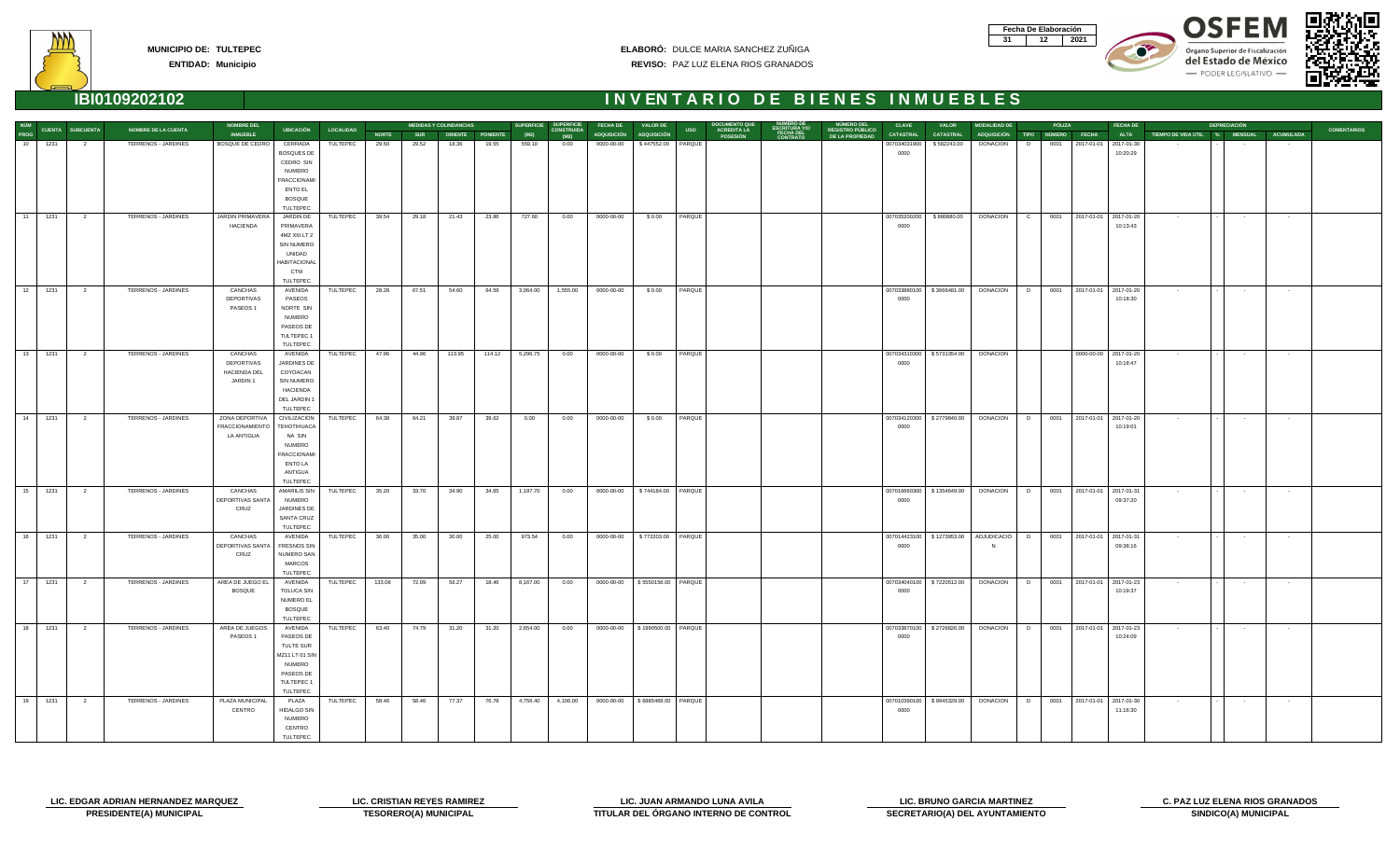| Fecha De Elaboración |     |
|----------------------|-----|
|                      | N91 |









|    |         |                              |                            | <b>NOMBRE DEL</b>        |                                         |                  |              |            | <b>MEDIDAS Y COLINDANCIAS</b> |                         | <b>SUPERFICIE</b> | <b>SUPERFICIE</b>         | <b>FECHA DE</b>                    | <b>VALOR DE</b>      | <b>DOCUMENTO QU</b>                           |                              | NÚMERO DEL                          | <b>CLAVE</b>     | <b>VALOR</b>                | <b>MODALIDAD DE</b>                           |                | PÓLIZA | <b>FECHA DE</b>                       |                          | <b>DEPRECIACIÓN</b>                     |                   |                    |
|----|---------|------------------------------|----------------------------|--------------------------|-----------------------------------------|------------------|--------------|------------|-------------------------------|-------------------------|-------------------|---------------------------|------------------------------------|----------------------|-----------------------------------------------|------------------------------|-------------------------------------|------------------|-----------------------------|-----------------------------------------------|----------------|--------|---------------------------------------|--------------------------|-----------------------------------------|-------------------|--------------------|
|    |         | NÚM<br>PROG CUENTA SUBCUENTA | <b>NOMBRE DE LA CUENTA</b> | <b>INMUEBLE</b>          | <b>UBICACIÓN</b>                        | <b>LOCALIDAD</b> | <b>NORTE</b> | <b>SUR</b> |                               | <b>ORIENTE PONIENTE</b> | (M2)              | <b>CONSTRUIDA</b><br>(M2) | ADQUISICIÓN ADQUISICIÓN            |                      | <b>ACREDITA LA<br/>POSESIÓN</b><br><b>USO</b> | <b>FECHA DEL</b><br>CONTRATO | REGISTRO PÚBLICO<br>DE LA PROPIEDAD | <b>CATASTRAL</b> | <b>CATASTRAL</b>            | ADQUISICIÓN TIPO NÚMERO FECHA                 |                |        | <b>ALTA</b>                           |                          | TIEMPO DE VIDA ÚTIL % MENSUAL ACUMULADA |                   | <b>COMENTARIOS</b> |
| 10 | 1231    | 2                            | TERRENOS - JARDINES        | BOSQUE DE CEDRO          | CERRADA                                 | TULTEPEC         | 29.50        | 29.52      | 18.36                         | 19.55                   | 559.10            | 0.00                      | 0000-00-00                         | \$447552.00 PARQUE   |                                               |                              |                                     | 007034031900     | \$582243.00                 | DONACION                                      | 0001<br>D      |        | 2017-01-01 2017-01-30                 |                          |                                         |                   |                    |
|    |         |                              |                            |                          | <b>BOSQUES DE</b>                       |                  |              |            |                               |                         |                   |                           |                                    |                      |                                               |                              |                                     | 0000             |                             |                                               |                |        | 10:20:29                              |                          |                                         |                   |                    |
|    |         |                              |                            |                          | CEDRO SIN                               |                  |              |            |                               |                         |                   |                           |                                    |                      |                                               |                              |                                     |                  |                             |                                               |                |        |                                       |                          |                                         |                   |                    |
|    |         |                              |                            |                          | <b>NUMERO</b><br><b>FRACCIONAMI</b>     |                  |              |            |                               |                         |                   |                           |                                    |                      |                                               |                              |                                     |                  |                             |                                               |                |        |                                       |                          |                                         |                   |                    |
|    |         |                              |                            |                          | ENTO EL                                 |                  |              |            |                               |                         |                   |                           |                                    |                      |                                               |                              |                                     |                  |                             |                                               |                |        |                                       |                          |                                         |                   |                    |
|    |         |                              |                            |                          | <b>BOSQUE</b>                           |                  |              |            |                               |                         |                   |                           |                                    |                      |                                               |                              |                                     |                  |                             |                                               |                |        |                                       |                          |                                         |                   |                    |
|    |         |                              |                            |                          | TULTEPEC                                |                  |              |            |                               |                         |                   |                           |                                    |                      |                                               |                              |                                     |                  |                             |                                               |                |        |                                       |                          |                                         |                   |                    |
|    | 11 1231 | $\overline{\mathbf{2}}$      | TERRENOS - JARDINES        | JARDIN PRIMAVERA         | JARDIN DE                               | TULTEPEC         | 39.54        | 29.18      | 21.43                         | 23.86                   | 727.60            | 0.00                      | 0000-00-00                         | \$0.00               | PARQUE                                        |                              |                                     | 007035200200     | \$880880.00                 | <b>DONACION</b>                               | $\overline{C}$ |        | 0001 2017-01-01 2017-01-20            | <b>Contract Contract</b> | <b>Contractor</b>                       | $\sim$ 100 $\sim$ |                    |
|    |         |                              |                            | HACIENDA                 | PRIMAVERA                               |                  |              |            |                               |                         |                   |                           |                                    |                      |                                               |                              |                                     | 0000             |                             |                                               |                |        | 10:13:43                              |                          |                                         |                   |                    |
|    |         |                              |                            |                          | 4MZ XIII LT 2                           |                  |              |            |                               |                         |                   |                           |                                    |                      |                                               |                              |                                     |                  |                             |                                               |                |        |                                       |                          |                                         |                   |                    |
|    |         |                              |                            |                          | <b>SIN NUMERO</b>                       |                  |              |            |                               |                         |                   |                           |                                    |                      |                                               |                              |                                     |                  |                             |                                               |                |        |                                       |                          |                                         |                   |                    |
|    |         |                              |                            |                          | UNIDAD                                  |                  |              |            |                               |                         |                   |                           |                                    |                      |                                               |                              |                                     |                  |                             |                                               |                |        |                                       |                          |                                         |                   |                    |
|    |         |                              |                            |                          | <b>HABITACIONAL</b><br><b>CTM</b>       |                  |              |            |                               |                         |                   |                           |                                    |                      |                                               |                              |                                     |                  |                             |                                               |                |        |                                       |                          |                                         |                   |                    |
|    |         |                              |                            |                          | TULTEPEC                                |                  |              |            |                               |                         |                   |                           |                                    |                      |                                               |                              |                                     |                  |                             |                                               |                |        |                                       |                          |                                         |                   |                    |
|    | 12 1231 | $\overline{\mathbf{c}}$      | TERRENOS - JARDINES        | CANCHAS                  | AVENIDA                                 | TULTEPEC         | 28.28        | 67.51      | 54.60                         | 64.59                   | 3,064.00          | 1,555.00                  | 0000-00-00                         | \$0.00               | PARQUE                                        |                              |                                     | 007033880100     | \$3666481.00                | <b>DONACION</b>                               | D              |        | 0001 2017-01-01 2017-01-20            | $\sim 100$               | $\sim 100$                              | $\sim$ $-$        |                    |
|    |         |                              |                            | DEPORTIVAS               | PASEOS                                  |                  |              |            |                               |                         |                   |                           |                                    |                      |                                               |                              |                                     | 0000             |                             |                                               |                |        | 10:18:30                              |                          |                                         |                   |                    |
|    |         |                              |                            | PASEOS <sub>1</sub>      | NORTE SIN                               |                  |              |            |                               |                         |                   |                           |                                    |                      |                                               |                              |                                     |                  |                             |                                               |                |        |                                       |                          |                                         |                   |                    |
|    |         |                              |                            |                          | <b>NUMERO</b>                           |                  |              |            |                               |                         |                   |                           |                                    |                      |                                               |                              |                                     |                  |                             |                                               |                |        |                                       |                          |                                         |                   |                    |
|    |         |                              |                            |                          | PASEOS DE                               |                  |              |            |                               |                         |                   |                           |                                    |                      |                                               |                              |                                     |                  |                             |                                               |                |        |                                       |                          |                                         |                   |                    |
|    |         |                              |                            |                          | TULTEPEC 1<br>TULTEPEC                  |                  |              |            |                               |                         |                   |                           |                                    |                      |                                               |                              |                                     |                  |                             |                                               |                |        |                                       |                          |                                         |                   |                    |
|    | 13 1231 | $\overline{\mathbf{c}}$      | TERRENOS - JARDINES        | CANCHAS                  | AVENIDA                                 | TULTEPEC         | 47.96        | 44.96      | 113.95                        | 114.12                  | 5,296.75          | 0.00                      | 0000-00-00                         | \$0.00               | PARQUE                                        |                              |                                     | 007034310300     | \$5731354.00                | <b>DONACION</b>                               |                |        | 0000-00-00 2017-01-20                 | $\sim 100$               | $\sim$ 100 $\pm$                        | $\sim$ 100 $\mu$  |                    |
|    |         |                              |                            | DEPORTIVAS               | JARDINES DE                             |                  |              |            |                               |                         |                   |                           |                                    |                      |                                               |                              |                                     | 0000             |                             |                                               |                |        | 10:18:47                              |                          |                                         |                   |                    |
|    |         |                              |                            | HACIENDA DEL             | COYOACAN                                |                  |              |            |                               |                         |                   |                           |                                    |                      |                                               |                              |                                     |                  |                             |                                               |                |        |                                       |                          |                                         |                   |                    |
|    |         |                              |                            | JARDIN 1                 | SIN NUMERO                              |                  |              |            |                               |                         |                   |                           |                                    |                      |                                               |                              |                                     |                  |                             |                                               |                |        |                                       |                          |                                         |                   |                    |
|    |         |                              |                            |                          | <b>HACIENDA</b>                         |                  |              |            |                               |                         |                   |                           |                                    |                      |                                               |                              |                                     |                  |                             |                                               |                |        |                                       |                          |                                         |                   |                    |
|    |         |                              |                            |                          | DEL JARDIN 1                            |                  |              |            |                               |                         |                   |                           |                                    |                      |                                               |                              |                                     |                  |                             |                                               |                |        |                                       |                          |                                         |                   |                    |
| 14 | 1231    | $\overline{2}$               | TERRENOS - JARDINES        | ZONA DEPORTIVA           | TULTEPEC<br>CIVILIZACION                | TULTEPEC         | 64.38        | 64.21      | 39.87                         | 39.62                   | 0.00              | 0.00                      | 0000-00-00                         | \$0.00               | PARQUE                                        |                              |                                     | 007034120300     | \$2779840.00                | <b>DONACION</b>                               | D              |        | 0001 2017-01-01 2017-01-20            | $\sim 100$               | $\sim 100$                              | $\sim$ $-$        |                    |
|    |         |                              |                            | <b>FRACCIONAMIENTO</b>   | TEHOTIHUACA                             |                  |              |            |                               |                         |                   |                           |                                    |                      |                                               |                              |                                     | 0000             |                             |                                               |                |        | 10:19:01                              |                          |                                         |                   |                    |
|    |         |                              |                            | LA ANTIGUA               | NA SIN                                  |                  |              |            |                               |                         |                   |                           |                                    |                      |                                               |                              |                                     |                  |                             |                                               |                |        |                                       |                          |                                         |                   |                    |
|    |         |                              |                            |                          | <b>NUMERO</b>                           |                  |              |            |                               |                         |                   |                           |                                    |                      |                                               |                              |                                     |                  |                             |                                               |                |        |                                       |                          |                                         |                   |                    |
|    |         |                              |                            |                          | <b>FRACCIONAMI</b>                      |                  |              |            |                               |                         |                   |                           |                                    |                      |                                               |                              |                                     |                  |                             |                                               |                |        |                                       |                          |                                         |                   |                    |
|    |         |                              |                            |                          | <b>ENTO LA</b>                          |                  |              |            |                               |                         |                   |                           |                                    |                      |                                               |                              |                                     |                  |                             |                                               |                |        |                                       |                          |                                         |                   |                    |
|    |         |                              |                            |                          | ANTIGUA<br>TULTEPEC                     |                  |              |            |                               |                         |                   |                           |                                    |                      |                                               |                              |                                     |                  |                             |                                               |                |        |                                       |                          |                                         |                   |                    |
|    | 15 1231 | $\overline{\mathbf{2}}$      | TERRENOS - JARDINES        | CANCHAS                  | AMARILIS SIN                            | TULTEPEC         | 35.20        | 33.70      | 34.90                         | 34.65                   | 1,197.70          | 0.00                      | 0000-00-00   \$744184.00   PARQUE  |                      |                                               |                              |                                     |                  | 007016660300   \$1354649.00 | DONACION D                                    |                |        | 0001 2017-01-01 2017-01-31            | <b>Contractor</b>        | <b>Contract</b>                         | $\sim 100$        |                    |
|    |         |                              |                            | DEPORTIVAS SANTA         | <b>NUMERO</b>                           |                  |              |            |                               |                         |                   |                           |                                    |                      |                                               |                              |                                     | 0000             |                             |                                               |                |        | 09:37:20                              |                          |                                         |                   |                    |
|    |         |                              |                            | CRUZ                     | JARDINES DE                             |                  |              |            |                               |                         |                   |                           |                                    |                      |                                               |                              |                                     |                  |                             |                                               |                |        |                                       |                          |                                         |                   |                    |
|    |         |                              |                            |                          | SANTA CRUZ                              |                  |              |            |                               |                         |                   |                           |                                    |                      |                                               |                              |                                     |                  |                             |                                               |                |        |                                       |                          |                                         |                   |                    |
|    |         |                              |                            |                          | TULTEPEC                                |                  |              |            |                               |                         |                   |                           |                                    |                      |                                               |                              |                                     |                  |                             |                                               |                |        |                                       |                          |                                         |                   |                    |
|    | 16 1231 | $\overline{2}$               | TERRENOS - JARDINES        | CANCHAS                  | AVENIDA                                 | TULTEPEC         | 36.00        | 35.00      | 30.00                         | 25.00                   | 973.54            | 0.00                      | 0000-00-00                         | \$772203.00   PARQUE |                                               |                              |                                     |                  |                             | 007014423100   \$1273953.00   ADJUDICACIÓ   D |                |        | 0001 2017-01-01 2017-01-31            |                          | $\sim$ 10 $\pm$                         | $\sim$            |                    |
|    |         |                              |                            | DEPORTIVAS SANTA<br>CRUZ | <b>FRESNOS SIN</b><br><b>NUMERO SAN</b> |                  |              |            |                               |                         |                   |                           |                                    |                      |                                               |                              |                                     | 0000             |                             |                                               |                |        | 09:38:16                              |                          |                                         |                   |                    |
|    |         |                              |                            |                          | <b>MARCOS</b>                           |                  |              |            |                               |                         |                   |                           |                                    |                      |                                               |                              |                                     |                  |                             |                                               |                |        |                                       |                          |                                         |                   |                    |
|    |         |                              |                            |                          | TULTEPEC                                |                  |              |            |                               |                         |                   |                           |                                    |                      |                                               |                              |                                     |                  |                             |                                               |                |        |                                       |                          |                                         |                   |                    |
| 17 | 1231    | $\overline{\mathbf{c}}$      | <b>TERRENOS - JARDINES</b> | AREA DE JUEGO EL         | AVENIDA                                 | TULTEPEC         | 133.08       | 72.09      | 56.27                         | 18.46                   | 8,167.00          | 0.00                      | 0000-00-00   \$5550156.00   PARQUE |                      |                                               |                              |                                     |                  | 007034040100   \$7220512.00 | <b>DONACION</b>                               | D              |        | 0001 2017-01-01 2017-01-23            | $\sim$ 100 $\pm$         | $\sim 100$                              | $\sim 100$        |                    |
|    |         |                              |                            | <b>BOSQUE</b>            | <b>TOLUCA SIN</b>                       |                  |              |            |                               |                         |                   |                           |                                    |                      |                                               |                              |                                     | 0000             |                             |                                               |                |        | 10:19:37                              |                          |                                         |                   |                    |
|    |         |                              |                            |                          | NUMERO EL                               |                  |              |            |                               |                         |                   |                           |                                    |                      |                                               |                              |                                     |                  |                             |                                               |                |        |                                       |                          |                                         |                   |                    |
|    |         |                              |                            |                          | <b>BOSQUE</b><br>TULTEPEC               |                  |              |            |                               |                         |                   |                           |                                    |                      |                                               |                              |                                     |                  |                             |                                               |                |        |                                       |                          |                                         |                   |                    |
|    | 18 1231 | $\overline{\mathbf{c}}$      | TERRENOS - JARDINES        | AREA DE JUEGOS           | AVENIDA                                 | TULTEPEC         | 63.40        | 74.79      | 31.20                         | 31.20                   | 2,654.00          | 0.00                      | 0000-00-00   \$1990500.00   PARQUE |                      |                                               |                              |                                     |                  |                             | 007033870100   \$2726826.00 DONACION   D      |                |        | 0001 2017-01-01 2017-01-23            | <b>Contractor</b>        | $\sim 100$                              | $\sim$ $-$        |                    |
|    |         |                              |                            | PASEOS <sub>1</sub>      | PASEOS DE                               |                  |              |            |                               |                         |                   |                           |                                    |                      |                                               |                              |                                     | 0000             |                             |                                               |                |        | 10:24:09                              |                          |                                         |                   |                    |
|    |         |                              |                            |                          | TULTE SUR                               |                  |              |            |                               |                         |                   |                           |                                    |                      |                                               |                              |                                     |                  |                             |                                               |                |        |                                       |                          |                                         |                   |                    |
|    |         |                              |                            |                          | MZ11 LT 01 SIN                          |                  |              |            |                               |                         |                   |                           |                                    |                      |                                               |                              |                                     |                  |                             |                                               |                |        |                                       |                          |                                         |                   |                    |
|    |         |                              |                            |                          | <b>NUMERO</b>                           |                  |              |            |                               |                         |                   |                           |                                    |                      |                                               |                              |                                     |                  |                             |                                               |                |        |                                       |                          |                                         |                   |                    |
|    |         |                              |                            |                          | PASEOS DE                               |                  |              |            |                               |                         |                   |                           |                                    |                      |                                               |                              |                                     |                  |                             |                                               |                |        |                                       |                          |                                         |                   |                    |
|    |         |                              |                            |                          | TULTEPEC 1<br>TULTEPEC                  |                  |              |            |                               |                         |                   |                           |                                    |                      |                                               |                              |                                     |                  |                             |                                               |                |        |                                       |                          |                                         |                   |                    |
|    | 19 1231 | $\overline{2}$               | TERRENOS - JARDINES        | PLAZA MUNICIPAL          | <b>PLAZA</b>                            | TULTEPEC         | 58.46        | 58.46      | 77.37                         | 76.78                   | 4,756.40          | 4,106.00                  | 0000-00-00   \$6885469.00   PARQUE |                      |                                               |                              |                                     |                  | 007010390100   \$9945329.00 |                                               |                |        | DONACION D 0001 2017-01-01 2017-01-30 | $\sim 100$               | $\sim 100$                              | $\sim$ $-$        |                    |
|    |         |                              |                            | CENTRO                   | HIDALGO SIN                             |                  |              |            |                               |                         |                   |                           |                                    |                      |                                               |                              |                                     | 0000             |                             |                                               |                |        | 11:16:30                              |                          |                                         |                   |                    |
|    |         |                              |                            |                          | <b>NUMERO</b>                           |                  |              |            |                               |                         |                   |                           |                                    |                      |                                               |                              |                                     |                  |                             |                                               |                |        |                                       |                          |                                         |                   |                    |
|    |         |                              |                            |                          | CENTRO                                  |                  |              |            |                               |                         |                   |                           |                                    |                      |                                               |                              |                                     |                  |                             |                                               |                |        |                                       |                          |                                         |                   |                    |
|    |         |                              |                            |                          | TULTEPEC                                |                  |              |            |                               |                         |                   |                           |                                    |                      |                                               |                              |                                     |                  |                             |                                               |                |        |                                       |                          |                                         |                   |                    |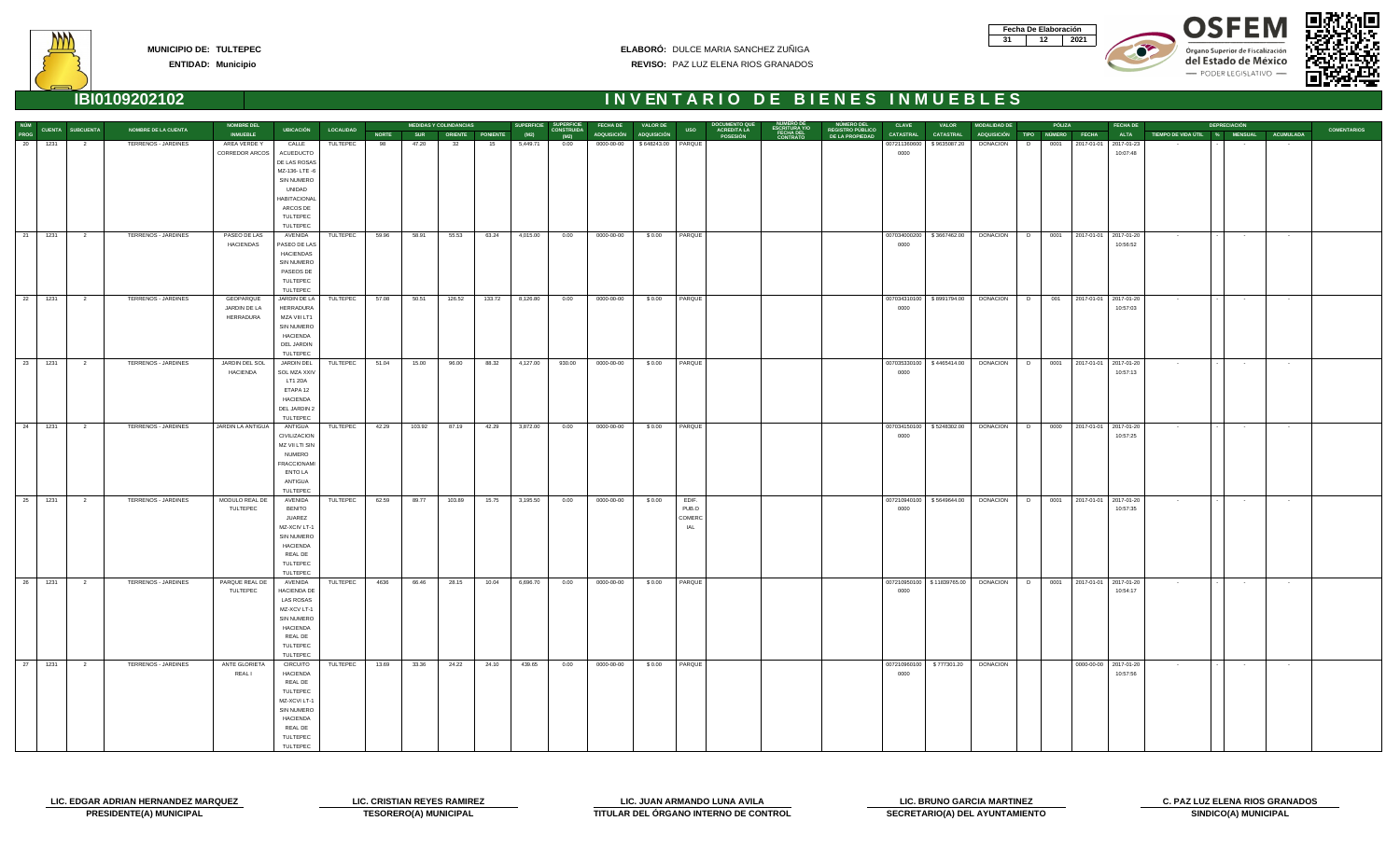| Fecha De Elaboración |     |
|----------------------|-----|
|                      | N91 |





del Estado de México - PODER LEGISLATIVO





|             |         |                         |                            | <b>NOMBRE DEL</b> |                       |                  |              |            | <b>MEDIDAS Y COLINDANCIAS</b> |        | <b>SUPERFICIE</b> | <b>SUPERFICIE</b>         | <b>FECHA DE</b>         | <b>VALOR DE</b>      |            | <b>DOCUMENTO QUE<br/>ACREDITA LA</b> |                                                     |                                                   | <b>CLAVE</b>     | <b>VALOR</b>                 | <b>MODALIDAD DE</b>                        |           | PÓLIZA | <b>FECHA DE</b>            |                                         | <b>DEPRECIACIÓN</b>     |                 |                    |
|-------------|---------|-------------------------|----------------------------|-------------------|-----------------------|------------------|--------------|------------|-------------------------------|--------|-------------------|---------------------------|-------------------------|----------------------|------------|--------------------------------------|-----------------------------------------------------|---------------------------------------------------|------------------|------------------------------|--------------------------------------------|-----------|--------|----------------------------|-----------------------------------------|-------------------------|-----------------|--------------------|
| NÚM<br>PROG |         | <b>CUENTA SUBCUENTA</b> | NOMBRE DE LA CUENTA        | <b>INMUEBLE</b>   | <b>UBICACIÓN</b>      | <b>LOCALIDAD</b> | <b>NORTE</b> | <b>SUR</b> | ORIENTE PONIENTE              |        | (M2)              | <b>CONSTRUIDA</b><br>(M2) | ADQUISICIÓN ADQUISICIÓN |                      | <b>USO</b> | POSESIÓN                             | NUMERO DE<br>ESCRITURA Y/O<br>FECHA DEL<br>CONTRATO | NÚMERO DEL<br>REGISTRO PÚBLICO<br>DE LA PROPIEDAD | <b>CATASTRAL</b> | <b>CATASTRAL</b>             | ADQUISICIÓN TIPO NÚMERO FECHA              |           |        | <b>ALTA</b>                | TIEMPO DE VIDA ÚTIL % MENSUAL ACUMULADA |                         |                 | <b>COMENTARIOS</b> |
| 20          | 1231    | $\overline{2}$          | TERRENOS - JARDINES        | AREA VERDE Y      | CALLE                 | TULTEPEC         | 98           | 47.20      | 32                            | 15     | 5,449.71          | 0.00                      | 0000-00-00              | \$648243.00   PARQUE |            |                                      |                                                     |                                                   | 007211360600     | \$9635087.20                 | <b>DONACION</b>                            | 0001<br>D |        | 2017-01-01 2017-01-23      |                                         |                         | $\sim$          |                    |
|             |         |                         |                            | CORREDOR ARCOS    | ACUEDUCTO             |                  |              |            |                               |        |                   |                           |                         |                      |            |                                      |                                                     |                                                   | 0000             |                              |                                            |           |        | 10:07:48                   |                                         |                         |                 |                    |
|             |         |                         |                            |                   | DE LAS ROSAS          |                  |              |            |                               |        |                   |                           |                         |                      |            |                                      |                                                     |                                                   |                  |                              |                                            |           |        |                            |                                         |                         |                 |                    |
|             |         |                         |                            |                   | MZ-136-LTE-6          |                  |              |            |                               |        |                   |                           |                         |                      |            |                                      |                                                     |                                                   |                  |                              |                                            |           |        |                            |                                         |                         |                 |                    |
|             |         |                         |                            |                   | SIN NUMERO            |                  |              |            |                               |        |                   |                           |                         |                      |            |                                      |                                                     |                                                   |                  |                              |                                            |           |        |                            |                                         |                         |                 |                    |
|             |         |                         |                            |                   | UNIDAD                |                  |              |            |                               |        |                   |                           |                         |                      |            |                                      |                                                     |                                                   |                  |                              |                                            |           |        |                            |                                         |                         |                 |                    |
|             |         |                         |                            |                   | <b>HABITACIONAL</b>   |                  |              |            |                               |        |                   |                           |                         |                      |            |                                      |                                                     |                                                   |                  |                              |                                            |           |        |                            |                                         |                         |                 |                    |
|             |         |                         |                            |                   | ARCOS DE              |                  |              |            |                               |        |                   |                           |                         |                      |            |                                      |                                                     |                                                   |                  |                              |                                            |           |        |                            |                                         |                         |                 |                    |
|             |         |                         |                            |                   | TULTEPEC              |                  |              |            |                               |        |                   |                           |                         |                      |            |                                      |                                                     |                                                   |                  |                              |                                            |           |        |                            |                                         |                         |                 |                    |
|             |         |                         |                            |                   | TULTEPEC              |                  |              |            |                               |        |                   |                           |                         |                      |            |                                      |                                                     |                                                   |                  |                              |                                            |           |        |                            |                                         |                         |                 |                    |
|             | 21 1231 | $\overline{\mathbf{2}}$ | TERRENOS - JARDINES        | PASEO DE LAS      | AVENIDA               | TULTEPEC         | 59.96        | 58.91      | 55.53                         | 63.24  | 4,015.00          | 0.00                      | 0000-00-00              | \$0.00               | PARQUE     |                                      |                                                     |                                                   |                  |                              | 007034000200   \$3667462.00 DONACION D     |           |        | 0001 2017-01-01 2017-01-20 | <b>Contractor</b>                       | $\sim$ $-$              | $\sim 100$      |                    |
|             |         |                         |                            | <b>HACIENDAS</b>  | PASEO DE LAS          |                  |              |            |                               |        |                   |                           |                         |                      |            |                                      |                                                     |                                                   | 0000             |                              |                                            |           |        | 10:56:52                   |                                         |                         |                 |                    |
|             |         |                         |                            |                   | HACIENDAS             |                  |              |            |                               |        |                   |                           |                         |                      |            |                                      |                                                     |                                                   |                  |                              |                                            |           |        |                            |                                         |                         |                 |                    |
|             |         |                         |                            |                   | SIN NUMERO            |                  |              |            |                               |        |                   |                           |                         |                      |            |                                      |                                                     |                                                   |                  |                              |                                            |           |        |                            |                                         |                         |                 |                    |
|             |         |                         |                            |                   | PASEOS DE<br>TULTEPEC |                  |              |            |                               |        |                   |                           |                         |                      |            |                                      |                                                     |                                                   |                  |                              |                                            |           |        |                            |                                         |                         |                 |                    |
|             |         |                         |                            |                   | TULTEPEC              |                  |              |            |                               |        |                   |                           |                         |                      |            |                                      |                                                     |                                                   |                  |                              |                                            |           |        |                            |                                         |                         |                 |                    |
| 22          | 1231    | $\overline{\mathbf{2}}$ | TERRENOS - JARDINES        | GEOPARQUE         | JARDIN DE LA          | TULTEPEC         | 57.08        | 50.51      | 126.52                        | 133.72 | 8,126.80          | 0.00                      | 0000-00-00              | \$0.00               | PARQUE     |                                      |                                                     |                                                   |                  |                              | 007034310100   \$8991794.00   DONACION   D |           |        | 001 2017-01-01 2017-01-20  | $\sim 100$                              | $\sim 100$ km s $^{-1}$ | <b>Contract</b> |                    |
|             |         |                         |                            | JARDIN DE LA      | <b>HERRADURA</b>      |                  |              |            |                               |        |                   |                           |                         |                      |            |                                      |                                                     |                                                   | 0000             |                              |                                            |           |        | 10:57:03                   |                                         |                         |                 |                    |
|             |         |                         |                            | HERRADURA         | MZA VIII LT1          |                  |              |            |                               |        |                   |                           |                         |                      |            |                                      |                                                     |                                                   |                  |                              |                                            |           |        |                            |                                         |                         |                 |                    |
|             |         |                         |                            |                   | SIN NUMERO            |                  |              |            |                               |        |                   |                           |                         |                      |            |                                      |                                                     |                                                   |                  |                              |                                            |           |        |                            |                                         |                         |                 |                    |
|             |         |                         |                            |                   | <b>HACIENDA</b>       |                  |              |            |                               |        |                   |                           |                         |                      |            |                                      |                                                     |                                                   |                  |                              |                                            |           |        |                            |                                         |                         |                 |                    |
|             |         |                         |                            |                   | DEL JARDIN            |                  |              |            |                               |        |                   |                           |                         |                      |            |                                      |                                                     |                                                   |                  |                              |                                            |           |        |                            |                                         |                         |                 |                    |
|             |         |                         |                            |                   | TULTEPEC              |                  |              |            |                               |        |                   |                           |                         |                      |            |                                      |                                                     |                                                   |                  |                              |                                            |           |        |                            |                                         |                         |                 |                    |
|             | 23 1231 | $\overline{2}$          | TERRENOS - JARDINES        | JARDIN DEL SOL    | JARDIN DEL            | TULTEPEC         | 51.04        | 15.00      | 96.00                         | 88.32  | 4,127.00          | 930.00                    | 0000-00-00              | \$0.00               | PARQUE     |                                      |                                                     |                                                   | 007035330100     | \$4465414.00                 | DONACION D                                 |           |        | 0001 2017-01-01 2017-01-20 | $\sim 100$                              | $\sim 100$              | $\sim$          |                    |
|             |         |                         |                            | <b>HACIENDA</b>   | <b>SOL MZA XXIV</b>   |                  |              |            |                               |        |                   |                           |                         |                      |            |                                      |                                                     |                                                   | 0000             |                              |                                            |           |        | 10:57:13                   |                                         |                         |                 |                    |
|             |         |                         |                            |                   | LT1 2DA               |                  |              |            |                               |        |                   |                           |                         |                      |            |                                      |                                                     |                                                   |                  |                              |                                            |           |        |                            |                                         |                         |                 |                    |
|             |         |                         |                            |                   | ETAPA 12              |                  |              |            |                               |        |                   |                           |                         |                      |            |                                      |                                                     |                                                   |                  |                              |                                            |           |        |                            |                                         |                         |                 |                    |
|             |         |                         |                            |                   | <b>HACIENDA</b>       |                  |              |            |                               |        |                   |                           |                         |                      |            |                                      |                                                     |                                                   |                  |                              |                                            |           |        |                            |                                         |                         |                 |                    |
|             |         |                         |                            |                   | DEL JARDIN 2          |                  |              |            |                               |        |                   |                           |                         |                      |            |                                      |                                                     |                                                   |                  |                              |                                            |           |        |                            |                                         |                         |                 |                    |
|             |         |                         |                            |                   | TULTEPEC              |                  |              |            |                               |        |                   |                           |                         |                      |            |                                      |                                                     |                                                   |                  |                              |                                            |           |        |                            |                                         |                         |                 |                    |
|             | 24 1231 | $\overline{\mathbf{2}}$ | TERRENOS - JARDINES        | JARDIN LA ANTIGUA | ANTIGUA               | TULTEPEC         | 42.29        | 103.92     | 87.19                         | 42.29  | 3,872.00          | 0.00                      | 0000-00-00              | \$0.00               | PARQUE     |                                      |                                                     |                                                   | 007034150100     | \$5248302.00                 | DONACION D                                 |           |        | 0000 2017-01-01 2017-01-20 | <b>Contract</b>                         | <b>Contract</b>         | $\sim 100$      |                    |
|             |         |                         |                            |                   | CIVILIZACION          |                  |              |            |                               |        |                   |                           |                         |                      |            |                                      |                                                     |                                                   | 0000             |                              |                                            |           |        | 10:57:25                   |                                         |                         |                 |                    |
|             |         |                         |                            |                   | MZ VII LTI SIN        |                  |              |            |                               |        |                   |                           |                         |                      |            |                                      |                                                     |                                                   |                  |                              |                                            |           |        |                            |                                         |                         |                 |                    |
|             |         |                         |                            |                   | <b>NUMERO</b>         |                  |              |            |                               |        |                   |                           |                         |                      |            |                                      |                                                     |                                                   |                  |                              |                                            |           |        |                            |                                         |                         |                 |                    |
|             |         |                         |                            |                   | <b>FRACCIONAMI</b>    |                  |              |            |                               |        |                   |                           |                         |                      |            |                                      |                                                     |                                                   |                  |                              |                                            |           |        |                            |                                         |                         |                 |                    |
|             |         |                         |                            |                   | <b>ENTO LA</b>        |                  |              |            |                               |        |                   |                           |                         |                      |            |                                      |                                                     |                                                   |                  |                              |                                            |           |        |                            |                                         |                         |                 |                    |
|             |         |                         |                            |                   | ANTIGUA               |                  |              |            |                               |        |                   |                           |                         |                      |            |                                      |                                                     |                                                   |                  |                              |                                            |           |        |                            |                                         |                         |                 |                    |
|             | 25 1231 |                         | TERRENOS - JARDINES        | MODULO REAL DE    | TULTEPEC<br>AVENIDA   | TULTEPEC         | 62.59        | 89.77      | 103.89                        | 15.75  | 3,195.50          |                           |                         | \$0.00               | EDIF.      |                                      |                                                     |                                                   | 007210940100     | \$5649644.00                 | DONACION D                                 |           |        | 0001 2017-01-01 2017-01-20 | $\sim 100$                              |                         | $\sim$          |                    |
|             |         | $\overline{\mathbf{2}}$ |                            | TULTEPEC          | <b>BENITO</b>         |                  |              |            |                               |        |                   | 0.00                      | 0000-00-00              |                      | PUB.O      |                                      |                                                     |                                                   | 0000             |                              |                                            |           |        | 10:57:35                   |                                         | $\sim 10^{-1}$          |                 |                    |
|             |         |                         |                            |                   | JUAREZ                |                  |              |            |                               |        |                   |                           |                         |                      | COMERC     |                                      |                                                     |                                                   |                  |                              |                                            |           |        |                            |                                         |                         |                 |                    |
|             |         |                         |                            |                   | MZ-XCIV LT-1          |                  |              |            |                               |        |                   |                           |                         |                      | IAL        |                                      |                                                     |                                                   |                  |                              |                                            |           |        |                            |                                         |                         |                 |                    |
|             |         |                         |                            |                   | SIN NUMERO            |                  |              |            |                               |        |                   |                           |                         |                      |            |                                      |                                                     |                                                   |                  |                              |                                            |           |        |                            |                                         |                         |                 |                    |
|             |         |                         |                            |                   | <b>HACIENDA</b>       |                  |              |            |                               |        |                   |                           |                         |                      |            |                                      |                                                     |                                                   |                  |                              |                                            |           |        |                            |                                         |                         |                 |                    |
|             |         |                         |                            |                   | REAL DE               |                  |              |            |                               |        |                   |                           |                         |                      |            |                                      |                                                     |                                                   |                  |                              |                                            |           |        |                            |                                         |                         |                 |                    |
|             |         |                         |                            |                   | TULTEPEC              |                  |              |            |                               |        |                   |                           |                         |                      |            |                                      |                                                     |                                                   |                  |                              |                                            |           |        |                            |                                         |                         |                 |                    |
|             |         |                         |                            |                   | TULTEPEC              |                  |              |            |                               |        |                   |                           |                         |                      |            |                                      |                                                     |                                                   |                  |                              |                                            |           |        |                            |                                         |                         |                 |                    |
|             | 26 1231 | $\overline{2}$          | <b>TERRENOS - JARDINES</b> | PARQUE REAL DE    | AVENIDA               | TULTEPEC         | 4636         | 66.46      | 28.15                         | 10.04  | 6,696.70          | 0.00                      | 0000-00-00              | \$0.00               | PARQUE     |                                      |                                                     |                                                   |                  | 007210950100   \$11839765.00 | DONACION D                                 |           |        | 0001 2017-01-01 2017-01-20 | <b>Contract</b>                         | $\sim 10^{-11}$         | $\sim 10^{-11}$ |                    |
|             |         |                         |                            | <b>TULTEPEC</b>   | <b>HACIENDA DE</b>    |                  |              |            |                               |        |                   |                           |                         |                      |            |                                      |                                                     |                                                   | 0000             |                              |                                            |           |        | 10:54:17                   |                                         |                         |                 |                    |
|             |         |                         |                            |                   | LAS ROSAS             |                  |              |            |                               |        |                   |                           |                         |                      |            |                                      |                                                     |                                                   |                  |                              |                                            |           |        |                            |                                         |                         |                 |                    |
|             |         |                         |                            |                   | MZ-XCV LT-1           |                  |              |            |                               |        |                   |                           |                         |                      |            |                                      |                                                     |                                                   |                  |                              |                                            |           |        |                            |                                         |                         |                 |                    |
|             |         |                         |                            |                   | SIN NUMERO            |                  |              |            |                               |        |                   |                           |                         |                      |            |                                      |                                                     |                                                   |                  |                              |                                            |           |        |                            |                                         |                         |                 |                    |
|             |         |                         |                            |                   | <b>HACIENDA</b>       |                  |              |            |                               |        |                   |                           |                         |                      |            |                                      |                                                     |                                                   |                  |                              |                                            |           |        |                            |                                         |                         |                 |                    |
|             |         |                         |                            |                   | <b>REAL DE</b>        |                  |              |            |                               |        |                   |                           |                         |                      |            |                                      |                                                     |                                                   |                  |                              |                                            |           |        |                            |                                         |                         |                 |                    |
|             |         |                         |                            |                   | TULTEPEC              |                  |              |            |                               |        |                   |                           |                         |                      |            |                                      |                                                     |                                                   |                  |                              |                                            |           |        |                            |                                         |                         |                 |                    |
|             |         |                         |                            |                   | TULTEPEC              |                  |              |            |                               |        |                   |                           |                         |                      |            |                                      |                                                     |                                                   |                  |                              |                                            |           |        |                            |                                         |                         |                 |                    |
| 27          | 1231    | $\overline{\mathbf{2}}$ | TERRENOS - JARDINES        | ANTE GLORIETA     | <b>CIRCUITO</b>       | TULTEPEC         | 13.69        | 33.36      | 24.22                         | 24.10  | 439.65            | 0.00                      | 0000-00-00              | \$0.00               | PARQUE     |                                      |                                                     |                                                   |                  | 007210960100 \$777301.20     | <b>DONACION</b>                            |           |        | 0000-00-00 2017-01-20      | $\sim 100$                              | $\sim 10^{-11}$         | $\sim 10^{-10}$ |                    |
|             |         |                         |                            | REAL I            | <b>HACIENDA</b>       |                  |              |            |                               |        |                   |                           |                         |                      |            |                                      |                                                     |                                                   | 0000             |                              |                                            |           |        | 10:57:56                   |                                         |                         |                 |                    |
|             |         |                         |                            |                   | REAL DE               |                  |              |            |                               |        |                   |                           |                         |                      |            |                                      |                                                     |                                                   |                  |                              |                                            |           |        |                            |                                         |                         |                 |                    |
|             |         |                         |                            |                   | TULTEPEC              |                  |              |            |                               |        |                   |                           |                         |                      |            |                                      |                                                     |                                                   |                  |                              |                                            |           |        |                            |                                         |                         |                 |                    |
|             |         |                         |                            |                   | MZ-XCVI LT-1          |                  |              |            |                               |        |                   |                           |                         |                      |            |                                      |                                                     |                                                   |                  |                              |                                            |           |        |                            |                                         |                         |                 |                    |
|             |         |                         |                            |                   | SIN NUMERO            |                  |              |            |                               |        |                   |                           |                         |                      |            |                                      |                                                     |                                                   |                  |                              |                                            |           |        |                            |                                         |                         |                 |                    |
|             |         |                         |                            |                   | <b>HACIENDA</b>       |                  |              |            |                               |        |                   |                           |                         |                      |            |                                      |                                                     |                                                   |                  |                              |                                            |           |        |                            |                                         |                         |                 |                    |
|             |         |                         |                            |                   | REAL DE               |                  |              |            |                               |        |                   |                           |                         |                      |            |                                      |                                                     |                                                   |                  |                              |                                            |           |        |                            |                                         |                         |                 |                    |
|             |         |                         |                            |                   | TULTEPEC<br>TULTEPEC  |                  |              |            |                               |        |                   |                           |                         |                      |            |                                      |                                                     |                                                   |                  |                              |                                            |           |        |                            |                                         |                         |                 |                    |
|             |         |                         |                            |                   |                       |                  |              |            |                               |        |                   |                           |                         |                      |            |                                      |                                                     |                                                   |                  |                              |                                            |           |        |                            |                                         |                         |                 |                    |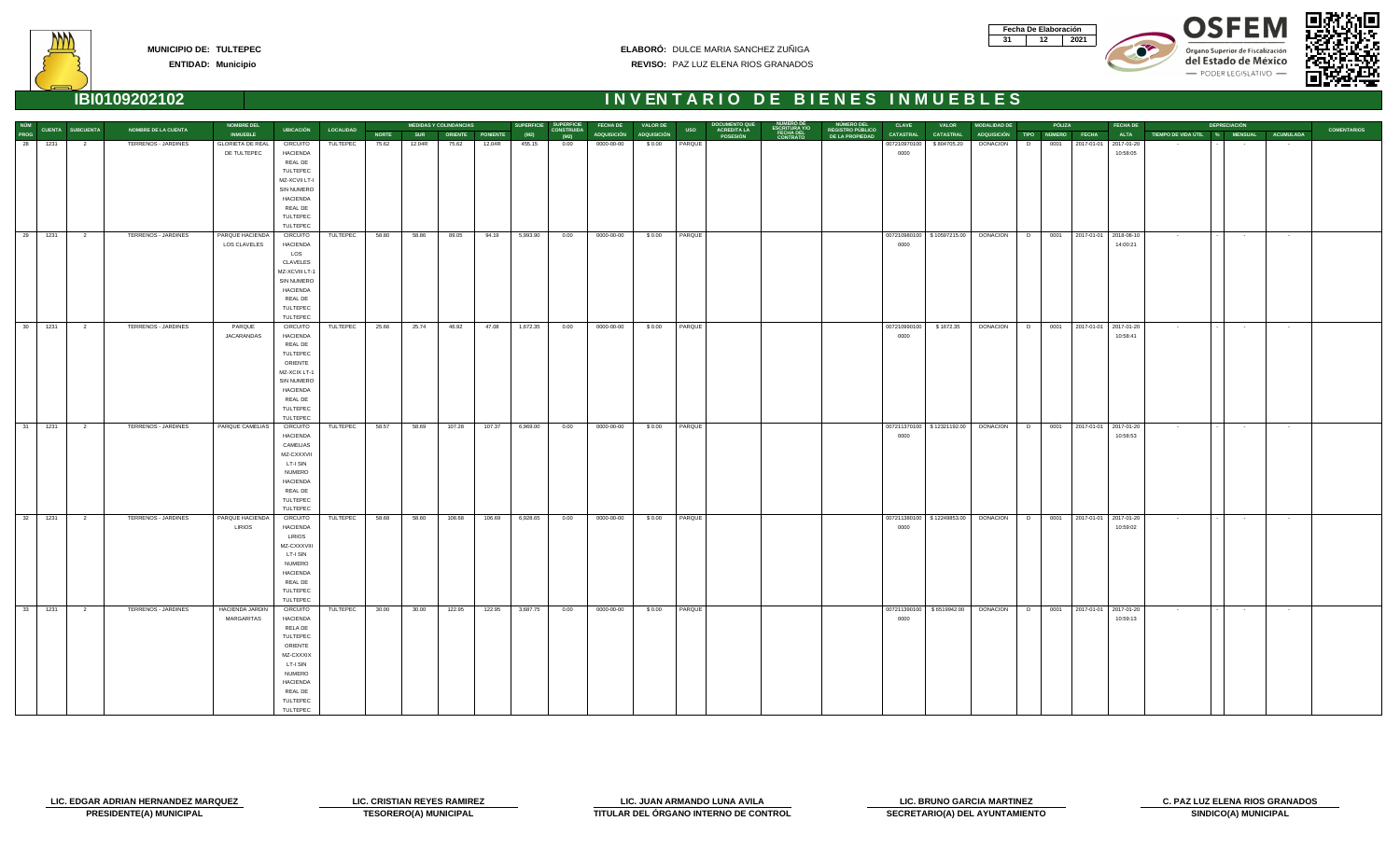| Fecha De Elaboración |     |
|----------------------|-----|
|                      | N91 |









# **INVENTARIO DE BIENES INMUEBLES**

|  | IBI0109202102 |  |  |
|--|---------------|--|--|

| NÚM<br>PROG CUENTA SUBCUENTA<br>28 1231 2 |                |                     | <b>NOMBRE DEL</b>       |                                    |           |              |            | <b>MEDIDAS Y COLINDANCIAS</b> |                         |          | SUPERFICIE SUPERFICIE | <b>FECHA DE</b>         | <b>VALOR DE</b> |                 | DOCUMENTO QUE<br>ACREDITA LA |                                                     |                                                   | <b>CLAVE</b>     | <b>VALOR</b>                | <b>MODALIDAD DE</b>                                              |   | PÓLIZA |                            | <b>FECHA DE</b> |                               | <b>DEPRECIACIÓN</b> |                  |                    |
|-------------------------------------------|----------------|---------------------|-------------------------|------------------------------------|-----------|--------------|------------|-------------------------------|-------------------------|----------|-----------------------|-------------------------|-----------------|-----------------|------------------------------|-----------------------------------------------------|---------------------------------------------------|------------------|-----------------------------|------------------------------------------------------------------|---|--------|----------------------------|-----------------|-------------------------------|---------------------|------------------|--------------------|
|                                           |                | NOMBRE DE LA CUENTA | <b>INMUEBLE</b>         | <b>UBICACIÓN</b>                   | LOCALIDAD | <b>NORTE</b> | <b>SUR</b> |                               | <b>ORIENTE PONIENTE</b> | (M2)     | (M2)                  | ADQUISICIÓN ADQUISICIÓN |                 | <b>USO</b>      | POSESIÓN                     | NÚMERO DE<br>ESCRITURA Y/O<br>FECHA DEL<br>CONTRATO | NÚMERO DEL<br>REGISTRO PÚBLICO<br>DE LA PROPIEDAD | <b>CATASTRAL</b> | <b>CATASTRAL</b>            | ADQUISICIÓN TIPO NÚMERO FECHA                                    |   |        |                            | <b>ALTA</b>     | TIEMPO DE VIDA ÚTIL % MENSUAL |                     | <b>ACUMULADA</b> | <b>COMENTARIOS</b> |
|                                           |                | TERRENOS - JARDINES | <b>GLORIETA DE REAL</b> | <b>CIRCUITO</b>                    | TULTEPEC  | 75.62        | 12.04R     | 75.62                         | 12.04R                  | 455.15   | 0.00                  | 0000-00-00              | \$0.00          | PARQUE          |                              |                                                     |                                                   | 007210970100     | \$804705.20                 | <b>DONACION</b>                                                  | D |        | 0001 2017-01-01 2017-01-20 |                 |                               |                     | $\sim$           |                    |
|                                           |                |                     | DE TULTEPEC             | <b>HACIENDA</b>                    |           |              |            |                               |                         |          |                       |                         |                 |                 |                              |                                                     |                                                   | 0000             |                             |                                                                  |   |        |                            | 10:58:05        |                               |                     |                  |                    |
|                                           |                |                     |                         | REAL DE                            |           |              |            |                               |                         |          |                       |                         |                 |                 |                              |                                                     |                                                   |                  |                             |                                                                  |   |        |                            |                 |                               |                     |                  |                    |
|                                           |                |                     |                         | TULTEPEC                           |           |              |            |                               |                         |          |                       |                         |                 |                 |                              |                                                     |                                                   |                  |                             |                                                                  |   |        |                            |                 |                               |                     |                  |                    |
|                                           |                |                     |                         | MZ-XCVII LT-I                      |           |              |            |                               |                         |          |                       |                         |                 |                 |                              |                                                     |                                                   |                  |                             |                                                                  |   |        |                            |                 |                               |                     |                  |                    |
|                                           |                |                     |                         | <b>SIN NUMERO</b>                  |           |              |            |                               |                         |          |                       |                         |                 |                 |                              |                                                     |                                                   |                  |                             |                                                                  |   |        |                            |                 |                               |                     |                  |                    |
|                                           |                |                     |                         | <b>HACIENDA</b><br><b>REAL DE</b>  |           |              |            |                               |                         |          |                       |                         |                 |                 |                              |                                                     |                                                   |                  |                             |                                                                  |   |        |                            |                 |                               |                     |                  |                    |
|                                           |                |                     |                         | TULTEPEC                           |           |              |            |                               |                         |          |                       |                         |                 |                 |                              |                                                     |                                                   |                  |                             |                                                                  |   |        |                            |                 |                               |                     |                  |                    |
|                                           |                |                     |                         | TULTEPEC                           |           |              |            |                               |                         |          |                       |                         |                 |                 |                              |                                                     |                                                   |                  |                             |                                                                  |   |        |                            |                 |                               |                     |                  |                    |
| 29 1231                                   | $\overline{2}$ | TERRENOS - JARDINES | PARQUE HACIENDA         | <b>CIRCUITO</b>                    | TULTEPEC  | 58.80        | 58.86      | 89.05                         | 94.19                   | 5,993.90 | 0.00                  | 0000-00-00              |                 | \$0.00 PARQUE   |                              |                                                     |                                                   |                  |                             | 007210980100 \$10597215.00 DONACION D                            |   |        | 0001 2017-01-01 2018-08-10 |                 | $\sim 100$                    | $\sim 100$          | $\sim$ $-$       |                    |
|                                           |                |                     | LOS CLAVELES            | <b>HACIENDA</b>                    |           |              |            |                               |                         |          |                       |                         |                 |                 |                              |                                                     |                                                   | 0000             |                             |                                                                  |   |        |                            | 14:00:21        |                               |                     |                  |                    |
|                                           |                |                     |                         | LOS                                |           |              |            |                               |                         |          |                       |                         |                 |                 |                              |                                                     |                                                   |                  |                             |                                                                  |   |        |                            |                 |                               |                     |                  |                    |
|                                           |                |                     |                         | CLAVELES                           |           |              |            |                               |                         |          |                       |                         |                 |                 |                              |                                                     |                                                   |                  |                             |                                                                  |   |        |                            |                 |                               |                     |                  |                    |
|                                           |                |                     |                         | MZ-XCVIII LT-1                     |           |              |            |                               |                         |          |                       |                         |                 |                 |                              |                                                     |                                                   |                  |                             |                                                                  |   |        |                            |                 |                               |                     |                  |                    |
|                                           |                |                     |                         | SIN NUMERO                         |           |              |            |                               |                         |          |                       |                         |                 |                 |                              |                                                     |                                                   |                  |                             |                                                                  |   |        |                            |                 |                               |                     |                  |                    |
|                                           |                |                     |                         | <b>HACIENDA</b>                    |           |              |            |                               |                         |          |                       |                         |                 |                 |                              |                                                     |                                                   |                  |                             |                                                                  |   |        |                            |                 |                               |                     |                  |                    |
|                                           |                |                     |                         | REAL DE                            |           |              |            |                               |                         |          |                       |                         |                 |                 |                              |                                                     |                                                   |                  |                             |                                                                  |   |        |                            |                 |                               |                     |                  |                    |
|                                           |                |                     |                         | TULTEPEC                           |           |              |            |                               |                         |          |                       |                         |                 |                 |                              |                                                     |                                                   |                  |                             |                                                                  |   |        |                            |                 |                               |                     |                  |                    |
|                                           |                |                     |                         | TULTEPEC                           |           |              |            |                               |                         |          |                       |                         |                 |                 |                              |                                                     |                                                   |                  |                             |                                                                  |   |        |                            |                 |                               |                     |                  |                    |
| 30<br>1231                                | $\overline{2}$ | TERRENOS - JARDINES | PARQUE<br>JACARANDAS    | <b>CIRCUITO</b><br><b>HACIENDA</b> | TULTEPEC  | 25.66        | 25.74      | 46.92                         | 47.08                   | 1,672.35 | 0.00                  | 0000-00-00              | \$0.00          | PARQUE          |                              |                                                     |                                                   | 0000             | 007210990100 \$1672.35      | DONACION   D                                                     |   |        | 0001 2017-01-01 2017-01-20 | 10:58:41        | $\sim 100$                    | $\sim 100$          | $\sim$ 100 $\mu$ |                    |
|                                           |                |                     |                         | REAL DE                            |           |              |            |                               |                         |          |                       |                         |                 |                 |                              |                                                     |                                                   |                  |                             |                                                                  |   |        |                            |                 |                               |                     |                  |                    |
|                                           |                |                     |                         | TULTEPEC                           |           |              |            |                               |                         |          |                       |                         |                 |                 |                              |                                                     |                                                   |                  |                             |                                                                  |   |        |                            |                 |                               |                     |                  |                    |
|                                           |                |                     |                         | ORIENTE                            |           |              |            |                               |                         |          |                       |                         |                 |                 |                              |                                                     |                                                   |                  |                             |                                                                  |   |        |                            |                 |                               |                     |                  |                    |
|                                           |                |                     |                         | MZ-XCIX LT-1                       |           |              |            |                               |                         |          |                       |                         |                 |                 |                              |                                                     |                                                   |                  |                             |                                                                  |   |        |                            |                 |                               |                     |                  |                    |
|                                           |                |                     |                         | SIN NUMERO                         |           |              |            |                               |                         |          |                       |                         |                 |                 |                              |                                                     |                                                   |                  |                             |                                                                  |   |        |                            |                 |                               |                     |                  |                    |
|                                           |                |                     |                         | <b>HACIENDA</b>                    |           |              |            |                               |                         |          |                       |                         |                 |                 |                              |                                                     |                                                   |                  |                             |                                                                  |   |        |                            |                 |                               |                     |                  |                    |
|                                           |                |                     |                         | REAL DE                            |           |              |            |                               |                         |          |                       |                         |                 |                 |                              |                                                     |                                                   |                  |                             |                                                                  |   |        |                            |                 |                               |                     |                  |                    |
|                                           |                |                     |                         | TULTEPEC                           |           |              |            |                               |                         |          |                       |                         |                 |                 |                              |                                                     |                                                   |                  |                             |                                                                  |   |        |                            |                 |                               |                     |                  |                    |
|                                           |                |                     |                         | TULTEPEC                           |           |              |            |                               |                         |          |                       |                         |                 |                 |                              |                                                     |                                                   |                  |                             |                                                                  |   |        |                            |                 |                               |                     |                  |                    |
| 31<br>1231                                | $\overline{2}$ | TERRENOS - JARDINES | PARQUE CAMELIAS         | <b>CIRCUITO</b>                    | TULTEPEC  | 58.57        | 58.69      | 107.28                        | 107.37                  | 6,969.00 | 0.00                  | 0000-00-00              | \$0.00          | PARQUE          |                              |                                                     |                                                   |                  | 007211370100 \$12321192.00  | DONACION D                                                       |   |        | 0001 2017-01-01 2017-01-20 |                 | $\sim 100$                    | $\sim 100$          | $\sim 10^{-1}$   |                    |
|                                           |                |                     |                         | <b>HACIENDA</b>                    |           |              |            |                               |                         |          |                       |                         |                 |                 |                              |                                                     |                                                   | 0000             |                             |                                                                  |   |        |                            | 10:58:53        |                               |                     |                  |                    |
|                                           |                |                     |                         | CAMELIAS                           |           |              |            |                               |                         |          |                       |                         |                 |                 |                              |                                                     |                                                   |                  |                             |                                                                  |   |        |                            |                 |                               |                     |                  |                    |
|                                           |                |                     |                         | MZ-CXXXVII                         |           |              |            |                               |                         |          |                       |                         |                 |                 |                              |                                                     |                                                   |                  |                             |                                                                  |   |        |                            |                 |                               |                     |                  |                    |
|                                           |                |                     |                         | LT-I SIN<br><b>NUMERO</b>          |           |              |            |                               |                         |          |                       |                         |                 |                 |                              |                                                     |                                                   |                  |                             |                                                                  |   |        |                            |                 |                               |                     |                  |                    |
|                                           |                |                     |                         | <b>HACIENDA</b>                    |           |              |            |                               |                         |          |                       |                         |                 |                 |                              |                                                     |                                                   |                  |                             |                                                                  |   |        |                            |                 |                               |                     |                  |                    |
|                                           |                |                     |                         | REAL DE                            |           |              |            |                               |                         |          |                       |                         |                 |                 |                              |                                                     |                                                   |                  |                             |                                                                  |   |        |                            |                 |                               |                     |                  |                    |
|                                           |                |                     |                         | TULTEPEC                           |           |              |            |                               |                         |          |                       |                         |                 |                 |                              |                                                     |                                                   |                  |                             |                                                                  |   |        |                            |                 |                               |                     |                  |                    |
|                                           |                |                     |                         | TULTEPEC                           |           |              |            |                               |                         |          |                       |                         |                 |                 |                              |                                                     |                                                   |                  |                             |                                                                  |   |        |                            |                 |                               |                     |                  |                    |
| 32 1231                                   | $\overline{2}$ | TERRENOS - JARDINES | PARQUE HACIENDA         | <b>CIRCUITO</b>                    | TULTEPEC  | 58.68        | 58.60      | 108.68                        | 106.69                  | 6,928.65 | 0.00                  | 0000-00-00              |                 | \$0.00   PARQUE |                              |                                                     |                                                   |                  |                             | 007211380100 \$12249853.00 DONACION D 0001 2017-01-01 2017-01-20 |   |        |                            |                 | <b>Contract</b>               | <b>Contract</b>     | $\sim 100$       |                    |
|                                           |                |                     | <b>LIRIOS</b>           | <b>HACIENDA</b>                    |           |              |            |                               |                         |          |                       |                         |                 |                 |                              |                                                     |                                                   | 0000             |                             |                                                                  |   |        |                            | 10:59:02        |                               |                     |                  |                    |
|                                           |                |                     |                         | <b>LIRIOS</b>                      |           |              |            |                               |                         |          |                       |                         |                 |                 |                              |                                                     |                                                   |                  |                             |                                                                  |   |        |                            |                 |                               |                     |                  |                    |
|                                           |                |                     |                         | MZ-CXXXVIII                        |           |              |            |                               |                         |          |                       |                         |                 |                 |                              |                                                     |                                                   |                  |                             |                                                                  |   |        |                            |                 |                               |                     |                  |                    |
|                                           |                |                     |                         | LT-I SIN                           |           |              |            |                               |                         |          |                       |                         |                 |                 |                              |                                                     |                                                   |                  |                             |                                                                  |   |        |                            |                 |                               |                     |                  |                    |
|                                           |                |                     |                         | <b>NUMERO</b>                      |           |              |            |                               |                         |          |                       |                         |                 |                 |                              |                                                     |                                                   |                  |                             |                                                                  |   |        |                            |                 |                               |                     |                  |                    |
|                                           |                |                     |                         | <b>HACIENDA</b>                    |           |              |            |                               |                         |          |                       |                         |                 |                 |                              |                                                     |                                                   |                  |                             |                                                                  |   |        |                            |                 |                               |                     |                  |                    |
|                                           |                |                     |                         | REAL DE<br>TULTEPEC                |           |              |            |                               |                         |          |                       |                         |                 |                 |                              |                                                     |                                                   |                  |                             |                                                                  |   |        |                            |                 |                               |                     |                  |                    |
|                                           |                |                     |                         | TULTEPEC                           |           |              |            |                               |                         |          |                       |                         |                 |                 |                              |                                                     |                                                   |                  |                             |                                                                  |   |        |                            |                 |                               |                     |                  |                    |
| 33<br>1231                                | $\overline{2}$ | TERRENOS - JARDINES | HACIENDA JARDIN         | <b>CIRCUITO</b>                    | TULTEPEC  | 30.00        | 30.00      | 122.95                        | 122.95                  | 3,687.75 | 0.00                  | 0000-00-00              | \$0.00          | PARQUE          |                              |                                                     |                                                   |                  | 007211390100   \$6519942.00 | DONACION D                                                       |   | 0001   | 2017-01-01 2017-01-20      |                 | $\sim 100$                    | $\sim$ 100 $\mu$    | $\sim$           |                    |
|                                           |                |                     | MARGARITAS              | <b>HACIENDA</b>                    |           |              |            |                               |                         |          |                       |                         |                 |                 |                              |                                                     |                                                   | 0000             |                             |                                                                  |   |        |                            | 10:59:13        |                               |                     |                  |                    |
|                                           |                |                     |                         | RELA DE                            |           |              |            |                               |                         |          |                       |                         |                 |                 |                              |                                                     |                                                   |                  |                             |                                                                  |   |        |                            |                 |                               |                     |                  |                    |
|                                           |                |                     |                         | TULTEPEC                           |           |              |            |                               |                         |          |                       |                         |                 |                 |                              |                                                     |                                                   |                  |                             |                                                                  |   |        |                            |                 |                               |                     |                  |                    |
|                                           |                |                     |                         | ORIENTE                            |           |              |            |                               |                         |          |                       |                         |                 |                 |                              |                                                     |                                                   |                  |                             |                                                                  |   |        |                            |                 |                               |                     |                  |                    |
|                                           |                |                     |                         | MZ-CXXXIX                          |           |              |            |                               |                         |          |                       |                         |                 |                 |                              |                                                     |                                                   |                  |                             |                                                                  |   |        |                            |                 |                               |                     |                  |                    |
|                                           |                |                     |                         | LT-I SIN                           |           |              |            |                               |                         |          |                       |                         |                 |                 |                              |                                                     |                                                   |                  |                             |                                                                  |   |        |                            |                 |                               |                     |                  |                    |
|                                           |                |                     |                         | <b>NUMERO</b>                      |           |              |            |                               |                         |          |                       |                         |                 |                 |                              |                                                     |                                                   |                  |                             |                                                                  |   |        |                            |                 |                               |                     |                  |                    |
|                                           |                |                     |                         | <b>HACIENDA</b>                    |           |              |            |                               |                         |          |                       |                         |                 |                 |                              |                                                     |                                                   |                  |                             |                                                                  |   |        |                            |                 |                               |                     |                  |                    |
|                                           |                |                     |                         | REAL DE<br>TULTEPEC                |           |              |            |                               |                         |          |                       |                         |                 |                 |                              |                                                     |                                                   |                  |                             |                                                                  |   |        |                            |                 |                               |                     |                  |                    |
|                                           |                |                     |                         | TULTEPEC                           |           |              |            |                               |                         |          |                       |                         |                 |                 |                              |                                                     |                                                   |                  |                             |                                                                  |   |        |                            |                 |                               |                     |                  |                    |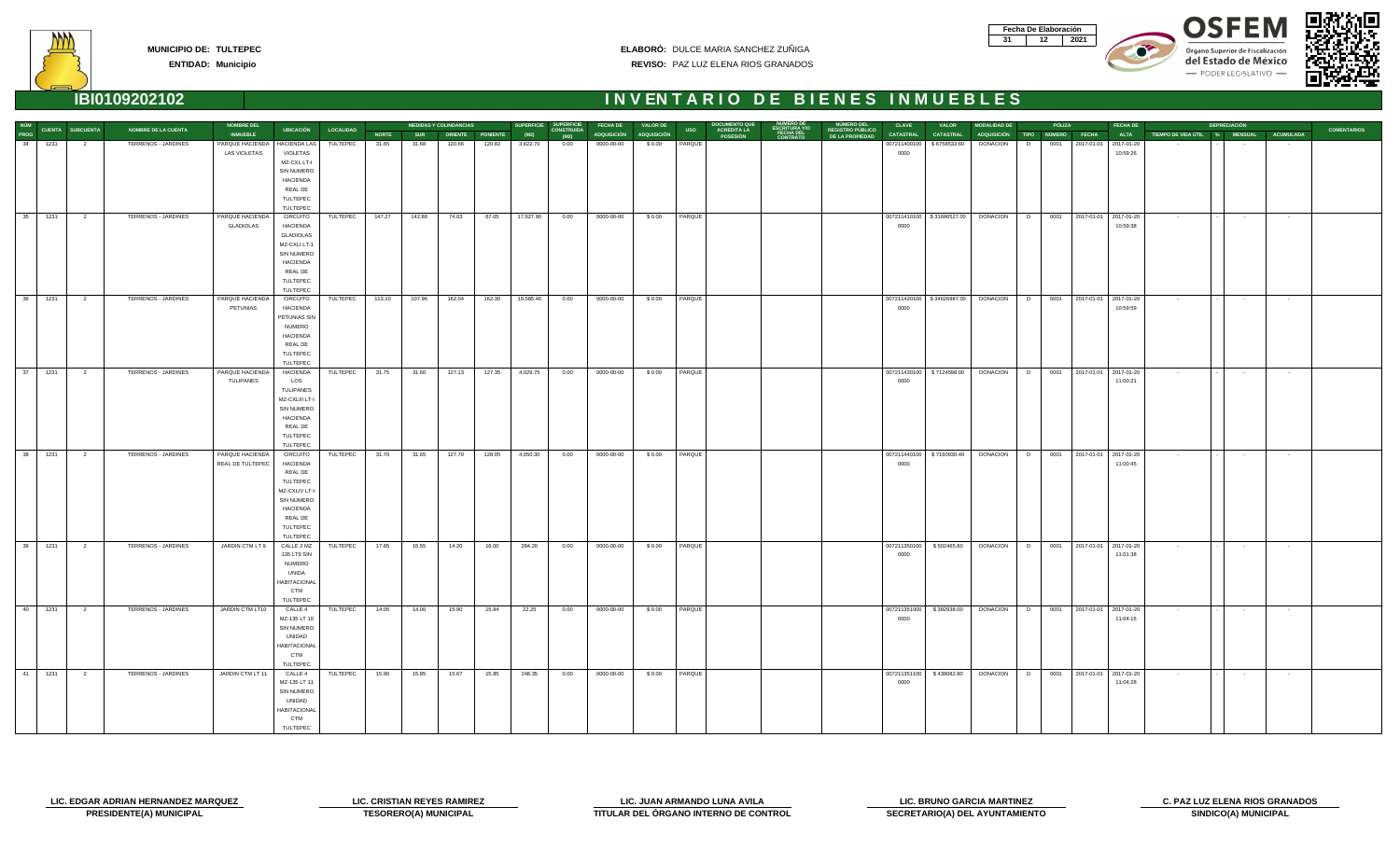| Fecha De Elaboración |     |
|----------------------|-----|
|                      | N91 |









**ENTIDAD: Municipio**

| NÚM  |                   |                         |                            | <b>NOMBRE DEL</b>   |                                  |                     |              |            | <b>MEDIDAS Y COLINDANCIAS</b> |        |           | SUPERFICIE SUPERFICIE     | <b>FECHA DE</b>         | <b>VALOR DE</b> |                  | <b>DOCUMENTO QUE</b>                  |                                                 | NÚMERO DEL<br>REGISTRO PÚBLICO | <b>CLAVE</b>         | <b>VALOR</b>                 | <b>MODALIDAD DE</b>                                                          |   | PÓLIZA |                            | <b>FECHA DE</b> |                                              | <b>DEPRECIACIÓN</b>      |                 |                    |
|------|-------------------|-------------------------|----------------------------|---------------------|----------------------------------|---------------------|--------------|------------|-------------------------------|--------|-----------|---------------------------|-------------------------|-----------------|------------------|---------------------------------------|-------------------------------------------------|--------------------------------|----------------------|------------------------------|------------------------------------------------------------------------------|---|--------|----------------------------|-----------------|----------------------------------------------|--------------------------|-----------------|--------------------|
| PROG |                   | <b>CUENTA SUBCUENTA</b> | <b>NOMBRE DE LA CUENTA</b> | <b>INMUEBLE</b>     |                                  | UBICACIÓN LOCALIDAD | <b>NORTE</b> | <b>SUR</b> | ORIENTE PONIENTE              |        | (M2)      | <b>CONSTRUIDA</b><br>(M2) | ADQUISICIÓN ADQUISICIÓN |                 | <b>USO</b>       | <b>ACREDITA LA</b><br><b>POSESIÓN</b> | <b>ESCRITURA Y/O<br/>FECHA DEL<br/>CONTRATO</b> | DE LA PROPIEDAD                | <b>CATASTRAL</b>     | <b>CATASTRAL</b>             | ADQUISICIÓN TIPO NÚMERO FECHA                                                |   |        |                            |                 | ALTA TIEMPO DE VIDA ÚTIL % MENSUAL ACUMULADA |                          |                 | <b>COMENTARIOS</b> |
|      | 34 1231           | $\overline{\mathbf{c}}$ | TERRENOS - JARDINES        | PARQUE HACIENDA     | HACIENDA LAS                     | TULTEPEC            | 31.65        | 31.68      | 120.66                        | 120.82 | 3,822.70  | 0.00                      | 0000-00-00              | \$0.00          | PARQUE           |                                       |                                                 |                                | 007211400100         | \$6758533.60                 | <b>DONACION</b>                                                              | D |        | 0001 2017-01-01 2017-01-20 |                 |                                              |                          | $\sim$          |                    |
|      |                   |                         |                            | <b>LAS VIOLETAS</b> | VIOLETAS<br>MZ-CXL LT-I          |                     |              |            |                               |        |           |                           |                         |                 |                  |                                       |                                                 |                                | 0000                 |                              |                                                                              |   |        |                            | 10:59:26        |                                              |                          |                 |                    |
|      |                   |                         |                            |                     | SIN NUMERO                       |                     |              |            |                               |        |           |                           |                         |                 |                  |                                       |                                                 |                                |                      |                              |                                                                              |   |        |                            |                 |                                              |                          |                 |                    |
|      |                   |                         |                            |                     | <b>HACIENDA</b>                  |                     |              |            |                               |        |           |                           |                         |                 |                  |                                       |                                                 |                                |                      |                              |                                                                              |   |        |                            |                 |                                              |                          |                 |                    |
|      |                   |                         |                            |                     | <b>REAL DE</b>                   |                     |              |            |                               |        |           |                           |                         |                 |                  |                                       |                                                 |                                |                      |                              |                                                                              |   |        |                            |                 |                                              |                          |                 |                    |
|      |                   |                         |                            |                     | TULTEPEC                         |                     |              |            |                               |        |           |                           |                         |                 |                  |                                       |                                                 |                                |                      |                              |                                                                              |   |        |                            |                 |                                              |                          |                 |                    |
|      |                   |                         |                            |                     | TULTEPEC                         |                     |              |            |                               |        |           |                           |                         |                 |                  |                                       |                                                 |                                |                      |                              |                                                                              |   |        |                            |                 |                                              |                          |                 |                    |
|      | $35 \qquad 1231$  | $\overline{\mathbf{2}}$ | TERRENOS - JARDINES        | PARQUE HACIENDA     | <b>CIRCUITO</b>                  | TULTEPEC            | 147.27       | 142.80     | 74.03                         | 67.05  | 17,927.90 | 0.00                      | 0000-00-00              | \$0.00          | PARQUE           |                                       |                                                 |                                |                      | 007211410100   \$31696527.00 | DONACION   D                                                                 |   |        | 0001 2017-01-01 2017-01-20 |                 | $\sim 10^{-11}$                              | <b>Contract</b>          | $\sim 100$      |                    |
|      |                   |                         |                            | <b>GLADIOLAS</b>    | <b>HACIENDA</b>                  |                     |              |            |                               |        |           |                           |                         |                 |                  |                                       |                                                 |                                | 0000                 |                              |                                                                              |   |        |                            | 10:59:38        |                                              |                          |                 |                    |
|      |                   |                         |                            |                     | <b>GLADIOLAS</b><br>MZ-CXLI LT-1 |                     |              |            |                               |        |           |                           |                         |                 |                  |                                       |                                                 |                                |                      |                              |                                                                              |   |        |                            |                 |                                              |                          |                 |                    |
|      |                   |                         |                            |                     | SIN NUMERO                       |                     |              |            |                               |        |           |                           |                         |                 |                  |                                       |                                                 |                                |                      |                              |                                                                              |   |        |                            |                 |                                              |                          |                 |                    |
|      |                   |                         |                            |                     | <b>HACIENDA</b>                  |                     |              |            |                               |        |           |                           |                         |                 |                  |                                       |                                                 |                                |                      |                              |                                                                              |   |        |                            |                 |                                              |                          |                 |                    |
|      |                   |                         |                            |                     | REAL DE                          |                     |              |            |                               |        |           |                           |                         |                 |                  |                                       |                                                 |                                |                      |                              |                                                                              |   |        |                            |                 |                                              |                          |                 |                    |
|      |                   |                         |                            |                     | TULTEPEC                         |                     |              |            |                               |        |           |                           |                         |                 |                  |                                       |                                                 |                                |                      |                              |                                                                              |   |        |                            |                 |                                              |                          |                 |                    |
|      |                   |                         |                            |                     | TULTEPEC                         |                     |              |            |                               |        |           |                           |                         |                 |                  |                                       |                                                 |                                |                      |                              |                                                                              |   |        |                            |                 |                                              |                          |                 |                    |
|      | 36 1231           | $\overline{2}$          | TERRENOS - JARDINES        | PARQUE HACIENDA     | <b>CIRCUITO</b>                  | TULTEPEC            | 113.10       | 107.96     | 162.04                        | 162.30 | 19,585.40 | 0.00                      | 0000-00-00              | \$0.00          | PARQUE           |                                       |                                                 |                                |                      |                              | 007211420100   \$34626987.00   DONACION   D   0001   2017-01-01   2017-01-20 |   |        |                            |                 | <b>Contract</b>                              | $\sim 100$               | $\sim 100$      |                    |
|      |                   |                         |                            | PETUNIAS            | <b>HACIENDA</b>                  |                     |              |            |                               |        |           |                           |                         |                 |                  |                                       |                                                 |                                | 0000                 |                              |                                                                              |   |        |                            | 10:59:59        |                                              |                          |                 |                    |
|      |                   |                         |                            |                     | PETUNIAS SIN<br><b>NUMERO</b>    |                     |              |            |                               |        |           |                           |                         |                 |                  |                                       |                                                 |                                |                      |                              |                                                                              |   |        |                            |                 |                                              |                          |                 |                    |
|      |                   |                         |                            |                     | <b>HACIENDA</b>                  |                     |              |            |                               |        |           |                           |                         |                 |                  |                                       |                                                 |                                |                      |                              |                                                                              |   |        |                            |                 |                                              |                          |                 |                    |
|      |                   |                         |                            |                     | REAL DE                          |                     |              |            |                               |        |           |                           |                         |                 |                  |                                       |                                                 |                                |                      |                              |                                                                              |   |        |                            |                 |                                              |                          |                 |                    |
|      |                   |                         |                            |                     | TULTEPEC                         |                     |              |            |                               |        |           |                           |                         |                 |                  |                                       |                                                 |                                |                      |                              |                                                                              |   |        |                            |                 |                                              |                          |                 |                    |
|      |                   |                         |                            |                     | TULTEPEC                         |                     |              |            |                               |        |           |                           |                         |                 |                  |                                       |                                                 |                                |                      |                              |                                                                              |   |        |                            |                 |                                              |                          |                 |                    |
|      | 37 1231           | $\overline{2}$          | TERRENOS - JARDINES        | PARQUE HACIENDA     | HACIENDA                         | TULTEPEC            | 31.75        | 31.60      | 127.13                        | 127.35 | 4,029.75  | 0.00                      | 0000-00-00              | \$0.00          | PARQUE           |                                       |                                                 |                                |                      |                              | 007211430100   \$7124598.00   DONACION   D   0001   2017-01-01   2017-01-20  |   |        |                            |                 | <b>Contractor</b>                            | <b>Contract Contract</b> | <b>Contract</b> |                    |
|      |                   |                         |                            | TULIPANES           | LOS                              |                     |              |            |                               |        |           |                           |                         |                 |                  |                                       |                                                 |                                | 0000                 |                              |                                                                              |   |        |                            | 11:00:21        |                                              |                          |                 |                    |
|      |                   |                         |                            |                     | TULIPANES<br>MZ-CXLIII LT-I      |                     |              |            |                               |        |           |                           |                         |                 |                  |                                       |                                                 |                                |                      |                              |                                                                              |   |        |                            |                 |                                              |                          |                 |                    |
|      |                   |                         |                            |                     | SIN NUMERO                       |                     |              |            |                               |        |           |                           |                         |                 |                  |                                       |                                                 |                                |                      |                              |                                                                              |   |        |                            |                 |                                              |                          |                 |                    |
|      |                   |                         |                            |                     | <b>HACIENDA</b>                  |                     |              |            |                               |        |           |                           |                         |                 |                  |                                       |                                                 |                                |                      |                              |                                                                              |   |        |                            |                 |                                              |                          |                 |                    |
|      |                   |                         |                            |                     | REAL DE                          |                     |              |            |                               |        |           |                           |                         |                 |                  |                                       |                                                 |                                |                      |                              |                                                                              |   |        |                            |                 |                                              |                          |                 |                    |
|      |                   |                         |                            |                     | TULTEPEC                         |                     |              |            |                               |        |           |                           |                         |                 |                  |                                       |                                                 |                                |                      |                              |                                                                              |   |        |                            |                 |                                              |                          |                 |                    |
|      |                   |                         |                            |                     | TULTEPEC                         |                     |              |            |                               |        |           |                           |                         |                 |                  |                                       |                                                 |                                |                      |                              |                                                                              |   |        |                            |                 |                                              |                          |                 |                    |
|      | $38$ $1231$       | $\overline{2}$          | TERRENOS - JARDINES        | PARQUE HACIENDA     | <b>CIRCUITO</b>                  | TULTEPEC            | 31.70        | 31.65      | 127.70                        | 128.05 | 4,050.30  | 0.00                      | 0000-00-00              | \$0.00          | PARQUE           |                                       |                                                 |                                |                      |                              | 007211440100   \$7160930.40   DONACION   D   0001   2017-01-01   2017-01-20  |   |        |                            |                 | <b>Contractor</b>                            | <b>Contract</b>          | <b>Contract</b> |                    |
|      |                   |                         |                            | REAL DE TULTEPEC    | <b>HACIENDA</b><br>REAL DE       |                     |              |            |                               |        |           |                           |                         |                 |                  |                                       |                                                 |                                | 0000                 |                              |                                                                              |   |        |                            | 11:00:45        |                                              |                          |                 |                    |
|      |                   |                         |                            |                     | TULTEPEC                         |                     |              |            |                               |        |           |                           |                         |                 |                  |                                       |                                                 |                                |                      |                              |                                                                              |   |        |                            |                 |                                              |                          |                 |                    |
|      |                   |                         |                            |                     | MZ-CXLIV LT-I                    |                     |              |            |                               |        |           |                           |                         |                 |                  |                                       |                                                 |                                |                      |                              |                                                                              |   |        |                            |                 |                                              |                          |                 |                    |
|      |                   |                         |                            |                     | SIN NUMERO                       |                     |              |            |                               |        |           |                           |                         |                 |                  |                                       |                                                 |                                |                      |                              |                                                                              |   |        |                            |                 |                                              |                          |                 |                    |
|      |                   |                         |                            |                     | <b>HACIENDA</b>                  |                     |              |            |                               |        |           |                           |                         |                 |                  |                                       |                                                 |                                |                      |                              |                                                                              |   |        |                            |                 |                                              |                          |                 |                    |
|      |                   |                         |                            |                     | <b>REAL DE</b>                   |                     |              |            |                               |        |           |                           |                         |                 |                  |                                       |                                                 |                                |                      |                              |                                                                              |   |        |                            |                 |                                              |                          |                 |                    |
|      |                   |                         |                            |                     | TULTEPEC                         |                     |              |            |                               |        |           |                           |                         |                 |                  |                                       |                                                 |                                |                      |                              |                                                                              |   |        |                            |                 |                                              |                          |                 |                    |
|      |                   |                         |                            |                     | TULTEPEC                         |                     |              |            |                               |        |           |                           |                         |                 |                  |                                       |                                                 |                                |                      |                              |                                                                              |   |        |                            |                 |                                              |                          |                 |                    |
|      | 39 1231           | $\overline{2}$          | TERRENOS - JARDINES        | JARDIN CTM LT 9     | CALLE 2 MZ<br>135 LT9 SIN        | TULTEPEC            | 17.65        | 15.55      | 14.20                         | 16.00  | 284.20    | 0.00                      | 0000-00-00              | \$0.00          | PARQUE           |                                       |                                                 |                                | 007211350100<br>0000 | \$502465.60                  | DONACION D                                                                   |   |        | 0001 2017-01-01 2017-01-20 | 11:01:38        | <b>Contract</b>                              | $\sim 100$               | $\sim 100$      |                    |
|      |                   |                         |                            |                     | <b>NUMERO</b>                    |                     |              |            |                               |        |           |                           |                         |                 |                  |                                       |                                                 |                                |                      |                              |                                                                              |   |        |                            |                 |                                              |                          |                 |                    |
|      |                   |                         |                            |                     | UNIDA                            |                     |              |            |                               |        |           |                           |                         |                 |                  |                                       |                                                 |                                |                      |                              |                                                                              |   |        |                            |                 |                                              |                          |                 |                    |
|      |                   |                         |                            |                     | <b>HABITACIONAL</b>              |                     |              |            |                               |        |           |                           |                         |                 |                  |                                       |                                                 |                                |                      |                              |                                                                              |   |        |                            |                 |                                              |                          |                 |                    |
|      |                   |                         |                            |                     | <b>CTM</b>                       |                     |              |            |                               |        |           |                           |                         |                 |                  |                                       |                                                 |                                |                      |                              |                                                                              |   |        |                            |                 |                                              |                          |                 |                    |
|      |                   |                         |                            |                     | TULTEPEC                         |                     |              |            |                               |        |           |                           |                         |                 |                  |                                       |                                                 |                                |                      |                              |                                                                              |   |        |                            |                 |                                              |                          |                 |                    |
|      | $40$ $1231$       | $\overline{\mathbf{2}}$ | TERRENOS - JARDINES        | JARDIN CTM LT10     | CALLE 4                          | TULTEPEC            | 14.05        | 14.00      | 15.90                         | 15.84  | 22.25     | 0.00                      | 0000-00-00              | \$0.00          | PARQUE           |                                       |                                                 |                                |                      | 007211351000   \$392938.00   | DONACION D                                                                   |   |        | 0001 2017-01-01 2017-01-20 | 11:04:16        | $\sim$ 100 $\mu$                             | $\sim 100$               | $\sim$          |                    |
|      |                   |                         |                            |                     | MZ-135 LT 10<br>SIN NUMERO       |                     |              |            |                               |        |           |                           |                         |                 |                  |                                       |                                                 |                                | 0000                 |                              |                                                                              |   |        |                            |                 |                                              |                          |                 |                    |
|      |                   |                         |                            |                     | UNIDAD                           |                     |              |            |                               |        |           |                           |                         |                 |                  |                                       |                                                 |                                |                      |                              |                                                                              |   |        |                            |                 |                                              |                          |                 |                    |
|      |                   |                         |                            |                     | <b>HABITACIONAL</b>              |                     |              |            |                               |        |           |                           |                         |                 |                  |                                       |                                                 |                                |                      |                              |                                                                              |   |        |                            |                 |                                              |                          |                 |                    |
|      |                   |                         |                            |                     | <b>CTM</b>                       |                     |              |            |                               |        |           |                           |                         |                 |                  |                                       |                                                 |                                |                      |                              |                                                                              |   |        |                            |                 |                                              |                          |                 |                    |
|      |                   |                         |                            |                     | TULTEPEC                         |                     |              |            |                               |        |           |                           |                         |                 |                  |                                       |                                                 |                                |                      |                              |                                                                              |   |        |                            |                 |                                              |                          |                 |                    |
|      | $\boxed{41}$ 1231 | $\overline{\mathbf{c}}$ | TERRENOS - JARDINES        | JARDIN CTM LT 11    | CALLE 4                          | TULTEPEC            | 15.90        | 15.85      | 15.67                         | 15.85  | 248.35    | 0.00                      | 0000-00-00              |                 | \$ 0.00   PARQUE |                                       |                                                 |                                |                      | 007211351100   \$439082.80   | DONACION D 0001 2017-01-01 2017-01-20                                        |   |        |                            |                 | <b>Contract</b>                              | <b>Contract</b>          | <b>Contract</b> |                    |
|      |                   |                         |                            |                     | MZ-135 LT 11<br>SIN NUMERO       |                     |              |            |                               |        |           |                           |                         |                 |                  |                                       |                                                 |                                | 0000                 |                              |                                                                              |   |        |                            | 11:04:28        |                                              |                          |                 |                    |
|      |                   |                         |                            |                     | UNIDAD                           |                     |              |            |                               |        |           |                           |                         |                 |                  |                                       |                                                 |                                |                      |                              |                                                                              |   |        |                            |                 |                                              |                          |                 |                    |
|      |                   |                         |                            |                     | <b>HABITACIONAL</b>              |                     |              |            |                               |        |           |                           |                         |                 |                  |                                       |                                                 |                                |                      |                              |                                                                              |   |        |                            |                 |                                              |                          |                 |                    |
|      |                   |                         |                            |                     | <b>CTM</b>                       |                     |              |            |                               |        |           |                           |                         |                 |                  |                                       |                                                 |                                |                      |                              |                                                                              |   |        |                            |                 |                                              |                          |                 |                    |
|      |                   |                         |                            |                     | TULTEPEC                         |                     |              |            |                               |        |           |                           |                         |                 |                  |                                       |                                                 |                                |                      |                              |                                                                              |   |        |                            |                 |                                              |                          |                 |                    |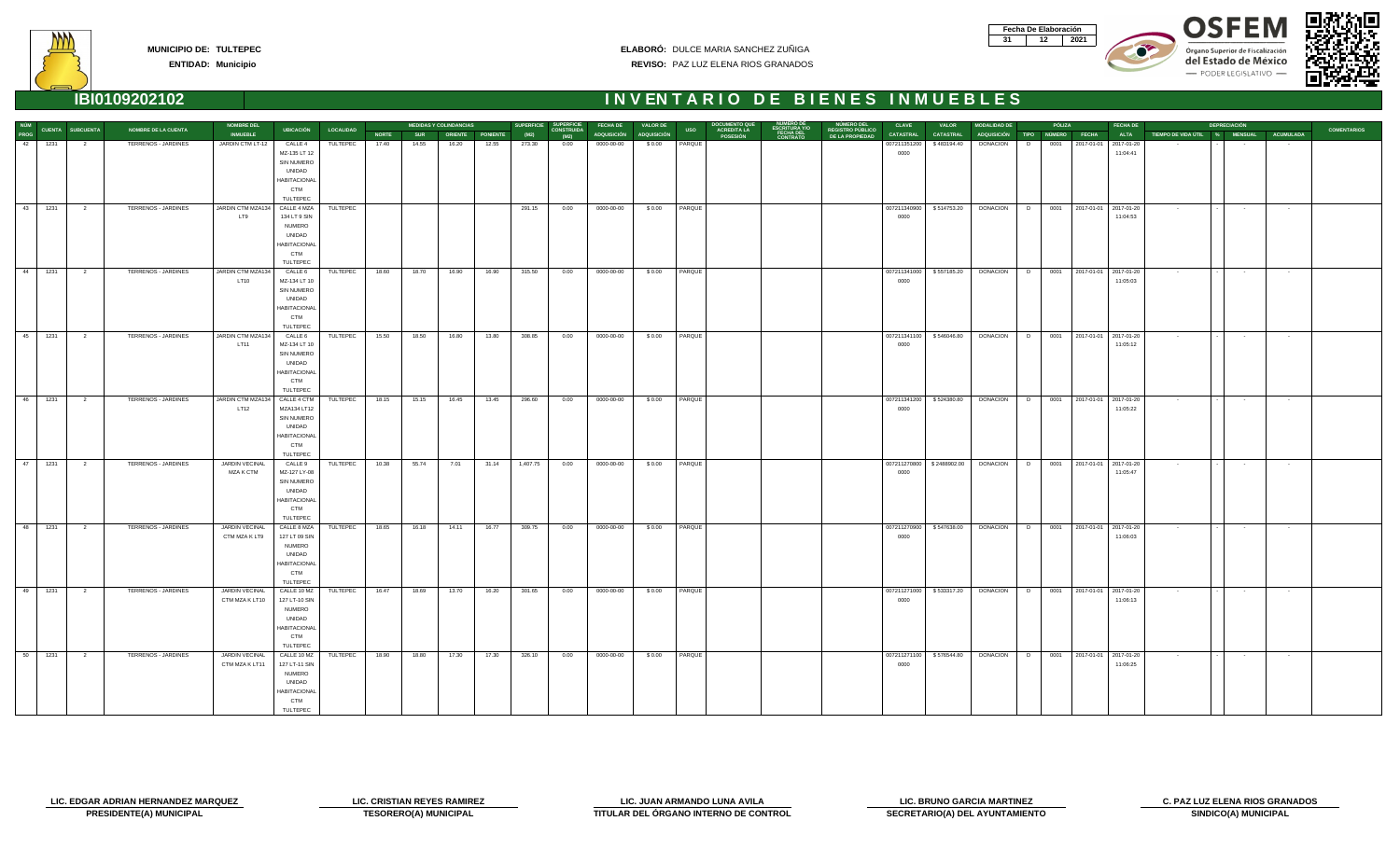| Fecha De Elaboración |     |
|----------------------|-----|
|                      | N91 |









**ENTIDAD: Municipio**

| NÚM<br>PROG     |            |                         | <b>NOMBRE DE LA CUENTA</b> | <b>NOMBRE DEL</b>                                | <b>UBICACIÓN</b>                                                                                                | <b>LOCALIDAD</b> |              |            | <b>MEDIDAS Y COLINDANCIAS</b> |       | <b>SUPERFICIE</b> | <b>SUPERFICIE</b>         | <b>FECHA DE</b>         | <b>VALOR DE</b> |                  | <b>DOCUMENTO QUI</b>    |                              |                                                   | <b>CLAVE</b>         | <b>VALOR</b>               | <b>MODALIDAD DE</b>           |   | PÓLIZA |                                       | <b>FECHA DE</b> |                                              | <b>DEPRECIACIÓN</b>      |                    | <b>COMENTARIOS</b> |
|-----------------|------------|-------------------------|----------------------------|--------------------------------------------------|-----------------------------------------------------------------------------------------------------------------|------------------|--------------|------------|-------------------------------|-------|-------------------|---------------------------|-------------------------|-----------------|------------------|-------------------------|------------------------------|---------------------------------------------------|----------------------|----------------------------|-------------------------------|---|--------|---------------------------------------|-----------------|----------------------------------------------|--------------------------|--------------------|--------------------|
|                 |            | CUENTA SUBCUENTA        |                            | <b>INMUEBLE</b>                                  |                                                                                                                 |                  | <b>NORTE</b> | <b>SUR</b> | ORIENTE PONIENTE              |       | (M2)              | <b>CONSTRUIDA</b><br>(M2) | ADQUISICIÓN ADQUISICIÓN |                 | <b>USO</b>       | ACREDITA LA<br>POSESIÓN | <b>FECHA DEL</b><br>CONTRATO | NÚMERO DEL<br>REGISTRO PÚBLICO<br>DE LA PROPIEDAD | <b>CATASTRAL</b>     | <b>CATASTRAL</b>           | ADQUISICIÓN TIPO NÚMERO FECHA |   |        |                                       |                 | ALTA TIEMPO DE VIDA ÚTIL % MENSUAL ACUMULADA |                          |                    |                    |
| 42              | 1231       | $\overline{\mathbf{2}}$ | TERRENOS - JARDINES        | JARDIN CTM LT-12                                 | CALLE 4<br>MZ-135 LT 12<br>SIN NUMERO<br>UNIDAD<br><b>HABITACIONAL</b><br><b>CTM</b><br>TULTEPEC                | TULTEPEC         | 17.40        | 14.55      | 16.20                         | 12.55 | 273.30            | 0.00                      | 0000-00-00              | \$0.00          | PARQUE           |                         |                              |                                                   | 007211351200<br>0000 | \$483194.40                | <b>DONACION</b>               | D | 0001   | 2017-01-01 2017-01-20                 | 11:04:41        |                                              |                          |                    |                    |
|                 | $-43$ 1231 | $\overline{\mathbf{2}}$ | TERRENOS - JARDINES        | JARDIN CTM MZA134<br>LT9                         | CALLE 4 MZA<br>134 LT 9 SIN<br><b>NUMERO</b><br>UNIDAD<br><b>HABITACIONAL</b><br><b>CTM</b><br>TULTEPEC         | TULTEPEC         |              |            |                               |       | 291.15            | 0.00                      | 0000-00-00              |                 | \$0.00   PARQUE  |                         |                              |                                                   | 0000                 | 007211340900 \$514753.20   | DONACION   D                  |   |        | 0001 2017-01-01 2017-01-20            | 11:04:53        | $\sim 100$                                   | $\sim 100$               | $\sim$             |                    |
|                 | $44$ 1231  | $\overline{\mathbf{2}}$ | TERRENOS - JARDINES        | JARDIN CTM MZA134<br><b>LT10</b>                 | CALLE <sub>6</sub><br>MZ-134 LT 10<br>SIN NUMERO<br>UNIDAD<br><b>HABITACIONAL</b><br><b>CTM</b><br>TULTEPEC     | TULTEPEC         | 18.60        | 18.70      | 16.90                         | 16.90 | 315.50            | 0.00                      | 0000-00-00              |                 | \$ 0.00   PARQUE |                         |                              |                                                   | 0000                 | 007211341000   \$557185.20 | DONACION D                    |   |        | 0001 2017-01-01 2017-01-20            | 11:05:03        | <b>State State</b>                           | <b>Contract Contract</b> | <b>State State</b> |                    |
| 45              | 1231       | $\overline{\mathbf{2}}$ | TERRENOS - JARDINES        | JARDIN CTM MZA134<br><b>LT11</b>                 | CALLE 6<br>MZ-134 LT 10<br>SIN NUMERO<br>UNIDAD<br><b>HABITACIONAL</b><br><b>CTM</b><br>TULTEPEC                | TULTEPEC         | 15.50        | 18.50      | 16.80                         | 13.80 | 308.85            | 0.00                      | 0000-00-00              | \$0.00          | PARQUE           |                         |                              |                                                   | 007211341100<br>0000 | \$546046.80                | <b>DONACION</b>               | D |        | 0001 2017-01-01 2017-01-20            | 11:05:12        | <b>Contract</b>                              | $\sim 100$               | $\sim 10^{-10}$    |                    |
| $-46$           | 1231       | $\overline{\mathbf{c}}$ | TERRENOS - JARDINES        | JARDIN CTM MZA134<br>LT12                        | CALLE 4 CTM<br>MZA134 LT12<br>SIN NUMERO<br>UNIDAD<br><b>HABITACIONAL</b><br><b>CTM</b><br>TULTEPEC             | TULTEPEC         | 18.15        | 15.15      | 16.45                         | 13.45 | 296.60            | 0.00                      | 0000-00-00              | \$0.00          | PARQUE           |                         |                              |                                                   | 007211341200<br>0000 | \$524380.80                | <b>DONACION</b>               | D |        | 0001 2017-01-01 2017-01-20            | 11:05:22        | $\sim 10^{-11}$                              | $\sim 100$               | $\sim$ $-$         |                    |
| $\overline{47}$ | 1231       | $\overline{\mathbf{2}}$ | TERRENOS - JARDINES        | JARDIN VECINAL<br>MZA K CTM                      | CALLE 9<br>MZ-127 LY-08<br>SIN NUMERO<br>UNIDAD<br><b>HABITACIONAI</b><br><b>CTM</b><br>TULTEPEC                | TULTEPEC         | 10.38        | 55.74      | 7.01                          | 31.14 | 1,407.75          | 0.00                      | 0000-00-00              | \$0.00          | PARQUE           |                         |                              |                                                   | 007211270800<br>0000 | \$2488902.00               | <b>DONACION</b>               | D |        | 0001 2017-01-01 2017-01-20            | 11:05:47        | <b>Contractor</b>                            | $\sim$ 100 $\pm$         | $\sim$ 100 $\mu$   |                    |
| $-48$           | 1231       | $\overline{2}$          | TERRENOS - JARDINES        | JARDIN VECINAL<br>CTM MZA K LT9                  | CALLE 8 MZA<br>127 LT 09 SIN<br><b>NUMERO</b><br>UNIDAD<br><b>HABITACIONAI</b><br><b>CTM</b><br><b>TULTEPEC</b> | TULTEPEC         | 18.65        | 16.18      | 14.11                         | 16.77 | 309.75            | 0.00                      | 0000-00-00              | \$0.00          | PARQUE           |                         |                              |                                                   | 007211270900<br>0000 | \$547638.00                | <b>DONACION</b>               | D |        | 0001 2017-01-01 2017-01-20            | 11:06:03        | <b>Contractor</b>                            | <b>Contractor</b>        | $\sim 100$         |                    |
|                 | 49 1231 2  |                         | TERRENOS - JARDINES        | JARDIN VECINAL<br>CTM MZA K LT10   127 LT-10 SIN | CALLE 10 MZ TULTEPEC<br><b>NUMERO</b><br>UNIDAD<br><b>HABITACIONAL</b><br><b>CTM</b><br>TULTEPEC                |                  | 16.47        | 18.69      | 13.70                         | 16.20 | 301.65            | 0.00                      | 0000-00-00              | \$0.00          | PARQUE           |                         |                              |                                                   | 0000                 | 007211271000 \$533317.20   | DONACION D                    |   |        | 0001 2017-01-01 2017-01-20            | 11:06:13        | $\sim 100$                                   | $\sim 100$               |                    |                    |
| $\overline{50}$ | 1231       | $\overline{\mathbf{2}}$ | TERRENOS - JARDINES        | JARDIN VECINAL<br>CTM MZA K LT11                 | CALLE 10 MZ<br>127 LT-11 SIN<br><b>NUMERO</b><br>UNIDAD<br><b>HABITACIONAL</b><br><b>CTM</b><br>TULTEPEC        | TULTEPEC         | 18.90        | 18.80      | 17.30                         | 17.30 | 326.10            | 0.00                      | 0000-00-00              |                 | \$0.00   PARQUE  |                         |                              |                                                   | 0000                 | 007211271100 \$576544.80   |                               |   |        | DONACION D 0001 2017-01-01 2017-01-20 | 11:06:25        | <b>Contractor</b>                            | <b>Contract Contract</b> | <b>State State</b> |                    |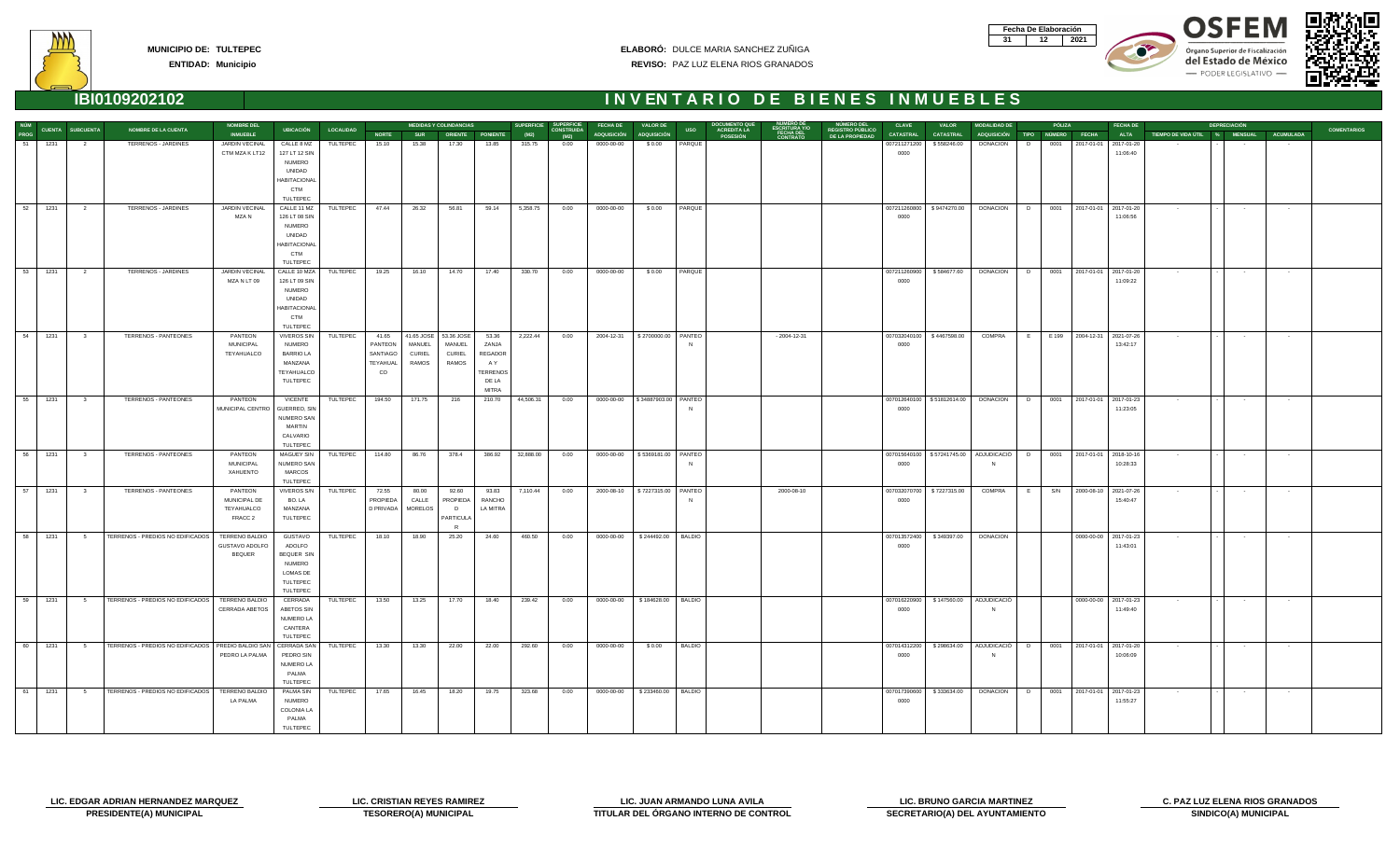| Fecha De Elaboración |     |
|----------------------|-----|
|                      | N91 |









| NÚM  |                         |                         |                                                      | <b>NOMBRE DEL</b>           |                                 |                     |              |                       | <b>MEDIDAS Y COLINDANCIAS</b> |                       | <b>SUPERFICIE</b> | <b>SUPERFICIE</b>         | <b>FECHA DE</b>                    | <b>VALOR DE</b>      |               |                                       |              | <b>NUMERO DEL</b>                          | <b>CLAVE</b>     | <b>VALOR</b>                             | <b>MODALIDAD DE</b>                                                             |   | PÓLIZA |                               | <b>FECHA DE</b> |                                         | <b>DEPRECIACIÓN</b> |                 |                    |
|------|-------------------------|-------------------------|------------------------------------------------------|-----------------------------|---------------------------------|---------------------|--------------|-----------------------|-------------------------------|-----------------------|-------------------|---------------------------|------------------------------------|----------------------|---------------|---------------------------------------|--------------|--------------------------------------------|------------------|------------------------------------------|---------------------------------------------------------------------------------|---|--------|-------------------------------|-----------------|-----------------------------------------|---------------------|-----------------|--------------------|
| PROG | <b>CUENTA SUBCUENTA</b> |                         | <b>NOMBRE DE LA CUENTA</b>                           | <b>INMUEBLE</b>             |                                 | UBICACIÓN LOCALIDAD | <b>NORTE</b> |                       | SUR ORIENTE PONIENTE          |                       | (M2)              | <b>CONSTRUIDA</b><br>(M2) | ADQUISICIÓN ADQUISICIÓN            |                      | <b>USO</b>    | <b>ACREDITA LA</b><br><b>POSESIÓN</b> | FECHA DEL    | <b>REGISTRO PÚBLICO</b><br>DE LA PROPIEDAD | <b>CATASTRAL</b> | <b>CATASTRAL</b>                         | ADQUISICIÓN TIPO NÚMERO FECHA                                                   |   |        |                               | <b>ALTA</b>     | TIEMPO DE VIDA ÚTIL % MENSUAL ACUMULADA |                     |                 | <b>COMENTARIOS</b> |
|      | 51 1231                 | $\overline{2}$          | TERRENOS - JARDINES                                  | JARDIN VECINAL              | CALLE 8 MZ                      | TULTEPEC            | 15.10        | 15.38                 | 17.30                         | 13.85                 | 315.75            | 0.00                      | 0000-00-00                         | \$0.00               | PARQUE        |                                       |              |                                            | 007211271200     | \$558246.00                              | <b>DONACION</b>                                                                 | D | 0001   | 2017-01-01 2017-01-20         |                 |                                         |                     |                 |                    |
|      |                         |                         |                                                      | CTM MZA K LT12              | 127 LT 12 SIN                   |                     |              |                       |                               |                       |                   |                           |                                    |                      |               |                                       |              |                                            | 0000             |                                          |                                                                                 |   |        |                               | 11:06:40        |                                         |                     |                 |                    |
|      |                         |                         |                                                      |                             | NUMERO                          |                     |              |                       |                               |                       |                   |                           |                                    |                      |               |                                       |              |                                            |                  |                                          |                                                                                 |   |        |                               |                 |                                         |                     |                 |                    |
|      |                         |                         |                                                      |                             | UNIDAD                          |                     |              |                       |                               |                       |                   |                           |                                    |                      |               |                                       |              |                                            |                  |                                          |                                                                                 |   |        |                               |                 |                                         |                     |                 |                    |
|      |                         |                         |                                                      |                             | <b>HABITACIONAL</b>             |                     |              |                       |                               |                       |                   |                           |                                    |                      |               |                                       |              |                                            |                  |                                          |                                                                                 |   |        |                               |                 |                                         |                     |                 |                    |
|      |                         |                         |                                                      |                             | <b>CTM</b>                      |                     |              |                       |                               |                       |                   |                           |                                    |                      |               |                                       |              |                                            |                  |                                          |                                                                                 |   |        |                               |                 |                                         |                     |                 |                    |
|      |                         |                         |                                                      |                             | TULTEPEC                        |                     |              |                       |                               |                       |                   |                           |                                    |                      |               |                                       |              |                                            |                  |                                          |                                                                                 |   |        |                               |                 |                                         |                     |                 |                    |
|      | 52 1231                 | $\overline{2}$          | TERRENOS - JARDINES                                  | JARDIN VECINAL              | CALLE 11 MZ                     | TULTEPEC            | 47.44        | 26.32                 | 56.81                         | 59.14                 | 5,358.75          | 0.00                      | 0000-00-00                         | \$0.00               | PARQUE        |                                       |              |                                            | 007211260800     | \$9474270.00                             | <b>DONACION</b>                                                                 | D |        | 0001 2017-01-01 2017-01-20    |                 | $\sim$ 100 $\pm$                        | $\sim 100$          | $\sim$ $-$      |                    |
|      |                         |                         |                                                      | MZA N                       | 126 LT 08 SIN                   |                     |              |                       |                               |                       |                   |                           |                                    |                      |               |                                       |              |                                            | 0000             |                                          |                                                                                 |   |        |                               | 11:06:56        |                                         |                     |                 |                    |
|      |                         |                         |                                                      |                             | <b>NUMERO</b>                   |                     |              |                       |                               |                       |                   |                           |                                    |                      |               |                                       |              |                                            |                  |                                          |                                                                                 |   |        |                               |                 |                                         |                     |                 |                    |
|      |                         |                         |                                                      |                             | UNIDAD                          |                     |              |                       |                               |                       |                   |                           |                                    |                      |               |                                       |              |                                            |                  |                                          |                                                                                 |   |        |                               |                 |                                         |                     |                 |                    |
|      |                         |                         |                                                      |                             | <b>HABITACIONAL</b>             |                     |              |                       |                               |                       |                   |                           |                                    |                      |               |                                       |              |                                            |                  |                                          |                                                                                 |   |        |                               |                 |                                         |                     |                 |                    |
|      |                         |                         |                                                      |                             | <b>CTM</b>                      |                     |              |                       |                               |                       |                   |                           |                                    |                      |               |                                       |              |                                            |                  |                                          |                                                                                 |   |        |                               |                 |                                         |                     |                 |                    |
|      |                         |                         |                                                      |                             | TULTEPEC                        |                     |              |                       |                               |                       |                   |                           |                                    |                      |               |                                       |              |                                            |                  |                                          |                                                                                 |   |        |                               |                 |                                         |                     |                 |                    |
|      | 53 1231                 | $\overline{\mathbf{2}}$ | TERRENOS - JARDINES                                  | JARDIN VECINAL              | CALLE 10 MZA                    | TULTEPEC            | 19.25        | 16.10                 | 14.70                         | 17.40                 | 330.70            | 0.00                      | 0000-00-00                         | \$0.00               | PARQUE        |                                       |              |                                            | 007211260900     | \$584677.60                              | DONACION D 0001 2017-01-01 2017-01-20                                           |   |        |                               |                 | $\sim 100$                              | $\sim 100$          | $\sim$ $-$      |                    |
|      |                         |                         |                                                      | MZA N LT 09                 | 126 LT 09 SIN<br><b>NUMERO</b>  |                     |              |                       |                               |                       |                   |                           |                                    |                      |               |                                       |              |                                            | 0000             |                                          |                                                                                 |   |        |                               | 11:09:22        |                                         |                     |                 |                    |
|      |                         |                         |                                                      |                             | UNIDAD                          |                     |              |                       |                               |                       |                   |                           |                                    |                      |               |                                       |              |                                            |                  |                                          |                                                                                 |   |        |                               |                 |                                         |                     |                 |                    |
|      |                         |                         |                                                      |                             | <b>HABITACIONAL</b>             |                     |              |                       |                               |                       |                   |                           |                                    |                      |               |                                       |              |                                            |                  |                                          |                                                                                 |   |        |                               |                 |                                         |                     |                 |                    |
|      |                         |                         |                                                      |                             | <b>CTM</b>                      |                     |              |                       |                               |                       |                   |                           |                                    |                      |               |                                       |              |                                            |                  |                                          |                                                                                 |   |        |                               |                 |                                         |                     |                 |                    |
|      |                         |                         |                                                      |                             | TULTEPEC                        |                     |              |                       |                               |                       |                   |                           |                                    |                      |               |                                       |              |                                            |                  |                                          |                                                                                 |   |        |                               |                 |                                         |                     |                 |                    |
|      | 54 1231                 | $\overline{\mathbf{3}}$ | TERRENOS - PANTEONES                                 | PANTEON                     | <b>VIVEROS SIN</b>              | TULTEPEC            | 41.65        | 41.65 JOSE 53.36 JOSE |                               | 53.36                 | 2,222.44          | 0.00                      | 2004-12-31   \$2700000.00   PANTEO |                      |               |                                       | - 2004-12-31 |                                            | 007032040100     | \$4467598.00                             | COMPRA                                                                          |   |        | E E 199 2004-12-31 2021-07-26 |                 | <b>State State</b>                      | <b>Contractor</b>   | $\sim 100$      |                    |
|      |                         |                         |                                                      | <b>MUNICIPAL</b>            | <b>NUMERO</b>                   |                     | PANTEON      | MANUEL                | MANUEL                        | ZANJA                 |                   |                           |                                    |                      |               |                                       |              |                                            | 0000             |                                          |                                                                                 |   |        |                               | 13:42:17        |                                         |                     |                 |                    |
|      |                         |                         |                                                      | TEYAHUALCO                  | <b>BARRIO LA</b>                |                     | SANTIAGO     | CURIEL                | CURIEL                        | REGADOR               |                   |                           |                                    |                      |               |                                       |              |                                            |                  |                                          |                                                                                 |   |        |                               |                 |                                         |                     |                 |                    |
|      |                         |                         |                                                      |                             | MANZANA                         |                     | TEYAHUAL     | RAMOS                 | RAMOS                         | A Y                   |                   |                           |                                    |                      |               |                                       |              |                                            |                  |                                          |                                                                                 |   |        |                               |                 |                                         |                     |                 |                    |
|      |                         |                         |                                                      |                             | TEYAHUALCO                      |                     | $\rm CO$     |                       |                               | <b><i>ERRENOS</i></b> |                   |                           |                                    |                      |               |                                       |              |                                            |                  |                                          |                                                                                 |   |        |                               |                 |                                         |                     |                 |                    |
|      |                         |                         |                                                      |                             | TULTEPEC                        |                     |              |                       |                               | DE LA                 |                   |                           |                                    |                      |               |                                       |              |                                            |                  |                                          |                                                                                 |   |        |                               |                 |                                         |                     |                 |                    |
|      |                         |                         |                                                      |                             |                                 |                     |              |                       |                               | MITRA                 |                   |                           |                                    |                      |               |                                       |              |                                            |                  |                                          |                                                                                 |   |        |                               |                 |                                         |                     |                 |                    |
|      | 55 1231                 | $\overline{\mathbf{3}}$ | TERRENOS - PANTEONES                                 | PANTEON                     | VICENTE                         | TULTEPEC            | 194.50       | 171.75                | 216                           | 210.70                | 44,506.31         | 0.00                      | 0000-00-00                         | \$34887903.00 PANTEO |               |                                       |              |                                            |                  | 007012640100   \$51812614.00             | <b>DONACION</b>                                                                 |   |        | D 0001 2017-01-01 2017-01-23  |                 | <b>Contract</b>                         | $\sim 100$          | $\sim 100$      |                    |
|      |                         |                         |                                                      | MUNICIPAL CENTRO            | GUERREO, SIN                    |                     |              |                       |                               |                       |                   |                           |                                    |                      |               |                                       |              |                                            | 0000             |                                          |                                                                                 |   |        |                               | 11:23:05        |                                         |                     |                 |                    |
|      |                         |                         |                                                      |                             | NUMERO SAN                      |                     |              |                       |                               |                       |                   |                           |                                    |                      |               |                                       |              |                                            |                  |                                          |                                                                                 |   |        |                               |                 |                                         |                     |                 |                    |
|      |                         |                         |                                                      |                             | MARTIN                          |                     |              |                       |                               |                       |                   |                           |                                    |                      |               |                                       |              |                                            |                  |                                          |                                                                                 |   |        |                               |                 |                                         |                     |                 |                    |
|      |                         |                         |                                                      |                             | CALVARIO                        |                     |              |                       |                               |                       |                   |                           |                                    |                      |               |                                       |              |                                            |                  |                                          |                                                                                 |   |        |                               |                 |                                         |                     |                 |                    |
|      |                         |                         |                                                      |                             | TULTEPEC                        |                     |              |                       |                               |                       |                   |                           |                                    |                      |               |                                       |              |                                            |                  |                                          |                                                                                 |   |        |                               |                 |                                         |                     |                 |                    |
|      | 56 1231                 | $\overline{\mathbf{3}}$ | TERRENOS - PANTEONES                                 | PANTEON<br><b>MUNICIPAL</b> | <b>MAGUEY SIN</b><br>NUMERO SAN | TULTEPEC            | 114.80       | 86.76                 | 378.4                         | 386.92                | 32,888.00         | 0.00                      | 0000-00-00   \$5369181.00   PANTEO |                      |               |                                       |              |                                            | 0000             |                                          | 007015640100   \$57241745.00   ADJUDICACIÓ   D   0001   2017-01-01   2018-10-16 |   |        |                               | 10:28:33        | $\sim$ $-$                              | $\sim 100$          | $\sim 100$      |                    |
|      |                         |                         |                                                      | XAHUENTO                    | MARCOS                          |                     |              |                       |                               |                       |                   |                           |                                    |                      |               |                                       |              |                                            |                  |                                          |                                                                                 |   |        |                               |                 |                                         |                     |                 |                    |
|      |                         |                         |                                                      |                             | TULTEPEC                        |                     |              |                       |                               |                       |                   |                           |                                    |                      |               |                                       |              |                                            |                  |                                          |                                                                                 |   |        |                               |                 |                                         |                     |                 |                    |
|      | 57 1231                 | $\overline{\mathbf{3}}$ | TERRENOS - PANTEONES                                 | PANTEON                     | <b>VIVEROS S/N</b>              | TULTEPEC            | 72.55        | 80.00                 | 92.60                         | 93.83                 | 7,110.44          | 0.00                      | 2000-08-10   \$7227315.00   PANTEO |                      |               |                                       | 2000-08-10   |                                            |                  | 007032070700   \$7227315.00              | <b>COMPRA</b>                                                                   | E |        | S/N 2000-08-10 2021-07-26     |                 | $\sim$ $-$                              | $\sim 100$          | $\sim$          |                    |
|      |                         |                         |                                                      | MUNICIPAL DE                | BO. LA                          |                     | PROPIEDA     | CALLE                 | <b>PROPIEDA</b>               | RANCHO                |                   |                           |                                    |                      |               |                                       |              |                                            | 0000             |                                          |                                                                                 |   |        |                               | 15:40:47        |                                         |                     |                 |                    |
|      |                         |                         |                                                      | TEYAHUALCO                  | MANZANA                         |                     | D PRIVADA    | <b>MORELOS</b>        | D                             | LA MITRA              |                   |                           |                                    |                      |               |                                       |              |                                            |                  |                                          |                                                                                 |   |        |                               |                 |                                         |                     |                 |                    |
|      |                         |                         |                                                      | FRACC 2                     | TULTEPEC                        |                     |              |                       | PARTICULA                     |                       |                   |                           |                                    |                      |               |                                       |              |                                            |                  |                                          |                                                                                 |   |        |                               |                 |                                         |                     |                 |                    |
|      |                         |                         |                                                      |                             |                                 |                     |              |                       | $\mathbb{R}$                  |                       |                   |                           |                                    |                      |               |                                       |              |                                            |                  |                                          |                                                                                 |   |        |                               |                 |                                         |                     |                 |                    |
|      | 58 1231                 | $5^{\circ}$             | TERRENOS - PREDIOS NO EDIFICADOS                     | TERRENO BALDIO              | GUSTAVO                         | TULTEPEC            | 18.10        | 18.90                 | 25.20                         | 24.60                 | 460.50            | 0.00                      | 0000-00-00                         | \$244492.00          | BALDIO        |                                       |              |                                            | 007013572400     | \$349397.00                              | DONACION                                                                        |   |        | 0000-00-00 2017-01-23         |                 | $\sim$ $-$                              | $\sim 100$          | $\sim$ 10 $\pm$ |                    |
|      |                         |                         |                                                      | GUSTAVO ADOLFO              | ADOLFO                          |                     |              |                       |                               |                       |                   |                           |                                    |                      |               |                                       |              |                                            | 0000             |                                          |                                                                                 |   |        |                               | 11:43:01        |                                         |                     |                 |                    |
|      |                         |                         |                                                      | <b>BEQUER</b>               | BEQUER SIN                      |                     |              |                       |                               |                       |                   |                           |                                    |                      |               |                                       |              |                                            |                  |                                          |                                                                                 |   |        |                               |                 |                                         |                     |                 |                    |
|      |                         |                         |                                                      |                             | NUMERO                          |                     |              |                       |                               |                       |                   |                           |                                    |                      |               |                                       |              |                                            |                  |                                          |                                                                                 |   |        |                               |                 |                                         |                     |                 |                    |
|      |                         |                         |                                                      |                             | LOMAS DE                        |                     |              |                       |                               |                       |                   |                           |                                    |                      |               |                                       |              |                                            |                  |                                          |                                                                                 |   |        |                               |                 |                                         |                     |                 |                    |
|      |                         |                         |                                                      |                             | TULTEPEC                        |                     |              |                       |                               |                       |                   |                           |                                    |                      |               |                                       |              |                                            |                  |                                          |                                                                                 |   |        |                               |                 |                                         |                     |                 |                    |
|      |                         |                         |                                                      |                             | TULTEPEC                        |                     |              |                       |                               |                       |                   |                           |                                    |                      |               |                                       |              |                                            |                  |                                          |                                                                                 |   |        |                               |                 |                                         |                     |                 |                    |
|      | 1231                    | 5 <sub>5</sub>          | TERRENOS - PREDIOS NO EDIFICADOS   TERRENO BALDIO    |                             | CERRADA                         | TULTEPEC 13.50      |              | 13.25                 | 17.70                         | 18.40                 | 239.42            | 0.00                      | 0000-00-00 \$184628.00 BALDIO      |                      |               |                                       |              |                                            |                  | 007016220900   \$147560.00   ADJUDICACIO |                                                                                 |   |        | 0000-00-00 2017-01-23         |                 |                                         |                     |                 |                    |
|      |                         |                         |                                                      | CERRADA ABETOS              | ABETOS SIN                      |                     |              |                       |                               |                       |                   |                           |                                    |                      |               |                                       |              |                                            | 0000             |                                          |                                                                                 |   |        |                               | 11:49:40        |                                         |                     |                 |                    |
|      |                         |                         |                                                      |                             | NUMERO LA                       |                     |              |                       |                               |                       |                   |                           |                                    |                      |               |                                       |              |                                            |                  |                                          |                                                                                 |   |        |                               |                 |                                         |                     |                 |                    |
|      |                         |                         |                                                      |                             | CANTERA<br>TULTEPEC             |                     |              |                       |                               |                       |                   |                           |                                    |                      |               |                                       |              |                                            |                  |                                          |                                                                                 |   |        |                               |                 |                                         |                     |                 |                    |
| 60   | 1231                    | 5                       | TERRENOS - PREDIOS NO EDIFICADOS   PREDIO BALDIO SAN |                             | CERRADA SAN                     | TULTEPEC            | 13.30        | 13.30                 | 22.00                         | 22.00                 | 292.60            | 0.00                      | 0000-00-00                         | \$0.00               | <b>BALDIO</b> |                                       |              |                                            |                  |                                          | 007014312200   \$298634.00   ADJUDICACIÓ   D   0001   2017-01-01   2017-01-20   |   |        |                               |                 | $\sim$ $-$                              | $\sim 100$          | $\sim 100$      |                    |
|      |                         |                         |                                                      | PEDRO LA PALMA              | PEDRO SIN                       |                     |              |                       |                               |                       |                   |                           |                                    |                      |               |                                       |              |                                            | 0000             |                                          |                                                                                 |   |        |                               | 10:06:09        |                                         |                     |                 |                    |
|      |                         |                         |                                                      |                             | NUMERO LA                       |                     |              |                       |                               |                       |                   |                           |                                    |                      |               |                                       |              |                                            |                  |                                          |                                                                                 |   |        |                               |                 |                                         |                     |                 |                    |
|      |                         |                         |                                                      |                             | PALMA                           |                     |              |                       |                               |                       |                   |                           |                                    |                      |               |                                       |              |                                            |                  |                                          |                                                                                 |   |        |                               |                 |                                         |                     |                 |                    |
|      |                         |                         |                                                      |                             | TULTEPEC                        |                     |              |                       |                               |                       |                   |                           |                                    |                      |               |                                       |              |                                            |                  |                                          |                                                                                 |   |        |                               |                 |                                         |                     |                 |                    |
| 61   | 1231                    | $5^{\circ}$             | TERRENOS - PREDIOS NO EDIFICADOS   TERRENO BALDIO    |                             | <b>PALMA SIN</b>                | TULTEPEC            | 17.65        | 16.45                 | 18.20                         | 19.75                 | 323.68            | 0.00                      | 0000-00-00   \$233460.00   BALDIO  |                      |               |                                       |              |                                            |                  |                                          | 007017390600   \$333634.00   DONACION   D   0001   2017-01-01   2017-01-23      |   |        |                               |                 | $\sim$ $-$                              | $\sim 100$          | $\sim$ $-$      |                    |
|      |                         |                         |                                                      | LA PALMA                    | NUMERO                          |                     |              |                       |                               |                       |                   |                           |                                    |                      |               |                                       |              |                                            | 0000             |                                          |                                                                                 |   |        |                               | 11:55:27        |                                         |                     |                 |                    |
|      |                         |                         |                                                      |                             | <b>COLONIA LA</b>               |                     |              |                       |                               |                       |                   |                           |                                    |                      |               |                                       |              |                                            |                  |                                          |                                                                                 |   |        |                               |                 |                                         |                     |                 |                    |
|      |                         |                         |                                                      |                             | PALMA                           |                     |              |                       |                               |                       |                   |                           |                                    |                      |               |                                       |              |                                            |                  |                                          |                                                                                 |   |        |                               |                 |                                         |                     |                 |                    |
|      |                         |                         |                                                      |                             | TULTEPEC                        |                     |              |                       |                               |                       |                   |                           |                                    |                      |               |                                       |              |                                            |                  |                                          |                                                                                 |   |        |                               |                 |                                         |                     |                 |                    |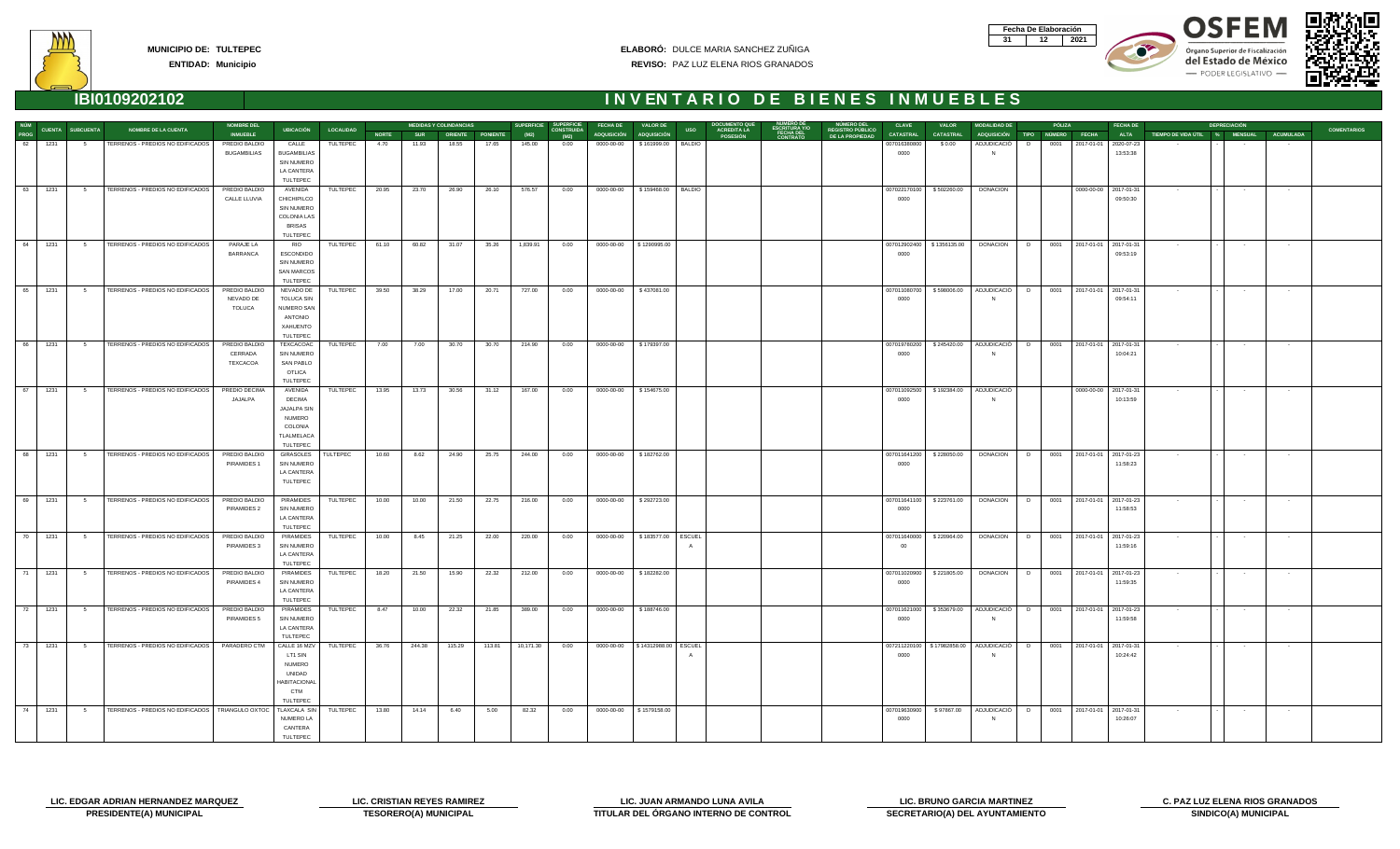| Fecha De Elaboración |  |
|----------------------|--|
|                      |  |









**ENTIDAD: Municipio**

| NÚM  |           |                  |                                                    | <b>NOMBRE DEL</b>                           |                                                                                         |                  |              |            | <b>MEDIDAS Y COLINDANCIAS</b> |                  | <b>SUPERFICIE</b> | <b>SUPERFICIE</b>         | <b>FECHA DE</b> | <b>VALOR DE</b>                     | DOCUMENTO QU                                  |                              | NUMERO DEL                                  | <b>CLAVE</b>         | <b>VALOR</b>                | <b>MODALIDAD DE</b>                            |   | PÓLIZA |                       | <b>FECHA DE</b>                        |                                         | <b>DEPRECIACIÓN</b> |                   |                    |
|------|-----------|------------------|----------------------------------------------------|---------------------------------------------|-----------------------------------------------------------------------------------------|------------------|--------------|------------|-------------------------------|------------------|-------------------|---------------------------|-----------------|-------------------------------------|-----------------------------------------------|------------------------------|---------------------------------------------|----------------------|-----------------------------|------------------------------------------------|---|--------|-----------------------|----------------------------------------|-----------------------------------------|---------------------|-------------------|--------------------|
| PROG |           | CUENTA SUBCUENTA | <b>NOMBRE DE LA CUENTA</b>                         | <b>INMUEBLE</b>                             | <b>UBICACIÓN</b>                                                                        | <b>LOCALIDAD</b> | <b>NORTE</b> | <b>SUR</b> |                               | ORIENTE PONIENTE | (M2)              | <b>CONSTRUIDA</b><br>(M2) | ADQUISICIÓN     | <b>ADQUISICIÓN</b>                  | <b>ACREDITA LA<br/>POSESIÓN</b><br><b>USO</b> | <b>FECHA DEL</b><br>CONTRATO | <b>REGISTRO PÚBLICO<br/>DE LA PROPIEDAD</b> | <b>CATASTRAL</b>     | <b>CATASTRAL</b>            | ADQUISICIÓN TIPO NÚMERO FECHA                  |   |        |                       | <b>ALTA</b>                            | TIEMPO DE VIDA ÚTIL % MENSUAL ACUMULADA |                     |                   | <b>COMENTARIOS</b> |
| 62   | 1231      | $5^{\circ}$      | TERRENOS - PREDIOS NO EDIFICADOS                   | PREDIO BALDIO<br><b>BUGAMBILIAS</b>         | CALLE<br><b>BUGAMBILIAS</b><br><b>SIN NUMERO</b><br>LA CANTERA<br>TULTEPEC              | TULTEPEC         | 4.70         | 11.93      | 18.55                         | 17.65            | 145.00            | 0.00                      | 0000-00-00      | \$161999.00   BALDIO                |                                               |                              |                                             | 007016380800<br>0000 | \$0.00                      | ADJUDICACIÓ                                    | D | 0001   |                       | 2017-01-01 2020-07-23<br>13:53:38      |                                         |                     |                   |                    |
|      | 63 1231   |                  | 5 TERRENOS - PREDIOS NO EDIFICADOS                 | PREDIO BALDIO<br><b>CALLE LLUVIA</b>        | AVENIDA<br>CHICHIPILCO<br>SIN NUMERO<br><b>COLONIA LAS</b><br><b>BRISAS</b><br>TULTEPEC | TULTEPEC         | 20.95        | 23.70      | 26.90                         | 26.10            | 576.57            | 0.00                      | 0000-00-00      | \$159468.00 BALDIO                  |                                               |                              |                                             | 007022170100<br>0000 | \$502260.00                 | <b>DONACION</b>                                |   |        |                       | 0000-00-00 2017-01-31<br>09:50:30      | $\sim$ $-$                              | $\sim$              | $\sim$ 100 $\sim$ |                    |
| 64   | 1231      | $5 -$            | TERRENOS - PREDIOS NO EDIFICADOS                   | PARAJE LA<br>BARRANCA                       | <b>RIO</b><br><b>ESCONDIDO</b><br>SIN NUMERO<br><b>SAN MARCOS</b><br>TULTEPEC           | TULTEPEC         | 61.10        | 60.82      | 31.07                         | 35.26            | 1,839.91          | 0.00                      | 0000-00-00      | \$1290995.00                        |                                               |                              |                                             | 0000                 | 007012902400   \$1356135.00 | DONACION D                                     |   |        |                       | 0001 2017-01-01 2017-01-31<br>09:53:19 | <b>Contract Contract</b>                | $\sim$ 100 $\pm$    | $\sim$ 100 $\pm$  |                    |
| 65   | 1231      | $5^{\circ}$      | TERRENOS - PREDIOS NO EDIFICADOS                   | PREDIO BALDIO<br>NEVADO DE<br><b>TOLUCA</b> | NEVADO DE<br><b>TOLUCA SIN</b><br>NUMERO SAN<br>ANTONIO<br>XAHUENTO<br>TULTEPEC         | TULTEPEC         | 39.50        | 38.29      | 17.00                         | 20.71            | 727.00            | 0.00                      | 0000-00-00      | \$437081.00                         |                                               |                              |                                             | 007011080700<br>0000 | \$598006.00                 | ADJUDICACIÓ   D                                |   |        |                       | 0001 2017-01-01 2017-01-31<br>09:54:11 | $\sim 100$                              | $\sim$ 100 $\pm$    | $\sim$ 100 $\pm$  |                    |
| 66   | 1231      | 5 <sub>5</sub>   | TERRENOS - PREDIOS NO EDIFICADOS                   | PREDIO BALDIO<br>CERRADA<br>TEXCACOA        | TEXCACOAC<br><b>SIN NUMERO</b><br><b>SAN PABLO</b><br><b>OTLICA</b><br>TULTEPEC         | TULTEPEC         | 7.00         | 7.00       | 30.70                         | 30.70            | 214.90            | 0.00                      | 0000-00-00      | \$179397.00                         |                                               |                              |                                             | 007019780200<br>0000 | \$245420.00                 | ADJUDICACIÓ D                                  |   |        |                       | 0001 2017-01-01 2017-01-31<br>10:04:21 |                                         | $\sim$ 100 $\pm$    | $\sim$            |                    |
|      | 67   1231 |                  | 5 TERRENOS - PREDIOS NO EDIFICADOS                 | PREDIO DECIMA<br>JAJALPA                    | AVENIDA<br><b>DECIMA</b><br>JAJALPA SIN<br>NUMERO<br>COLONIA<br>TLALMELACA<br>TULTEPEC  | TULTEPEC         | 13.95        | 13.73      | 30.56                         | 31.12            | 167.00            | 0.00                      | 0000-00-00      | \$154675.00                         |                                               |                              |                                             | 007011092500<br>0000 |                             | \$192384.00 ADJUDICACIÓ                        |   |        | 0000-00-00 2017-01-31 | 10:13:59                               | $\sim 100$                              | $\sim 10^{-11}$     | $\sim 100$        |                    |
|      | 68 1231   | $5^{\circ}$      | TERRENOS - PREDIOS NO EDIFICADOS                   | PREDIO BALDIO<br>PIRAMIDES 1                | GIRASOLES<br>SIN NUMERO<br>LA CANTERA<br>TULTEPEC                                       | TULTEPEC         | 10.60        | 8.62       | 24.90                         | 25.75            | 244.00            | 0.00                      | 0000-00-00      | \$182762.00                         |                                               |                              |                                             | 007011641200<br>0000 | \$228050.00                 | DONACION   D                                   |   |        |                       | 0001 2017-01-01 2017-01-23<br>11:58:23 | $\sim$ 100 $\pm$                        | $\sim$ $-$          | $\sim$            |                    |
|      | 69 1231   |                  | 5   TERRENOS - PREDIOS NO EDIFICADOS               | PREDIO BALDIO<br>PIRAMIDES 2                | PIRAMIDES<br><b>SIN NUMERO</b><br>LA CANTERA<br>TULTEPEC                                | TULTEPEC         | 10.00        | 10.00      | 21.50                         | 22.75            | 216.00            | 0.00                      | 0000-00-00      | \$292723.00                         |                                               |                              |                                             | 007011641100<br>0000 | \$223761.00                 | DONACION   D                                   |   |        |                       | 0001 2017-01-01 2017-01-23<br>11:58:53 | $\sim 100$                              | $\sim$ 100 $\pm$    | $\sim 100$        |                    |
|      | 70 1231   |                  | 5   TERRENOS - PREDIOS NO EDIFICADOS               | PREDIO BALDIO<br>PIRAMIDES 3                | PIRAMIDES<br>SIN NUMERO<br>LA CANTERA<br>TULTEPEC                                       | TULTEPEC         | 10.00        | 8.45       | 21.25                         | 22.00            | 220.00            | 0.00                      | 0000-00-00      | \$183577.00   ESCUEL                |                                               |                              |                                             | 007011640000<br>00   | \$220964.00                 | DONACION                                       | D |        |                       | 0001 2017-01-01 2017-01-23<br>11:59:16 | $\sim$ 10 $\pm$                         | $\sim$ 100 $\pm$    | $\sim$            |                    |
|      | 71 1231   |                  | 5 TERRENOS - PREDIOS NO EDIFICADOS                 | PREDIO BALDIO<br>PIRAMIDES 4                | PIRAMIDES<br>SIN NUMERO<br>LA CANTERA<br>TULTEPEC                                       | TULTEPEC         | 18.20        | 21.50      | 15.90                         | 22.32            | 212.00            | 0.00                      | 0000-00-00      | \$182282.00                         |                                               |                              |                                             | 007011020900<br>0000 | \$221805.00                 | <b>DONACION</b>                                | D |        |                       | 0001 2017-01-01 2017-01-23<br>11:59:35 | $\sim$ 100 $\pm$                        | $\sim$ 100 $\pm$    | $\sim$ 100 $\sim$ |                    |
| 72   | 1231      | 5                | TERRENOS - PREDIOS NO EDIFICADOS                   | PREDIO BALDIO<br>PIRAMIDES 5                | PIRAMIDES<br><b>SIN NUMERO</b><br>LA CANTERA<br>TULTEPEC                                | TULTEPEC         | 8.47         | 10.00      | 22.32                         | 21.85            | 389.00            | 0.00                      | 0000-00-00      | \$188746.00                         |                                               |                              |                                             | 007011621000<br>0000 | \$353679.00                 | <b>ADJUDICACIÓ</b>                             | D |        |                       | 0001 2017-01-01 2017-01-23<br>11:59:58 |                                         | $\sim$ 100 $\pm$    | $\sim$ 100 $\pm$  |                    |
|      | 73 1231   | $5^{\circ}$      | TERRENOS - PREDIOS NO EDIFICADOS                   | PARADERO CTM                                | CALLE 16 MZV<br>LT1 SIN<br><b>NUMERO</b><br>UNIDAD<br>HABITACIONAI<br>CTM<br>TULTEPEC   | TULTEPEC         | 36.76        | 244.38     | 115.29                        | 113.81           | 10,171.30         | 0.00                      |                 | 0000-00-00   \$14312988.00   ESCUEL |                                               |                              |                                             | 0000                 |                             | 007211220100   \$17982858.00   ADJUDICACIÓ   D |   |        |                       | 0001 2017-01-01 2017-01-31<br>10:24:42 |                                         | $\sim$ 100 $\pm$    | $\sim$ $-$        |                    |
|      | 74 1231   | $5^{\circ}$      | TERRENOS - PREDIOS NO EDIFICADOS   TRIANGULO OXTOC |                                             | TLAXCALA SIN<br>NUMERO LA<br>CANTERA<br>TULTEPEC                                        | TULTEPEC         | 13.80        | 14.14      | 6.40                          | 5.00             | 82.32             | 0.00                      |                 |                                     |                                               |                              |                                             | 007019630900<br>0000 | \$97867.00                  | ADJUDICACIÓ   D<br><b>N</b>                    |   |        |                       | 0001 2017-01-01 2017-01-31<br>10:26:07 | $\sim$                                  | $\sim$ 100 $\pm$    | $\sim 100$        |                    |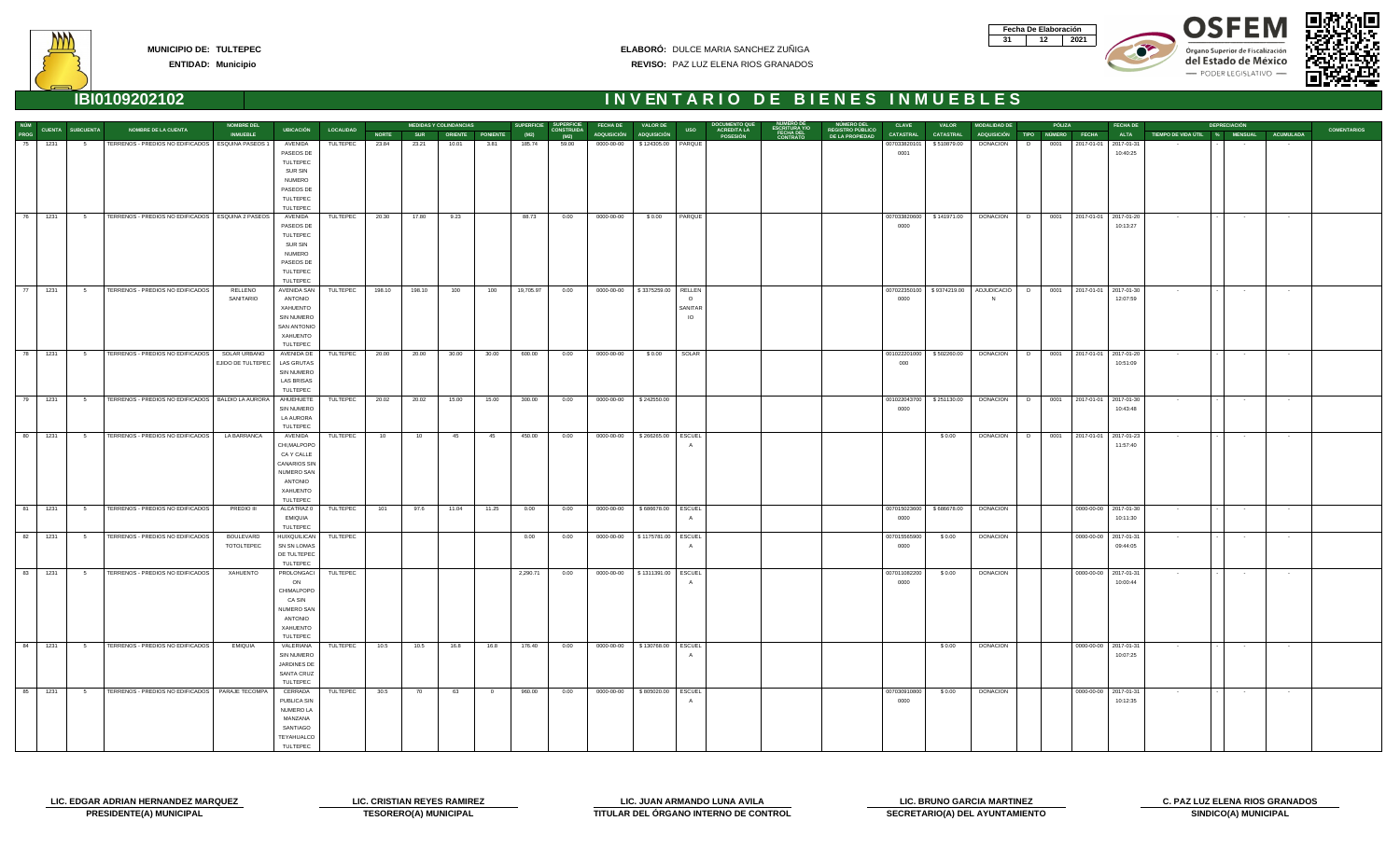| Fecha De Elaboración |     |
|----------------------|-----|
|                      | N91 |









| NÚM         |      |                         |                                                     | <b>NOMBRE DEL</b>       |                          |                  |              |            | <b>MEDIDAS Y COLINDANCIAS</b> |                | <b>SUPERFICIE</b> | <b>SUPERFICIE</b>         | <b>FECHA DE</b>    | <b>VALOR DE</b>                    |            | <b>DOCUMENTO QU</b>                                                      | NUMERO DEI                                 | <b>CLAVE</b>     | <b>VALOR</b>               | <b>MODALIDAD DE</b>                           |   | PÓLIZA |                            | <b>FECHA DE</b> |                               | <b>DEPRECIACIÓN</b>      |                      |                    |
|-------------|------|-------------------------|-----------------------------------------------------|-------------------------|--------------------------|------------------|--------------|------------|-------------------------------|----------------|-------------------|---------------------------|--------------------|------------------------------------|------------|--------------------------------------------------------------------------|--------------------------------------------|------------------|----------------------------|-----------------------------------------------|---|--------|----------------------------|-----------------|-------------------------------|--------------------------|----------------------|--------------------|
| <b>PROG</b> |      | <b>CUENTA SUBCUENTA</b> | <b>NOMBRE DE LA CUENTA</b>                          | <b>INMUEBLE</b>         | UBICACIÓN                | <b>LOCALIDAD</b> | <b>NORTE</b> | <b>SUR</b> | ORIENTE PONIENTE              |                | (M2)              | <b>CONSTRUIDA</b><br>(M2) | <b>ADQUISICIÓN</b> | <b>ADQUISICIÓN</b>                 | <b>USO</b> | ESCRITURA Y/O<br>FECHA DEL<br>CONTRATO<br><b>ACREDITA LA</b><br>POSESIÓN | <b>REGISTRO PÚBLICO</b><br>DE LA PROPIEDAD | <b>CATASTRAL</b> | <b>CATASTRAL</b>           | ADQUISICIÓN TIPO NÚMERO FECHA                 |   |        |                            | <b>ALTA</b>     | TIEMPO DE VIDA ÚTIL % MENSUAL |                          | <b>ACUMULADA</b>     | <b>COMENTARIOS</b> |
| 75          | 1231 | $5^{\circ}$             | TERRENOS - PREDIOS NO EDIFICADOS                    | <b>ESQUINA PASEOS 1</b> | AVENIDA                  | TULTEPEC         | 23.84        | 23.21      | 10.01                         | 3.81           | 185.74            | 59.00                     | 0000-00-00         | \$124305.00 PARQUE                 |            |                                                                          |                                            | 007033820101     | \$510879.00                | <b>DONACION</b>                               | D | 0001   | 2017-01-01 2017-01-31      |                 |                               |                          |                      |                    |
|             |      |                         |                                                     |                         | PASEOS DE                |                  |              |            |                               |                |                   |                           |                    |                                    |            |                                                                          |                                            | 0001             |                            |                                               |   |        |                            | 10:40:25        |                               |                          |                      |                    |
|             |      |                         |                                                     |                         | TULTEPEC                 |                  |              |            |                               |                |                   |                           |                    |                                    |            |                                                                          |                                            |                  |                            |                                               |   |        |                            |                 |                               |                          |                      |                    |
|             |      |                         |                                                     |                         | SUR SIN                  |                  |              |            |                               |                |                   |                           |                    |                                    |            |                                                                          |                                            |                  |                            |                                               |   |        |                            |                 |                               |                          |                      |                    |
|             |      |                         |                                                     |                         | <b>NUMERO</b>            |                  |              |            |                               |                |                   |                           |                    |                                    |            |                                                                          |                                            |                  |                            |                                               |   |        |                            |                 |                               |                          |                      |                    |
|             |      |                         |                                                     |                         | PASEOS DE                |                  |              |            |                               |                |                   |                           |                    |                                    |            |                                                                          |                                            |                  |                            |                                               |   |        |                            |                 |                               |                          |                      |                    |
|             |      |                         |                                                     |                         | TULTEPEC                 |                  |              |            |                               |                |                   |                           |                    |                                    |            |                                                                          |                                            |                  |                            |                                               |   |        |                            |                 |                               |                          |                      |                    |
| 76          | 1231 | 5 <sub>5</sub>          | TERRENOS - PREDIOS NO EDIFICADOS   ESQUINA 2 PASEOS |                         | TULTEPEC<br>AVENIDA      | TULTEPEC         | 20.30        | 17.80      | 9.23                          |                | 88.73             | 0.00                      | 0000-00-00         | \$0.00                             | PARQUE     |                                                                          |                                            | 007033820600     | \$141971.00                | DONACION                                      | D |        | 0001 2017-01-01 2017-01-20 |                 | $\sim$ 100 $\mu$              | $\sim$ $-$               | $\sim$               |                    |
|             |      |                         |                                                     |                         | PASEOS DE                |                  |              |            |                               |                |                   |                           |                    |                                    |            |                                                                          |                                            | 0000             |                            |                                               |   |        |                            | 10:13:27        |                               |                          |                      |                    |
|             |      |                         |                                                     |                         | TULTEPEC                 |                  |              |            |                               |                |                   |                           |                    |                                    |            |                                                                          |                                            |                  |                            |                                               |   |        |                            |                 |                               |                          |                      |                    |
|             |      |                         |                                                     |                         | SUR SIN                  |                  |              |            |                               |                |                   |                           |                    |                                    |            |                                                                          |                                            |                  |                            |                                               |   |        |                            |                 |                               |                          |                      |                    |
|             |      |                         |                                                     |                         | <b>NUMERO</b>            |                  |              |            |                               |                |                   |                           |                    |                                    |            |                                                                          |                                            |                  |                            |                                               |   |        |                            |                 |                               |                          |                      |                    |
|             |      |                         |                                                     |                         | PASEOS DE                |                  |              |            |                               |                |                   |                           |                    |                                    |            |                                                                          |                                            |                  |                            |                                               |   |        |                            |                 |                               |                          |                      |                    |
|             |      |                         |                                                     |                         | TULTEPEC                 |                  |              |            |                               |                |                   |                           |                    |                                    |            |                                                                          |                                            |                  |                            |                                               |   |        |                            |                 |                               |                          |                      |                    |
|             |      |                         |                                                     |                         | TULTEPEC                 |                  |              |            |                               |                |                   |                           |                    |                                    |            |                                                                          |                                            |                  |                            |                                               |   |        |                            |                 |                               |                          |                      |                    |
|             | 1231 | 5 <sub>5</sub>          | TERRENOS - PREDIOS NO EDIFICADOS                    | RELLENO                 | AVENIDA SAN              | TULTEPEC         | 198.10       | 198.10     | 100                           | 100            | 19,705.97         | 0.00                      | $0000-00-00$       | \$3375259.00   RELLEN              |            |                                                                          |                                            |                  |                            | 007022350100   \$9374219.00   ADJUDICACIÓ   D |   |        | 0001 2017-01-01 2017-01-30 |                 | <b>Contract</b>               | <b>Contract Contract</b> | <b>Contract</b>      |                    |
|             |      |                         |                                                     | SANITARIO               | ANTONIO                  |                  |              |            |                               |                |                   |                           |                    |                                    | $\Omega$   |                                                                          |                                            | 0000             |                            |                                               |   |        |                            | 12:07:59        |                               |                          |                      |                    |
|             |      |                         |                                                     |                         | XAHUENTO                 |                  |              |            |                               |                |                   |                           |                    |                                    | SANITAR    |                                                                          |                                            |                  |                            |                                               |   |        |                            |                 |                               |                          |                      |                    |
|             |      |                         |                                                     |                         | SIN NUMERO               |                  |              |            |                               |                |                   |                           |                    |                                    | IO         |                                                                          |                                            |                  |                            |                                               |   |        |                            |                 |                               |                          |                      |                    |
|             |      |                         |                                                     |                         | SAN ANTONIO<br>XAHUENTO  |                  |              |            |                               |                |                   |                           |                    |                                    |            |                                                                          |                                            |                  |                            |                                               |   |        |                            |                 |                               |                          |                      |                    |
|             |      |                         |                                                     |                         | TULTEPEC                 |                  |              |            |                               |                |                   |                           |                    |                                    |            |                                                                          |                                            |                  |                            |                                               |   |        |                            |                 |                               |                          |                      |                    |
| 78          | 1231 | 5 <sub>5</sub>          | TERRENOS - PREDIOS NO EDIFICADOS                    | SOLAR URBANO            | AVENIDA DE               | TULTEPEC         | 20.00        | 20.00      | 30.00                         | 30.00          | 600.00            | 0.00                      | 0000-00-00         | \$0.00                             | SOLAR      |                                                                          |                                            | 001022201000     | \$502260.00                | <b>DONACION</b>                               | D |        | 0001 2017-01-01 2017-01-20 |                 | $\sim 100$                    | <b>Contract</b>          | $\sim 100$ m $^{-1}$ |                    |
|             |      |                         |                                                     | EJIDO DE TULTEPEC       | <b>LAS GRUTAS</b>        |                  |              |            |                               |                |                   |                           |                    |                                    |            |                                                                          |                                            | 000              |                            |                                               |   |        |                            | 10:51:09        |                               |                          |                      |                    |
|             |      |                         |                                                     |                         | SIN NUMERO               |                  |              |            |                               |                |                   |                           |                    |                                    |            |                                                                          |                                            |                  |                            |                                               |   |        |                            |                 |                               |                          |                      |                    |
|             |      |                         |                                                     |                         | <b>LAS BRISAS</b>        |                  |              |            |                               |                |                   |                           |                    |                                    |            |                                                                          |                                            |                  |                            |                                               |   |        |                            |                 |                               |                          |                      |                    |
|             |      |                         |                                                     |                         | TULTEPEC                 |                  |              |            |                               |                |                   |                           |                    |                                    |            |                                                                          |                                            |                  |                            |                                               |   |        |                            |                 |                               |                          |                      |                    |
| 79          | 1231 | $5^{\circ}$             | TERRENOS - PREDIOS NO EDIFICADOS   BALDIO LA AURORA |                         | AHUEHUETE                | TULTEPEC         | 20.02        | 20.02      | 15.00                         | 15.00          | 300.00            | 0.00                      | $0000-00-00$       | \$242550.00                        |            |                                                                          |                                            | 001022043700     | \$251130.00                | DONACION D                                    |   |        | 0001 2017-01-01 2017-01-30 |                 | $\sim$ 100 $\sim$             | $\sim 100$               | $\sim$               |                    |
|             |      |                         |                                                     |                         | <b>SIN NUMERO</b>        |                  |              |            |                               |                |                   |                           |                    |                                    |            |                                                                          |                                            | 0000             |                            |                                               |   |        |                            | 10:43:48        |                               |                          |                      |                    |
|             |      |                         |                                                     |                         | LA AURORA                |                  |              |            |                               |                |                   |                           |                    |                                    |            |                                                                          |                                            |                  |                            |                                               |   |        |                            |                 |                               |                          |                      |                    |
| 80          | 1231 | 5 <sub>5</sub>          | TERRENOS - PREDIOS NO EDIFICADOS                    | LA BARRANCA             | TULTEPEC<br>AVENIDA      | TULTEPEC         | 10           | 10         | 45                            | 45             | 450.00            | 0.00                      | 0000-00-00         | \$266265.00   ESCUEL               |            |                                                                          |                                            |                  | \$0.00                     | <b>DONACION</b>                               | D |        | 0001 2017-01-01 2017-01-23 |                 | $\sim$ $-$                    | $\sim$ 100 $\pm$         | $\sim$ $-$           |                    |
|             |      |                         |                                                     |                         | CHI, MALPOPO             |                  |              |            |                               |                |                   |                           |                    |                                    |            |                                                                          |                                            |                  |                            |                                               |   |        |                            | 11:57:40        |                               |                          |                      |                    |
|             |      |                         |                                                     |                         | CA Y CALLE               |                  |              |            |                               |                |                   |                           |                    |                                    |            |                                                                          |                                            |                  |                            |                                               |   |        |                            |                 |                               |                          |                      |                    |
|             |      |                         |                                                     |                         | CANARIOS SIN             |                  |              |            |                               |                |                   |                           |                    |                                    |            |                                                                          |                                            |                  |                            |                                               |   |        |                            |                 |                               |                          |                      |                    |
|             |      |                         |                                                     |                         | NUMERO SAN               |                  |              |            |                               |                |                   |                           |                    |                                    |            |                                                                          |                                            |                  |                            |                                               |   |        |                            |                 |                               |                          |                      |                    |
|             |      |                         |                                                     |                         | <b>ANTONIO</b>           |                  |              |            |                               |                |                   |                           |                    |                                    |            |                                                                          |                                            |                  |                            |                                               |   |        |                            |                 |                               |                          |                      |                    |
|             |      |                         |                                                     |                         | XAHUENTO                 |                  |              |            |                               |                |                   |                           |                    |                                    |            |                                                                          |                                            |                  |                            |                                               |   |        |                            |                 |                               |                          |                      |                    |
|             |      |                         |                                                     |                         | TULTEPEC                 |                  |              |            |                               |                |                   |                           |                    |                                    |            |                                                                          |                                            |                  |                            |                                               |   |        |                            |                 |                               |                          |                      |                    |
| 81          | 1231 | $5^{\circ}$             | TERRENOS - PREDIOS NO EDIFICADOS                    | PREDIO III              | ALCATRAZ 0               | <b>TULTEPEC</b>  | 101          | 97.6       | 11.04                         | 11.25          | 0.00              | 0.00                      | 0000-00-00         | \$686678.00   ESCUEL               |            |                                                                          |                                            |                  | 007015023600   \$686678.00 | <b>DONACION</b>                               |   |        | 0000-00-00 2017-01-30      |                 | $\sim 100$                    | <b>Contract</b>          | $\sim 100$           |                    |
|             |      |                         |                                                     |                         | EMIQUIA<br>TULTEPEC      |                  |              |            |                               |                |                   |                           |                    |                                    |            |                                                                          |                                            | 0000             |                            |                                               |   |        |                            | 10:11:30        |                               |                          |                      |                    |
| 82          | 1231 | 5                       | TERRENOS - PREDIOS NO EDIFICADOS                    | BOULEVARD               | HUIXQUILICAN TULTEPEC    |                  |              |            |                               |                | 0.00              | 0.00                      |                    | 0000-00-00   \$1175781.00   ESCUEL |            |                                                                          |                                            | 007015565900     | \$0.00                     | DONACION                                      |   |        | 0000-00-00 2017-01-31      |                 | $\sim$                        | $\sim$                   | $\sim$ 100 $\mu$     |                    |
|             |      |                         |                                                     | TOTOLTEPEC              | SN SN LOMAS              |                  |              |            |                               |                |                   |                           |                    |                                    |            |                                                                          |                                            | 0000             |                            |                                               |   |        |                            | 09:44:05        |                               |                          |                      |                    |
|             |      |                         |                                                     |                         | DE TULTEPEC              |                  |              |            |                               |                |                   |                           |                    |                                    |            |                                                                          |                                            |                  |                            |                                               |   |        |                            |                 |                               |                          |                      |                    |
|             |      |                         |                                                     |                         | TULTEPEC                 |                  |              |            |                               |                |                   |                           |                    |                                    |            |                                                                          |                                            |                  |                            |                                               |   |        |                            |                 |                               |                          |                      |                    |
| 83          | 1231 | $5^{\circ}$             | TERRENOS - PREDIOS NO EDIFICADOS                    | <b>XAHUENTO</b>         | <b>PROLONGACI</b>        | TULTEPEC         |              |            |                               |                | 2,290.71          | 0.00                      |                    | 0000-00-00   \$1311391.00   ESCUEL |            |                                                                          |                                            | 007011082200     | \$ 0.00                    | <b>DONACION</b>                               |   |        | 0000-00-00 2017-01-31      |                 | $\sim$ 100 $\sim$             | <b>Contractor</b>        | <b>State State</b>   |                    |
|             |      |                         |                                                     |                         | ON                       |                  |              |            |                               |                |                   |                           |                    |                                    |            |                                                                          |                                            | 0000             |                            |                                               |   |        |                            | 10:00:44        |                               |                          |                      |                    |
|             |      |                         |                                                     |                         | CHIMALPOPO               |                  |              |            |                               |                |                   |                           |                    |                                    |            |                                                                          |                                            |                  |                            |                                               |   |        |                            |                 |                               |                          |                      |                    |
|             |      |                         |                                                     |                         | CA SIN                   |                  |              |            |                               |                |                   |                           |                    |                                    |            |                                                                          |                                            |                  |                            |                                               |   |        |                            |                 |                               |                          |                      |                    |
|             |      |                         |                                                     |                         | NUMERO SAN<br>ANTONIO    |                  |              |            |                               |                |                   |                           |                    |                                    |            |                                                                          |                                            |                  |                            |                                               |   |        |                            |                 |                               |                          |                      |                    |
|             |      |                         |                                                     |                         | XAHUENTO                 |                  |              |            |                               |                |                   |                           |                    |                                    |            |                                                                          |                                            |                  |                            |                                               |   |        |                            |                 |                               |                          |                      |                    |
|             |      |                         |                                                     |                         | TULTEPEC                 |                  |              |            |                               |                |                   |                           |                    |                                    |            |                                                                          |                                            |                  |                            |                                               |   |        |                            |                 |                               |                          |                      |                    |
| 84          | 1231 | $5^{\circ}$             | TERRENOS - PREDIOS NO EDIFICADOS                    | <b>EMIQUIA</b>          | VALERIANA                | TULTEPEC         | 10.5         | 10.5       | 16.8                          | 16.8           | 176.40            | 0.00                      | 0000-00-00         | \$130768.00 ESCUEL                 |            |                                                                          |                                            |                  | \$0.00                     | <b>DONACION</b>                               |   |        | 0000-00-00 2017-01-31      |                 | <b>Contract</b>               | $\sim 100$               | $\sim$ $-$           |                    |
|             |      |                         |                                                     |                         | SIN NUMERO               |                  |              |            |                               |                |                   |                           |                    |                                    |            |                                                                          |                                            |                  |                            |                                               |   |        |                            | 10:07:25        |                               |                          |                      |                    |
|             |      |                         |                                                     |                         | JARDINES DE              |                  |              |            |                               |                |                   |                           |                    |                                    |            |                                                                          |                                            |                  |                            |                                               |   |        |                            |                 |                               |                          |                      |                    |
|             |      |                         |                                                     |                         | SANTA CRUZ               |                  |              |            |                               |                |                   |                           |                    |                                    |            |                                                                          |                                            |                  |                            |                                               |   |        |                            |                 |                               |                          |                      |                    |
|             |      |                         |                                                     |                         | TULTEPEC                 |                  |              |            |                               |                |                   |                           |                    |                                    |            |                                                                          |                                            |                  |                            |                                               |   |        |                            |                 |                               |                          |                      |                    |
| 85          | 1231 | $5^{\circ}$             | TERRENOS - PREDIOS NO EDIFICADOS   PARAJE TECOMPA   |                         | CERRADA                  | TULTEPEC         | 30.5         | 70         | 63                            | $\overline{0}$ | 960.00            | 0.00                      | 0000-00-00         | \$805020.00   ESCUEL               |            |                                                                          |                                            | 007030910800     | \$0.00                     | <b>DONACION</b>                               |   |        | 0000-00-00 2017-01-31      |                 | $\sim$ $-$                    | $\sim 10^{-1}$           | $\sim 10^{-1}$       |                    |
|             |      |                         |                                                     |                         | PUBLICA SIN<br>NUMERO LA |                  |              |            |                               |                |                   |                           |                    |                                    |            |                                                                          |                                            | 0000             |                            |                                               |   |        |                            | 10:12:35        |                               |                          |                      |                    |
|             |      |                         |                                                     |                         | MANZANA                  |                  |              |            |                               |                |                   |                           |                    |                                    |            |                                                                          |                                            |                  |                            |                                               |   |        |                            |                 |                               |                          |                      |                    |
|             |      |                         |                                                     |                         | SANTIAGO                 |                  |              |            |                               |                |                   |                           |                    |                                    |            |                                                                          |                                            |                  |                            |                                               |   |        |                            |                 |                               |                          |                      |                    |
|             |      |                         |                                                     |                         | TEYAHUALCO               |                  |              |            |                               |                |                   |                           |                    |                                    |            |                                                                          |                                            |                  |                            |                                               |   |        |                            |                 |                               |                          |                      |                    |
|             |      |                         |                                                     |                         | TULTEPEC                 |                  |              |            |                               |                |                   |                           |                    |                                    |            |                                                                          |                                            |                  |                            |                                               |   |        |                            |                 |                               |                          |                      |                    |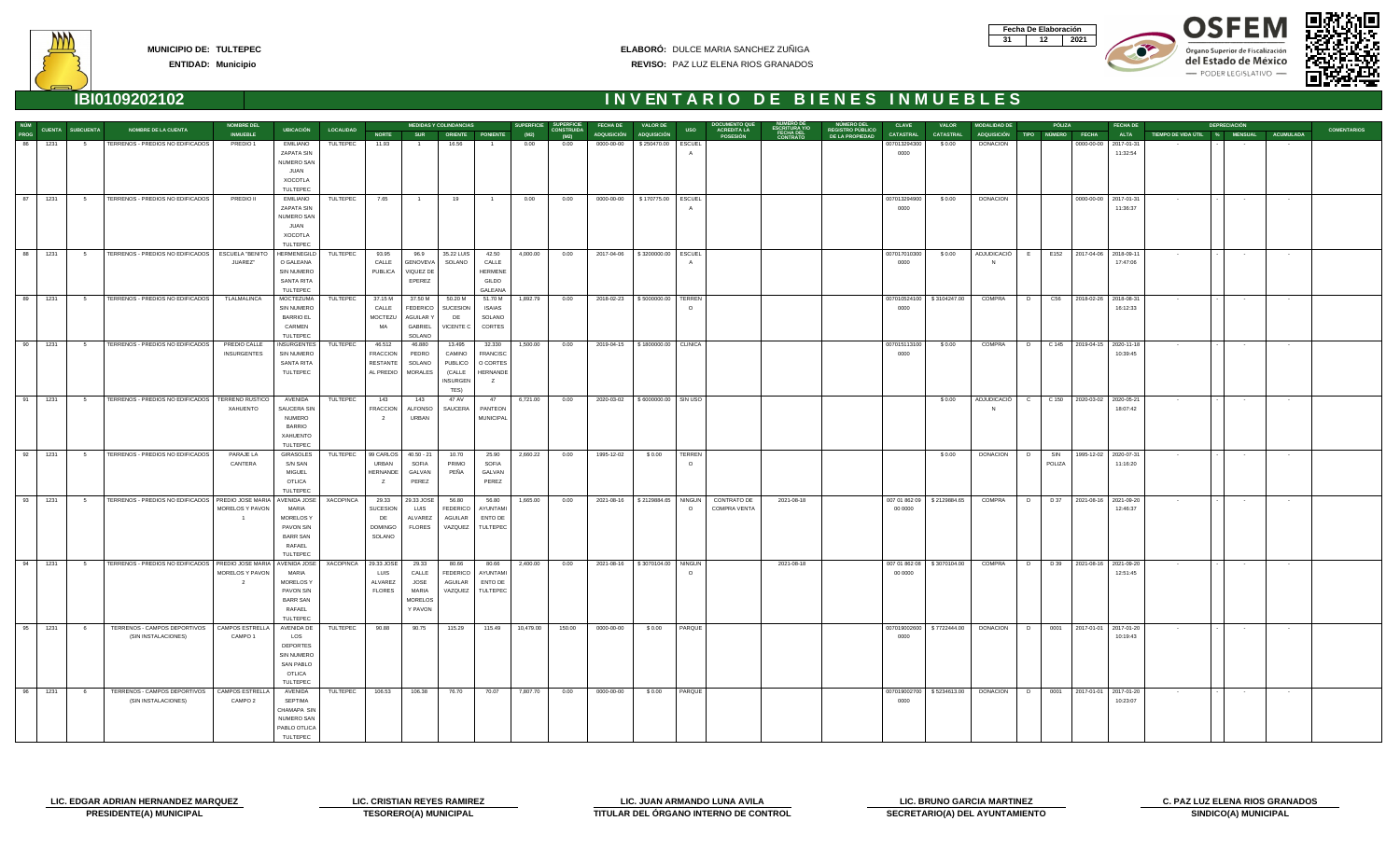| Fecha De Elaboración |     |
|----------------------|-----|
|                      | N91 |









**ENTIDAD: Municipio**

### **ELABORÓ:** DULCE MARIA SANCHEZ ZUÑIGA **REVISO:** PAZ LUZ ELENA RIOS GRANADOS

|             |         |                         |                                                      | <b>NOMBRE DEL</b>                  |                              |                  |                           |                         | <b>MEDIDAS Y COLINDANCIAS</b> |                           | SUPERFICIE SUPERFICIE |                           | <b>FECHA DE</b> | <b>VALOR DE</b>                    |               | <b>DOCUMENTO QUE</b>                                                              |                                                           | <b>CLAVE</b>         | <b>VALOR</b>                 | <b>MODALIDAD DE</b>                    | PÓLIZA                        |                             | <b>FECHA DE</b>       |                               | <b>DEPRECIACIÓN</b> |                   |                    |
|-------------|---------|-------------------------|------------------------------------------------------|------------------------------------|------------------------------|------------------|---------------------------|-------------------------|-------------------------------|---------------------------|-----------------------|---------------------------|-----------------|------------------------------------|---------------|-----------------------------------------------------------------------------------|-----------------------------------------------------------|----------------------|------------------------------|----------------------------------------|-------------------------------|-----------------------------|-----------------------|-------------------------------|---------------------|-------------------|--------------------|
| <b>PROG</b> |         | <b>CUENTA SUBCUENTA</b> | <b>NOMBRE DE LA CUENTA</b>                           | <b>INMUEBLE</b>                    | UBICACIÓN                    | <b>LOCALIDAD</b> | <b>NORTE</b>              | <b>SUR</b>              |                               | ORIENTE PONIENTE          | (M2)                  | <b>CONSTRUIDA</b><br>(M2) |                 | ADQUISICIÓN ADQUISICIÓN            | <b>USO</b>    | <b>ESCRITURA Y/O<br/>FECHA DEL<br/>CONTRATO</b><br>ACREDITA LA<br><b>POSESIÓN</b> | <b>NÚMERO DEL<br/>REGISTRO PÚBLICO</b><br>DE LA PROPIEDAD | <b>CATASTRAL</b>     | <b>CATASTRAL</b>             |                                        | ADQUISICIÓN TIPO NÚMERO FECHA |                             | <b>ALTA</b>           | TIEMPO DE VIDA ÚTIL % MENSUAL |                     | <b>ACUMULADA</b>  | <b>COMENTARIOS</b> |
| 86          | 1231    | 5                       | TERRENOS - PREDIOS NO EDIFICADOS                     | PREDIO 1                           | <b>EMILIANO</b>              | TULTEPEC         | 11.93                     |                         | 16.56                         |                           | 0.00                  | 0.00                      | 0000-00-00      | \$250470.00                        | <b>ESCUEL</b> |                                                                                   |                                                           | 007013294300         | \$0.00                       | <b>DONACION</b>                        |                               |                             | 0000-00-00 2017-01-31 |                               |                     | $\sim$            |                    |
|             |         |                         |                                                      |                                    | ZAPATA SIN                   |                  |                           |                         |                               |                           |                       |                           |                 |                                    |               |                                                                                   |                                                           | 0000                 |                              |                                        |                               |                             | 11:32:54              |                               |                     |                   |                    |
|             |         |                         |                                                      |                                    | NUMERO SAN                   |                  |                           |                         |                               |                           |                       |                           |                 |                                    |               |                                                                                   |                                                           |                      |                              |                                        |                               |                             |                       |                               |                     |                   |                    |
|             |         |                         |                                                      |                                    | JUAN                         |                  |                           |                         |                               |                           |                       |                           |                 |                                    |               |                                                                                   |                                                           |                      |                              |                                        |                               |                             |                       |                               |                     |                   |                    |
|             |         |                         |                                                      |                                    | <b>XOCOTLA</b>               |                  |                           |                         |                               |                           |                       |                           |                 |                                    |               |                                                                                   |                                                           |                      |                              |                                        |                               |                             |                       |                               |                     |                   |                    |
|             |         |                         |                                                      |                                    | TULTEPEC                     |                  |                           |                         |                               |                           |                       |                           |                 |                                    |               |                                                                                   |                                                           |                      |                              |                                        |                               |                             |                       |                               |                     |                   |                    |
|             | 87 1231 | 5 <sub>5</sub>          | TERRENOS - PREDIOS NO EDIFICADOS                     | PREDIO II                          | EMILIANO                     | TULTEPEC         | 7.65                      | $\blacksquare$ 1        | 19                            | $-1$                      | 0.00                  | 0.00                      | 0000-00-00      | \$170775.00 ESCUEL                 |               |                                                                                   |                                                           | 007013294900         | \$0.00                       | <b>DONACION</b>                        |                               |                             | 0000-00-00 2017-01-31 | <b>Contractor</b>             | $\sim 100$          | <b>Contractor</b> |                    |
|             |         |                         |                                                      |                                    | ZAPATA SIN<br>NUMERO SAN     |                  |                           |                         |                               |                           |                       |                           |                 |                                    |               |                                                                                   |                                                           | 0000                 |                              |                                        |                               |                             | 11:36:37              |                               |                     |                   |                    |
|             |         |                         |                                                      |                                    | JUAN                         |                  |                           |                         |                               |                           |                       |                           |                 |                                    |               |                                                                                   |                                                           |                      |                              |                                        |                               |                             |                       |                               |                     |                   |                    |
|             |         |                         |                                                      |                                    | XOCOTLA                      |                  |                           |                         |                               |                           |                       |                           |                 |                                    |               |                                                                                   |                                                           |                      |                              |                                        |                               |                             |                       |                               |                     |                   |                    |
|             |         |                         |                                                      |                                    | TULTEPEC                     |                  |                           |                         |                               |                           |                       |                           |                 |                                    |               |                                                                                   |                                                           |                      |                              |                                        |                               |                             |                       |                               |                     |                   |                    |
| 88          | 1231    | 5 <sup>5</sup>          | TERRENOS - PREDIOS NO EDIFICADOS                     | <b>ESCUELA "BENITO</b>             | HERMENEGILD                  | TULTEPEC         | 93.95                     | 96.9                    | 35.22 LUIS                    | 42.50                     | 4,000.00              | 0.00                      | 2017-04-06      | \$3200000.00 ESCUEL                |               |                                                                                   |                                                           | 007017010300         | \$0.00                       | ADJUDICACIÓ E                          |                               | E152 2017-04-06 2018-09-11  |                       | $\sim$ 100 $\pm$              | $\sim 100$          | <b>Contract</b>   |                    |
|             |         |                         |                                                      | JUAREZ"                            | O GALEANA                    |                  | CALLE                     | GENOVEVA                | SOLANO                        | CALLE                     |                       |                           |                 |                                    |               |                                                                                   |                                                           | 0000                 |                              |                                        |                               |                             | 17:47:06              |                               |                     |                   |                    |
|             |         |                         |                                                      |                                    | SIN NUMERO                   |                  | <b>PUBLICA</b>            | VIQUEZ DE               |                               | <b>HERMENE</b>            |                       |                           |                 |                                    |               |                                                                                   |                                                           |                      |                              |                                        |                               |                             |                       |                               |                     |                   |                    |
|             |         |                         |                                                      |                                    | SANTA RITA                   |                  |                           | EPEREZ                  |                               | GILDO                     |                       |                           |                 |                                    |               |                                                                                   |                                                           |                      |                              |                                        |                               |                             |                       |                               |                     |                   |                    |
|             |         |                         |                                                      |                                    | TULTEPEC                     |                  |                           |                         |                               | GALEANA                   |                       |                           |                 |                                    |               |                                                                                   |                                                           |                      |                              |                                        |                               |                             |                       |                               |                     |                   |                    |
| 89          | 1231    | 5 <sub>5</sub>          | TERRENOS - PREDIOS NO EDIFICADOS                     | TLALMALINCA                        | MOCTEZUMA                    | TULTEPEC         | 37.15 M                   | 37.50 M                 | 50.20 M                       | 51.70 M                   | 1,892.79              | 0.00                      | 2018-02-23      | \$5000000.00   TERREN              |               |                                                                                   |                                                           |                      | 007010524100   \$3104247.00  | COMPRA                                 | D                             | C56 2018-02-26 2018-08-31   |                       | <b>Contract</b>               | <b>Contract</b>     | $\sim 100$        |                    |
|             |         |                         |                                                      |                                    | <b>SIN NUMERO</b>            |                  | CALLE                     | <b>FEDERICO</b>         | SUCESION                      | <b>ISAIAS</b>             |                       |                           |                 |                                    |               |                                                                                   |                                                           | 0000                 |                              |                                        |                               |                             | 16:12:33              |                               |                     |                   |                    |
|             |         |                         |                                                      |                                    | <b>BARRIO EL</b>             |                  | MOCTEZU                   | <b>AGUILAR Y</b>        | DE                            | SOLANO                    |                       |                           |                 |                                    |               |                                                                                   |                                                           |                      |                              |                                        |                               |                             |                       |                               |                     |                   |                    |
|             |         |                         |                                                      |                                    | CARMEN                       |                  | MA                        | GABRIEL                 | VICENTE C                     | CORTES                    |                       |                           |                 |                                    |               |                                                                                   |                                                           |                      |                              |                                        |                               |                             |                       |                               |                     |                   |                    |
|             |         |                         |                                                      |                                    | TULTEPEC                     |                  |                           | SOLANO                  |                               |                           |                       |                           |                 |                                    |               |                                                                                   |                                                           |                      |                              |                                        |                               |                             |                       |                               |                     |                   |                    |
| 90          | 1231    | 5                       | TERRENOS - PREDIOS NO EDIFICADOS                     | PREDIO CALLE<br><b>INSURGENTES</b> | INSURGENTES<br>SIN NUMERO    | TULTEPEC         | 46.512<br><b>FRACCION</b> | 46.880<br>PEDRO         | 13.495<br>CAMINO              | 32.330<br><b>FRANCISC</b> | 1,500.00              | 0.00                      | 2019-04-15      | \$1800000.00   CLINICA             |               |                                                                                   |                                                           | 007015113100<br>0000 | \$0.00                       | COMPRA                                 | D                             | C 145 2019-04-15 2020-11-18 | 10:39:45              | $\sim 100$                    | <b>Contract</b>     | $\sim$            |                    |
|             |         |                         |                                                      |                                    | <b>SANTA RITA</b>            |                  | <b>RESTANTE</b>           | SOLANO                  | PUBLICO                       | O CORTES                  |                       |                           |                 |                                    |               |                                                                                   |                                                           |                      |                              |                                        |                               |                             |                       |                               |                     |                   |                    |
|             |         |                         |                                                      |                                    | TULTEPEC                     |                  | AL PREDIO                 | <b>MORALES</b>          | (CALLE                        | <b>HERNANDE</b>           |                       |                           |                 |                                    |               |                                                                                   |                                                           |                      |                              |                                        |                               |                             |                       |                               |                     |                   |                    |
|             |         |                         |                                                      |                                    |                              |                  |                           |                         | <b>INSURGEN</b>               | Z                         |                       |                           |                 |                                    |               |                                                                                   |                                                           |                      |                              |                                        |                               |                             |                       |                               |                     |                   |                    |
|             |         |                         |                                                      |                                    |                              |                  |                           |                         | TES)                          |                           |                       |                           |                 |                                    |               |                                                                                   |                                                           |                      |                              |                                        |                               |                             |                       |                               |                     |                   |                    |
| 91          | 1231    | - 5                     | TERRENOS - PREDIOS NO EDIFICADOS                     | TERRENO RUSTICO                    | AVENIDA                      | TULTEPEC         | 143                       | 143                     | 47 AV                         | 47                        | 6,721.00              | 0.00                      | 2020-03-02      | \$6000000.00 SIN USO               |               |                                                                                   |                                                           |                      | \$ 0.00                      | ADJUDICACIÓ                            | $\mathbf{C}$                  | C 150 2020-03-02 2020-05-21 |                       | <b>Contract</b>               | $\sim 100$          | $\sim$            |                    |
|             |         |                         |                                                      | XAHUENTO                           | SAUCERA SIN                  |                  | <b>FRACCION</b>           | <b>ALFONSO</b>          | SAUCERA                       | PANTEON                   |                       |                           |                 |                                    |               |                                                                                   |                                                           |                      |                              |                                        |                               |                             | 18:07:42              |                               |                     |                   |                    |
|             |         |                         |                                                      |                                    | <b>NUMERO</b>                |                  | $\overline{2}$            | URBAN                   |                               | MUNICIPAL                 |                       |                           |                 |                                    |               |                                                                                   |                                                           |                      |                              |                                        |                               |                             |                       |                               |                     |                   |                    |
|             |         |                         |                                                      |                                    | <b>BARRIO</b>                |                  |                           |                         |                               |                           |                       |                           |                 |                                    |               |                                                                                   |                                                           |                      |                              |                                        |                               |                             |                       |                               |                     |                   |                    |
|             |         |                         |                                                      |                                    | XAHUENTO                     |                  |                           |                         |                               |                           |                       |                           |                 |                                    |               |                                                                                   |                                                           |                      |                              |                                        |                               |                             |                       |                               |                     |                   |                    |
|             |         |                         |                                                      |                                    | TULTEPEC                     |                  |                           |                         |                               |                           |                       |                           |                 |                                    |               |                                                                                   |                                                           |                      |                              |                                        |                               |                             |                       |                               |                     |                   |                    |
| 92          | 1231    | 5 <sub>5</sub>          | TERRENOS - PREDIOS NO EDIFICADOS                     | PARAJE LA                          | GIRASOLES                    | TULTEPEC         | 99 CARLOS                 | $40.50 - 21$            | 10.70                         | 25.90                     | 2,660.22              | 0.00                      | 1995-12-02      | \$0.00                             | TERREN        |                                                                                   |                                                           |                      | \$0.00                       | <b>DONACION</b>                        | D<br>SIN                      |                             | 1995-12-02 2020-07-31 | $\sim 100$                    | $\sim$ 100 $\pm$    | $\sim 100$        |                    |
|             |         |                         |                                                      | CANTERA                            | S/N SAN<br><b>MIGUEL</b>     |                  | URBAN<br>HERNANDE         | SOFIA                   | PRIMO<br>PEÑA                 | SOFIA                     |                       |                           |                 |                                    | $\Omega$      |                                                                                   |                                                           |                      |                              |                                        | POLIZA                        |                             | 11:16:20              |                               |                     |                   |                    |
|             |         |                         |                                                      |                                    | <b>OTLICA</b>                |                  | Z                         | GALVAN<br>PEREZ         |                               | GALVAN<br>PEREZ           |                       |                           |                 |                                    |               |                                                                                   |                                                           |                      |                              |                                        |                               |                             |                       |                               |                     |                   |                    |
|             |         |                         |                                                      |                                    | <b>TULTEPEC</b>              |                  |                           |                         |                               |                           |                       |                           |                 |                                    |               |                                                                                   |                                                           |                      |                              |                                        |                               |                             |                       |                               |                     |                   |                    |
| 93          | 1231    | 5 <sub>5</sub>          | TERRENOS - PREDIOS NO EDIFICADOS   PREDIO JOSE MARIA |                                    | AVENIDA JOSE                 | XACOPINCA        | 29.33                     | 29.33 JOSE              | 56.80                         | 56.80                     | 1,665.00              | 0.00                      |                 | 2021-08-16   \$2129884.65   NINGUN |               | <b>CONTRATO DE</b><br>2021-08-18                                                  |                                                           |                      | 007 01 862 09   \$2129884.65 | <b>COMPRA</b>                          | $\Box$                        | D 37 2021-08-16 2021-09-20  |                       | <b>Contract</b>               | $\sim$ 100 $\pm$    | $\sim$            |                    |
|             |         |                         |                                                      | MORELOS Y PAVON                    | MARIA                        |                  | SUCESION                  | LUIS                    | <b>FEDERICO</b>               | AYUNTAMI                  |                       |                           |                 |                                    | $\circ$       | <b>COMPRA VENTA</b>                                                               |                                                           | 00 0000              |                              |                                        |                               |                             | 12:46:37              |                               |                     |                   |                    |
|             |         |                         |                                                      |                                    | MORELOS Y                    |                  | DE                        | ALVAREZ                 | AGUILAR                       | ENTO DE                   |                       |                           |                 |                                    |               |                                                                                   |                                                           |                      |                              |                                        |                               |                             |                       |                               |                     |                   |                    |
|             |         |                         |                                                      |                                    | PAVON S/N                    |                  | <b>DOMINGO</b>            | <b>FLORES</b>           | VAZQUEZ                       | <b>TULTEPEC</b>           |                       |                           |                 |                                    |               |                                                                                   |                                                           |                      |                              |                                        |                               |                             |                       |                               |                     |                   |                    |
|             |         |                         |                                                      |                                    | <b>BARR SAN</b>              |                  | SOLANO                    |                         |                               |                           |                       |                           |                 |                                    |               |                                                                                   |                                                           |                      |                              |                                        |                               |                             |                       |                               |                     |                   |                    |
|             |         |                         |                                                      |                                    | RAFAEL                       |                  |                           |                         |                               |                           |                       |                           |                 |                                    |               |                                                                                   |                                                           |                      |                              |                                        |                               |                             |                       |                               |                     |                   |                    |
|             |         |                         |                                                      |                                    | <b>TULTEPEC</b>              |                  |                           |                         |                               |                           |                       |                           |                 |                                    |               |                                                                                   |                                                           |                      |                              |                                        |                               |                             |                       |                               |                     |                   |                    |
| 94          | 1231    | 5 <sub>5</sub>          | TERRENOS - PREDIOS NO EDIFICADOS                     | PREDIO JOSE MARIA                  | AVENIDA JOSE                 | XACOPINCA        | 29.33 JOSE                | 29.33                   | 80.66                         | 80.66                     | 2,400.00              | 0.00                      | 2021-08-16      | \$3070104.00                       | <b>NINGUN</b> | 2021-08-18                                                                        |                                                           |                      | 007 01 862 08   \$3070104.00 | COMPRA                                 | D                             | D 39 2021-08-16 2021-09-20  |                       | $\sim 100$                    | $\sim 100$          | $\sim$            |                    |
|             |         |                         |                                                      | MORELOS Y PAVON                    | MARIA                        |                  | LUIS                      | CALLE                   | FEDERICO                      | AYUNTAMI                  |                       |                           |                 |                                    | $\circ$       |                                                                                   |                                                           | 00 0000              |                              |                                        |                               |                             | 12:51:45              |                               |                     |                   |                    |
|             |         |                         |                                                      | $\overline{2}$                     | MORELOS Y                    |                  | ALVAREZ                   | JOSE                    | AGUILAR                       | <b>ENTO DE</b>            |                       |                           |                 |                                    |               |                                                                                   |                                                           |                      |                              |                                        |                               |                             |                       |                               |                     |                   |                    |
|             |         |                         |                                                      |                                    | PAVON S/N<br><b>BARR SAN</b> |                  | <b>FLORES</b>             | MARIA<br><b>MORELOS</b> | VAZQUEZ                       | TULTEPEC                  |                       |                           |                 |                                    |               |                                                                                   |                                                           |                      |                              |                                        |                               |                             |                       |                               |                     |                   |                    |
|             |         |                         |                                                      |                                    | RAFAEL                       |                  |                           | Y PAVON                 |                               |                           |                       |                           |                 |                                    |               |                                                                                   |                                                           |                      |                              |                                        |                               |                             |                       |                               |                     |                   |                    |
|             |         |                         |                                                      |                                    | TULTEPEC                     |                  |                           |                         |                               |                           |                       |                           |                 |                                    |               |                                                                                   |                                                           |                      |                              |                                        |                               |                             |                       |                               |                     |                   |                    |
| 95          | 1231    | $6^{\circ}$             | TERRENOS - CAMPOS DEPORTIVOS                         | CAMPOS ESTRELLA                    | AVENIDA DE                   | TULTEPEC         | 90.88                     | 90.75                   | 115.29                        | 115.49                    | 10,479.00             | 150.00                    | 0000-00-00      | \$0.00 PARQUE                      |               |                                                                                   |                                                           |                      | 007019002600 \\$7722444.00   | DONACION D                             |                               | 0001 2017-01-01 2017-01-20  |                       | <b>Contract</b>               | $\sim 100$          | $\sim 10^{-10}$   |                    |
|             |         |                         | (SIN INSTALACIONES)                                  | CAMPO 1                            | LOS                          |                  |                           |                         |                               |                           |                       |                           |                 |                                    |               |                                                                                   |                                                           | 0000                 |                              |                                        |                               |                             | 10:19:43              |                               |                     |                   |                    |
|             |         |                         |                                                      |                                    | <b>DEPORTES</b>              |                  |                           |                         |                               |                           |                       |                           |                 |                                    |               |                                                                                   |                                                           |                      |                              |                                        |                               |                             |                       |                               |                     |                   |                    |
|             |         |                         |                                                      |                                    | SIN NUMERO                   |                  |                           |                         |                               |                           |                       |                           |                 |                                    |               |                                                                                   |                                                           |                      |                              |                                        |                               |                             |                       |                               |                     |                   |                    |
|             |         |                         |                                                      |                                    | <b>SAN PABLO</b>             |                  |                           |                         |                               |                           |                       |                           |                 |                                    |               |                                                                                   |                                                           |                      |                              |                                        |                               |                             |                       |                               |                     |                   |                    |
|             |         |                         |                                                      |                                    | OTLICA                       |                  |                           |                         |                               |                           |                       |                           |                 |                                    |               |                                                                                   |                                                           |                      |                              |                                        |                               |                             |                       |                               |                     |                   |                    |
|             |         |                         |                                                      |                                    | TULTEPEC                     |                  |                           |                         |                               |                           |                       |                           |                 |                                    |               |                                                                                   |                                                           |                      |                              |                                        |                               |                             |                       |                               |                     |                   |                    |
| 96          | 1231    | $6\overline{6}$         | TERRENOS - CAMPOS DEPORTIVOS                         | CAMPOS ESTRELLA                    | AVENIDA                      | TULTEPEC         | 106.53                    | 106.38                  | 76.70                         | 70.07                     | 7,807.70              | 0.00                      | 0000-00-00      | \$0.00   PARQUE                    |               |                                                                                   |                                                           |                      |                              | 007019002700   \$5234613.00 DONACION D |                               | 0001 2017-01-01 2017-01-20  |                       | <b>Contractor</b>             | <b>Contract</b>     | <b>Contract</b>   |                    |
|             |         |                         | (SIN INSTALACIONES)                                  | CAMPO 2                            | SEPTIMA                      |                  |                           |                         |                               |                           |                       |                           |                 |                                    |               |                                                                                   |                                                           | 0000                 |                              |                                        |                               |                             | 10:23:07              |                               |                     |                   |                    |
|             |         |                         |                                                      |                                    | CHAMAPA SIN<br>NUMERO SAN    |                  |                           |                         |                               |                           |                       |                           |                 |                                    |               |                                                                                   |                                                           |                      |                              |                                        |                               |                             |                       |                               |                     |                   |                    |
|             |         |                         |                                                      |                                    | PABLO OTLICA                 |                  |                           |                         |                               |                           |                       |                           |                 |                                    |               |                                                                                   |                                                           |                      |                              |                                        |                               |                             |                       |                               |                     |                   |                    |
|             |         |                         |                                                      |                                    | TULTEPEC                     |                  |                           |                         |                               |                           |                       |                           |                 |                                    |               |                                                                                   |                                                           |                      |                              |                                        |                               |                             |                       |                               |                     |                   |                    |
|             |         |                         |                                                      |                                    |                              |                  |                           |                         |                               |                           |                       |                           |                 |                                    |               |                                                                                   |                                                           |                      |                              |                                        |                               |                             |                       |                               |                     |                   |                    |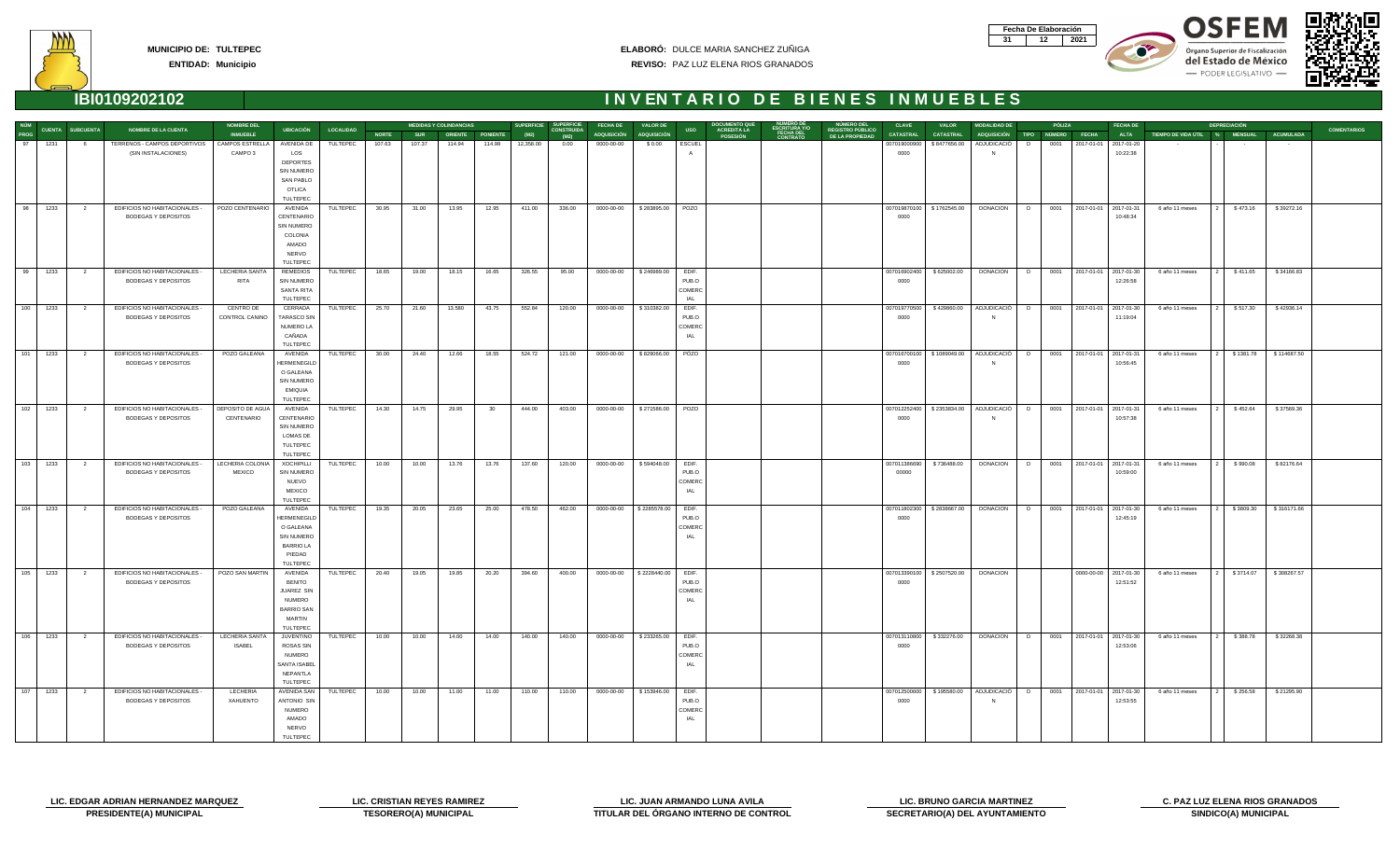| Fecha De Elaboración |     |
|----------------------|-----|
|                      | N91 |









|              |            |                         |                                                      | <b>NOMBRE DEL</b>             |                                      |                  |              |            | <b>MEDIDAS Y COLINDANCIAS</b> |        |           | SUPERFICIE SUPERFICIE     | <b>FECHA DE</b>    | <b>VALOR DE</b>    |                | DOCUMENTO QU                          |                                                 | <b>NUMERO DEL</b>                          | <b>CLAVE</b>         | <b>VALOR</b>                | <b>MODALIDAD DE</b>           |        | PÓLIZA | <b>FECHA DE</b>                        |                               | <b>DEPRECIACIÓN</b> |             |                    |
|--------------|------------|-------------------------|------------------------------------------------------|-------------------------------|--------------------------------------|------------------|--------------|------------|-------------------------------|--------|-----------|---------------------------|--------------------|--------------------|----------------|---------------------------------------|-------------------------------------------------|--------------------------------------------|----------------------|-----------------------------|-------------------------------|--------|--------|----------------------------------------|-------------------------------|---------------------|-------------|--------------------|
| NÚM<br>PROG  |            | CUENTA SUBCUENTA        | <b>NOMBRE DE LA CUENTA</b>                           | <b>INMUEBLE</b>               | <b>UBICACIÓN</b>                     | <b>LOCALIDAD</b> | <b>NORTE</b> | <b>SUR</b> | <b>ORIENTE PONIENTE</b>       |        | (M2)      | <b>CONSTRUIDA</b><br>(M2) | <b>ADQUISICIÓN</b> | <b>ADQUISICIÓN</b> | <b>USO</b>     | <b>ACREDITA LA</b><br><b>POSESIÓN</b> | <b>ESCRITURA Y/O<br/>FECHA DEL<br/>CONTRATO</b> | <b>REGISTRO PÚBLICO</b><br>DE LA PROPIEDAD | <b>CATASTRAL</b>     | <b>CATASTRAL</b>            | ADQUISICIÓN TIPO NÚMERO FECHA |        |        | <b>ALTA</b>                            | TIEMPO DE VIDA ÚTIL % MENSUAL |                     | ACUMULADA   | <b>COMENTARIOS</b> |
| 97           | 1231       | 6                       | TERRENOS - CAMPOS DEPORTIVOS                         | CAMPOS ESTRELLA               | AVENIDA DE                           | TULTEPEC         | 107.63       | 107.37     | 114.94                        | 114.98 | 12,358.00 | 0.00                      | 0000-00-00         | \$0.00             | <b>ESCUEL</b>  |                                       |                                                 |                                            | 007019000900         | \$8477656.00                | ADJUDICACIÓ                   | D      | 0001   | 2017-01-01 2017-01-20                  |                               |                     |             |                    |
|              |            |                         | (SIN INSTALACIONES)                                  | CAMPO <sub>3</sub>            | LOS                                  |                  |              |            |                               |        |           |                           |                    |                    |                |                                       |                                                 |                                            | 0000                 |                             | N                             |        |        | 10:22:38                               |                               |                     |             |                    |
|              |            |                         |                                                      |                               | <b>DEPORTES</b>                      |                  |              |            |                               |        |           |                           |                    |                    |                |                                       |                                                 |                                            |                      |                             |                               |        |        |                                        |                               |                     |             |                    |
|              |            |                         |                                                      |                               | <b>SIN NUMERO</b>                    |                  |              |            |                               |        |           |                           |                    |                    |                |                                       |                                                 |                                            |                      |                             |                               |        |        |                                        |                               |                     |             |                    |
|              |            |                         |                                                      |                               | SAN PABLO                            |                  |              |            |                               |        |           |                           |                    |                    |                |                                       |                                                 |                                            |                      |                             |                               |        |        |                                        |                               |                     |             |                    |
|              |            |                         |                                                      |                               | <b>OTLICA</b><br>TULTEPEC            |                  |              |            |                               |        |           |                           |                    |                    |                |                                       |                                                 |                                            |                      |                             |                               |        |        |                                        |                               |                     |             |                    |
| 98           | 1233       | $\overline{2}$          | EDIFICIOS NO HABITACIONALES -                        | POZO CENTENARIO               | AVENIDA                              | TULTEPEC         | 30.95        | 31.00      | 13.95                         | 12.95  | 411.00    | 336.00                    | 0000-00-00         | \$283895.00        | POZO           |                                       |                                                 |                                            |                      | 007019870100   \$1762545.00 | DONACION                      | D      |        | 0001 2017-01-01 2017-01-31             | 6 año 11 meses                | \$473.16            | \$39272.16  |                    |
|              |            |                         | BODEGAS Y DEPOSITOS                                  |                               | CENTENARIO                           |                  |              |            |                               |        |           |                           |                    |                    |                |                                       |                                                 |                                            | 0000                 |                             |                               |        |        | 10:48:34                               |                               |                     |             |                    |
|              |            |                         |                                                      |                               | SIN NUMERO                           |                  |              |            |                               |        |           |                           |                    |                    |                |                                       |                                                 |                                            |                      |                             |                               |        |        |                                        |                               |                     |             |                    |
|              |            |                         |                                                      |                               | COLONIA                              |                  |              |            |                               |        |           |                           |                    |                    |                |                                       |                                                 |                                            |                      |                             |                               |        |        |                                        |                               |                     |             |                    |
|              |            |                         |                                                      |                               | AMADO                                |                  |              |            |                               |        |           |                           |                    |                    |                |                                       |                                                 |                                            |                      |                             |                               |        |        |                                        |                               |                     |             |                    |
|              |            |                         |                                                      |                               | <b>NERVO</b>                         |                  |              |            |                               |        |           |                           |                    |                    |                |                                       |                                                 |                                            |                      |                             |                               |        |        |                                        |                               |                     |             |                    |
|              |            |                         |                                                      |                               | <b>TULTEPEC</b>                      |                  |              |            |                               |        |           |                           |                    |                    |                |                                       |                                                 |                                            |                      |                             |                               |        |        |                                        |                               |                     |             |                    |
|              | 99 1233    | $\overline{2}$          | EDIFICIOS NO HABITACIONALES -<br>BODEGAS Y DEPOSITOS | LECHERIA SANTA<br><b>RITA</b> | <b>REMEDIOS</b><br><b>SIN NUMERO</b> | TULTEPEC         | 18.65        | 19.00      | 18.15                         | 16.65  | 326.55    | 95.00                     | 0000-00-00         | \$246989.00        | EDIF.<br>PUB.O |                                       |                                                 |                                            | 007016902400<br>0000 | \$625002.00                 | <b>DONACION</b>               | D      |        | 0001 2017-01-01 2017-01-30<br>12:26:58 | 6 año 11 meses                | \$411.65            | \$34166.83  |                    |
|              |            |                         |                                                      |                               | SANTA RITA                           |                  |              |            |                               |        |           |                           |                    |                    | COMERC         |                                       |                                                 |                                            |                      |                             |                               |        |        |                                        |                               |                     |             |                    |
|              |            |                         |                                                      |                               | TULTEPEC                             |                  |              |            |                               |        |           |                           |                    |                    | <b>IAL</b>     |                                       |                                                 |                                            |                      |                             |                               |        |        |                                        |                               |                     |             |                    |
|              | $100$ 1233 | $\overline{\mathbf{2}}$ | EDIFICIOS NO HABITACIONALES -                        | CENTRO DE                     | CERRADA                              | TULTEPEC         | 25.70        | 21.60      | 13.580                        | 43.75  | 552.84    | 120.00                    | 0000-00-00         | \$310382.00        | EDIF.          |                                       |                                                 |                                            | 007019770500         | \$429860.00                 | ADJUDICACIÓ   D               |        |        | 0001 2017-01-01 2017-01-30             | 6 año 11 meses                | \$517.30            | \$42936.14  |                    |
|              |            |                         | <b>BODEGAS Y DEPOSITOS</b>                           | CONTROL CANINO                | <b>TARASCO SIN</b>                   |                  |              |            |                               |        |           |                           |                    |                    | PUB.O          |                                       |                                                 |                                            | 0000                 |                             | <b>N</b>                      |        |        | 11:19:04                               |                               |                     |             |                    |
|              |            |                         |                                                      |                               | NUMERO LA                            |                  |              |            |                               |        |           |                           |                    |                    | COMERC         |                                       |                                                 |                                            |                      |                             |                               |        |        |                                        |                               |                     |             |                    |
|              |            |                         |                                                      |                               | CAÑADA                               |                  |              |            |                               |        |           |                           |                    |                    | IAL            |                                       |                                                 |                                            |                      |                             |                               |        |        |                                        |                               |                     |             |                    |
|              |            |                         |                                                      |                               | TULTEPEC                             |                  |              |            |                               |        |           |                           |                    |                    |                |                                       |                                                 |                                            |                      |                             |                               |        |        |                                        |                               |                     |             |                    |
| $\sqrt{101}$ | 1233       | $\overline{2}$          | EDIFICIOS NO HABITACIONALES -                        | POZO GALEANA                  | AVENIDA                              | TULTEPEC         | 30.00        | 24.40      | 12.66                         | 18.55  | 524.72    | 121.00                    | 0000-00-00         | \$829066.00        | PÓZO           |                                       |                                                 |                                            | 007016700100         | \$1089049.00                | ADJUDICACIÓ                   | D      |        | 0001 2017-01-01 2017-01-31             | 6 año 11 meses                | \$1381.78           | \$114687.50 |                    |
|              |            |                         | <b>BODEGAS Y DEPOSITOS</b>                           |                               | <b>HERMENEGILD</b><br>O GALEANA      |                  |              |            |                               |        |           |                           |                    |                    |                |                                       |                                                 |                                            | 0000                 |                             | N                             |        |        | 10:56:45                               |                               |                     |             |                    |
|              |            |                         |                                                      |                               | <b>SIN NUMERO</b>                    |                  |              |            |                               |        |           |                           |                    |                    |                |                                       |                                                 |                                            |                      |                             |                               |        |        |                                        |                               |                     |             |                    |
|              |            |                         |                                                      |                               | EMIQUIA                              |                  |              |            |                               |        |           |                           |                    |                    |                |                                       |                                                 |                                            |                      |                             |                               |        |        |                                        |                               |                     |             |                    |
|              |            |                         |                                                      |                               | TULTEPEC                             |                  |              |            |                               |        |           |                           |                    |                    |                |                                       |                                                 |                                            |                      |                             |                               |        |        |                                        |                               |                     |             |                    |
|              | $102$ 1233 | $\overline{2}$          | EDIFICIOS NO HABITACIONALES -                        | DEPOSITO DE AGUA              | AVENIDA                              | TULTEPEC         | 14.30        | 14.75      | 29.95                         | 30     | 444.00    | 403.00                    | 0000-00-00         | \$271586.00        | POZO           |                                       |                                                 |                                            | 007012252400         | \$2353834.00                | ADJUDICACIÓ                   | $\Box$ |        | 0001 2017-01-01 2017-01-31             | 6 año 11 meses                | \$452.64            | \$37569.36  |                    |
|              |            |                         | BODEGAS Y DEPOSITOS                                  | CENTENARIO                    | CENTENARIO                           |                  |              |            |                               |        |           |                           |                    |                    |                |                                       |                                                 |                                            | 0000                 |                             | - N                           |        |        | 10:57:38                               |                               |                     |             |                    |
|              |            |                         |                                                      |                               | <b>SIN NUMERO</b>                    |                  |              |            |                               |        |           |                           |                    |                    |                |                                       |                                                 |                                            |                      |                             |                               |        |        |                                        |                               |                     |             |                    |
|              |            |                         |                                                      |                               | LOMAS DE                             |                  |              |            |                               |        |           |                           |                    |                    |                |                                       |                                                 |                                            |                      |                             |                               |        |        |                                        |                               |                     |             |                    |
|              |            |                         |                                                      |                               | TULTEPEC<br>TULTEPEC                 |                  |              |            |                               |        |           |                           |                    |                    |                |                                       |                                                 |                                            |                      |                             |                               |        |        |                                        |                               |                     |             |                    |
| $\sqrt{103}$ | 1233       | $\overline{2}$          | EDIFICIOS NO HABITACIONALES -                        | LECHERIA COLONIA              | <b>XOCHIPILLI</b>                    | TULTEPEC         | 10.00        | 10.00      | 13.76                         | 13.76  | 137.60    | 120.00                    | 0000-00-00         | \$594048.00        | EDIF.          |                                       |                                                 |                                            | 007011386690         | \$736488.00                 | <b>DONACION</b>               | D      |        | 0001 2017-01-01 2017-01-31             | 6 año 11 meses                | \$990.08            | \$82176.64  |                    |
|              |            |                         | BODEGAS Y DEPOSITOS                                  | <b>MEXICO</b>                 | SIN NUMERO                           |                  |              |            |                               |        |           |                           |                    |                    | PUB.O          |                                       |                                                 |                                            | 00000                |                             |                               |        |        | 10:59:00                               |                               |                     |             |                    |
|              |            |                         |                                                      |                               | <b>NUEVO</b>                         |                  |              |            |                               |        |           |                           |                    |                    | COMERC         |                                       |                                                 |                                            |                      |                             |                               |        |        |                                        |                               |                     |             |                    |
|              |            |                         |                                                      |                               | <b>MEXICO</b>                        |                  |              |            |                               |        |           |                           |                    |                    | IAL            |                                       |                                                 |                                            |                      |                             |                               |        |        |                                        |                               |                     |             |                    |
|              |            |                         |                                                      |                               | TULTEPEC                             |                  |              |            |                               |        |           |                           |                    |                    |                |                                       |                                                 |                                            |                      |                             |                               |        |        |                                        |                               |                     |             |                    |
|              | 104 1233   | $\overline{2}$          | EDIFICIOS NO HABITACIONALES -                        | POZO GALEANA                  | AVENIDA                              | TULTEPEC         | 19.35        | 20.05      | 23.65                         | 25.00  | 478.50    | 462.00                    | 0000-00-00         | \$2285578.00       | EDIF.          |                                       |                                                 |                                            | 007011802300         | \$2838667.00                | <b>DONACION</b>               | D      |        | 0001 2017-01-01 2017-01-30             | 6 año 11 meses<br>121         | \$3809.30           | \$316171.66 |                    |
|              |            |                         | <b>BODEGAS Y DEPOSITOS</b>                           |                               | HERMENEGILD                          |                  |              |            |                               |        |           |                           |                    |                    | PUB.O          |                                       |                                                 |                                            | 0000                 |                             |                               |        |        | 12:45:19                               |                               |                     |             |                    |
|              |            |                         |                                                      |                               | O GALEANA<br>SIN NUMERO              |                  |              |            |                               |        |           |                           |                    |                    | COMERC<br>IAL  |                                       |                                                 |                                            |                      |                             |                               |        |        |                                        |                               |                     |             |                    |
|              |            |                         |                                                      |                               | <b>BARRIO LA</b>                     |                  |              |            |                               |        |           |                           |                    |                    |                |                                       |                                                 |                                            |                      |                             |                               |        |        |                                        |                               |                     |             |                    |
|              |            |                         |                                                      |                               | PIEDAD                               |                  |              |            |                               |        |           |                           |                    |                    |                |                                       |                                                 |                                            |                      |                             |                               |        |        |                                        |                               |                     |             |                    |
|              |            |                         |                                                      |                               | TULTEPEC                             |                  |              |            |                               |        |           |                           |                    |                    |                |                                       |                                                 |                                            |                      |                             |                               |        |        |                                        |                               |                     |             |                    |
|              | $105$ 1233 | $\overline{2}$          | EDIFICIOS NO HABITACIONALES -                        | POZO SAN MARTIN               | AVENIDA                              | TULTEPEC         | 20.40        | 19.05      | 19.85                         | 20.20  | 394.60    | 400.00                    | 0000-00-00         | \$2228440.00       | EDIF.          |                                       |                                                 |                                            | 007013390100         | \$2507520.00                | <b>DONACION</b>               |        |        | 0000-00-00 2017-01-30                  | 6 año 11 meses                | \$3714.07           | \$308267.57 |                    |
|              |            |                         | BODEGAS Y DEPOSITOS                                  |                               | <b>BENITO</b>                        |                  |              |            |                               |        |           |                           |                    |                    | PUB.O          |                                       |                                                 |                                            | 0000                 |                             |                               |        |        | 12:51:52                               |                               |                     |             |                    |
|              |            |                         |                                                      |                               | JUAREZ SIN                           |                  |              |            |                               |        |           |                           |                    |                    | COMERC         |                                       |                                                 |                                            |                      |                             |                               |        |        |                                        |                               |                     |             |                    |
|              |            |                         |                                                      |                               | NUMERO                               |                  |              |            |                               |        |           |                           |                    |                    | IAL            |                                       |                                                 |                                            |                      |                             |                               |        |        |                                        |                               |                     |             |                    |
|              |            |                         |                                                      |                               | <b>BARRIO SAN</b><br>MARTIN          |                  |              |            |                               |        |           |                           |                    |                    |                |                                       |                                                 |                                            |                      |                             |                               |        |        |                                        |                               |                     |             |                    |
|              |            |                         |                                                      |                               | TULTEPEC                             |                  |              |            |                               |        |           |                           |                    |                    |                |                                       |                                                 |                                            |                      |                             |                               |        |        |                                        |                               |                     |             |                    |
|              | $106$ 1233 | $\overline{2}$          | EDIFICIOS NO HABITACIONALES -                        | LECHERIA SANTA                | JUVENTINO                            | TULTEPEC         | 10.00        | 10.00      | 14.00                         | 14.00  | 140.00    | 140.00                    | 0000-00-00         | \$233265.00        | EDIF.          |                                       |                                                 |                                            |                      | 007013110800   \$332276.00  | DONACION   D                  |        |        | 0001 2017-01-01 2017-01-30             | 6 año 11 meses                | \$388.78            | \$32268.38  |                    |
|              |            |                         | BODEGAS Y DEPOSITOS                                  | <b>ISABEL</b>                 | <b>ROSAS SIN</b>                     |                  |              |            |                               |        |           |                           |                    |                    | PUB.O          |                                       |                                                 |                                            | 0000                 |                             |                               |        |        | 12:53:06                               |                               |                     |             |                    |
|              |            |                         |                                                      |                               | <b>NUMERO</b>                        |                  |              |            |                               |        |           |                           |                    |                    | COMERC         |                                       |                                                 |                                            |                      |                             |                               |        |        |                                        |                               |                     |             |                    |
|              |            |                         |                                                      |                               | SANTA ISABEL                         |                  |              |            |                               |        |           |                           |                    |                    | IAL            |                                       |                                                 |                                            |                      |                             |                               |        |        |                                        |                               |                     |             |                    |
|              |            |                         |                                                      |                               | NEPANTLA                             |                  |              |            |                               |        |           |                           |                    |                    |                |                                       |                                                 |                                            |                      |                             |                               |        |        |                                        |                               |                     |             |                    |
| 107          | 1233       | $\overline{2}$          | EDIFICIOS NO HABITACIONALES -                        | LECHERIA                      | TULTEPEC<br>AVENIDA SAN              | TULTEPEC         | 10.00        | 10.00      | 11.00                         | 11.00  | 110.00    | 110.00                    | 0000-00-00         | \$153946.00        | EDIF.          |                                       |                                                 |                                            |                      | 007012500600 \$195580.00    | ADJUDICACIÓ DI                |        |        | 0001 2017-01-01 2017-01-30             | 6 año 11 meses                | \$256.58            | \$21295.90  |                    |
|              |            |                         | BODEGAS Y DEPOSITOS                                  | XAHUENTO                      | ANTONIO SIN                          |                  |              |            |                               |        |           |                           |                    |                    | PUB.O          |                                       |                                                 |                                            | 0000                 |                             | N                             |        |        | 12:53:55                               |                               |                     |             |                    |
|              |            |                         |                                                      |                               | <b>NUMERO</b>                        |                  |              |            |                               |        |           |                           |                    |                    | COMERC         |                                       |                                                 |                                            |                      |                             |                               |        |        |                                        |                               |                     |             |                    |
|              |            |                         |                                                      |                               | AMADO                                |                  |              |            |                               |        |           |                           |                    |                    | IAL            |                                       |                                                 |                                            |                      |                             |                               |        |        |                                        |                               |                     |             |                    |
|              |            |                         |                                                      |                               | <b>NERVO</b>                         |                  |              |            |                               |        |           |                           |                    |                    |                |                                       |                                                 |                                            |                      |                             |                               |        |        |                                        |                               |                     |             |                    |
|              |            |                         |                                                      |                               | TULTEPEC                             |                  |              |            |                               |        |           |                           |                    |                    |                |                                       |                                                 |                                            |                      |                             |                               |        |        |                                        |                               |                     |             |                    |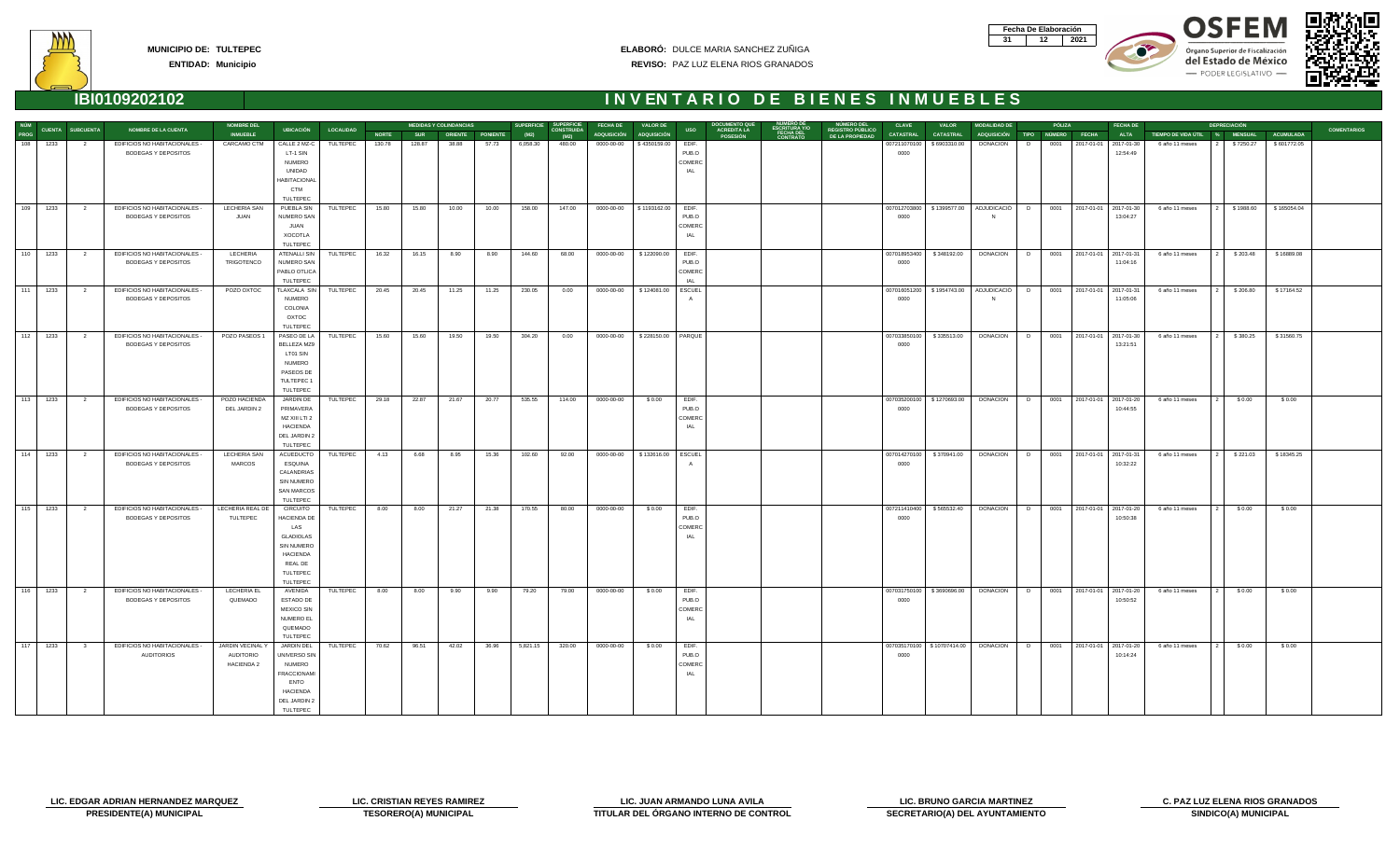| Fecha De Elaboración |     |
|----------------------|-----|
|                      | N91 |









**ENTIDAD: Municipio**

|                     |          |                         |                               | <b>NOMBRE DEL</b>  |                     |                  |              |              | <b>MEDIDAS Y COLINDANCIAS</b> |                      | <b>SUPERFICIE</b> | <b>SUPERFICIE</b>         | <b>FECHA DE</b> | <b>VALOR DE</b>      |            |                                       |           |                                            | <b>CLAVE</b>     | <b>VALOR</b>                 | <b>MODALIDAD DE</b>                           |   | PÓLIZA |                            | <b>FECHA DE</b> |                               | <b>DEPRECIACIÓN</b> |                  |                    |
|---------------------|----------|-------------------------|-------------------------------|--------------------|---------------------|------------------|--------------|--------------|-------------------------------|----------------------|-------------------|---------------------------|-----------------|----------------------|------------|---------------------------------------|-----------|--------------------------------------------|------------------|------------------------------|-----------------------------------------------|---|--------|----------------------------|-----------------|-------------------------------|---------------------|------------------|--------------------|
| NÚM<br>PROG         |          | <b>CUENTA SUBCUENTA</b> | <b>NOMBRE DE LA CUENTA</b>    | <b>INMUEBLE</b>    | <b>UBICACIÓN</b>    | <b>LOCALIDAD</b> | <b>NORTE</b> |              |                               | SUR ORIENTE PONIENTE | (M2)              | <b>CONSTRUIDA</b><br>(M2) | ADQUISICIÓN     | <b>ADQUISICIÓN</b>   | <b>USO</b> | <b>ACREDITA LA</b><br><b>POSESIÓN</b> | FECHA DEL | <b>REGISTRO PÚBLICO</b><br>DE LA PROPIEDAD | <b>CATASTRAL</b> | <b>CATASTRAL</b>             | ADQUISICIÓN TIPO NÚMERO FECHA                 |   |        |                            | <b>ALTA</b>     | TIEMPO DE VIDA ÚTIL % MENSUAL |                     | <b>ACUMULADA</b> | <b>COMENTARIOS</b> |
|                     | 108 1233 | 2                       | EDIFICIOS NO HABITACIONALES - | <b>CARCAMO CTM</b> | CALLE 2 MZ-C        | TULTEPEC         | 130.78       | 128.87       | 38.88                         | 57.73                | 6,058.30          | 480.00                    | $0000-00-00$    | \$4350159.00         | EDIF.      |                                       |           |                                            | 007211070100     | \$6903310.00                 | <b>DONACION</b>                               | D |        | 0001 2017-01-01 2017-01-30 |                 | 6 año 11 meses                | \$7250.27           | \$601772.05      |                    |
|                     |          |                         | BODEGAS Y DEPOSITOS           |                    | LT-1 SIN            |                  |              |              |                               |                      |                   |                           |                 |                      | PUB.O      |                                       |           |                                            | 0000             |                              |                                               |   |        |                            | 12:54:49        |                               |                     |                  |                    |
|                     |          |                         |                               |                    | <b>NUMERO</b>       |                  |              |              |                               |                      |                   |                           |                 |                      | COMERC     |                                       |           |                                            |                  |                              |                                               |   |        |                            |                 |                               |                     |                  |                    |
|                     |          |                         |                               |                    | UNIDAD              |                  |              |              |                               |                      |                   |                           |                 |                      | IAL        |                                       |           |                                            |                  |                              |                                               |   |        |                            |                 |                               |                     |                  |                    |
|                     |          |                         |                               |                    | <b>HABITACIONAL</b> |                  |              |              |                               |                      |                   |                           |                 |                      |            |                                       |           |                                            |                  |                              |                                               |   |        |                            |                 |                               |                     |                  |                    |
|                     |          |                         |                               |                    | CTM                 |                  |              |              |                               |                      |                   |                           |                 |                      |            |                                       |           |                                            |                  |                              |                                               |   |        |                            |                 |                               |                     |                  |                    |
|                     |          |                         |                               |                    | TULTEPEC            |                  |              |              |                               |                      |                   |                           |                 |                      |            |                                       |           |                                            |                  |                              |                                               |   |        |                            |                 |                               |                     |                  |                    |
|                     | 109 1233 | $\overline{2}$          | EDIFICIOS NO HABITACIONALES - | LECHERIA SAN       | PUEBLA SIN          | TULTEPEC         | 15.80        | 15.80        | 10.00                         | 10.00                | 158.00            | 147.00                    |                 |                      | EDIF.      |                                       |           |                                            |                  |                              | 007012703800   \$1399577.00   ADJUDICACIÓ     | D |        | 0001 2017-01-01 2017-01-30 |                 | 6 año 11 meses                | \$1988.60           | \$165054.04      |                    |
|                     |          |                         | <b>BODEGAS Y DEPOSITOS</b>    | JUAN               | NUMERO SAN          |                  |              |              |                               |                      |                   |                           |                 |                      | PUB.O      |                                       |           |                                            | 0000             |                              |                                               |   |        |                            | 13:04:27        |                               |                     |                  |                    |
|                     |          |                         |                               |                    | <b>JUAN</b>         |                  |              |              |                               |                      |                   |                           |                 |                      | COMERC     |                                       |           |                                            |                  |                              |                                               |   |        |                            |                 |                               |                     |                  |                    |
|                     |          |                         |                               |                    | <b>XOCOTLA</b>      |                  |              |              |                               |                      |                   |                           |                 |                      | IAL        |                                       |           |                                            |                  |                              |                                               |   |        |                            |                 |                               |                     |                  |                    |
|                     |          |                         |                               |                    | TULTEPEC            |                  |              |              |                               |                      |                   |                           |                 |                      |            |                                       |           |                                            |                  |                              |                                               |   |        |                            |                 |                               |                     |                  |                    |
|                     | 110 1233 | $\overline{\mathbf{2}}$ | EDIFICIOS NO HABITACIONALES - | LECHERIA           | <b>ATENALLI SIN</b> | TULTEPEC         | 16.32        | $16.15$ 8.90 |                               | 8.90                 | 144.60            | 68.00                     |                 |                      | EDIF.      |                                       |           |                                            |                  | 007018953400   \$348192.00   | DONACION   D   0001   2017-01-01   2017-01-31 |   |        |                            |                 | 6 año 11 meses                | \$203.48            | \$16889.08       |                    |
|                     |          |                         | BODEGAS Y DEPOSITOS           | TRIGOTENCO         | NUMERO SAN          |                  |              |              |                               |                      |                   |                           |                 |                      | PUB.O      |                                       |           |                                            | 0000             |                              |                                               |   |        |                            | 11:04:16        |                               |                     |                  |                    |
|                     |          |                         |                               |                    | PABLO OTLICA        |                  |              |              |                               |                      |                   |                           |                 |                      | COMERC     |                                       |           |                                            |                  |                              |                                               |   |        |                            |                 |                               |                     |                  |                    |
|                     |          |                         |                               |                    | TULTEPEC            |                  |              |              |                               |                      |                   |                           |                 |                      | IAL        |                                       |           |                                            |                  |                              |                                               |   |        |                            |                 |                               |                     |                  |                    |
| 111                 | 1233     | $\overline{\mathbf{c}}$ | EDIFICIOS NO HABITACIONALES - | POZO OXTOC         | TLAXCALA SIN        | TULTEPEC         | 20.45        | 20.45        | 11.25                         | 11.25                | 230.05            | 0.00                      | 0000-00-00      | \$124081.00          | ESCUEL     |                                       |           |                                            | 007016051200     | \$1954743.00                 | ADJUDICACIÓ                                   | D |        | 0001 2017-01-01 2017-01-31 |                 | 6 año 11 meses                | \$206.80            | \$17164.52       |                    |
|                     |          |                         | BODEGAS Y DEPOSITOS           |                    | <b>NUMERO</b>       |                  |              |              |                               |                      |                   |                           |                 |                      |            |                                       |           |                                            | 0000             |                              |                                               |   |        |                            | 11:05:06        |                               |                     |                  |                    |
|                     |          |                         |                               |                    | COLONIA             |                  |              |              |                               |                      |                   |                           |                 |                      |            |                                       |           |                                            |                  |                              |                                               |   |        |                            |                 |                               |                     |                  |                    |
|                     |          |                         |                               |                    | OXTOC               |                  |              |              |                               |                      |                   |                           |                 |                      |            |                                       |           |                                            |                  |                              |                                               |   |        |                            |                 |                               |                     |                  |                    |
|                     |          |                         |                               |                    | TULTEPEC            |                  |              |              |                               |                      |                   |                           |                 |                      |            |                                       |           |                                            |                  |                              |                                               |   |        |                            |                 |                               |                     |                  |                    |
|                     | 112 1233 | $\overline{2}$          | EDIFICIOS NO HABITACIONALES - | POZO PASEOS 1      | PASEO DE LA         | TULTEPEC         | 15.60        | 15.60        | 19.50                         | 19.50                | 304.20            | 0.00                      | $0000-00-00$    | \$228150.00   PARQUE |            |                                       |           |                                            | 007033850100     | \$335513.00                  | <b>DONACION</b>                               | D |        | 0001 2017-01-01 2017-01-30 |                 | 6 año 11 meses                | \$380.25            | \$31560.75       |                    |
|                     |          |                         | <b>BODEGAS Y DEPOSITOS</b>    |                    | BELLEZA MZ9         |                  |              |              |                               |                      |                   |                           |                 |                      |            |                                       |           |                                            | 0000             |                              |                                               |   |        |                            | 13:21:51        |                               |                     |                  |                    |
|                     |          |                         |                               |                    | LT01 SIN            |                  |              |              |                               |                      |                   |                           |                 |                      |            |                                       |           |                                            |                  |                              |                                               |   |        |                            |                 |                               |                     |                  |                    |
|                     |          |                         |                               |                    | <b>NUMERO</b>       |                  |              |              |                               |                      |                   |                           |                 |                      |            |                                       |           |                                            |                  |                              |                                               |   |        |                            |                 |                               |                     |                  |                    |
|                     |          |                         |                               |                    | PASEOS DE           |                  |              |              |                               |                      |                   |                           |                 |                      |            |                                       |           |                                            |                  |                              |                                               |   |        |                            |                 |                               |                     |                  |                    |
|                     |          |                         |                               |                    | TULTEPEC 1          |                  |              |              |                               |                      |                   |                           |                 |                      |            |                                       |           |                                            |                  |                              |                                               |   |        |                            |                 |                               |                     |                  |                    |
|                     |          |                         |                               |                    | TULTEPEC            |                  |              |              |                               |                      |                   |                           |                 |                      |            |                                       |           |                                            |                  |                              |                                               |   |        |                            |                 |                               |                     |                  |                    |
| $\vert$ 113 $\vert$ | 1233     | $\overline{2}$          | EDIFICIOS NO HABITACIONALES - | POZO HACIENDA      | JARDIN DE           | TULTEPEC         | 29.18        | 22.87        | 21.67                         | 20.77                | 535.55            | 114.00                    | 0000-00-00      | \$0.00               | EDIF.      |                                       |           |                                            | 007035200100     | \$1270693.00                 | DONACION                                      | D | 0001   | 2017-01-01 2017-01-20      |                 | 6 año 11 meses                | \$0.00              | \$0.00           |                    |
|                     |          |                         | <b>BODEGAS Y DEPOSITOS</b>    | DEL JARDIN 2       | PRIMAVERA           |                  |              |              |                               |                      |                   |                           |                 |                      | PUB.O      |                                       |           |                                            | 0000             |                              |                                               |   |        |                            | 10:44:55        |                               |                     |                  |                    |
|                     |          |                         |                               |                    | MZ XIII LTI 2       |                  |              |              |                               |                      |                   |                           |                 |                      | COMERC     |                                       |           |                                            |                  |                              |                                               |   |        |                            |                 |                               |                     |                  |                    |
|                     |          |                         |                               |                    | <b>HACIENDA</b>     |                  |              |              |                               |                      |                   |                           |                 |                      | IAL        |                                       |           |                                            |                  |                              |                                               |   |        |                            |                 |                               |                     |                  |                    |
|                     |          |                         |                               |                    | DEL JARDIN 2        |                  |              |              |                               |                      |                   |                           |                 |                      |            |                                       |           |                                            |                  |                              |                                               |   |        |                            |                 |                               |                     |                  |                    |
|                     |          |                         |                               |                    | TULTEPEC            |                  |              |              |                               |                      |                   |                           |                 |                      |            |                                       |           |                                            |                  |                              |                                               |   |        |                            |                 |                               |                     |                  |                    |
| 114                 | 1233     | $\overline{\mathbf{2}}$ | EDIFICIOS NO HABITACIONALES - | LECHERIA SAN       | <b>ACUEDUCTO</b>    | TULTEPEC         | 4.13         | 6.68         | 8.95                          | 15.36                | 102.60            | 92.00                     | 0000-00-00      | \$132616.00          | ESCUEL     |                                       |           |                                            | 007014270100     | \$370941.00                  | <b>DONACION</b>                               | D |        | 0001 2017-01-01 2017-01-31 |                 | 6 año 11 meses                | \$221.03            | \$18345.25       |                    |
|                     |          |                         | BODEGAS Y DEPOSITOS           | <b>MARCOS</b>      | ESQUINA             |                  |              |              |                               |                      |                   |                           |                 |                      |            |                                       |           |                                            | 0000             |                              |                                               |   |        |                            | 10:32:22        |                               |                     |                  |                    |
|                     |          |                         |                               |                    | CALANDRIAS          |                  |              |              |                               |                      |                   |                           |                 |                      |            |                                       |           |                                            |                  |                              |                                               |   |        |                            |                 |                               |                     |                  |                    |
|                     |          |                         |                               |                    | <b>SIN NUMERO</b>   |                  |              |              |                               |                      |                   |                           |                 |                      |            |                                       |           |                                            |                  |                              |                                               |   |        |                            |                 |                               |                     |                  |                    |
|                     |          |                         |                               |                    | SAN MARCOS          |                  |              |              |                               |                      |                   |                           |                 |                      |            |                                       |           |                                            |                  |                              |                                               |   |        |                            |                 |                               |                     |                  |                    |
|                     |          |                         |                               |                    | TULTEPEC            |                  |              |              |                               |                      |                   |                           |                 |                      |            |                                       |           |                                            |                  |                              |                                               |   |        |                            |                 |                               |                     |                  |                    |
|                     | 115 1233 | $\overline{2}$          | EDIFICIOS NO HABITACIONALES - | LECHERIA REAL DE   | CIRCUITO            | TULTEPEC         | 8.00         | 8.00         | 21.27                         | 21.38                | 170.55            | 80.00                     | 0000-00-00      | \$0.00               | EDIF.      |                                       |           |                                            | 007211410400     | \$565532.40                  | <b>DONACION</b>                               | D |        | 0001 2017-01-01 2017-01-20 |                 | 6 año 11 meses                | \$0.00              | \$0.00           |                    |
|                     |          |                         | <b>BODEGAS Y DEPOSITOS</b>    | TULTEPEC           | HACIENDA DE         |                  |              |              |                               |                      |                   |                           |                 |                      | PUB.O      |                                       |           |                                            | 0000             |                              |                                               |   |        |                            | 10:50:38        |                               |                     |                  |                    |
|                     |          |                         |                               |                    | LAS                 |                  |              |              |                               |                      |                   |                           |                 |                      | COMERC     |                                       |           |                                            |                  |                              |                                               |   |        |                            |                 |                               |                     |                  |                    |
|                     |          |                         |                               |                    | <b>GLADIOLAS</b>    |                  |              |              |                               |                      |                   |                           |                 |                      | IAL        |                                       |           |                                            |                  |                              |                                               |   |        |                            |                 |                               |                     |                  |                    |
|                     |          |                         |                               |                    | SIN NUMERO          |                  |              |              |                               |                      |                   |                           |                 |                      |            |                                       |           |                                            |                  |                              |                                               |   |        |                            |                 |                               |                     |                  |                    |
|                     |          |                         |                               |                    | <b>HACIENDA</b>     |                  |              |              |                               |                      |                   |                           |                 |                      |            |                                       |           |                                            |                  |                              |                                               |   |        |                            |                 |                               |                     |                  |                    |
|                     |          |                         |                               |                    | REAL DE             |                  |              |              |                               |                      |                   |                           |                 |                      |            |                                       |           |                                            |                  |                              |                                               |   |        |                            |                 |                               |                     |                  |                    |
|                     |          |                         |                               |                    | TULTEPEC            |                  |              |              |                               |                      |                   |                           |                 |                      |            |                                       |           |                                            |                  |                              |                                               |   |        |                            |                 |                               |                     |                  |                    |
|                     |          |                         |                               |                    | TULTEPEC            |                  |              |              |                               |                      |                   |                           |                 |                      |            |                                       |           |                                            |                  |                              |                                               |   |        |                            |                 |                               |                     |                  |                    |
|                     | 116 1233 | $\overline{\mathbf{2}}$ | EDIFICIOS NO HABITACIONALES - | LECHERIA EL        | AVENIDA             | TULTEPEC         | 8.00         | 8.00         | 9.90                          | 9.90                 | 79.20             | 79.00                     | 0000-00-00      | \$0.00               | EDIF.      |                                       |           |                                            |                  | 007031750100   \$3690696.00  | <b>DONACION</b>                               | D |        | 0001 2017-01-01 2017-01-20 |                 | 6 año 11 meses                | \$0.00              | \$0.00           |                    |
|                     |          |                         | BODEGAS Y DEPOSITOS           | QUEMADO            | ESTADO DE           |                  |              |              |                               |                      |                   |                           |                 |                      | PUB.O      |                                       |           |                                            | 0000             |                              |                                               |   |        |                            | 10:50:52        |                               |                     |                  |                    |
|                     |          |                         |                               |                    | <b>MEXICO SIN</b>   |                  |              |              |                               |                      |                   |                           |                 |                      | COMERC     |                                       |           |                                            |                  |                              |                                               |   |        |                            |                 |                               |                     |                  |                    |
|                     |          |                         |                               |                    | NUMERO EL           |                  |              |              |                               |                      |                   |                           |                 |                      | IAL        |                                       |           |                                            |                  |                              |                                               |   |        |                            |                 |                               |                     |                  |                    |
|                     |          |                         |                               |                    | QUEMADO             |                  |              |              |                               |                      |                   |                           |                 |                      |            |                                       |           |                                            |                  |                              |                                               |   |        |                            |                 |                               |                     |                  |                    |
|                     |          |                         |                               |                    | TULTEPEC            |                  |              |              |                               |                      |                   |                           |                 |                      |            |                                       |           |                                            |                  |                              |                                               |   |        |                            |                 |                               |                     |                  |                    |
| 117                 | 1233     | $\overline{\mathbf{3}}$ | EDIFICIOS NO HABITACIONALES - | JARDIN VECINAL Y   | JARDIN DEL          | TULTEPEC         | 70.62        | 96.51        | 42.02                         | 36.96                | 5,821.15          | 320.00                    | 0000-00-00      | \$0.00               | EDIF.      |                                       |           |                                            |                  | 007035170100   \$10707414.00 | DONACION D                                    |   |        | 0001 2017-01-01 2017-01-20 |                 | 6 año 11 meses                | \$0.00              | \$0.00           |                    |
|                     |          |                         | <b>AUDITORIOS</b>             | <b>AUDITORIO</b>   | UNIVERSO SIN        |                  |              |              |                               |                      |                   |                           |                 |                      | PUB.O      |                                       |           |                                            | 0000             |                              |                                               |   |        |                            | 10:14:24        |                               |                     |                  |                    |
|                     |          |                         |                               | <b>HACIENDA 2</b>  | <b>NUMERO</b>       |                  |              |              |                               |                      |                   |                           |                 |                      | COMERC     |                                       |           |                                            |                  |                              |                                               |   |        |                            |                 |                               |                     |                  |                    |
|                     |          |                         |                               |                    | <b>FRACCIONAMI</b>  |                  |              |              |                               |                      |                   |                           |                 |                      | IAL        |                                       |           |                                            |                  |                              |                                               |   |        |                            |                 |                               |                     |                  |                    |
|                     |          |                         |                               |                    | <b>ENTO</b>         |                  |              |              |                               |                      |                   |                           |                 |                      |            |                                       |           |                                            |                  |                              |                                               |   |        |                            |                 |                               |                     |                  |                    |
|                     |          |                         |                               |                    | <b>HACIENDA</b>     |                  |              |              |                               |                      |                   |                           |                 |                      |            |                                       |           |                                            |                  |                              |                                               |   |        |                            |                 |                               |                     |                  |                    |
|                     |          |                         |                               |                    | DEL JARDIN 2        |                  |              |              |                               |                      |                   |                           |                 |                      |            |                                       |           |                                            |                  |                              |                                               |   |        |                            |                 |                               |                     |                  |                    |
|                     |          |                         |                               |                    | TULTEPEC            |                  |              |              |                               |                      |                   |                           |                 |                      |            |                                       |           |                                            |                  |                              |                                               |   |        |                            |                 |                               |                     |                  |                    |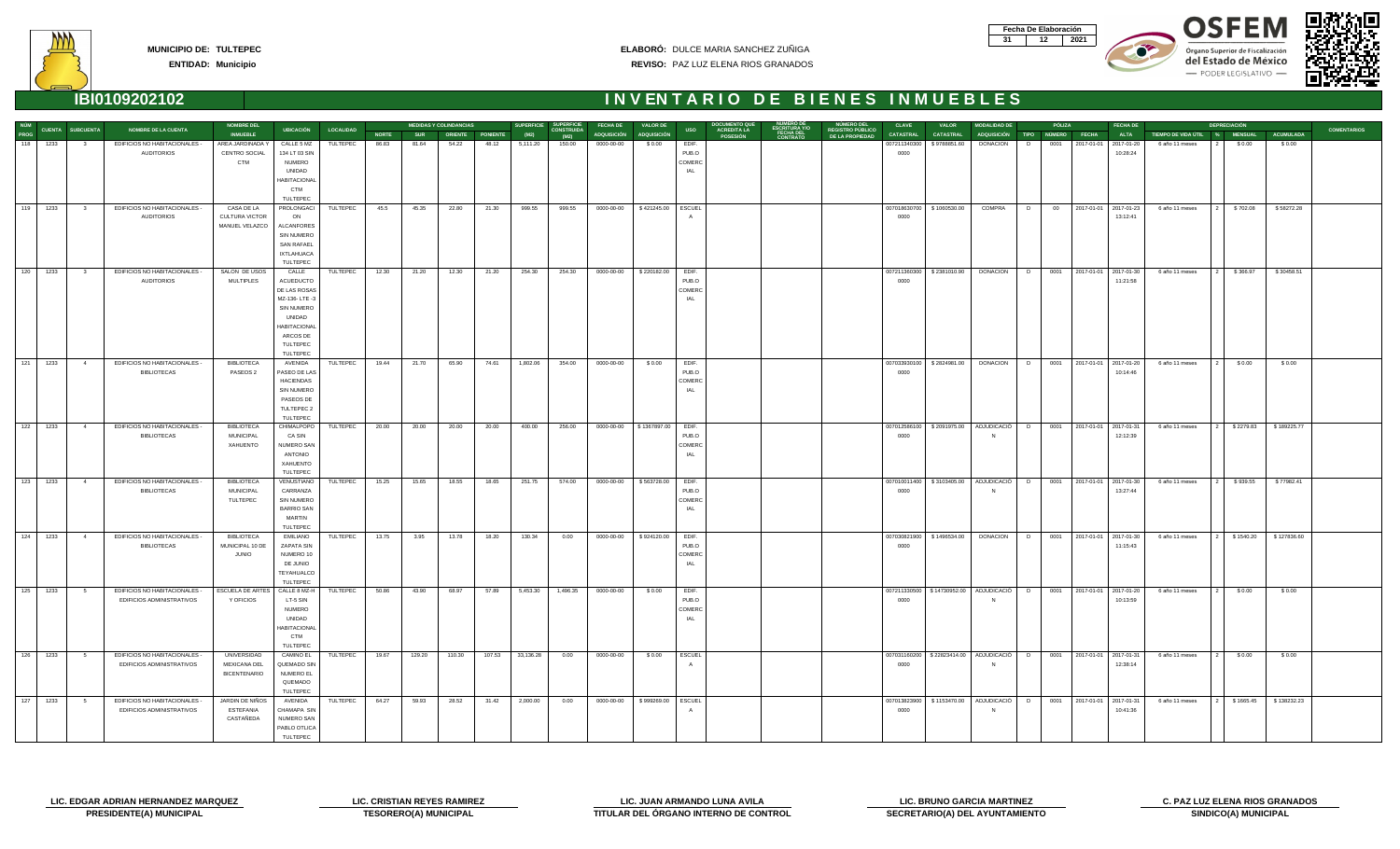| Fecha De Elaboración |     |
|----------------------|-----|
|                      | N91 |









| NÚM  |              |                         |                               | <b>NOMBRE DEL</b>                          |                            |                     |              |            | <b>MEDIDAS Y COLINDANCIAS</b> |        | <b>SUPERFICIE</b> | <b>SUPERFICIE</b>         | <b>FECHA DE</b>         | <b>VALOR DE</b>      |               |                                       |           | <b>NUMERO DEL</b>                          | <b>CLAVE</b>     | <b>VALOR</b>                | <b>MODALIDAD DE</b>                                                            | PÓLIZA    | <b>FECHA DE</b>              |                                   | <b>DEPRECIACIÓN</b> |                       |                    |
|------|--------------|-------------------------|-------------------------------|--------------------------------------------|----------------------------|---------------------|--------------|------------|-------------------------------|--------|-------------------|---------------------------|-------------------------|----------------------|---------------|---------------------------------------|-----------|--------------------------------------------|------------------|-----------------------------|--------------------------------------------------------------------------------|-----------|------------------------------|-----------------------------------|---------------------|-----------------------|--------------------|
| PROG |              | <b>CUENTA SUBCUENTA</b> | <b>NOMBRE DE LA CUENTA</b>    | <b>INMUEBLE</b>                            |                            | UBICACIÓN LOCALIDAD | <b>NORTE</b> | <b>SUR</b> | ORIENTE PONIENTE              |        | (M2)              | <b>CONSTRUIDA</b><br>(M2) | ADQUISICIÓN ADQUISICIÓN |                      | <b>USO</b>    | <b>ACREDITA LA</b><br><b>POSESIÓN</b> | FECHA DEL | <b>REGISTRO PÚBLICO</b><br>DE LA PROPIEDAD | <b>CATASTRAL</b> | <b>CATASTRAL</b>            | ADQUISICIÓN TIPO NÚMERO FECHA                                                  |           | <b>ALTA</b>                  | TIEMPO DE VIDA ÚTIL   %   MENSUAL |                     | ACUMULADA             | <b>COMENTARIOS</b> |
|      | 118 1233     | 3                       | EDIFICIOS NO HABITACIONALES - | AREA JARDINADA Y                           | CALLE 5 MZ                 | TULTEPEC            | 86.83        | 81.64      | 54.22                         | 48.12  | 5,111.20          | 150.00                    | 0000-00-00              | \$0.00               | EDIF.         |                                       |           |                                            | 007211340300     | \$9788851.60                | <b>DONACION</b>                                                                | 0001<br>D | 2017-01-01 2017-01-20        | 6 año 11 meses                    | \$0.00              | \$0.00                |                    |
|      |              |                         | <b>AUDITORIOS</b>             | CENTRO SOCIAL                              | 134 LT 03 SIN              |                     |              |            |                               |        |                   |                           |                         |                      | PUB.O         |                                       |           |                                            | 0000             |                             |                                                                                |           | 10:28:24                     |                                   |                     |                       |                    |
|      |              |                         |                               | <b>CTM</b>                                 | NUMERO                     |                     |              |            |                               |        |                   |                           |                         |                      | COMERC        |                                       |           |                                            |                  |                             |                                                                                |           |                              |                                   |                     |                       |                    |
|      |              |                         |                               |                                            | UNIDAD                     |                     |              |            |                               |        |                   |                           |                         |                      | IAL           |                                       |           |                                            |                  |                             |                                                                                |           |                              |                                   |                     |                       |                    |
|      |              |                         |                               |                                            | <b>HABITACIONAL</b>        |                     |              |            |                               |        |                   |                           |                         |                      |               |                                       |           |                                            |                  |                             |                                                                                |           |                              |                                   |                     |                       |                    |
|      |              |                         |                               |                                            | <b>CTM</b>                 |                     |              |            |                               |        |                   |                           |                         |                      |               |                                       |           |                                            |                  |                             |                                                                                |           |                              |                                   |                     |                       |                    |
|      |              |                         |                               |                                            | TULTEPEC                   |                     |              |            |                               |        |                   |                           |                         |                      |               |                                       |           |                                            |                  |                             |                                                                                |           |                              |                                   |                     |                       |                    |
|      | 119 1233     | $\overline{\mathbf{3}}$ | EDIFICIOS NO HABITACIONALES - | CASA DE LA                                 | PROLONGACI                 | TULTEPEC            | 45.5         | 45.35      | 22.80                         | 21.30  | 999.55            | 999.55                    | 0000-00-00              | \$421245.00          | ESCUEL        |                                       |           |                                            |                  | 007018630700   \$1060530.00 | COMPRA                                                                         | D<br>00   | 2017-01-01 2017-01-23        | 6 año 11 meses                    | \$702.08            | \$58272.28            |                    |
|      |              |                         | <b>AUDITORIOS</b>             | <b>CULTURA VICTOR</b>                      | ON                         |                     |              |            |                               |        |                   |                           |                         |                      |               |                                       |           |                                            | 0000             |                             |                                                                                |           | 13:12:41                     |                                   |                     |                       |                    |
|      |              |                         |                               | MANUEL VELAZCO                             | <b>ALCANFORES</b>          |                     |              |            |                               |        |                   |                           |                         |                      |               |                                       |           |                                            |                  |                             |                                                                                |           |                              |                                   |                     |                       |                    |
|      |              |                         |                               |                                            | SIN NUMERO                 |                     |              |            |                               |        |                   |                           |                         |                      |               |                                       |           |                                            |                  |                             |                                                                                |           |                              |                                   |                     |                       |                    |
|      |              |                         |                               |                                            | <b>SAN RAFAEL</b>          |                     |              |            |                               |        |                   |                           |                         |                      |               |                                       |           |                                            |                  |                             |                                                                                |           |                              |                                   |                     |                       |                    |
|      |              |                         |                               |                                            | <b>IXTLAHUACA</b>          |                     |              |            |                               |        |                   |                           |                         |                      |               |                                       |           |                                            |                  |                             |                                                                                |           |                              |                                   |                     |                       |                    |
|      | 120 1233     |                         | EDIFICIOS NO HABITACIONALES - | SALON DE USOS                              | TULTEPEC<br>CALLE          | TULTEPEC            | 12.30        |            | 12.30                         | 21.20  | 254.30            | 254.30                    | 0000-00-00              | \$220182.00          | EDIF.         |                                       |           |                                            |                  | 007211360300   \$2381010.90 | DONACION D 0001 2017-01-01 2017-01-30                                          |           |                              | 6 año 11 meses                    | \$366.97            | \$30458.51            |                    |
|      |              | $\overline{\mathbf{3}}$ | <b>AUDITORIOS</b>             | <b>MULTIPLES</b>                           | <b>ACUEDUCTO</b>           |                     |              | 21.20      |                               |        |                   |                           |                         |                      | PUB.O         |                                       |           |                                            | 0000             |                             |                                                                                |           | 11:21:58                     |                                   |                     |                       |                    |
|      |              |                         |                               |                                            | DE LAS ROSAS               |                     |              |            |                               |        |                   |                           |                         |                      | COMERC        |                                       |           |                                            |                  |                             |                                                                                |           |                              |                                   |                     |                       |                    |
|      |              |                         |                               |                                            | MZ-136-LTE-3               |                     |              |            |                               |        |                   |                           |                         |                      | IAL           |                                       |           |                                            |                  |                             |                                                                                |           |                              |                                   |                     |                       |                    |
|      |              |                         |                               |                                            | <b>SIN NUMERO</b>          |                     |              |            |                               |        |                   |                           |                         |                      |               |                                       |           |                                            |                  |                             |                                                                                |           |                              |                                   |                     |                       |                    |
|      |              |                         |                               |                                            | UNIDAD                     |                     |              |            |                               |        |                   |                           |                         |                      |               |                                       |           |                                            |                  |                             |                                                                                |           |                              |                                   |                     |                       |                    |
|      |              |                         |                               |                                            | <b>HABITACIONA</b>         |                     |              |            |                               |        |                   |                           |                         |                      |               |                                       |           |                                            |                  |                             |                                                                                |           |                              |                                   |                     |                       |                    |
|      |              |                         |                               |                                            | ARCOS DE                   |                     |              |            |                               |        |                   |                           |                         |                      |               |                                       |           |                                            |                  |                             |                                                                                |           |                              |                                   |                     |                       |                    |
|      |              |                         |                               |                                            | TULTEPEC                   |                     |              |            |                               |        |                   |                           |                         |                      |               |                                       |           |                                            |                  |                             |                                                                                |           |                              |                                   |                     |                       |                    |
|      |              |                         |                               |                                            | TULTEPEC                   |                     |              |            |                               |        |                   |                           |                         |                      |               |                                       |           |                                            |                  |                             |                                                                                |           |                              |                                   |                     |                       |                    |
|      | 121 1233     | $\overline{4}$          | EDIFICIOS NO HABITACIONALES - | <b>BIBLIOTECA</b>                          | AVENIDA                    | TULTEPEC            | 19.44        | 21.70      | 65.90                         | 74.61  | 1,802.06          | 354.00                    | 0000-00-00              | \$0.00               | EDIF.         |                                       |           |                                            |                  |                             | 007033930100   \$2824981.00 DONACION                                           |           | D 0001 2017-01-01 2017-01-20 | 6 año 11 meses                    | \$0.00              | \$0.00                |                    |
|      |              |                         | <b>BIBLIOTECAS</b>            | PASEOS 2                                   | PASEO DE LAS               |                     |              |            |                               |        |                   |                           |                         |                      | PUB.O         |                                       |           |                                            | 0000             |                             |                                                                                |           | 10:14:46                     |                                   |                     |                       |                    |
|      |              |                         |                               |                                            | HACIENDAS                  |                     |              |            |                               |        |                   |                           |                         |                      | COMERC        |                                       |           |                                            |                  |                             |                                                                                |           |                              |                                   |                     |                       |                    |
|      |              |                         |                               |                                            | <b>SIN NUMERO</b>          |                     |              |            |                               |        |                   |                           |                         |                      | IAL           |                                       |           |                                            |                  |                             |                                                                                |           |                              |                                   |                     |                       |                    |
|      |              |                         |                               |                                            | PASEOS DE                  |                     |              |            |                               |        |                   |                           |                         |                      |               |                                       |           |                                            |                  |                             |                                                                                |           |                              |                                   |                     |                       |                    |
|      |              |                         |                               |                                            | TULTEPEC 2                 |                     |              |            |                               |        |                   |                           |                         |                      |               |                                       |           |                                            |                  |                             |                                                                                |           |                              |                                   |                     |                       |                    |
|      | 122 1233     | $\overline{4}$          | EDIFICIOS NO HABITACIONALES - | BIBLIOTECA                                 | TULTEPEC<br>CHIMALPOPO     | TULTEPEC            | 20.00        | 20.00      | 20.00                         | 20.00  | 400.00            | 256.00                    | 0000-00-00              | \$1367897.00         | EDIF.         |                                       |           |                                            |                  |                             | 007012586100   \$2091975.00   ADJUDICACIÓ                                      | D         | 0001 2017-01-01 2017-01-31   | 6 año 11 meses                    | \$2279.83           | \$189225.77           |                    |
|      |              |                         | <b>BIBLIOTECAS</b>            | MUNICIPAL                                  | CA SIN                     |                     |              |            |                               |        |                   |                           |                         |                      | PUB.O         |                                       |           |                                            | 0000             |                             |                                                                                |           | 12:12:39                     |                                   |                     |                       |                    |
|      |              |                         |                               | XAHUENTO                                   | NUMERO SAN                 |                     |              |            |                               |        |                   |                           |                         |                      | COMERC        |                                       |           |                                            |                  |                             |                                                                                |           |                              |                                   |                     |                       |                    |
|      |              |                         |                               |                                            | ANTONIO                    |                     |              |            |                               |        |                   |                           |                         |                      | IAL           |                                       |           |                                            |                  |                             |                                                                                |           |                              |                                   |                     |                       |                    |
|      |              |                         |                               |                                            | XAHUENTO                   |                     |              |            |                               |        |                   |                           |                         |                      |               |                                       |           |                                            |                  |                             |                                                                                |           |                              |                                   |                     |                       |                    |
|      |              |                         |                               |                                            | TULTEPEC                   |                     |              |            |                               |        |                   |                           |                         |                      |               |                                       |           |                                            |                  |                             |                                                                                |           |                              |                                   |                     |                       |                    |
|      | $123$ 1233   | $\overline{4}$          | EDIFICIOS NO HABITACIONALES - | <b>BIBLIOTECA</b>                          | VENUSTIANO                 | TULTEPEC            | 15.25        | 15.65      | 18.55                         | 18.65  | 251.75            | 574.00                    | 0000-00-00              | \$563728.00          | EDIF.         |                                       |           |                                            |                  |                             | 007010011400   \$3103405.00   ADJUDICACIÓ   D   0001   2017-01-01   2017-01-30 |           |                              | 6 año 11 meses                    | \$939.55            | \$77982.41            |                    |
|      |              |                         | <b>BIBLIOTECAS</b>            | MUNICIPAL                                  | CARRANZA                   |                     |              |            |                               |        |                   |                           |                         |                      | PUB.O         |                                       |           |                                            | 0000             |                             |                                                                                |           | 13:27:44                     |                                   |                     |                       |                    |
|      |              |                         |                               | TULTEPEC                                   | <b>SIN NUMERO</b>          |                     |              |            |                               |        |                   |                           |                         |                      | COMERC        |                                       |           |                                            |                  |                             |                                                                                |           |                              |                                   |                     |                       |                    |
|      |              |                         |                               |                                            | <b>BARRIO SAN</b>          |                     |              |            |                               |        |                   |                           |                         |                      | IAL           |                                       |           |                                            |                  |                             |                                                                                |           |                              |                                   |                     |                       |                    |
|      |              |                         |                               |                                            | <b>MARTIN</b>              |                     |              |            |                               |        |                   |                           |                         |                      |               |                                       |           |                                            |                  |                             |                                                                                |           |                              |                                   |                     |                       |                    |
|      |              |                         |                               |                                            | TULTEPEC                   |                     |              |            |                               |        |                   |                           |                         |                      |               |                                       |           |                                            |                  |                             |                                                                                |           |                              |                                   |                     |                       |                    |
|      | 124 1233     | $\overline{4}$          | EDIFICIOS NO HABITACIONALES - | BIBLIOTECA                                 | EMILIANO                   | TULTEPEC            | 13.75        | 3.95       | 13.78                         | 18.20  | 130.34            | 0.00                      | 0000-00-00              | \$924120.00          | EDIF.         |                                       |           |                                            |                  | 007030821900   \$1496534.00 | DONACION   D                                                                   |           | 0001 2017-01-01 2017-01-30   | 6 año 11 meses                    | \$1540.20           | \$127836.60           |                    |
|      |              |                         | <b>BIBLIOTECAS</b>            | MUNICIPAL 10 DE                            | ZAPATA SIN                 |                     |              |            |                               |        |                   |                           |                         |                      | PUB.O         |                                       |           |                                            | 0000             |                             |                                                                                |           | 11:15:43                     |                                   |                     |                       |                    |
|      |              |                         |                               | <b>JUNIO</b>                               | NUMERO 10                  |                     |              |            |                               |        |                   |                           |                         |                      | COMERC<br>IAL |                                       |           |                                            |                  |                             |                                                                                |           |                              |                                   |                     |                       |                    |
|      |              |                         |                               |                                            | DE JUNIO<br>TEYAHUALCO     |                     |              |            |                               |        |                   |                           |                         |                      |               |                                       |           |                                            |                  |                             |                                                                                |           |                              |                                   |                     |                       |                    |
|      |              |                         |                               |                                            | TULTEPEC                   |                     |              |            |                               |        |                   |                           |                         |                      |               |                                       |           |                                            |                  |                             |                                                                                |           |                              |                                   |                     |                       |                    |
|      | $125$ $1233$ | $5 -$                   | EDIFICIOS NO HABITACIONALES - | ESCUELA DE ARTES   CALLE 8 MZ-H   TULTEPEC |                            |                     | 50.86        | 43.90      | 68.97                         | 57.89  | 5,453.30          | 1,496.35                  | 0000-00-00              | \$0.00               | EDIF.         |                                       |           |                                            |                  |                             | 007211330500 \$14730952.00 ADJUDICACIÓ D 0001 2017-01-01 2017-01-20            |           |                              | 6 año 11 meses                    | \$0.00              | \$0.00                |                    |
|      |              |                         | EDIFICIOS ADMINISTRATIVOS     | Y OFICIOS                                  | LT-5 SIN                   |                     |              |            |                               |        |                   |                           |                         |                      | PUB.O         |                                       |           |                                            | 0000             |                             |                                                                                |           | 10:13:59                     |                                   |                     |                       |                    |
|      |              |                         |                               |                                            | NUMERO                     |                     |              |            |                               |        |                   |                           |                         |                      | COMERC        |                                       |           |                                            |                  |                             |                                                                                |           |                              |                                   |                     |                       |                    |
|      |              |                         |                               |                                            | UNIDAD                     |                     |              |            |                               |        |                   |                           |                         |                      | IAL           |                                       |           |                                            |                  |                             |                                                                                |           |                              |                                   |                     |                       |                    |
|      |              |                         |                               |                                            | <b>HABITACIONAL</b>        |                     |              |            |                               |        |                   |                           |                         |                      |               |                                       |           |                                            |                  |                             |                                                                                |           |                              |                                   |                     |                       |                    |
|      |              |                         |                               |                                            | <b>CTM</b>                 |                     |              |            |                               |        |                   |                           |                         |                      |               |                                       |           |                                            |                  |                             |                                                                                |           |                              |                                   |                     |                       |                    |
|      |              |                         |                               |                                            | TULTEPEC                   |                     |              |            |                               |        |                   |                           |                         |                      |               |                                       |           |                                            |                  |                             |                                                                                |           |                              |                                   |                     |                       |                    |
|      | 126 1233     | $5^{\circ}$             | EDIFICIOS NO HABITACIONALES - | UNIVERSIDAD                                | <b>CAMINO EL</b>           | TULTEPEC            | 19.67        | 129.20     | 110.30                        | 107.53 | 33,136.28         | 0.00                      | 0000-00-00              | \$0.00               | ESCUEL        |                                       |           |                                            |                  |                             | 007031160200 \$22823414.00 ADJUDICACIÓ D 0001 2017-01-01 2017-01-31            |           |                              | 6 año 11 meses                    | \$0.00              | \$0.00                |                    |
|      |              |                         | EDIFICIOS ADMINISTRATIVOS     | <b>MEXICANA DEL</b>                        | QUEMADO SIN                |                     |              |            |                               |        |                   |                           |                         |                      |               |                                       |           |                                            | 0000             |                             |                                                                                |           | 12:38:14                     |                                   |                     |                       |                    |
|      |              |                         |                               | <b>BICENTENARIO</b>                        | NUMERO EL                  |                     |              |            |                               |        |                   |                           |                         |                      |               |                                       |           |                                            |                  |                             |                                                                                |           |                              |                                   |                     |                       |                    |
|      |              |                         |                               |                                            | QUEMADO                    |                     |              |            |                               |        |                   |                           |                         |                      |               |                                       |           |                                            |                  |                             |                                                                                |           |                              |                                   |                     |                       |                    |
|      |              |                         |                               |                                            | TULTEPEC                   |                     |              |            |                               |        |                   |                           |                         |                      |               |                                       |           |                                            |                  |                             |                                                                                |           |                              |                                   |                     |                       |                    |
| 127  | 1233         | $5^{\circ}$             | EDIFICIOS NO HABITACIONALES - | JARDIN DE NIÑOS                            | AVENIDA                    | TULTEPEC            | 64.27        | 59.93      | 28.52                         | 31.42  | 2,000.00          | 0.00                      | 0000-00-00              | \$999269.00   ESCUEL |               |                                       |           |                                            |                  |                             | 007013823900   \$1153470.00   ADJUDICACIÓ   D   0001   2017-01-01   2017-01-31 |           |                              | 6 año 11 meses<br>$\vert 2 \vert$ |                     | \$1665.45 \$138232.23 |                    |
|      |              |                         | EDIFICIOS ADMINISTRATIVOS     | ESTEFANIA                                  | CHAMAPA SIN                |                     |              |            |                               |        |                   |                           |                         |                      |               |                                       |           |                                            | 0000             |                             |                                                                                |           | 10:41:36                     |                                   |                     |                       |                    |
|      |              |                         |                               | CASTAÑEDA                                  | NUMERO SAN<br>PABLO OTLICA |                     |              |            |                               |        |                   |                           |                         |                      |               |                                       |           |                                            |                  |                             |                                                                                |           |                              |                                   |                     |                       |                    |
|      |              |                         |                               |                                            | TULTEPEC                   |                     |              |            |                               |        |                   |                           |                         |                      |               |                                       |           |                                            |                  |                             |                                                                                |           |                              |                                   |                     |                       |                    |
|      |              |                         |                               |                                            |                            |                     |              |            |                               |        |                   |                           |                         |                      |               |                                       |           |                                            |                  |                             |                                                                                |           |                              |                                   |                     |                       |                    |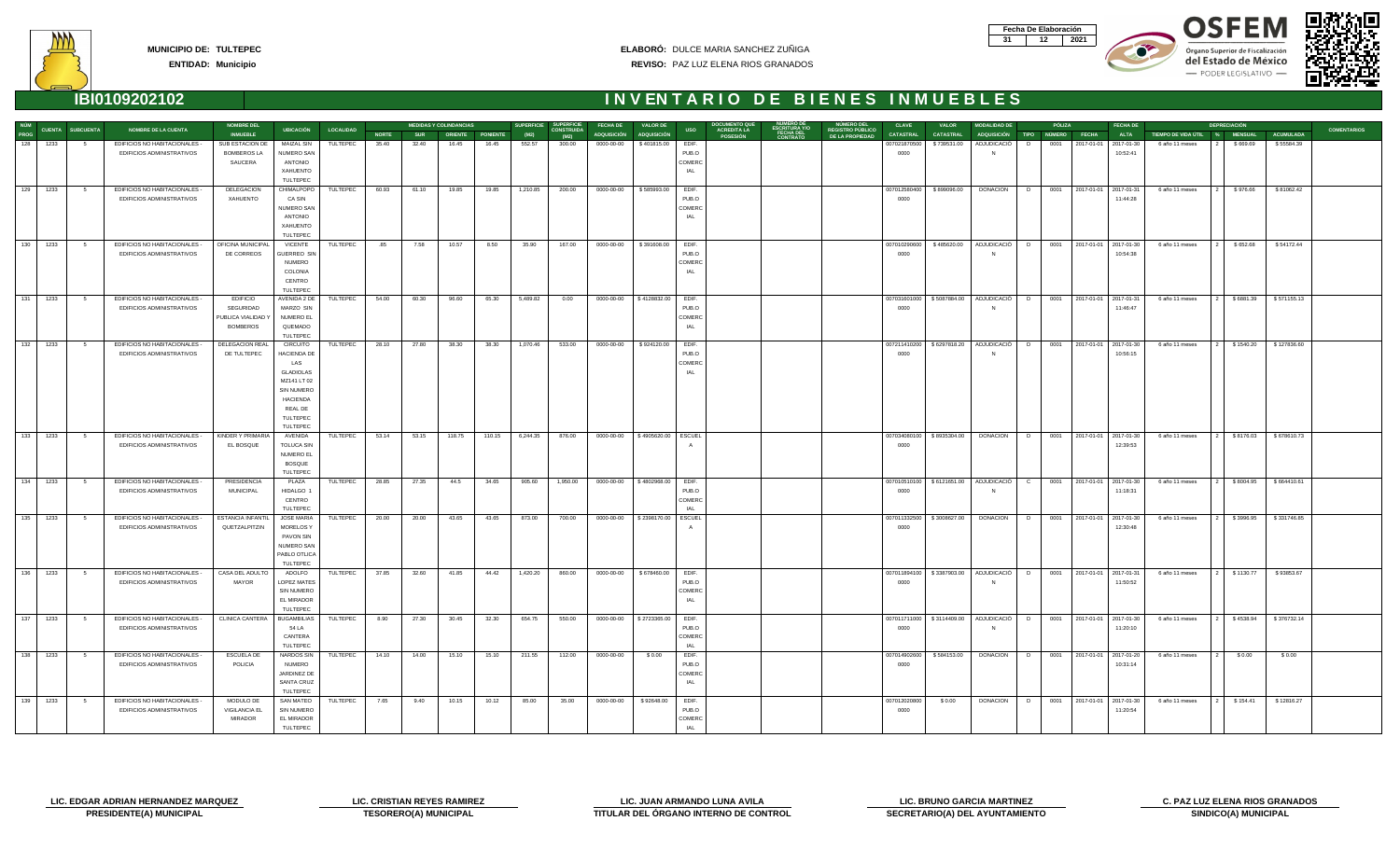| Fecha De Elaboración |  |
|----------------------|--|
|                      |  |



OSEEM

Órgano Superior de Fiscalización del Estado de México - PODER LEGISLATIVO -





| NÚM          |            |                         |                                                            | <b>NOMBRE DEL</b>                        |                                       |                  |              |            | <b>MEDIDAS Y COLINDANCIAS</b> |        |          | SUPERFICIE SUPERFICIE     | <b>FECHA DE</b> | <b>VALOR DE</b>                 |                 | <b>DOCUMENTO QU</b>                   |                                                 | <b>NUMERO DEL</b>                          | <b>CLAVE</b>         | <b>VALOR</b>             | <b>MODALIDAD DE</b>                                                            |        | <b>PÓLIZA</b> |                            | <b>FECHA DE</b>                        |                               | <b>DEPRECIACIÓN</b> |                  |                    |
|--------------|------------|-------------------------|------------------------------------------------------------|------------------------------------------|---------------------------------------|------------------|--------------|------------|-------------------------------|--------|----------|---------------------------|-----------------|---------------------------------|-----------------|---------------------------------------|-------------------------------------------------|--------------------------------------------|----------------------|--------------------------|--------------------------------------------------------------------------------|--------|---------------|----------------------------|----------------------------------------|-------------------------------|---------------------|------------------|--------------------|
| PROG         |            | <b>CUENTA SUBCUENTA</b> | <b>NOMBRE DE LA CUENTA</b>                                 | <b>INMUEBLE</b>                          | <b>UBICACIÓN</b>                      | <b>LOCALIDAD</b> | <b>NORTE</b> | <b>SUR</b> | <b>ORIENTE PONIENTE</b>       |        | (M2)     | <b>CONSTRUIDA</b><br>(M2) |                 | ADQUISICIÓN ADQUISICIÓN         | <b>USO</b>      | <b>ACREDITA LA</b><br><b>POSESIÓN</b> | <b>ESCRITURA Y/O<br/>FECHA DEL<br/>CONTRATO</b> | <b>REGISTRO PÚBLICO</b><br>DE LA PROPIEDAD | <b>CATASTRAL</b>     | <b>CATASTRAL</b>         | ADQUISICIÓN TIPO NÚMERO FECHA                                                  |        |               |                            | <b>ALTA</b>                            | TIEMPO DE VIDA ÚTIL % MENSUAL |                     | <b>ACUMULADA</b> | <b>COMENTARIOS</b> |
| 128          | 1233       | - 5                     | EDIFICIOS NO HABITACIONALES -                              | SUB ESTACION DE                          | <b>MAIZAL SIN</b>                     | TULTEPEC         | 35.40        | 32.40      | 16.45                         | 16.45  | 552.57   | 300.00                    | 0000-00-00      | \$401815.00                     | EDIF.           |                                       |                                                 |                                            | 007021870500         | \$739531.00              | ADJUDICACIÓ                                                                    | D.     | 0001          | 2017-01-01 2017-01-30      |                                        | 6 año 11 meses                | \$669.69            | \$55584.39       |                    |
|              |            |                         | EDIFICIOS ADMINISTRATIVOS                                  | <b>BOMBEROS LA</b><br>SAUCERA            | <b>NUMERO SAN</b><br>ANTONIO          |                  |              |            |                               |        |          |                           |                 |                                 | PUB.O<br>COMERC |                                       |                                                 |                                            | 0000                 |                          | <b>N</b>                                                                       |        |               |                            | 10:52:41                               |                               |                     |                  |                    |
|              |            |                         |                                                            |                                          | XAHUENTO                              |                  |              |            |                               |        |          |                           |                 |                                 | IAL             |                                       |                                                 |                                            |                      |                          |                                                                                |        |               |                            |                                        |                               |                     |                  |                    |
|              |            |                         |                                                            |                                          | <b>TULTEPEC</b>                       |                  |              |            |                               |        |          |                           |                 |                                 |                 |                                       |                                                 |                                            |                      |                          |                                                                                |        |               |                            |                                        |                               |                     |                  |                    |
|              | 129 1233   | 5 <sub>5</sub>          | EDIFICIOS NO HABITACIONALES                                | <b>DELEGACION</b>                        | CHIMALPOPO                            | TULTEPEC         | 60.93        | 61.10      | 19.85                         | 19.85  | 1,210.85 | 200.00                    | 0000-00-00      | \$585993.00                     | EDIF.           |                                       |                                                 |                                            | 007012580400         | \$899096.00              | <b>DONACION</b>                                                                | D      |               | 0001 2017-01-01 2017-01-31 |                                        | 6 año 11 meses                | \$976.66            | \$81062.42       |                    |
|              |            |                         | EDIFICIOS ADMINISTRATIVOS                                  | <b>XAHUENTO</b>                          | CA SIN<br><b>NUMERO SAN</b>           |                  |              |            |                               |        |          |                           |                 |                                 | PUB.O<br>COMERC |                                       |                                                 |                                            | 0000                 |                          |                                                                                |        |               |                            | 11:44:28                               |                               |                     |                  |                    |
|              |            |                         |                                                            |                                          | ANTONIO                               |                  |              |            |                               |        |          |                           |                 |                                 | IAL             |                                       |                                                 |                                            |                      |                          |                                                                                |        |               |                            |                                        |                               |                     |                  |                    |
|              |            |                         |                                                            |                                          | XAHUENTO                              |                  |              |            |                               |        |          |                           |                 |                                 |                 |                                       |                                                 |                                            |                      |                          |                                                                                |        |               |                            |                                        |                               |                     |                  |                    |
|              |            |                         |                                                            |                                          | <b>TULTEPEC</b>                       |                  |              |            |                               |        |          |                           |                 |                                 |                 |                                       |                                                 |                                            |                      |                          |                                                                                |        |               |                            |                                        |                               |                     |                  |                    |
| 130          | 1233       | $5^{\circ}$             | EDIFICIOS NO HABITACIONALES -<br>EDIFICIOS ADMINISTRATIVOS | OFICINA MUNICIPAL<br>DE CORREOS          | <b>VICENTE</b><br>SUERREO SIN         | TULTEPEC         | .85          | 7.58       | 10.57                         | 8.50   | 35.90    | 167.00                    | 0000-00-00      | \$391608.00                     | EDIF.<br>PUB.O  |                                       |                                                 |                                            | 007010290600<br>0000 | \$485620.00              | ADJUDICACIÓ D<br><b>N</b>                                                      |        |               |                            | 0001 2017-01-01 2017-01-30<br>10:54:38 | 6 año 11 meses                | \$652.68            | \$54172.44       |                    |
|              |            |                         |                                                            |                                          | <b>NUMERO</b>                         |                  |              |            |                               |        |          |                           |                 |                                 | COMERC          |                                       |                                                 |                                            |                      |                          |                                                                                |        |               |                            |                                        |                               |                     |                  |                    |
|              |            |                         |                                                            |                                          | COLONIA                               |                  |              |            |                               |        |          |                           |                 |                                 | IAL             |                                       |                                                 |                                            |                      |                          |                                                                                |        |               |                            |                                        |                               |                     |                  |                    |
|              |            |                         |                                                            |                                          | CENTRO                                |                  |              |            |                               |        |          |                           |                 |                                 |                 |                                       |                                                 |                                            |                      |                          |                                                                                |        |               |                            |                                        |                               |                     |                  |                    |
| 131          |            |                         |                                                            |                                          | <b>TULTEPEC</b>                       |                  |              |            |                               |        |          |                           |                 |                                 |                 |                                       |                                                 |                                            |                      |                          |                                                                                |        |               |                            |                                        |                               |                     |                  |                    |
|              | 1233       | 5                       | EDIFICIOS NO HABITACIONALES -<br>EDIFICIOS ADMINISTRATIVOS | <b>EDIFICIO</b><br>SEGURIDAD             | AVENIDA 2 DE<br>MARZO SIN             | TULTEPEC         | 54.00        | 60.30      | 96.60                         | 65.30  | 5,489.82 | 0.00                      | 0000-00-00      | \$4128832.00                    | EDIF.<br>PUB.O  |                                       |                                                 |                                            | 007031601000<br>0000 | \$5087884.00             | ADJUDICACIÓ<br>N                                                               | $\Box$ |               | 0001 2017-01-01 2017-01-31 | 11:46:47                               | 6 año 11 meses                | \$6881.39           | \$571155.13      |                    |
|              |            |                         |                                                            | PUBLICA VIALIDAD \                       | NUMERO EL                             |                  |              |            |                               |        |          |                           |                 |                                 | COMERC          |                                       |                                                 |                                            |                      |                          |                                                                                |        |               |                            |                                        |                               |                     |                  |                    |
|              |            |                         |                                                            | <b>BOMBEROS</b>                          | QUEMADO                               |                  |              |            |                               |        |          |                           |                 |                                 | IAL             |                                       |                                                 |                                            |                      |                          |                                                                                |        |               |                            |                                        |                               |                     |                  |                    |
|              | $132$ 1233 |                         |                                                            |                                          | TULTEPEC                              |                  |              |            |                               |        |          |                           |                 |                                 |                 |                                       |                                                 |                                            |                      |                          |                                                                                |        |               |                            |                                        |                               |                     |                  |                    |
|              |            | 5                       | EDIFICIOS NO HABITACIONALES -<br>EDIFICIOS ADMINISTRATIVOS | DELEGACION REAL<br>DE TULTEPEC           | <b>CIRCUITO</b><br><b>HACIENDA DE</b> | TULTEPEC         | 28.10        | 27.80      | 38.30                         | 38.30  | 1,070.46 | 533.00                    | 0000-00-00      | \$924120.00                     | EDIF.<br>PUB.O  |                                       |                                                 |                                            | 007211410200<br>0000 | \$6297818.20             | ADJUDICACIÓ   D<br>N                                                           |        |               |                            | 0001 2017-01-01 2017-01-30<br>10:56:15 | 6 año 11 meses                | 2 \$1540.20         | \$127836.60      |                    |
|              |            |                         |                                                            |                                          | LAS                                   |                  |              |            |                               |        |          |                           |                 |                                 | <b>COMERO</b>   |                                       |                                                 |                                            |                      |                          |                                                                                |        |               |                            |                                        |                               |                     |                  |                    |
|              |            |                         |                                                            |                                          | <b>GLADIOLAS</b>                      |                  |              |            |                               |        |          |                           |                 |                                 | IAL             |                                       |                                                 |                                            |                      |                          |                                                                                |        |               |                            |                                        |                               |                     |                  |                    |
|              |            |                         |                                                            |                                          | MZ141 LT 02                           |                  |              |            |                               |        |          |                           |                 |                                 |                 |                                       |                                                 |                                            |                      |                          |                                                                                |        |               |                            |                                        |                               |                     |                  |                    |
|              |            |                         |                                                            |                                          | <b>SIN NUMERO</b><br><b>HACIENDA</b>  |                  |              |            |                               |        |          |                           |                 |                                 |                 |                                       |                                                 |                                            |                      |                          |                                                                                |        |               |                            |                                        |                               |                     |                  |                    |
|              |            |                         |                                                            |                                          | REAL DE                               |                  |              |            |                               |        |          |                           |                 |                                 |                 |                                       |                                                 |                                            |                      |                          |                                                                                |        |               |                            |                                        |                               |                     |                  |                    |
|              |            |                         |                                                            |                                          | TULTEPEC                              |                  |              |            |                               |        |          |                           |                 |                                 |                 |                                       |                                                 |                                            |                      |                          |                                                                                |        |               |                            |                                        |                               |                     |                  |                    |
| 133          |            |                         |                                                            |                                          | <b>TULTEPEC</b>                       |                  |              |            |                               |        |          |                           |                 |                                 |                 |                                       |                                                 |                                            |                      |                          |                                                                                |        |               |                            |                                        |                               |                     |                  |                    |
|              | 1233       | 5 <sub>5</sub>          | EDIFICIOS NO HABITACIONALES -<br>EDIFICIOS ADMINISTRATIVOS | KINDER Y PRIMARIA<br>EL BOSQUE           | AVENIDA<br>TOLUCA SIN                 | TULTEPEC         | 53.14        | 53.15      | 118.75                        | 110.15 | 6,244.35 | 876.00                    | 0000-00-00      | \$4905620.00                    | ESCUEL          |                                       |                                                 |                                            | 007034080100<br>0000 | \$8935304.00             | <b>DONACION</b>                                                                | D      |               |                            | 0001 2017-01-01 2017-01-30<br>12:39:53 | 6 año 11 meses                | \$8176.03           | \$678610.73      |                    |
|              |            |                         |                                                            |                                          | NUMERO EL                             |                  |              |            |                               |        |          |                           |                 |                                 |                 |                                       |                                                 |                                            |                      |                          |                                                                                |        |               |                            |                                        |                               |                     |                  |                    |
|              |            |                         |                                                            |                                          | <b>BOSQUE</b>                         |                  |              |            |                               |        |          |                           |                 |                                 |                 |                                       |                                                 |                                            |                      |                          |                                                                                |        |               |                            |                                        |                               |                     |                  |                    |
| 134          |            |                         |                                                            |                                          | TULTEPEC                              |                  |              |            |                               |        |          |                           |                 |                                 |                 |                                       |                                                 |                                            |                      |                          |                                                                                |        |               |                            |                                        |                               |                     |                  |                    |
|              | 1233       | $5^{\circ}$             | EDIFICIOS NO HABITACIONALES -<br>EDIFICIOS ADMINISTRATIVOS | PRESIDENCIA<br>MUNICIPAL                 | PLAZA<br>HIDALGO 1                    | TULTEPEC         | 28.85        | 27.35      | 44.5                          | 34.65  | 905.60   | 1,950.00                  | 0000-00-00      | \$4802968.00                    | EDIF.<br>PUB.O  |                                       |                                                 |                                            | 007010510100<br>0000 | \$6121651.00             | ADJUDICACIÓ   C<br>N                                                           |        |               |                            | 0001 2017-01-01 2017-01-30<br>11:18:31 | 6 año 11 meses                | 2   \$8004.95       | \$664410.61      |                    |
|              |            |                         |                                                            |                                          | CENTRO                                |                  |              |            |                               |        |          |                           |                 |                                 | COMERC          |                                       |                                                 |                                            |                      |                          |                                                                                |        |               |                            |                                        |                               |                     |                  |                    |
|              |            |                         |                                                            |                                          | TULTEPEC                              |                  |              |            |                               |        |          |                           |                 |                                 | <b>JAL</b>      |                                       |                                                 |                                            |                      |                          |                                                                                |        |               |                            |                                        |                               |                     |                  |                    |
| 135          | 1233       | $5^{\circ}$             | EDIFICIOS NO HABITACIONALES -                              | <b>ESTANCIA INFANTIL</b>                 | JOSE MARIA                            | TULTEPEC         | 20.00        | 20.00      | 43.65                         | 43.65  | 873.00   | 700.00                    | 0000-00-00      | \$2398170.00                    | <b>ESCUEL</b>   |                                       |                                                 |                                            | 007011332500         | \$3008627.00             | <b>DONACION</b>                                                                | D      |               | 0001 2017-01-01 2017-01-30 |                                        | 6 año 11 meses                | 2   \$3996.95       | \$331746.85      |                    |
|              |            |                         | EDIFICIOS ADMINISTRATIVOS                                  | QUETZALPITZIN                            | MORELOS Y<br>PAVON SIN                |                  |              |            |                               |        |          |                           |                 |                                 |                 |                                       |                                                 |                                            | 0000                 |                          |                                                                                |        |               |                            | 12:30:48                               |                               |                     |                  |                    |
|              |            |                         |                                                            |                                          | <b>NUMERO SAN</b>                     |                  |              |            |                               |        |          |                           |                 |                                 |                 |                                       |                                                 |                                            |                      |                          |                                                                                |        |               |                            |                                        |                               |                     |                  |                    |
|              |            |                         |                                                            |                                          | PABLO OTLICA                          |                  |              |            |                               |        |          |                           |                 |                                 |                 |                                       |                                                 |                                            |                      |                          |                                                                                |        |               |                            |                                        |                               |                     |                  |                    |
|              |            |                         |                                                            |                                          | TULTEPEC                              |                  |              |            |                               |        |          |                           |                 |                                 |                 |                                       |                                                 |                                            |                      |                          |                                                                                |        |               |                            |                                        |                               |                     |                  |                    |
|              | 136 1233   | $5^{\circ}$             | EDIFICIOS NO HABITACIONALES -<br>EDIFICIOS ADMINISTRATIVOS | CASA DEL ADULTO<br>MAYOR                 | ADOLFO<br>LOPEZ MATES                 | TULTEPEC         | 37.85        | 32.60      | 41.85                         | 44.42  | 1,420.20 | 860.00                    | 0000-00-00      | \$678460.00                     | EDIF.<br>PUB.O  |                                       |                                                 |                                            | 007011894100<br>0000 | \$3387903.00             | ADJUDICACIÓ   D<br>N                                                           |        |               | 0001 2017-01-01 2017-01-31 | 11:50:52                               | 6 año 11 meses                | 2 \$1130.77         | \$93853.67       |                    |
|              |            |                         |                                                            |                                          | SIN NUMERO                            |                  |              |            |                               |        |          |                           |                 |                                 | COMERC          |                                       |                                                 |                                            |                      |                          |                                                                                |        |               |                            |                                        |                               |                     |                  |                    |
|              |            |                         |                                                            |                                          | EL MIRADOR                            |                  |              |            |                               |        |          |                           |                 |                                 | IAL             |                                       |                                                 |                                            |                      |                          |                                                                                |        |               |                            |                                        |                               |                     |                  |                    |
|              |            |                         |                                                            |                                          | TULTEPEC                              |                  |              |            |                               |        |          |                           |                 |                                 |                 |                                       |                                                 |                                            |                      |                          |                                                                                |        |               |                            |                                        |                               |                     |                  |                    |
|              | 137 1233   | $5^{\circ}$             | EDIFICIOS NO HABITACIONALES -                              | CLINICA CANTERA   BUGAMBILIAS   TULTEPEC |                                       |                  | 8.90         | 27.30      | 30.45                         | 32.30  | 654.75   | 550.00                    |                 | 0000-00-00   \$2723365.00 EDIF. |                 |                                       |                                                 |                                            |                      |                          | 007011711000   \$3114409.00   ADJUDICACIÓ   D   0001   2017-01-01   2017-01-30 |        |               |                            |                                        | 6 año 11 meses                |                     |                  |                    |
|              |            |                         | EDIFICIOS ADMINISTRATIVOS                                  |                                          | 54 LA<br>CANTERA                      |                  |              |            |                               |        |          |                           |                 |                                 | PUB.O<br>COMERC |                                       |                                                 |                                            | 0000                 |                          | N                                                                              |        |               |                            | 11:20:10                               |                               |                     |                  |                    |
|              |            |                         |                                                            |                                          | TULTEPEC                              |                  |              |            |                               |        |          |                           |                 |                                 | IAL             |                                       |                                                 |                                            |                      |                          |                                                                                |        |               |                            |                                        |                               |                     |                  |                    |
| 138          | 1233       | $5^{\circ}$             | EDIFICIOS NO HABITACIONALES -                              | ESCUELA DE                               | NARDOS SIN                            | TULTEPEC         | 14.10        | 14.00      | 15.10                         | 15.10  | 211.55   | 112.00                    | 0000-00-00      | \$0.00                          | EDIF.           |                                       |                                                 |                                            |                      | 007014902600 \$584153.00 | DONACION   D   0001   2017-01-01   2017-01-20                                  |        |               |                            |                                        | 6 año 11 meses                | \$0.00              | \$0.00           |                    |
|              |            |                         | EDIFICIOS ADMINISTRATIVOS                                  | POLICIA                                  | <b>NUMERO</b>                         |                  |              |            |                               |        |          |                           |                 |                                 | PUB.O           |                                       |                                                 |                                            | 0000                 |                          |                                                                                |        |               |                            | 10:31:14                               |                               |                     |                  |                    |
|              |            |                         |                                                            |                                          | JARDINEZ DE<br>SANTA CRUZ             |                  |              |            |                               |        |          |                           |                 |                                 | COMERC<br>IAL   |                                       |                                                 |                                            |                      |                          |                                                                                |        |               |                            |                                        |                               |                     |                  |                    |
|              |            |                         |                                                            |                                          | TULTEPEC                              |                  |              |            |                               |        |          |                           |                 |                                 |                 |                                       |                                                 |                                            |                      |                          |                                                                                |        |               |                            |                                        |                               |                     |                  |                    |
| $\lceil$ 139 | 1233       | $5^{\circ}$             | EDIFICIOS NO HABITACIONALES -                              | MODULO DE                                | <b>SAN MATEO</b>                      | TULTEPEC         | 7.65         | 9.40       | 10.15                         | 10.12  | 85.00    | 35.00                     |                 | 0000-00-00 \$92648.00           | EDIF.           |                                       |                                                 |                                            | 007012020800         | \$0.00                   | DONACION D                                                                     |        |               |                            | 0001 2017-01-01 2017-01-30             | 6 año 11 meses                | 2   \$154.41        | \$12816.27       |                    |
|              |            |                         | EDIFICIOS ADMINISTRATIVOS                                  | VIGILANCIA EL                            | SIN NUMERO                            |                  |              |            |                               |        |          |                           |                 |                                 | PUB.O           |                                       |                                                 |                                            | 0000                 |                          |                                                                                |        |               |                            | 11:20:54                               |                               |                     |                  |                    |
|              |            |                         |                                                            | MIRADOR                                  | EL MIRADOR<br>TULTEPEC                |                  |              |            |                               |        |          |                           |                 |                                 | COMERC<br>IAL   |                                       |                                                 |                                            |                      |                          |                                                                                |        |               |                            |                                        |                               |                     |                  |                    |
|              |            |                         |                                                            |                                          |                                       |                  |              |            |                               |        |          |                           |                 |                                 |                 |                                       |                                                 |                                            |                      |                          |                                                                                |        |               |                            |                                        |                               |                     |                  |                    |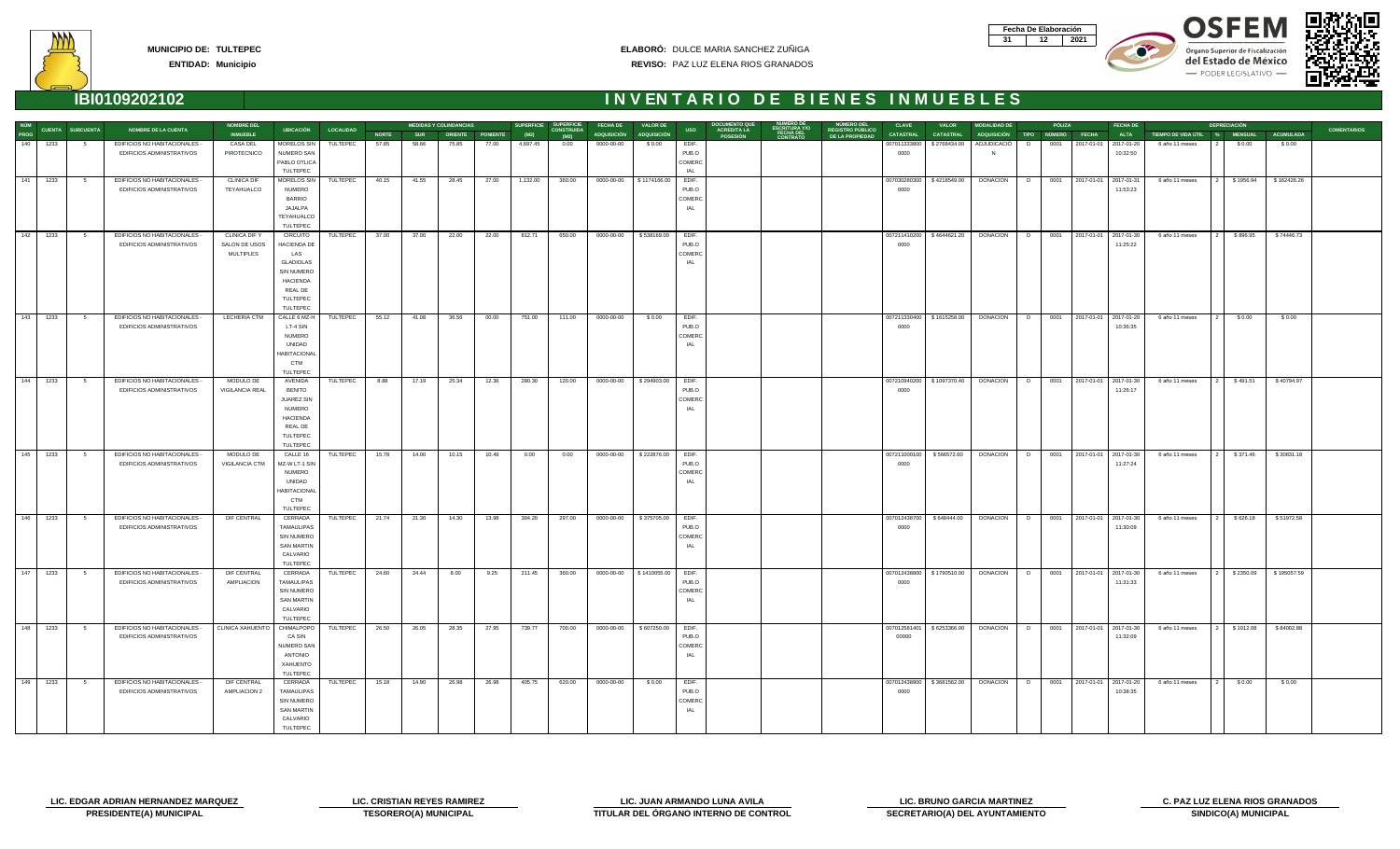| Fecha De Elaboración |  |
|----------------------|--|
|                      |  |









| NÚM           |          |                         |                                                            | <b>NOMBRE DEL</b>                 |                                        |                  |              |            | <b>MEDIDAS Y COLINDANCIAS</b> |       |          | SUPERFICIE SUPERFICIE     | <b>FECHA DE</b>          | <b>VALOR DE</b>           |                 | <b>DOCUMENTO QUI</b>                  |                                                 | <b>NUMERO DEL</b>                          | <b>CLAVE</b>     | <b>VALOR</b>                | <b>MODALIDAD DE</b>                           |    | PÓLIZA |                              | <b>FECHA DE</b> |                       | <b>DEPRECIACIÓN</b>              |                  |                    |
|---------------|----------|-------------------------|------------------------------------------------------------|-----------------------------------|----------------------------------------|------------------|--------------|------------|-------------------------------|-------|----------|---------------------------|--------------------------|---------------------------|-----------------|---------------------------------------|-------------------------------------------------|--------------------------------------------|------------------|-----------------------------|-----------------------------------------------|----|--------|------------------------------|-----------------|-----------------------|----------------------------------|------------------|--------------------|
| PROG          |          | <b>CUENTA SUBCUENTA</b> | <b>NOMBRE DE LA CUENTA</b>                                 | <b>INMUEBLE</b>                   | <b>UBICACIÓN</b>                       | <b>LOCALIDAD</b> | <b>NORTE</b> | <b>SUR</b> | ORIENTE PONIENTE              |       | (M2)     | <b>CONSTRUIDA</b><br>(M2) | ADQUISICIÓN ADQUISICIÓN  |                           | <b>USO</b>      | <b>ACREDITA LA</b><br><b>POSESIÓN</b> | <b>ESCRITURA Y/O<br/>FECHA DEL<br/>CONTRATO</b> | <b>REGISTRO PÚBLICO</b><br>DE LA PROPIEDAD | <b>CATASTRAL</b> | <b>CATASTRAL</b>            | ADQUISICIÓN TIPO NÚMERO FECHA                 |    |        |                              | <b>ALTA</b>     | TIEMPO DE VIDA ÚTIL % | <b>MENSUAL</b>                   | <b>ACUMULADA</b> | <b>COMENTARIOS</b> |
| 140           | 1233     | - 5                     | EDIFICIOS NO HABITACIONALES -                              | CASA DEL                          | MORELOS SIN                            | TULTEPEC         | 57.85        | 58.66      | 75.85                         | 77.00 | 4,697.45 | 0.00                      | 0000-00-00               | \$0.00                    | EDIF.           |                                       |                                                 |                                            | 007011333800     | \$2768434.00                | ADJUDICACIÓ                                   | D. | 0001   | 2017-01-01 2017-01-20        |                 | 6 año 11 meses        | \$0.00                           | \$0.00           |                    |
|               |          |                         | EDIFICIOS ADMINISTRATIVOS                                  | PIROTECNICO                       | NUMERO SAN                             |                  |              |            |                               |       |          |                           |                          |                           | PUB.O<br>COMERC |                                       |                                                 |                                            | 0000             |                             |                                               |    |        |                              | 10:32:50        |                       |                                  |                  |                    |
|               |          |                         |                                                            |                                   | PABLO OTLICA<br>TULTEPEC               |                  |              |            |                               |       |          |                           |                          |                           | IAL             |                                       |                                                 |                                            |                  |                             |                                               |    |        |                              |                 |                       |                                  |                  |                    |
|               | 141 1233 | $5^{\circ}$             | EDIFICIOS NO HABITACIONALES -                              | <b>CLINICA DIF</b>                | MORELOS SIN                            | TULTEPEC         | 40.15        | 41.55      | 28.45                         | 27.00 | 1,132.00 | 360.00                    |                          | 0000-00-00   \$1174166.00 | EDIF.           |                                       |                                                 |                                            | 007030280300     | \$4218549.00                | <b>DONACION</b>                               | D  |        | 0001 2017-01-01 2017-01-31   |                 | 6 año 11 meses        | 2   \$1956.94                    | \$162426.26      |                    |
|               |          |                         | EDIFICIOS ADMINISTRATIVOS                                  | TEYAHUALCO                        | <b>NUMERO</b>                          |                  |              |            |                               |       |          |                           |                          |                           | PUB.O           |                                       |                                                 |                                            | 0000             |                             |                                               |    |        |                              | 11:53:23        |                       |                                  |                  |                    |
|               |          |                         |                                                            |                                   | <b>BARRIO</b>                          |                  |              |            |                               |       |          |                           |                          |                           | COMERC          |                                       |                                                 |                                            |                  |                             |                                               |    |        |                              |                 |                       |                                  |                  |                    |
|               |          |                         |                                                            |                                   | JAJALPA                                |                  |              |            |                               |       |          |                           |                          |                           | IAL             |                                       |                                                 |                                            |                  |                             |                                               |    |        |                              |                 |                       |                                  |                  |                    |
|               |          |                         |                                                            |                                   | TEYAHUALCO                             |                  |              |            |                               |       |          |                           |                          |                           |                 |                                       |                                                 |                                            |                  |                             |                                               |    |        |                              |                 |                       |                                  |                  |                    |
|               |          |                         |                                                            |                                   | TULTEPEC                               |                  |              |            |                               |       |          |                           |                          |                           |                 |                                       |                                                 |                                            |                  |                             |                                               |    |        |                              |                 |                       |                                  |                  |                    |
|               | 142 1233 | $5^{\circ}$             | EDIFICIOS NO HABITACIONALES -                              | CLINICA DIF Y                     | CIRCUITO                               | TULTEPEC         | 37.00        | 37.00      | 22.00                         | 22.00 | 812.71   | 650.00                    | 0000-00-00               | \$538169.00               | EDIF.           |                                       |                                                 |                                            | 007211410200     | \$4644621.20                | <b>DONACION</b>                               |    |        | D 0001 2017-01-01 2017-01-30 |                 | 6 año 11 meses        | \$896.95<br>l 2 I                | \$74446.73       |                    |
|               |          |                         | EDIFICIOS ADMINISTRATIVOS                                  | SALON DE USOS<br><b>MULTIPLES</b> | HACIENDA DE<br>LAS                     |                  |              |            |                               |       |          |                           |                          |                           | PUB.O<br>COMERC |                                       |                                                 |                                            | 0000             |                             |                                               |    |        |                              | 11:25:22        |                       |                                  |                  |                    |
|               |          |                         |                                                            |                                   | <b>GLADIOLAS</b>                       |                  |              |            |                               |       |          |                           |                          |                           | IAL             |                                       |                                                 |                                            |                  |                             |                                               |    |        |                              |                 |                       |                                  |                  |                    |
|               |          |                         |                                                            |                                   | SIN NUMERO                             |                  |              |            |                               |       |          |                           |                          |                           |                 |                                       |                                                 |                                            |                  |                             |                                               |    |        |                              |                 |                       |                                  |                  |                    |
|               |          |                         |                                                            |                                   | <b>HACIENDA</b>                        |                  |              |            |                               |       |          |                           |                          |                           |                 |                                       |                                                 |                                            |                  |                             |                                               |    |        |                              |                 |                       |                                  |                  |                    |
|               |          |                         |                                                            |                                   | REAL DE                                |                  |              |            |                               |       |          |                           |                          |                           |                 |                                       |                                                 |                                            |                  |                             |                                               |    |        |                              |                 |                       |                                  |                  |                    |
|               |          |                         |                                                            |                                   | TULTEPEC                               |                  |              |            |                               |       |          |                           |                          |                           |                 |                                       |                                                 |                                            |                  |                             |                                               |    |        |                              |                 |                       |                                  |                  |                    |
|               |          |                         |                                                            |                                   | TULTEPEC                               |                  |              |            |                               |       |          |                           |                          |                           |                 |                                       |                                                 |                                            |                  |                             |                                               |    |        |                              |                 |                       |                                  |                  |                    |
|               | 143 1233 | $5^{\circ}$             | EDIFICIOS NO HABITACIONALES -<br>EDIFICIOS ADMINISTRATIVOS | <b>LECHERIA CTM</b>               | CALLE 6 MZ-H<br>LT-4 SIN               | TULTEPEC         | 55.12        | 41.08      | 36.56                         | 00.00 | 751.00   | 111.00                    | 0000-00-00               | \$0.00                    | EDIF.<br>PUB.O  |                                       |                                                 |                                            |                  | 007211330400   \$1615258.00 | <b>DONACION</b>                               | D  |        | 0001 2017-01-01 2017-01-20   | 10:36:35        | 6 año 11 meses        | \$0.00                           | \$0.00           |                    |
|               |          |                         |                                                            |                                   | <b>NUMERO</b>                          |                  |              |            |                               |       |          |                           |                          |                           | COMERC          |                                       |                                                 |                                            | 0000             |                             |                                               |    |        |                              |                 |                       |                                  |                  |                    |
|               |          |                         |                                                            |                                   | UNIDAD                                 |                  |              |            |                               |       |          |                           |                          |                           | IAL             |                                       |                                                 |                                            |                  |                             |                                               |    |        |                              |                 |                       |                                  |                  |                    |
|               |          |                         |                                                            |                                   | <b>HABITACIONAI</b>                    |                  |              |            |                               |       |          |                           |                          |                           |                 |                                       |                                                 |                                            |                  |                             |                                               |    |        |                              |                 |                       |                                  |                  |                    |
|               |          |                         |                                                            |                                   | <b>CTM</b>                             |                  |              |            |                               |       |          |                           |                          |                           |                 |                                       |                                                 |                                            |                  |                             |                                               |    |        |                              |                 |                       |                                  |                  |                    |
|               |          |                         |                                                            |                                   | <b>TULTEPEC</b>                        |                  |              |            |                               |       |          |                           |                          |                           |                 |                                       |                                                 |                                            |                  |                             |                                               |    |        |                              |                 |                       |                                  |                  |                    |
| 144           | 1233     | 5 <sub>5</sub>          | EDIFICIOS NO HABITACIONALES -                              | MODULO DE                         | AVENIDA                                | TULTEPEC         | 8.88         | 17.19      | 25.34                         | 12.36 | 280.30   | 120.00                    | 0000-00-00               | \$294903.00               | EDIF.           |                                       |                                                 |                                            | 007210940200     | \$1097370.40                | <b>DONACION</b>                               | D  |        | 0001 2017-01-01 2017-01-30   |                 | 6 año 11 meses        | \$491.51                         | \$40794.97       |                    |
|               |          |                         | EDIFICIOS ADMINISTRATIVOS                                  | VIGILANCIA REAL                   | <b>BENITO</b><br>JUAREZ SIN            |                  |              |            |                               |       |          |                           |                          |                           | PUB.O<br>COMERC |                                       |                                                 |                                            | 0000             |                             |                                               |    |        |                              | 11:26:17        |                       |                                  |                  |                    |
|               |          |                         |                                                            |                                   | <b>NUMERO</b>                          |                  |              |            |                               |       |          |                           |                          |                           | IAL             |                                       |                                                 |                                            |                  |                             |                                               |    |        |                              |                 |                       |                                  |                  |                    |
|               |          |                         |                                                            |                                   | <b>HACIENDA</b>                        |                  |              |            |                               |       |          |                           |                          |                           |                 |                                       |                                                 |                                            |                  |                             |                                               |    |        |                              |                 |                       |                                  |                  |                    |
|               |          |                         |                                                            |                                   | REAL DE                                |                  |              |            |                               |       |          |                           |                          |                           |                 |                                       |                                                 |                                            |                  |                             |                                               |    |        |                              |                 |                       |                                  |                  |                    |
|               |          |                         |                                                            |                                   | TULTEPEC                               |                  |              |            |                               |       |          |                           |                          |                           |                 |                                       |                                                 |                                            |                  |                             |                                               |    |        |                              |                 |                       |                                  |                  |                    |
|               |          |                         |                                                            |                                   | TULTEPEC                               |                  |              |            |                               |       |          |                           |                          |                           |                 |                                       |                                                 |                                            |                  |                             |                                               |    |        |                              |                 |                       |                                  |                  |                    |
|               | 145 1233 | $5^{\circ}$             | EDIFICIOS NO HABITACIONALES -                              | MODULO DE                         | CALLE 16                               | TULTEPEC         | 15.78        | 14.00      | 10.15                         | 10.49 | 0.00     | 0.00                      | 0000-00-00               | \$222876.00               | EDIF.           |                                       |                                                 |                                            | 007211000100     | \$566572.60                 | DONACION   D 0001 2017-01-01 2017-01-30       |    |        |                              |                 | 6 año 11 meses        | 2 \$371.46                       | \$30831.18       |                    |
|               |          |                         | EDIFICIOS ADMINISTRATIVOS                                  | VIGILANCIA CTM                    | MZ-W LT-1 SIN<br><b>NUMERO</b>         |                  |              |            |                               |       |          |                           |                          |                           | PUB.O<br>COMERC |                                       |                                                 |                                            | 0000             |                             |                                               |    |        |                              | 11:27:24        |                       |                                  |                  |                    |
|               |          |                         |                                                            |                                   | UNIDAD                                 |                  |              |            |                               |       |          |                           |                          |                           | IAL             |                                       |                                                 |                                            |                  |                             |                                               |    |        |                              |                 |                       |                                  |                  |                    |
|               |          |                         |                                                            |                                   | <b>HABITACIONAI</b>                    |                  |              |            |                               |       |          |                           |                          |                           |                 |                                       |                                                 |                                            |                  |                             |                                               |    |        |                              |                 |                       |                                  |                  |                    |
|               |          |                         |                                                            |                                   | <b>CTM</b>                             |                  |              |            |                               |       |          |                           |                          |                           |                 |                                       |                                                 |                                            |                  |                             |                                               |    |        |                              |                 |                       |                                  |                  |                    |
|               |          |                         |                                                            |                                   | <b>TULTEPEC</b>                        |                  |              |            |                               |       |          |                           |                          |                           |                 |                                       |                                                 |                                            |                  |                             |                                               |    |        |                              |                 |                       |                                  |                  |                    |
| 146           | 1233     | 5 <sub>5</sub>          | EDIFICIOS NO HABITACIONALES -                              | DIF CENTRAL                       | CERRADA                                | TULTEPEC         | 21.74        | 21.30      | 14.30                         | 13.98 | 304.20   | 297.00                    | 0000-00-00               | \$375705.00               | EDIF.           |                                       |                                                 |                                            | 007012438700     | \$648444.00                 | <b>DONACION</b>                               |    |        | D 0001 2017-01-01 2017-01-30 |                 | 6 año 11 meses        | $\sqrt{2}$<br>\$626.18           | \$51972.58       |                    |
|               |          |                         | EDIFICIOS ADMINISTRATIVOS                                  |                                   | <b>TAMAULIPAS</b><br><b>SIN NUMERO</b> |                  |              |            |                               |       |          |                           |                          |                           | PUB.O<br>COMERC |                                       |                                                 |                                            | 0000             |                             |                                               |    |        |                              | 11:30:09        |                       |                                  |                  |                    |
|               |          |                         |                                                            |                                   | <b>SAN MARTIN</b>                      |                  |              |            |                               |       |          |                           |                          |                           | IAL             |                                       |                                                 |                                            |                  |                             |                                               |    |        |                              |                 |                       |                                  |                  |                    |
|               |          |                         |                                                            |                                   | CALVARIO                               |                  |              |            |                               |       |          |                           |                          |                           |                 |                                       |                                                 |                                            |                  |                             |                                               |    |        |                              |                 |                       |                                  |                  |                    |
|               |          |                         |                                                            |                                   | TULTEPEC                               |                  |              |            |                               |       |          |                           |                          |                           |                 |                                       |                                                 |                                            |                  |                             |                                               |    |        |                              |                 |                       |                                  |                  |                    |
|               | 147 1233 | 5                       | EDIFICIOS NO HABITACIONALES -                              | DIF CENTRAL                       | CERRADA                                | TULTEPEC         | 24.60        | 24.44      | 8.00                          | 9.25  | 211.45   | 360.00                    | 0000-00-00               | \$1410055.00              | EDIF.           |                                       |                                                 |                                            | 007012438800     | \$1790510.00                | DONACION                                      | D  |        | 0001 2017-01-01 2017-01-30   |                 | 6 año 11 meses        | \$2350.09                        | \$195057.59      |                    |
|               |          |                         | EDIFICIOS ADMINISTRATIVOS                                  | AMPLIACION                        | TAMAULIPAS                             |                  |              |            |                               |       |          |                           |                          |                           | PUB.O           |                                       |                                                 |                                            | 0000             |                             |                                               |    |        |                              | 11:31:33        |                       |                                  |                  |                    |
|               |          |                         |                                                            |                                   | SIN NUMERO                             |                  |              |            |                               |       |          |                           |                          |                           | COMERC          |                                       |                                                 |                                            |                  |                             |                                               |    |        |                              |                 |                       |                                  |                  |                    |
|               |          |                         |                                                            |                                   | SAN MARTIN<br>CALVARIO                 |                  |              |            |                               |       |          |                           |                          |                           | IAL             |                                       |                                                 |                                            |                  |                             |                                               |    |        |                              |                 |                       |                                  |                  |                    |
|               |          |                         |                                                            |                                   | TULTEPEC                               |                  |              |            |                               |       |          |                           |                          |                           |                 |                                       |                                                 |                                            |                  |                             |                                               |    |        |                              |                 |                       |                                  |                  |                    |
| $\boxed{148}$ | 1233     | 5                       | EDIFICIOS NO HABITACIONALES -                              | CLINICA XAHUENTO                  | CHIMALPOPO                             | TULTEPEC         | 26.50        | 26.05      | 28.35                         | 27.95 | 739.77   | 700.00                    | 0000-00-00   \$607250.00 |                           | EDIF.           |                                       |                                                 |                                            |                  | 007012581401   \$6253366.00 | DONACION   D 0001   2017-01-01   2017-01-30   |    |        |                              |                 | 6 año 11 meses        | 2 \ \ \$1012.08 \ \ \ \$84002.88 |                  |                    |
|               |          |                         | EDIFICIOS ADMINISTRATIVOS                                  |                                   | CA SIN                                 |                  |              |            |                               |       |          |                           |                          |                           | PUB.O           |                                       |                                                 |                                            | 00000            |                             |                                               |    |        |                              | 11:32:09        |                       |                                  |                  |                    |
|               |          |                         |                                                            |                                   | NUMERO SAN                             |                  |              |            |                               |       |          |                           |                          |                           | COMERC          |                                       |                                                 |                                            |                  |                             |                                               |    |        |                              |                 |                       |                                  |                  |                    |
|               |          |                         |                                                            |                                   | ANTONIO                                |                  |              |            |                               |       |          |                           |                          |                           | IAL             |                                       |                                                 |                                            |                  |                             |                                               |    |        |                              |                 |                       |                                  |                  |                    |
|               |          |                         |                                                            |                                   | XAHUENTO<br>TULTEPEC                   |                  |              |            |                               |       |          |                           |                          |                           |                 |                                       |                                                 |                                            |                  |                             |                                               |    |        |                              |                 |                       |                                  |                  |                    |
| 149           | 1233     | $5^{\circ}$             | EDIFICIOS NO HABITACIONALES -                              | DIF CENTRAL                       | CERRADA                                | TULTEPEC         | 15.18        | 14.90      | 26.98                         | 26.98 | 405.75   | 620.00                    | 0000-00-00               | \$0.00                    | EDIF.           |                                       |                                                 |                                            | 007012438900     | \$3681562.00                | DONACION   D   0001   2017-01-01   2017-01-20 |    |        |                              |                 | 6 año 11 meses        | \$0.00                           | \$0.00           |                    |
|               |          |                         | EDIFICIOS ADMINISTRATIVOS                                  | <b>AMPLIACION 2</b>               | <b>TAMAULIPAS</b>                      |                  |              |            |                               |       |          |                           |                          |                           | PUB.O           |                                       |                                                 |                                            | 0000             |                             |                                               |    |        |                              | 10:38:35        |                       |                                  |                  |                    |
|               |          |                         |                                                            |                                   | <b>SIN NUMERO</b>                      |                  |              |            |                               |       |          |                           |                          |                           | COMERC          |                                       |                                                 |                                            |                  |                             |                                               |    |        |                              |                 |                       |                                  |                  |                    |
|               |          |                         |                                                            |                                   | <b>SAN MARTIN</b>                      |                  |              |            |                               |       |          |                           |                          |                           | IAL             |                                       |                                                 |                                            |                  |                             |                                               |    |        |                              |                 |                       |                                  |                  |                    |
|               |          |                         |                                                            |                                   | CALVARIO                               |                  |              |            |                               |       |          |                           |                          |                           |                 |                                       |                                                 |                                            |                  |                             |                                               |    |        |                              |                 |                       |                                  |                  |                    |
|               |          |                         |                                                            |                                   | TULTEPEC                               |                  |              |            |                               |       |          |                           |                          |                           |                 |                                       |                                                 |                                            |                  |                             |                                               |    |        |                              |                 |                       |                                  |                  |                    |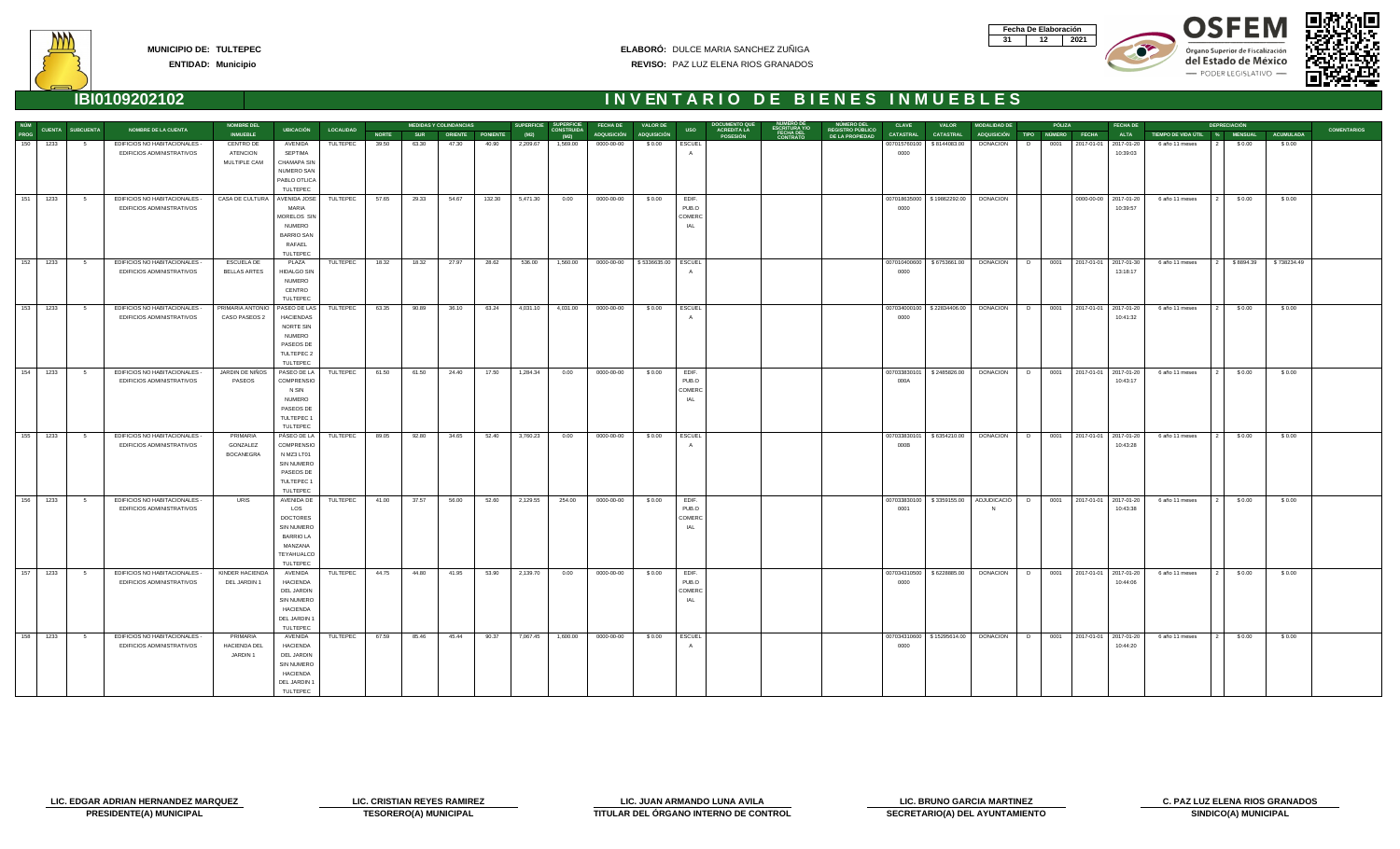| Fecha De Elaboración |     |
|----------------------|-----|
|                      | N91 |









| <b>NÚM</b>  |          |                         |                                                            | <b>NOMBRE DEL</b>                            |                                                                                                              |                  |              |            | <b>MEDIDAS Y COLINDANCIAS</b> |                  | <b>SUPERFICIE</b> | <b>SUPERFICIE</b>         | <b>FECHA DE</b> | <b>VALOR DE</b>    |                                        | <b>DOCUMENTO QU</b>                   |                       |                                                   | <b>CLAVE</b>         | <b>VALOR</b>                 | <b>MODALIDAD DE</b> |   | PÓLIZA        |                            | <b>FECHA DE</b> |                               | <b>DEPRECIACIÓN</b> |                  |                    |
|-------------|----------|-------------------------|------------------------------------------------------------|----------------------------------------------|--------------------------------------------------------------------------------------------------------------|------------------|--------------|------------|-------------------------------|------------------|-------------------|---------------------------|-----------------|--------------------|----------------------------------------|---------------------------------------|-----------------------|---------------------------------------------------|----------------------|------------------------------|---------------------|---|---------------|----------------------------|-----------------|-------------------------------|---------------------|------------------|--------------------|
| <b>PROG</b> |          | <b>CUENTA SUBCUENTA</b> | <b>NOMBRE DE LA CUENTA</b>                                 | <b>INMUEBLE</b>                              | <b>UBICACIÓN</b>                                                                                             | <b>LOCALIDAD</b> | <b>NORTE</b> | <b>SUR</b> |                               | ORIENTE PONIENTE | (M2)              | <b>CONSTRUIDA</b><br>(M2) | ADQUISICIÓN     | <b>ADQUISICIÓN</b> | <b>USO</b>                             | <b>ACREDITA LA</b><br><b>POSESIÓN</b> | FECHA DEL<br>CONTRATO | <b>REGISTRO PÚBLICO</b><br><b>DE LA PROPIEDAD</b> | <b>CATASTRAL</b>     | <b>CATASTRAL</b>             | ADQUISICIÓN TIPO    |   | <b>NÚMERO</b> | <b>FECHA</b>               | <b>ALTA</b>     | TIEMPO DE VIDA ÚTIL % MENSUAL |                     | <b>ACUMULADA</b> | <b>COMENTARIOS</b> |
| 150         | 1233     | 5                       | EDIFICIOS NO HABITACIONALES -<br>EDIFICIOS ADMINISTRATIVOS | CENTRO DE<br><b>ATENCION</b><br>MULTIPLE CAM | AVENIDA<br>SEPTIMA<br><b>CHAMAPA SIN</b><br>NUMERO SAN<br>PABLO OTLICA                                       | TULTEPEC         | 39.50        | 63.30      | 47.30                         | 40.90            | 2,209.67          | 1,569.00                  | 0000-00-00      | \$0.00             | <b>ESCUEL</b>                          |                                       |                       |                                                   | 007015760100<br>0000 | \$8144083.00                 | <b>DONACION</b>     | D |               | 0001 2017-01-01 2017-01-20 | 10:39:03        | 6 año 11 meses                | \$0.00              | \$0.00           |                    |
|             |          |                         |                                                            |                                              | TULTEPEC                                                                                                     |                  |              |            |                               |                  |                   |                           |                 |                    |                                        |                                       |                       |                                                   |                      |                              |                     |   |               |                            |                 |                               |                     |                  |                    |
| 151         | 1233     | $5^{\circ}$             | EDIFICIOS NO HABITACIONALES -<br>EDIFICIOS ADMINISTRATIVOS | CASA DE CULTURA                              | AVENIDA JOSE<br>MARIA<br>MORELOS SIN<br><b>NUMERO</b><br><b>BARRIO SAN</b><br>RAFAEL<br>TULTEPEC             | TULTEPEC         | 57.65        | 29.33      | 54.67                         | 132.30           | 5,471.30          | 0.00                      | 0000-00-00      | \$0.00             | EDIF.<br>PUB.O<br>COMERC<br>IAL        |                                       |                       |                                                   | 0000                 | 007018635000   \$19862292.00 | <b>DONACION</b>     |   |               | 0000-00-00 2017-01-20      | 10:39:57        | 6 año 11 meses                | \$0.00              | \$0.00           |                    |
| 152         | 1233     | $5^{\circ}$             | EDIFICIOS NO HABITACIONALES -<br>EDIFICIOS ADMINISTRATIVOS | ESCUELA DE<br><b>BELLAS ARTES</b>            | PLAZA<br><b>HIDALGO SIN</b><br><b>NUMERO</b><br>CENTRO<br>TULTEPEC                                           | TULTEPEC         | 18.32        | 18.32      | 27.97                         | 28.62            | 536.00            | 1,560.00                  | 0000-00-00      | \$5336635.00       | ESCUEL                                 |                                       |                       |                                                   | 007010400600<br>0000 | \$6753661.00                 | DONACION            | D |               | 0001 2017-01-01 2017-01-30 | 13:18:17        | 6 año 11 meses                | \$8894.39           | \$738234.49      |                    |
| 153         | 1233     | $5^{\circ}$             | EDIFICIOS NO HABITACIONALES -<br>EDIFICIOS ADMINISTRATIVOS | PRIMARIA ANTONIO<br>CASO PASEOS 2            | PASEO DE LAS<br>HACIENDAS<br>NORTE SIN<br><b>NUMERO</b><br>PASEOS DE<br>TULTEPEC 2<br>TULTEPEC               | TULTEPEC         | 63.35        | 90.89      | 36.10                         | 63.24            | 4,031.10          | 4,031.00                  | 0000-00-00      | \$0.00             | ESCUEL                                 |                                       |                       |                                                   | 0000                 | 007034000100   \$22834406.00 | DONACION            | D | 0001          | 2017-01-01 2017-01-20      | 10:41:32        | 6 año 11 meses                | \$0.00              | \$0.00           |                    |
| 154         | 1233     | $5^{\circ}$             | EDIFICIOS NO HABITACIONALES -<br>EDIFICIOS ADMINISTRATIVOS | JARDIN DE NIÑOS<br>PASEOS                    | PASEO DE LA<br><b>COMPRENSIO</b><br>N SIN<br><b>NUMERO</b><br>PASEOS DE<br>TULTEPEC 1<br>TULTEPEC            | TULTEPEC         | 61.50        | 61.50      | 24.40                         | 17.50            | 1,284.34          | 0.00                      | 0000-00-00      | \$0.00             | EDIF.<br>PUB.O<br>COMERC<br>IAL        |                                       |                       |                                                   | 007033830101<br>000A | \$2485826.00                 | <b>DONACION</b>     | D |               | 0001 2017-01-01 2017-01-20 | 10:43:17        | 6 año 11 meses                | \$0.00              | \$0.00           |                    |
| 155         | 1233     | $5^{\circ}$             | EDIFICIOS NO HABITACIONALES -<br>EDIFICIOS ADMINISTRATIVOS | PRIMARIA<br>GONZALEZ<br><b>BOCANEGRA</b>     | PÁSEO DE LA<br>COMPRENSIO<br>N MZ3 LT01<br>SIN NUMERO<br>PASEOS DE<br>TULTEPEC 1<br>TULTEPEC                 | TULTEPEC         | 89.05        | 92.80      | 34.65                         | 52.40            | 3,760.23          | 0.00                      | 0000-00-00      | \$0.00             | <b>ESCUEL</b>                          |                                       |                       |                                                   | 007033830101<br>000B | \$6354210.00                 | <b>DONACION</b>     | D |               | 0001 2017-01-01 2017-01-20 | 10:43:28        | 6 año 11 meses                | \$0.00              | \$0.00           |                    |
| 156         | 1233     | $5^{\circ}$             | EDIFICIOS NO HABITACIONALES -<br>EDIFICIOS ADMINISTRATIVOS | URIS                                         | AVENIDA DE<br>LOS<br>DOCTORES<br>SIN NUMERO<br><b>BARRIO LA</b><br>MANZANA<br>TEYAHUALCO<br>TULTEPEC         | TULTEPEC         | 41.00        | 37.57      | 56.00                         | 52.60            | 2,129.55          | 254.00                    | 0000-00-00      | \$0.00             | EDIF.<br>PUB.O<br>COMERC<br><b>IAL</b> |                                       |                       |                                                   | 007033830100<br>0001 | \$3359155.00                 | ADJUDICACIÓ         | D |               | 0001 2017-01-01 2017-01-20 | 10:43:38        | 6 año 11 meses                | \$0.00              | \$0.00           |                    |
|             | 157 1233 | $5^{\circ}$             | EDIFICIOS NO HABITACIONALES -<br>EDIFICIOS ADMINISTRATIVOS | KINDER HACIENDA<br>DEL JARDIN 1              | AVENIDA<br><b>HACIENDA</b><br>DEL JARDIN<br><b>SIN NUMERO</b><br><b>HACIENDA</b><br>DEL JARDIN 1<br>TULTEPEC | TULTEPEC         | 44.75        | 44.80      | 41.95                         | 53.90            | 2,139.70          | 0.00                      | 0000-00-00      | \$0.00             | EDIF.<br>PUB.O<br>COMERC<br>IAL        |                                       |                       |                                                   | 007034310500<br>0000 | \$6228885.00                 | <b>DONACION</b>     | D |               | 0001 2017-01-01 2017-01-20 | 10:44:06        | 6 año 11 meses                | \$0.00              | \$0.00           |                    |
| 158         | 1233     | $5^{\circ}$             | EDIFICIOS NO HABITACIONALES -<br>EDIFICIOS ADMINISTRATIVOS | PRIMARIA<br>HACIENDA DEL<br>JARDIN 1         | AVENIDA<br><b>HACIENDA</b><br>DEL JARDIN<br>SIN NUMERO<br><b>HACIENDA</b><br>DEL JARDIN 1<br>TULTEPEC        | TULTEPEC         | 67.59        | 85.46      | 45.44                         | 90.37            | 7,067.45          | 1,600.00                  | 0000-00-00      | \$0.00             | ESCUEL                                 |                                       |                       |                                                   | 0000                 | 007034310600   \$15295614.00 | <b>DONACION</b>     | D |               | 0001 2017-01-01 2017-01-20 | 10:44:20        | 6 año 11 meses                | \$0.00              | \$0.00           |                    |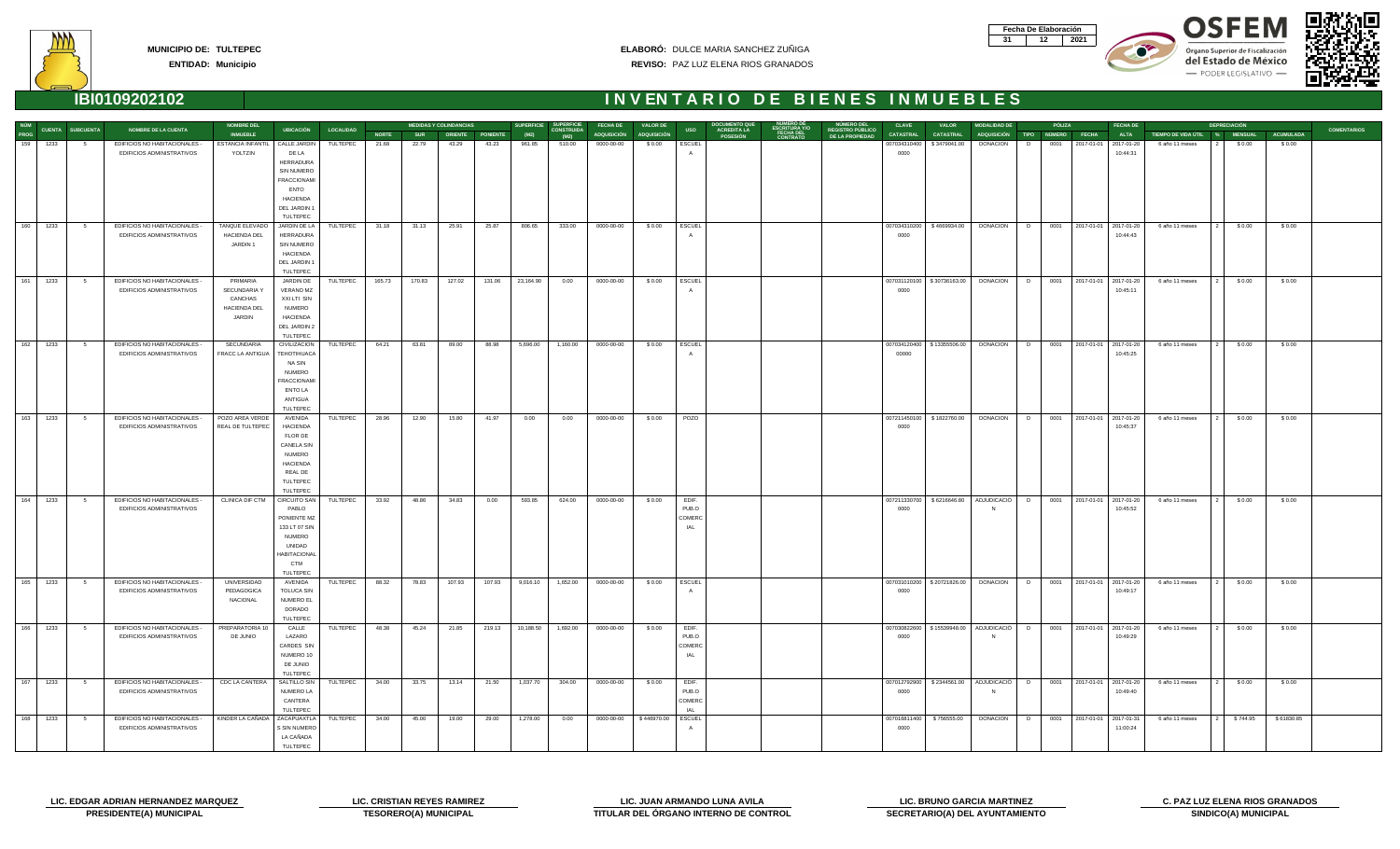| Fecha De Elaboración |     |
|----------------------|-----|
|                      | N91 |









|             |          |                  |                                      | <b>NOMBRE DEL</b>                         |                                   |                  |              |            | <b>MEDIDAS Y COLINDANCIAS</b> |                  | <b>SUPERFICIE</b> | <b>SUPERFICIE</b>         | <b>FECHA DE</b>         | <b>VALOR DE</b> |            | <b>DOCUMENTO QUE<br/>ACREDITA LA</b> |                                                   | <b>CLAVE</b>     | <b>VALOR</b>               | <b>MODALIDAD DE</b>                                                            |   | PÓLIZA |                            | <b>FECHA DE</b> |                               | <b>DEPRECIACIÓN</b> |                  |                    |
|-------------|----------|------------------|--------------------------------------|-------------------------------------------|-----------------------------------|------------------|--------------|------------|-------------------------------|------------------|-------------------|---------------------------|-------------------------|-----------------|------------|--------------------------------------|---------------------------------------------------|------------------|----------------------------|--------------------------------------------------------------------------------|---|--------|----------------------------|-----------------|-------------------------------|---------------------|------------------|--------------------|
| NÚM<br>PROG |          | CUENTA SUBCUENTA | <b>NOMBRE DE LA CUENTA</b>           | <b>INMUEBLE</b>                           | <b>UBICACIÓN</b>                  | <b>LOCALIDAD</b> | <b>NORTE</b> | <b>SUR</b> |                               | ORIENTE PONIENTE | (M2)              | <b>CONSTRUIDA</b><br>(M2) | ADQUISICIÓN ADQUISICIÓN |                 | <b>USO</b> | <b>POSESIÓN</b>                      | NÚMERO DEL<br>REGISTRO PÚBLICO<br>DE LA PROPIEDAD | <b>CATASTRAL</b> | <b>CATASTRAL</b>           | ADQUISICIÓN TIPO NÚMERO                                                        |   |        | <b>FECHA</b>               | <b>ALTA</b>     | TIEMPO DE VIDA ÚTIL % MENSUAL |                     | <b>ACUMULADA</b> | <b>COMENTARIOS</b> |
| 159         | 1233     | - 5              | EDIFICIOS NO HABITACIONALES -        | ESTANCIA INFANTIL   CALLE JARDIN          |                                   | TULTEPEC         | 21.68        | 22.79      | 43.29                         | 43.23            | 961.85            | 510.00                    | 0000-00-00              | \$0.00          | ESCUEL     |                                      |                                                   | 007034310400     | \$3479041.00               | <b>DONACION</b>                                                                | D |        | 0001 2017-01-01 2017-01-20 |                 | 6 año 11 meses                | \$0.00              | \$0.00           |                    |
|             |          |                  | EDIFICIOS ADMINISTRATIVOS            | YOLTZIN                                   | DE LA                             |                  |              |            |                               |                  |                   |                           |                         |                 |            |                                      |                                                   | 0000             |                            |                                                                                |   |        |                            | 10:44:31        |                               |                     |                  |                    |
|             |          |                  |                                      |                                           | HERRADURA                         |                  |              |            |                               |                  |                   |                           |                         |                 |            |                                      |                                                   |                  |                            |                                                                                |   |        |                            |                 |                               |                     |                  |                    |
|             |          |                  |                                      |                                           | SIN NUMERO                        |                  |              |            |                               |                  |                   |                           |                         |                 |            |                                      |                                                   |                  |                            |                                                                                |   |        |                            |                 |                               |                     |                  |                    |
|             |          |                  |                                      |                                           | FRACCIONAMI                       |                  |              |            |                               |                  |                   |                           |                         |                 |            |                                      |                                                   |                  |                            |                                                                                |   |        |                            |                 |                               |                     |                  |                    |
|             |          |                  |                                      |                                           | <b>ENTO</b>                       |                  |              |            |                               |                  |                   |                           |                         |                 |            |                                      |                                                   |                  |                            |                                                                                |   |        |                            |                 |                               |                     |                  |                    |
|             |          |                  |                                      |                                           | <b>HACIENDA</b>                   |                  |              |            |                               |                  |                   |                           |                         |                 |            |                                      |                                                   |                  |                            |                                                                                |   |        |                            |                 |                               |                     |                  |                    |
|             |          |                  |                                      |                                           | DEL JARDIN 1                      |                  |              |            |                               |                  |                   |                           |                         |                 |            |                                      |                                                   |                  |                            |                                                                                |   |        |                            |                 |                               |                     |                  |                    |
|             |          |                  |                                      |                                           | TULTEPEC                          |                  |              |            |                               |                  |                   |                           |                         |                 |            |                                      |                                                   |                  |                            |                                                                                |   |        |                            |                 |                               |                     |                  |                    |
| 160         | 1233     | $5^{\circ}$      | EDIFICIOS NO HABITACIONALES -        | TANQUE ELEVADO                            | JARDIN DE LA                      | TULTEPEC         | 31.18        | 31.13      | 25.91                         | 25.87            | 806.65            | 333.00                    | 0000-00-00              | \$0.00          | ESCUEL     |                                      |                                                   |                  | 007034310200 \$4669934.00  | DONACION D 0001 2017-01-01 2017-01-20                                          |   |        |                            |                 | 6 año 11 meses                | \$0.00              | \$0.00           |                    |
|             |          |                  | EDIFICIOS ADMINISTRATIVOS            | <b>HACIENDA DEL</b>                       | HERRADURA                         |                  |              |            |                               |                  |                   |                           |                         |                 |            |                                      |                                                   | 0000             |                            |                                                                                |   |        |                            | 10:44:43        |                               |                     |                  |                    |
|             |          |                  |                                      | JARDIN 1                                  | SIN NUMERO                        |                  |              |            |                               |                  |                   |                           |                         |                 |            |                                      |                                                   |                  |                            |                                                                                |   |        |                            |                 |                               |                     |                  |                    |
|             |          |                  |                                      |                                           | HACIENDA                          |                  |              |            |                               |                  |                   |                           |                         |                 |            |                                      |                                                   |                  |                            |                                                                                |   |        |                            |                 |                               |                     |                  |                    |
|             |          |                  |                                      |                                           | DEL JARDIN 1                      |                  |              |            |                               |                  |                   |                           |                         |                 |            |                                      |                                                   |                  |                            |                                                                                |   |        |                            |                 |                               |                     |                  |                    |
|             |          |                  |                                      |                                           | TULTEPEC                          |                  |              |            |                               |                  |                   |                           |                         |                 |            |                                      |                                                   |                  |                            |                                                                                |   |        |                            |                 |                               |                     |                  |                    |
| 161         | 1233     | $5^{\circ}$      | EDIFICIOS NO HABITACIONALES -        | PRIMARIA                                  | JARDIN DE                         | TULTEPEC         | 165.73       | 170.83     | 127.02                        |                  | 131.06 23,164.90  | 0.00                      | 0000-00-00              | \$0.00          | ESCUEL     |                                      |                                                   |                  |                            | 007031120100   \$30736163.00   DONACION   D   0001   2017-01-01   2017-01-20   |   |        |                            |                 | 6 año 11 meses                | \$0.00              | \$0.00           |                    |
|             |          |                  | EDIFICIOS ADMINISTRATIVOS            | SECUNDARIA Y                              | VERANO MZ                         |                  |              |            |                               |                  |                   |                           |                         |                 |            |                                      |                                                   | 0000             |                            |                                                                                |   |        |                            | 10:45:11        |                               |                     |                  |                    |
|             |          |                  |                                      | CANCHAS                                   | XXI LTI SIN                       |                  |              |            |                               |                  |                   |                           |                         |                 |            |                                      |                                                   |                  |                            |                                                                                |   |        |                            |                 |                               |                     |                  |                    |
|             |          |                  |                                      | HACIENDA DEL                              | NUMERO                            |                  |              |            |                               |                  |                   |                           |                         |                 |            |                                      |                                                   |                  |                            |                                                                                |   |        |                            |                 |                               |                     |                  |                    |
|             |          |                  |                                      | JARDIN                                    | <b>HACIENDA</b>                   |                  |              |            |                               |                  |                   |                           |                         |                 |            |                                      |                                                   |                  |                            |                                                                                |   |        |                            |                 |                               |                     |                  |                    |
|             |          |                  |                                      |                                           | DEL JARDIN 2                      |                  |              |            |                               |                  |                   |                           |                         |                 |            |                                      |                                                   |                  |                            |                                                                                |   |        |                            |                 |                               |                     |                  |                    |
|             |          |                  |                                      |                                           | TULTEPEC                          |                  |              |            |                               |                  |                   |                           |                         |                 |            |                                      |                                                   |                  |                            |                                                                                |   |        |                            |                 |                               |                     |                  |                    |
| 162         | 1233     | $5^{\circ}$      | EDIFICIOS NO HABITACIONALES -        | SECUNDARIA                                | <b>CIVILIZACION</b>               | TULTEPEC         | 64.21        | 63.81      | 89.00                         | 88.98            | 5,696.00          | 1,160.00                  | 0000-00-00              | \$0.00          | ESCUEL     |                                      |                                                   |                  |                            | 007034120400   \$13355506.00   DONACION   D   0001   2017-01-01   2017-01-20   |   |        |                            |                 | 6 año 11 meses                | \$0.00              | \$0.00           |                    |
|             |          |                  | EDIFICIOS ADMINISTRATIVOS            | FRACC LA ANTIGUA                          | TEHOTIHUACA                       |                  |              |            |                               |                  |                   |                           |                         |                 |            |                                      |                                                   | 00000            |                            |                                                                                |   |        |                            | 10:45:25        |                               |                     |                  |                    |
|             |          |                  |                                      |                                           | NA SIN                            |                  |              |            |                               |                  |                   |                           |                         |                 |            |                                      |                                                   |                  |                            |                                                                                |   |        |                            |                 |                               |                     |                  |                    |
|             |          |                  |                                      |                                           | <b>NUMERO</b>                     |                  |              |            |                               |                  |                   |                           |                         |                 |            |                                      |                                                   |                  |                            |                                                                                |   |        |                            |                 |                               |                     |                  |                    |
|             |          |                  |                                      |                                           | <b>FRACCIONAMI</b>                |                  |              |            |                               |                  |                   |                           |                         |                 |            |                                      |                                                   |                  |                            |                                                                                |   |        |                            |                 |                               |                     |                  |                    |
|             |          |                  |                                      |                                           | <b>ENTO LA</b>                    |                  |              |            |                               |                  |                   |                           |                         |                 |            |                                      |                                                   |                  |                            |                                                                                |   |        |                            |                 |                               |                     |                  |                    |
|             |          |                  |                                      |                                           | ANTIGUA                           |                  |              |            |                               |                  |                   |                           |                         |                 |            |                                      |                                                   |                  |                            |                                                                                |   |        |                            |                 |                               |                     |                  |                    |
|             |          |                  |                                      |                                           | TULTEPEC                          |                  |              |            |                               |                  |                   |                           |                         |                 |            |                                      |                                                   |                  |                            |                                                                                |   |        |                            |                 |                               |                     |                  |                    |
| 163         | 1233     | 5 <sub>5</sub>   | EDIFICIOS NO HABITACIONALES -        | POZO AREA VERDE                           | AVENIDA                           | TULTEPEC         | 28.96        | 12.90      | 15.80                         | 41.97            | 0.00              | 0.00                      | 0000-00-00              | \$0.00          | POZO       |                                      |                                                   |                  |                            | 007211450100   \$1822760.00   DONACION   D   0001   2017-01-01   2017-01-20    |   |        |                            |                 | 6 año 11 meses                | \$0.00              | \$0.00           |                    |
|             |          |                  | EDIFICIOS ADMINISTRATIVOS            | REAL DE TULTEPEC                          | <b>HACIENDA</b>                   |                  |              |            |                               |                  |                   |                           |                         |                 |            |                                      |                                                   | 0000             |                            |                                                                                |   |        |                            | 10:45:37        |                               |                     |                  |                    |
|             |          |                  |                                      |                                           | FLOR DE                           |                  |              |            |                               |                  |                   |                           |                         |                 |            |                                      |                                                   |                  |                            |                                                                                |   |        |                            |                 |                               |                     |                  |                    |
|             |          |                  |                                      |                                           | CANELA SIN                        |                  |              |            |                               |                  |                   |                           |                         |                 |            |                                      |                                                   |                  |                            |                                                                                |   |        |                            |                 |                               |                     |                  |                    |
|             |          |                  |                                      |                                           | <b>NUMERO</b>                     |                  |              |            |                               |                  |                   |                           |                         |                 |            |                                      |                                                   |                  |                            |                                                                                |   |        |                            |                 |                               |                     |                  |                    |
|             |          |                  |                                      |                                           | <b>HACIENDA</b>                   |                  |              |            |                               |                  |                   |                           |                         |                 |            |                                      |                                                   |                  |                            |                                                                                |   |        |                            |                 |                               |                     |                  |                    |
|             |          |                  |                                      |                                           | REAL DE                           |                  |              |            |                               |                  |                   |                           |                         |                 |            |                                      |                                                   |                  |                            |                                                                                |   |        |                            |                 |                               |                     |                  |                    |
|             |          |                  |                                      |                                           | TULTEPEC                          |                  |              |            |                               |                  |                   |                           |                         |                 |            |                                      |                                                   |                  |                            |                                                                                |   |        |                            |                 |                               |                     |                  |                    |
|             |          |                  |                                      |                                           | TULTEPEC                          |                  |              |            |                               |                  |                   |                           |                         |                 |            |                                      |                                                   |                  |                            |                                                                                |   |        |                            |                 |                               |                     |                  |                    |
| 164         | 1233     | $5^{\circ}$      | EDIFICIOS NO HABITACIONALES -        | <b>CLINICA DIF CTM</b>                    | CIRCUITO SAN TULTEPEC             |                  | 33.92        | 48.86      | 34.83                         | 0.00             | 593.85            | 624.00                    | 0000-00-00              | \$0.00          | EDIF.      |                                      |                                                   |                  |                            | 007211330700   \$6216646.80   ADJUDICACIÓ   D   0001   2017-01-01   2017-01-20 |   |        |                            |                 | 6 año 11 meses                | \$0.00              | \$0.00           |                    |
|             |          |                  | EDIFICIOS ADMINISTRATIVOS            |                                           | PABLO                             |                  |              |            |                               |                  |                   |                           |                         |                 | PUB.O      |                                      |                                                   | 0000             |                            |                                                                                |   |        |                            | 10:45:52        |                               |                     |                  |                    |
|             |          |                  |                                      |                                           | PONIENTE MZ                       |                  |              |            |                               |                  |                   |                           |                         |                 | COMERC     |                                      |                                                   |                  |                            |                                                                                |   |        |                            |                 |                               |                     |                  |                    |
|             |          |                  |                                      |                                           | 133 LT 07 SIN                     |                  |              |            |                               |                  |                   |                           |                         |                 | IAL        |                                      |                                                   |                  |                            |                                                                                |   |        |                            |                 |                               |                     |                  |                    |
|             |          |                  |                                      |                                           | NUMERO                            |                  |              |            |                               |                  |                   |                           |                         |                 |            |                                      |                                                   |                  |                            |                                                                                |   |        |                            |                 |                               |                     |                  |                    |
|             |          |                  |                                      |                                           | UNIDAD                            |                  |              |            |                               |                  |                   |                           |                         |                 |            |                                      |                                                   |                  |                            |                                                                                |   |        |                            |                 |                               |                     |                  |                    |
|             |          |                  |                                      |                                           | <b>HABITACIONAL</b><br><b>CTM</b> |                  |              |            |                               |                  |                   |                           |                         |                 |            |                                      |                                                   |                  |                            |                                                                                |   |        |                            |                 |                               |                     |                  |                    |
|             |          |                  |                                      |                                           |                                   |                  |              |            |                               |                  |                   |                           |                         |                 |            |                                      |                                                   |                  |                            |                                                                                |   |        |                            |                 |                               |                     |                  |                    |
|             | 165 1233 | $5^{\circ}$      | <b>EDIFICIOS NO HABITACIONALES -</b> | UNIVERSIDAD                               | TULTEPEC<br>AVENIDA               | TULTEPEC         | 88.32        | 78.83      | 107.93                        | 107.93           | 9,016.10          | 1,652.00                  | 0000-00-00              | \$0.00          | ESCUEL     |                                      |                                                   |                  |                            | 007031010200   \$20721826.00   DONACION   D   0001   2017-01-01   2017-01-20   |   |        |                            |                 | 6 año 11 meses                | \$0.00              | \$0.00           |                    |
|             |          |                  | EDIFICIOS ADMINISTRATIVOS            | PEDAGOGICA                                | <b>TOLUCA SIN</b>                 |                  |              |            |                               |                  |                   |                           |                         |                 |            |                                      |                                                   | 0000             |                            |                                                                                |   |        |                            | 10:49:17        |                               |                     |                  |                    |
|             |          |                  |                                      | NACIONAL                                  | NUMERO EL                         |                  |              |            |                               |                  |                   |                           |                         |                 |            |                                      |                                                   |                  |                            |                                                                                |   |        |                            |                 |                               |                     |                  |                    |
|             |          |                  |                                      |                                           | DORADO                            |                  |              |            |                               |                  |                   |                           |                         |                 |            |                                      |                                                   |                  |                            |                                                                                |   |        |                            |                 |                               |                     |                  |                    |
|             |          |                  |                                      |                                           | TULTEPEC                          |                  |              |            |                               |                  |                   |                           |                         |                 |            |                                      |                                                   |                  |                            |                                                                                |   |        |                            |                 |                               |                     |                  |                    |
| 166         | 1233     | $5^{\circ}$      | EDIFICIOS NO HABITACIONALES -        | PREPARATORIA 10                           | CALLE                             | TULTEPEC         | 48.38        | 45.24      | 21.85                         | 219.13           | 10,188.50         | 1,692.00                  | 0000-00-00              | \$0.00          | EDIF.      |                                      |                                                   |                  |                            | 007030822600 \$15539948.00 ADJUDICACIÓ D 0001 2017-01-01 2017-01-20            |   |        |                            |                 | 6 año 11 meses                | \$0.00              | \$0.00           |                    |
|             |          |                  | EDIFICIOS ADMINISTRATIVOS            | DE JUNIO                                  | LAZARO                            |                  |              |            |                               |                  |                   |                           |                         |                 | PUB.O      |                                      |                                                   | 0000             |                            |                                                                                |   |        |                            | 10:49:29        |                               |                     |                  |                    |
|             |          |                  |                                      |                                           | CARDES SIN                        |                  |              |            |                               |                  |                   |                           |                         |                 | COMERC     |                                      |                                                   |                  |                            |                                                                                |   |        |                            |                 |                               |                     |                  |                    |
|             |          |                  |                                      |                                           | NUMERO 10                         |                  |              |            |                               |                  |                   |                           |                         |                 | IAL        |                                      |                                                   |                  |                            |                                                                                |   |        |                            |                 |                               |                     |                  |                    |
|             |          |                  |                                      |                                           | DE JUNIO                          |                  |              |            |                               |                  |                   |                           |                         |                 |            |                                      |                                                   |                  |                            |                                                                                |   |        |                            |                 |                               |                     |                  |                    |
|             |          |                  |                                      |                                           | TULTEPEC                          |                  |              |            |                               |                  |                   |                           |                         |                 |            |                                      |                                                   |                  |                            |                                                                                |   |        |                            |                 |                               |                     |                  |                    |
| 167         | 1233     | $5^{\circ}$      | EDIFICIOS NO HABITACIONALES -        | CDC LA CANTERA                            | SALTILLO SIN                      | TULTEPEC         | 34.00        | 33.75      | 13.14                         | 21.50            | 1,037.70          | 304.00                    | 0000-00-00              | \$0.00          | EDIF.      |                                      |                                                   |                  |                            | 007012792900   \$2344561.00   ADJUDICACIÓ   D                                  |   |        | 0001 2017-01-01 2017-01-20 |                 | 6 año 11 meses                | \$0.00              | \$0.00           |                    |
|             |          |                  | EDIFICIOS ADMINISTRATIVOS            |                                           | NUMERO LA                         |                  |              |            |                               |                  |                   |                           |                         |                 | PUB.O      |                                      |                                                   | 0000             |                            |                                                                                |   |        |                            | 10:49:40        |                               |                     |                  |                    |
|             |          |                  |                                      |                                           | CANTERA                           |                  |              |            |                               |                  |                   |                           |                         |                 | COMERC     |                                      |                                                   |                  |                            |                                                                                |   |        |                            |                 |                               |                     |                  |                    |
|             |          |                  |                                      |                                           | TULTEPEC                          |                  |              |            |                               |                  |                   |                           |                         |                 | IAL        |                                      |                                                   |                  |                            |                                                                                |   |        |                            |                 |                               |                     |                  |                    |
| 168         | 1233     | - 5              | EDIFICIOS NO HABITACIONALES -        | KINDER LA CAÑADA   ZACAPUAXTLA   TULTEPEC |                                   |                  | 34.00        | 45.00      | 19.00                         | 29.00            | 1,278.00          | 0.00                      | 0000-00-00              | \$446970.00     | ESCUEL     |                                      |                                                   |                  | 007016811400   \$756555.00 | DONACION   D                                                                   |   |        | 0001 2017-01-01 2017-01-31 |                 | 6 año 11 meses                | \$744.95            | \$61830.85       |                    |
|             |          |                  | EDIFICIOS ADMINISTRATIVOS            |                                           | S SIN NUMERO                      |                  |              |            |                               |                  |                   |                           |                         |                 |            |                                      |                                                   | 0000             |                            |                                                                                |   |        |                            | 11:00:24        |                               |                     |                  |                    |
|             |          |                  |                                      |                                           | LA CAÑADA                         |                  |              |            |                               |                  |                   |                           |                         |                 |            |                                      |                                                   |                  |                            |                                                                                |   |        |                            |                 |                               |                     |                  |                    |
|             |          |                  |                                      |                                           | TULTEPEC                          |                  |              |            |                               |                  |                   |                           |                         |                 |            |                                      |                                                   |                  |                            |                                                                                |   |        |                            |                 |                               |                     |                  |                    |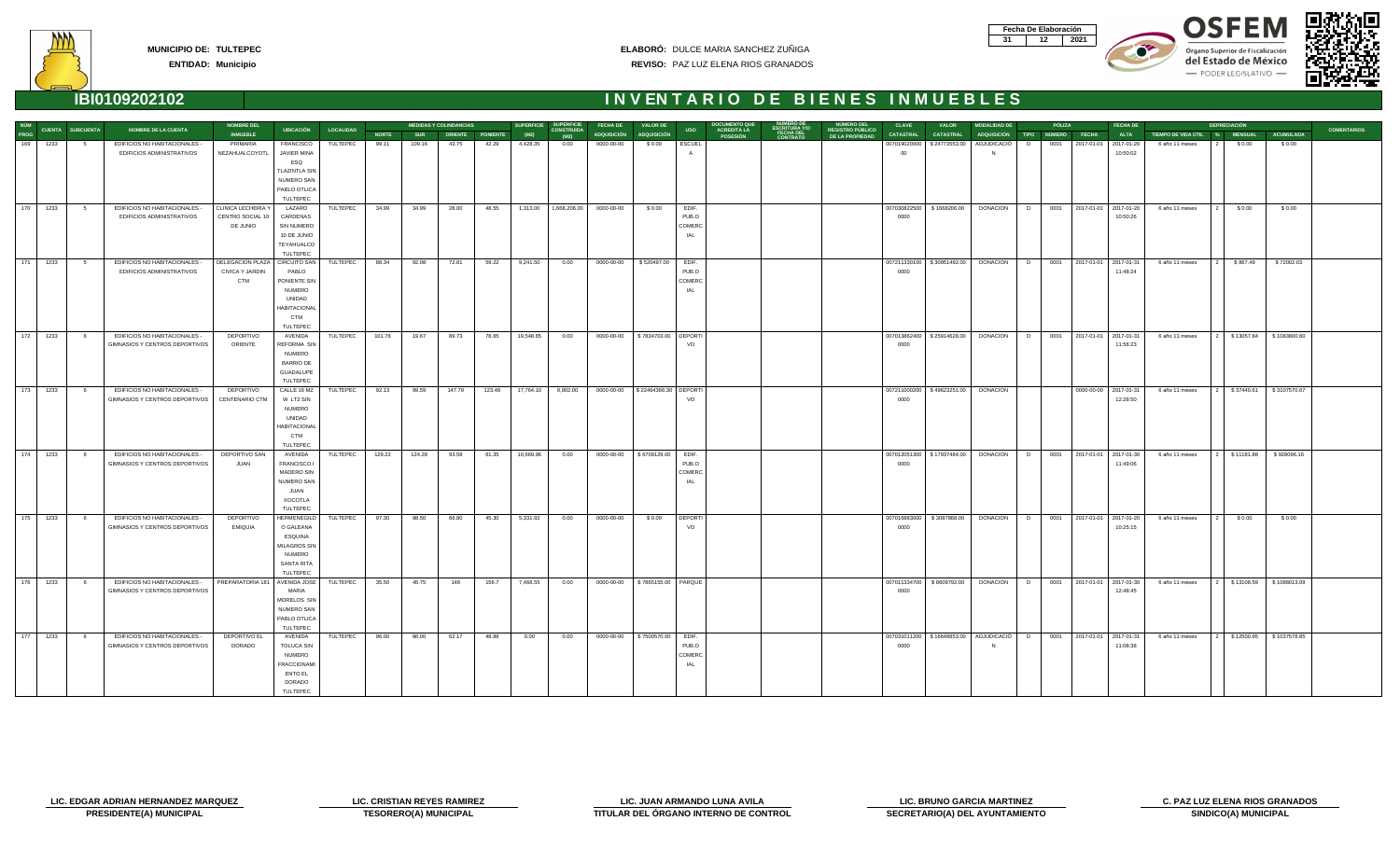| Fecha De Elaboración |     |
|----------------------|-----|
|                      | N91 |









| NÚM  |                          |                         |                                       | <b>NOMBRE DEL</b>  |                      |                  |              |            | <b>MEDIDAS Y COLINDANCIAS</b> |                  | <b>SUPERFICIE</b> | <b>SUPERFICIE</b>         | <b>FECHA DE</b>                      | <b>VALOR DE</b> |                | DOCUMENTO QUE<br>ACREDITA LA |                                                     |                                                   | <b>CLAVE</b>     | <b>VALOR</b>                 | <b>MODALIDAD DE</b>     |   | PÓLIZA | <b>FECHA DE</b>             |                               | <b>DEPRECIACIÓN</b> |                              |                    |
|------|--------------------------|-------------------------|---------------------------------------|--------------------|----------------------|------------------|--------------|------------|-------------------------------|------------------|-------------------|---------------------------|--------------------------------------|-----------------|----------------|------------------------------|-----------------------------------------------------|---------------------------------------------------|------------------|------------------------------|-------------------------|---|--------|-----------------------------|-------------------------------|---------------------|------------------------------|--------------------|
| PROG |                          | <b>CUENTA SUBCUENTA</b> | <b>NOMBRE DE LA CUENTA</b>            | <b>INMUEBLE</b>    | <b>UBICACIÓN</b>     | <b>LOCALIDAD</b> | <b>NORTE</b> | <b>SUR</b> |                               | ORIENTE PONIENTE | (M2)              | <b>CONSTRUIDA</b><br>(M2) | ADQUISICIÓN ADQUISICIÓN              |                 | <b>USO</b>     | <b>POSESIÓN</b>              | NUMERO DE<br>ESCRITURA Y/O<br>FECHA DEL<br>CONTRATO | NÚMERO DEL<br>REGISTRO PÚBLICO<br>DE LA PROPIEDAD | <b>CATASTRAL</b> | <b>CATASTRAL</b>             | ADQUISICIÓN TIPO NÚMERO |   |        | <b>ALTA</b><br><b>FECHA</b> | TIEMPO DE VIDA ÚTIL % MENSUAL |                     | <b>ACUMULADA</b>             | <b>COMENTARIOS</b> |
| 169  | 1233                     |                         | EDIFICIOS NO HABITACIONALES           | PRIMARIA           | FRANCISCO            | TULTEPEC         | 99.11        | 109.16     | 43.75                         | 42.29            | 4,428.35          | 0.00                      | 0000-00-00                           | \$0.00          | <b>ESCUEL</b>  |                              |                                                     |                                                   |                  | 007019020000   \$24773553.00 | ADJUDICACIÓ             | D | 0001   | 2017-01-01   2017-01-20     | 6 año 11 meses                | \$0.00              | \$0.00                       |                    |
|      |                          |                         | EDIFICIOS ADMINISTRATIVOS             | NEZAHUALCOYOTL     | <b>JAVIER MINA</b>   |                  |              |            |                               |                  |                   |                           |                                      |                 |                |                              |                                                     |                                                   |                  |                              |                         |   |        | 10:50:02                    |                               |                     |                              |                    |
|      |                          |                         |                                       |                    | ESQ                  |                  |              |            |                               |                  |                   |                           |                                      |                 |                |                              |                                                     |                                                   |                  |                              |                         |   |        |                             |                               |                     |                              |                    |
|      |                          |                         |                                       |                    | <b>TLAZINTLA SIN</b> |                  |              |            |                               |                  |                   |                           |                                      |                 |                |                              |                                                     |                                                   |                  |                              |                         |   |        |                             |                               |                     |                              |                    |
|      |                          |                         |                                       |                    | <b>NUMERO SAN</b>    |                  |              |            |                               |                  |                   |                           |                                      |                 |                |                              |                                                     |                                                   |                  |                              |                         |   |        |                             |                               |                     |                              |                    |
|      |                          |                         |                                       |                    |                      |                  |              |            |                               |                  |                   |                           |                                      |                 |                |                              |                                                     |                                                   |                  |                              |                         |   |        |                             |                               |                     |                              |                    |
|      |                          |                         |                                       |                    | PABLO OTLICA         |                  |              |            |                               |                  |                   |                           |                                      |                 |                |                              |                                                     |                                                   |                  |                              |                         |   |        |                             |                               |                     |                              |                    |
|      |                          |                         |                                       |                    | TULTEPEC             |                  |              |            |                               |                  |                   |                           |                                      |                 |                |                              |                                                     |                                                   |                  |                              |                         |   |        |                             |                               |                     |                              |                    |
|      | $170$ 1233               | $5^{\circ}$             | EDIFICIOS NO HABITACIONALES -         | CLINICA LECHERIA Y | LAZARO               | TULTEPEC         | 34.99        | 34.99      | 28.00                         | 48.55            |                   |                           | 1,313.00  1,668,206.00  0000-00-00   | \$0.00          | EDIF.          |                              |                                                     |                                                   |                  | 007030822500   \$1668206.00  | DONACION D              |   |        | 0001 2017-01-01 2017-01-20  | 6 año 11 meses                | \$0.00              | \$0.00                       |                    |
|      |                          |                         | EDIFICIOS ADMINISTRATIVOS             | CENTRO SOCIAL 10   | CARDENAS             |                  |              |            |                               |                  |                   |                           |                                      |                 | PUB.O          |                              |                                                     |                                                   | 0000             |                              |                         |   |        | 10:50:26                    |                               |                     |                              |                    |
|      |                          |                         |                                       | DE JUNIO           | SIN NUMERO           |                  |              |            |                               |                  |                   |                           |                                      |                 | COMERC         |                              |                                                     |                                                   |                  |                              |                         |   |        |                             |                               |                     |                              |                    |
|      |                          |                         |                                       |                    | 10 DE JUNIO          |                  |              |            |                               |                  |                   |                           |                                      |                 | IAL            |                              |                                                     |                                                   |                  |                              |                         |   |        |                             |                               |                     |                              |                    |
|      |                          |                         |                                       |                    | TEYAHUALCO           |                  |              |            |                               |                  |                   |                           |                                      |                 |                |                              |                                                     |                                                   |                  |                              |                         |   |        |                             |                               |                     |                              |                    |
|      |                          |                         |                                       |                    | TULTEPEC             |                  |              |            |                               |                  |                   |                           |                                      |                 |                |                              |                                                     |                                                   |                  |                              |                         |   |        |                             |                               |                     |                              |                    |
|      | $171$ 1233               | $5^{\circ}$             | EDIFICIOS NO HABITACIONALES -         | DELEGACION PLAZA   | <b>CIRCUITO SAN</b>  | TULTEPEC         | 88.34        | 92.08      | 72.81                         | 59.22            | 9,241.50          | 0.00                      | 0000-00-00                           | \$520497.00     | EDIF.          |                              |                                                     |                                                   |                  | 007211330100   \$30951492.00 | <b>DONACION</b>         | D |        | 0001 2017-01-01 2017-01-31  | 6 año 11 meses                | \$867.49            | \$72002.03                   |                    |
|      |                          |                         | EDIFICIOS ADMINISTRATIVOS             | CIVICA Y JARDIN    | PABLO                |                  |              |            |                               |                  |                   |                           |                                      |                 | PUB.O          |                              |                                                     |                                                   | 0000             |                              |                         |   |        | 11:48:24                    |                               |                     |                              |                    |
|      |                          |                         |                                       | <b>CTM</b>         | PONIENTE SIN         |                  |              |            |                               |                  |                   |                           |                                      |                 | COMERC         |                              |                                                     |                                                   |                  |                              |                         |   |        |                             |                               |                     |                              |                    |
|      |                          |                         |                                       |                    | <b>NUMERO</b>        |                  |              |            |                               |                  |                   |                           |                                      |                 | IAL            |                              |                                                     |                                                   |                  |                              |                         |   |        |                             |                               |                     |                              |                    |
|      |                          |                         |                                       |                    | UNIDAD               |                  |              |            |                               |                  |                   |                           |                                      |                 |                |                              |                                                     |                                                   |                  |                              |                         |   |        |                             |                               |                     |                              |                    |
|      |                          |                         |                                       |                    | <b>HABITACIONAL</b>  |                  |              |            |                               |                  |                   |                           |                                      |                 |                |                              |                                                     |                                                   |                  |                              |                         |   |        |                             |                               |                     |                              |                    |
|      |                          |                         |                                       |                    | <b>CTM</b>           |                  |              |            |                               |                  |                   |                           |                                      |                 |                |                              |                                                     |                                                   |                  |                              |                         |   |        |                             |                               |                     |                              |                    |
|      |                          |                         |                                       |                    | TULTEPEC             |                  |              |            |                               |                  |                   |                           |                                      |                 |                |                              |                                                     |                                                   |                  |                              |                         |   |        |                             |                               |                     |                              |                    |
|      | $\boxed{172} \quad 1233$ | $6^{\circ}$             | EDIFICIOS NO HABITACIONALES -         | <b>DEPORTIVO</b>   | AVENIDA              | TULTEPEC         | 101.76       | 19.67      | 89.73                         | 78.65            | 19,548.65         | 0.00                      | 0000-00-00   \$7834703.00 DEPORTI    |                 |                |                              |                                                     |                                                   |                  | 007013862400 \$25914628.00   | <b>DONACION</b>         | D |        | 0001 2017-01-01 2017-01-31  | 6 año 11 meses                | 2 \$13057.84        | \$1083800.60                 |                    |
|      |                          |                         | <b>GIMNASIOS Y CENTROS DEPORTIVOS</b> | ORIENTE            | <b>REFORMA SIN</b>   |                  |              |            |                               |                  |                   |                           |                                      |                 | VO             |                              |                                                     |                                                   | 0000             |                              |                         |   |        | 11:56:23                    |                               |                     |                              |                    |
|      |                          |                         |                                       |                    |                      |                  |              |            |                               |                  |                   |                           |                                      |                 |                |                              |                                                     |                                                   |                  |                              |                         |   |        |                             |                               |                     |                              |                    |
|      |                          |                         |                                       |                    | <b>NUMERO</b>        |                  |              |            |                               |                  |                   |                           |                                      |                 |                |                              |                                                     |                                                   |                  |                              |                         |   |        |                             |                               |                     |                              |                    |
|      |                          |                         |                                       |                    | <b>BARRIO DE</b>     |                  |              |            |                               |                  |                   |                           |                                      |                 |                |                              |                                                     |                                                   |                  |                              |                         |   |        |                             |                               |                     |                              |                    |
|      |                          |                         |                                       |                    | GUADALUPE            |                  |              |            |                               |                  |                   |                           |                                      |                 |                |                              |                                                     |                                                   |                  |                              |                         |   |        |                             |                               |                     |                              |                    |
|      |                          |                         |                                       |                    | TULTEPEC             |                  |              |            |                               |                  |                   |                           |                                      |                 |                |                              |                                                     |                                                   |                  |                              |                         |   |        |                             |                               |                     |                              |                    |
|      | $173$ 1233               | $6^{\circ}$             | EDIFICIOS NO HABITACIONALES -         | DEPORTIVO          | CALLE 16 MZ          | TULTEPEC         | 92.13        | 99.59      | 147.79                        | 123.48           | 17,764.10         | 9,902.00                  | 0000-00-00   \$22464366.30   DEPORTI |                 |                |                              |                                                     |                                                   |                  | 007211000200   \$49623251.00 | <b>DONACION</b>         |   |        | 0000-00-00 2017-01-31       | 6 año 11 meses                | 2 \$37440.61        | \$3107570.67                 |                    |
|      |                          |                         | GIMNASIOS Y CENTROS DEPORTIVOS        | CENTENARIO CTM     | W LT2 SIN            |                  |              |            |                               |                  |                   |                           |                                      |                 | VO             |                              |                                                     |                                                   | 0000             |                              |                         |   |        | 12:28:50                    |                               |                     |                              |                    |
|      |                          |                         |                                       |                    | <b>NUMERO</b>        |                  |              |            |                               |                  |                   |                           |                                      |                 |                |                              |                                                     |                                                   |                  |                              |                         |   |        |                             |                               |                     |                              |                    |
|      |                          |                         |                                       |                    | UNIDAD               |                  |              |            |                               |                  |                   |                           |                                      |                 |                |                              |                                                     |                                                   |                  |                              |                         |   |        |                             |                               |                     |                              |                    |
|      |                          |                         |                                       |                    | <b>HABITACIONAL</b>  |                  |              |            |                               |                  |                   |                           |                                      |                 |                |                              |                                                     |                                                   |                  |                              |                         |   |        |                             |                               |                     |                              |                    |
|      |                          |                         |                                       |                    | <b>CTM</b>           |                  |              |            |                               |                  |                   |                           |                                      |                 |                |                              |                                                     |                                                   |                  |                              |                         |   |        |                             |                               |                     |                              |                    |
|      |                          |                         |                                       |                    | TULTEPEC             |                  |              |            |                               |                  |                   |                           |                                      |                 |                |                              |                                                     |                                                   |                  |                              |                         |   |        |                             |                               |                     |                              |                    |
|      |                          | $6\overline{6}$         | EDIFICIOS NO HABITACIONALES -         | DEPORTIVO SAN      | AVENIDA              | TULTEPEC         | 129.22       | 124.28     | 93.58                         | 61.35            | 10,669.96         | 0.00                      | 0000-00-00   \$6709129.00            |                 | EDIF.          |                              |                                                     |                                                   |                  | 007012051300   \$17937484.00 | <b>DONACION</b>         | D |        | 0001 2017-01-01 2017-01-30  | 6 año 11 meses                |                     | 2   \$11181.88   \$928096.16 |                    |
|      |                          |                         | GIMNASIOS Y CENTROS DEPORTIVOS        | JUAN               | <b>FRANCISCO I</b>   |                  |              |            |                               |                  |                   |                           |                                      |                 | PUB.O          |                              |                                                     |                                                   | 0000             |                              |                         |   |        | 11:49:06                    |                               |                     |                              |                    |
|      |                          |                         |                                       |                    | MADERO SIN           |                  |              |            |                               |                  |                   |                           |                                      |                 | COMERC         |                              |                                                     |                                                   |                  |                              |                         |   |        |                             |                               |                     |                              |                    |
|      |                          |                         |                                       |                    | NUMERO SAN           |                  |              |            |                               |                  |                   |                           |                                      |                 | IAL            |                              |                                                     |                                                   |                  |                              |                         |   |        |                             |                               |                     |                              |                    |
|      |                          |                         |                                       |                    | JUAN                 |                  |              |            |                               |                  |                   |                           |                                      |                 |                |                              |                                                     |                                                   |                  |                              |                         |   |        |                             |                               |                     |                              |                    |
|      |                          |                         |                                       |                    | XOCOTLA              |                  |              |            |                               |                  |                   |                           |                                      |                 |                |                              |                                                     |                                                   |                  |                              |                         |   |        |                             |                               |                     |                              |                    |
|      |                          |                         |                                       |                    | TULTEPEC             |                  |              |            |                               |                  |                   |                           |                                      |                 |                |                              |                                                     |                                                   |                  |                              |                         |   |        |                             |                               |                     |                              |                    |
|      |                          |                         |                                       |                    |                      |                  |              |            |                               |                  |                   |                           |                                      |                 |                |                              |                                                     |                                                   |                  |                              |                         |   |        |                             |                               |                     |                              |                    |
|      | $\boxed{175}$ $1233$     | $6\overline{6}$         | EDIFICIOS NO HABITACIONALES -         | <b>DEPORTIVO</b>   | <b>HERMENEGILD</b>   | TULTEPEC         | 97.30        | 98.50      | 66.80                         | 45.30            | 5,331.92          | 0.00                      | 0000-00-00                           | \$0.00          | <b>DEPORTI</b> |                              |                                                     |                                                   | 007016883000     | \$3087868.00                 | DONACION                | D |        | 0001 2017-01-01 2017-01-20  | 6 año 11 meses                | \$0.00              | \$0.00                       |                    |
|      |                          |                         | GIMNASIOS Y CENTROS DEPORTIVOS        | <b>EMIQUIA</b>     | O GALEANA            |                  |              |            |                               |                  |                   |                           |                                      |                 | VO             |                              |                                                     |                                                   | 0000             |                              |                         |   |        | 10:25:15                    |                               |                     |                              |                    |
|      |                          |                         |                                       |                    | ESQUINA              |                  |              |            |                               |                  |                   |                           |                                      |                 |                |                              |                                                     |                                                   |                  |                              |                         |   |        |                             |                               |                     |                              |                    |
|      |                          |                         |                                       |                    | MILAGROS SIN         |                  |              |            |                               |                  |                   |                           |                                      |                 |                |                              |                                                     |                                                   |                  |                              |                         |   |        |                             |                               |                     |                              |                    |
|      |                          |                         |                                       |                    | <b>NUMERO</b>        |                  |              |            |                               |                  |                   |                           |                                      |                 |                |                              |                                                     |                                                   |                  |                              |                         |   |        |                             |                               |                     |                              |                    |
|      |                          |                         |                                       |                    | <b>SANTA RITA</b>    |                  |              |            |                               |                  |                   |                           |                                      |                 |                |                              |                                                     |                                                   |                  |                              |                         |   |        |                             |                               |                     |                              |                    |
|      |                          |                         |                                       |                    | TULTEPEC             |                  |              |            |                               |                  |                   |                           |                                      |                 |                |                              |                                                     |                                                   |                  |                              |                         |   |        |                             |                               |                     |                              |                    |
|      | 176 1233                 | 6 <sup>6</sup>          | EDIFICIOS NO HABITACIONALES -         | PREPARATORIA 181   | AVENIDA JOSE         | TULTEPEC         | 35.50        | 45.75      | 148                           | 156.7            | 7,468.55          | 0.00                      | 0000-00-00   \$7865155.00   PARQUE   |                 |                |                              |                                                     |                                                   | 007011334700     | \$8609792.00                 | <b>DONACION</b>         | D |        | 0001 2017-01-01 2017-01-30  | 6 año 11 meses                | 2   \$13108.59      | \$1088013.09                 |                    |
|      |                          |                         | GIMNASIOS Y CENTROS DEPORTIVOS        |                    | <b>MARIA</b>         |                  |              |            |                               |                  |                   |                           |                                      |                 |                |                              |                                                     |                                                   | 0000             |                              |                         |   |        | 12:48:45                    |                               |                     |                              |                    |
|      |                          |                         |                                       |                    | MORELOS SIN          |                  |              |            |                               |                  |                   |                           |                                      |                 |                |                              |                                                     |                                                   |                  |                              |                         |   |        |                             |                               |                     |                              |                    |
|      |                          |                         |                                       |                    | <b>NUMERO SAN</b>    |                  |              |            |                               |                  |                   |                           |                                      |                 |                |                              |                                                     |                                                   |                  |                              |                         |   |        |                             |                               |                     |                              |                    |
|      |                          |                         |                                       |                    | PABLO OTLICA         |                  |              |            |                               |                  |                   |                           |                                      |                 |                |                              |                                                     |                                                   |                  |                              |                         |   |        |                             |                               |                     |                              |                    |
|      |                          |                         |                                       |                    | TULTEPEC             |                  |              |            |                               |                  |                   |                           |                                      |                 |                |                              |                                                     |                                                   |                  |                              |                         |   |        |                             |                               |                     |                              |                    |
|      | 177 1233                 | 6 <sup>6</sup>          | EDIFICIOS NO HABITACIONALES -         | DEPORTIVO EL       | AVENIDA              | TULTEPEC         | 96.00        | 86.00      | 62.17                         | 48.88            | 0.00              | 0.00                      | 0000-00-00   \$7500570.00            |                 | EDIF.          |                              |                                                     |                                                   |                  | 007031011200 \$16648853.00   | ADJUDICACIÓ D           |   |        | 0001 2017-01-01 2017-01-31  | 6 año 11 meses                | 2 \$12500.95        | \$1037578.85                 |                    |
|      |                          |                         | GIMNASIOS Y CENTROS DEPORTIVOS        | DORADO             | <b>TOLUCA SIN</b>    |                  |              |            |                               |                  |                   |                           |                                      |                 | PUB.O          |                              |                                                     |                                                   | 0000             |                              |                         |   |        | 11:08:38                    |                               |                     |                              |                    |
|      |                          |                         |                                       |                    | <b>NUMERO</b>        |                  |              |            |                               |                  |                   |                           |                                      |                 | COMERC         |                              |                                                     |                                                   |                  |                              |                         |   |        |                             |                               |                     |                              |                    |
|      |                          |                         |                                       |                    | <b>FRACCIONAMI</b>   |                  |              |            |                               |                  |                   |                           |                                      |                 | IAL            |                              |                                                     |                                                   |                  |                              |                         |   |        |                             |                               |                     |                              |                    |
|      |                          |                         |                                       |                    | <b>ENTO EL</b>       |                  |              |            |                               |                  |                   |                           |                                      |                 |                |                              |                                                     |                                                   |                  |                              |                         |   |        |                             |                               |                     |                              |                    |
|      |                          |                         |                                       |                    |                      |                  |              |            |                               |                  |                   |                           |                                      |                 |                |                              |                                                     |                                                   |                  |                              |                         |   |        |                             |                               |                     |                              |                    |
|      |                          |                         |                                       |                    | DORADO               |                  |              |            |                               |                  |                   |                           |                                      |                 |                |                              |                                                     |                                                   |                  |                              |                         |   |        |                             |                               |                     |                              |                    |
|      |                          |                         |                                       |                    | TULTEPEC             |                  |              |            |                               |                  |                   |                           |                                      |                 |                |                              |                                                     |                                                   |                  |                              |                         |   |        |                             |                               |                     |                              |                    |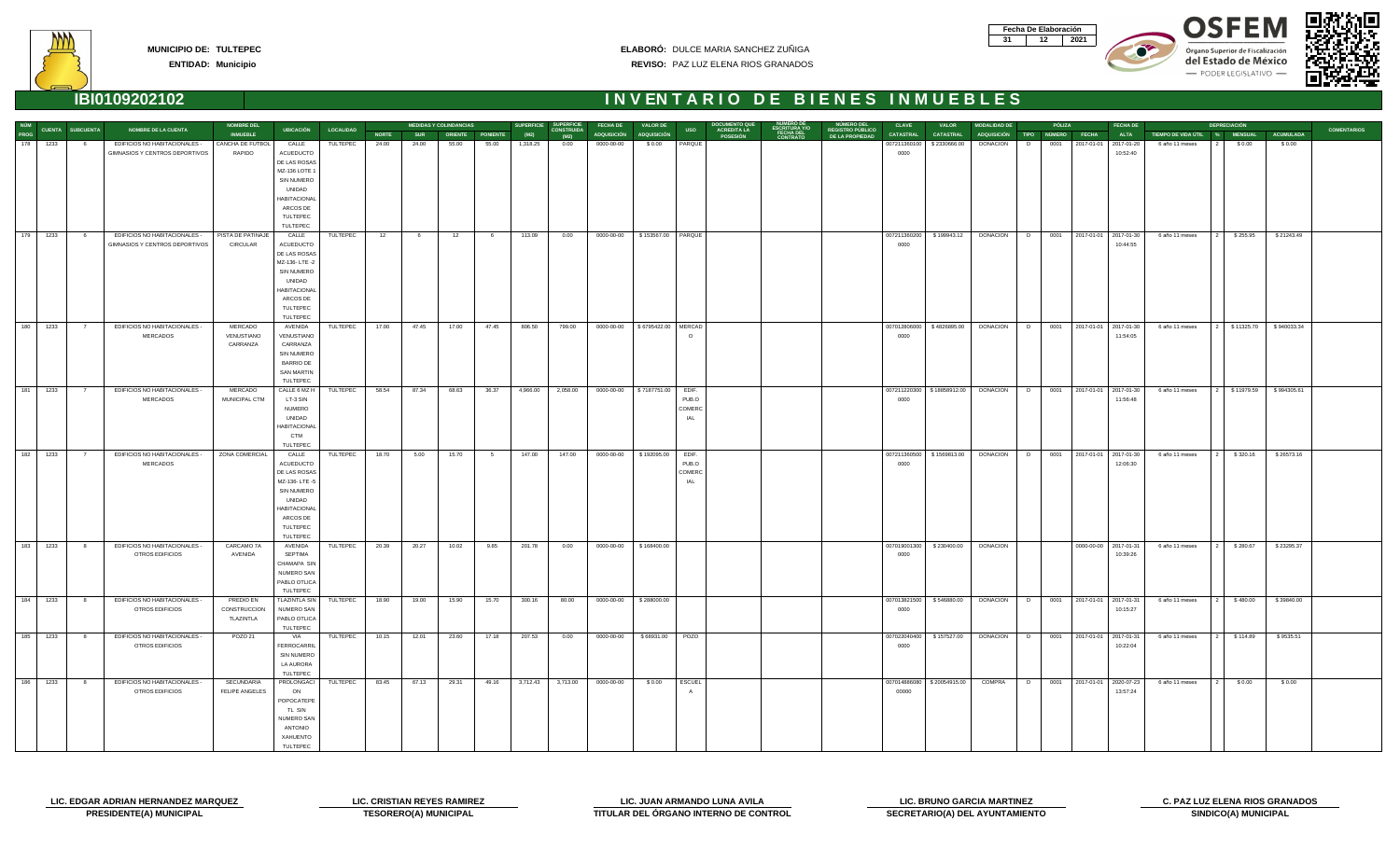| Fecha De Elaboración |     |
|----------------------|-----|
|                      | N91 |







### **IBI0109202102 I N V EN T A R I O D E B I E N E S I N M U E B L E S**



**NÚM PROG**

**NOMBRE DEL**

**MEDIDAS Y COLINDANCIAS**

**SUPERFICIE**

**SUPERFICIE**

**FECHA DE**

**VALOR DE**

**DOCUMENTO QUE**

**NÚMERO DE**

**NÚMERO DEL**

| ROG |      | CUENTA SUBCUENTA | <b>NOMBRE DE LA CUENTA</b>                                      | <b>INMUEBLE</b>               | <b>UBICACIÓN</b>                | <b>LOCALIDAD</b> | <b>NORTE</b> | <b>SUR</b> | <b>ORIENTE</b> | <b>PONIENTE</b> | (M2)     | <b>CONSTRUIDA</b><br>(M2) | <b>ADQUISICIÓN</b> | <b>ADQUISICIÓN</b>  | <b>USO</b>                    | <b>ACREDITA LA</b><br><b>POSESIÓN</b> | <b>ESCRITURA Y/O<br/>FECHA DEL<br/>CONTRATO</b> | <b>REGISTRO PÚBLICO</b><br>DE LA PROPIEDAD | <b>CATASTRAL</b>      | <b>CATASTRAL</b> |
|-----|------|------------------|-----------------------------------------------------------------|-------------------------------|---------------------------------|------------------|--------------|------------|----------------|-----------------|----------|---------------------------|--------------------|---------------------|-------------------------------|---------------------------------------|-------------------------------------------------|--------------------------------------------|-----------------------|------------------|
| 178 | 1233 | 6                | EDIFICIOS NO HABITACIONALES -                                   | CANCHA DE FUTBOL              | CALLE                           | TULTEPEC         | 24.00        | 24.00      | 55.00          | 55.00           | 1,318.25 | 0.00                      | 0000-00-00         | \$0.00              | PARQUE                        |                                       |                                                 |                                            | 007211360100          | \$2330666.00     |
|     |      |                  | GIMNASIOS Y CENTROS DEPORTIVOS                                  | RAPIDO                        | <b>ACUEDUCTO</b>                |                  |              |            |                |                 |          |                           |                    |                     |                               |                                       |                                                 |                                            | 0000                  |                  |
|     |      |                  |                                                                 |                               | DE LAS ROSAS                    |                  |              |            |                |                 |          |                           |                    |                     |                               |                                       |                                                 |                                            |                       |                  |
|     |      |                  |                                                                 |                               | MZ-136 LOTE 1<br>SIN NUMERO     |                  |              |            |                |                 |          |                           |                    |                     |                               |                                       |                                                 |                                            |                       |                  |
|     |      |                  |                                                                 |                               | UNIDAD                          |                  |              |            |                |                 |          |                           |                    |                     |                               |                                       |                                                 |                                            |                       |                  |
|     |      |                  |                                                                 |                               | <b>HABITACIONAL</b>             |                  |              |            |                |                 |          |                           |                    |                     |                               |                                       |                                                 |                                            |                       |                  |
|     |      |                  |                                                                 |                               | ARCOS DE                        |                  |              |            |                |                 |          |                           |                    |                     |                               |                                       |                                                 |                                            |                       |                  |
|     |      |                  |                                                                 |                               | TULTEPEC                        |                  |              |            |                |                 |          |                           |                    |                     |                               |                                       |                                                 |                                            |                       |                  |
|     |      |                  |                                                                 |                               | TULTEPEC                        |                  |              |            |                |                 |          |                           |                    |                     |                               |                                       |                                                 |                                            |                       |                  |
| 179 | 1233 | 6                | EDIFICIOS NO HABITACIONALES -<br>GIMNASIOS Y CENTROS DEPORTIVOS | PISTA DE PATINAJE<br>CIRCULAR | CALLE<br>ACUEDUCTO              | TULTEPEC         | 12           | 6          | 12             | 6               | 113.09   | 0.00                      | 0000-00-00         | \$153567.00         | PARQUE                        |                                       |                                                 |                                            | 007211360200<br>0000  | \$199943.12      |
|     |      |                  |                                                                 |                               | DE LAS ROSAS                    |                  |              |            |                |                 |          |                           |                    |                     |                               |                                       |                                                 |                                            |                       |                  |
|     |      |                  |                                                                 |                               | MZ-136-LTE-2                    |                  |              |            |                |                 |          |                           |                    |                     |                               |                                       |                                                 |                                            |                       |                  |
|     |      |                  |                                                                 |                               | SIN NUMERO                      |                  |              |            |                |                 |          |                           |                    |                     |                               |                                       |                                                 |                                            |                       |                  |
|     |      |                  |                                                                 |                               | UNIDAD                          |                  |              |            |                |                 |          |                           |                    |                     |                               |                                       |                                                 |                                            |                       |                  |
|     |      |                  |                                                                 |                               | <b>HABITACIONAL</b><br>ARCOS DE |                  |              |            |                |                 |          |                           |                    |                     |                               |                                       |                                                 |                                            |                       |                  |
|     |      |                  |                                                                 |                               | TULTEPEC                        |                  |              |            |                |                 |          |                           |                    |                     |                               |                                       |                                                 |                                            |                       |                  |
|     |      |                  |                                                                 |                               | TULTEPEC                        |                  |              |            |                |                 |          |                           |                    |                     |                               |                                       |                                                 |                                            |                       |                  |
| 180 | 1233 | $\overline{7}$   | EDIFICIOS NO HABITACIONALES -                                   | MERCADO                       | AVENIDA                         | TULTEPEC         | 17.00        | 47.45      | 17.00          | 47.45           | 806.50   | 799.00                    | 0000-00-00         | \$6795422.00 MERCAD |                               |                                       |                                                 |                                            | 007012806000          | \$4826895.00     |
|     |      |                  | <b>MERCADOS</b>                                                 | VENUSTIANO                    | VENUSTIANO                      |                  |              |            |                |                 |          |                           |                    |                     | $\circ$                       |                                       |                                                 |                                            | 0000                  |                  |
|     |      |                  |                                                                 | CARRANZA                      | CARRANZA                        |                  |              |            |                |                 |          |                           |                    |                     |                               |                                       |                                                 |                                            |                       |                  |
|     |      |                  |                                                                 |                               | SIN NUMERO<br><b>BARRIO DE</b>  |                  |              |            |                |                 |          |                           |                    |                     |                               |                                       |                                                 |                                            |                       |                  |
|     |      |                  |                                                                 |                               | <b>SAN MARTIN</b>               |                  |              |            |                |                 |          |                           |                    |                     |                               |                                       |                                                 |                                            |                       |                  |
|     |      |                  |                                                                 |                               | TULTEPEC                        |                  |              |            |                |                 |          |                           |                    |                     |                               |                                       |                                                 |                                            |                       |                  |
| 181 | 1233 | $\overline{7}$   | EDIFICIOS NO HABITACIONALES -                                   | MERCADO                       | CALLE 6 MZ H                    | TULTEPEC         | 58.54        | 87.34      | 68.63          | 36.37           | 4,966.00 | 2,058.00                  | 0000-00-00         | \$7187751.00        | EDIF.                         |                                       |                                                 |                                            | 007211220300          | \$18858912.00    |
|     |      |                  | <b>MERCADOS</b>                                                 | MUNICIPAL CTM                 | LT-3 SIN                        |                  |              |            |                |                 |          |                           |                    |                     | PUB.O                         |                                       |                                                 |                                            | 0000                  |                  |
|     |      |                  |                                                                 |                               | <b>NUMERO</b><br>UNIDAD         |                  |              |            |                |                 |          |                           |                    |                     | COMERC<br>IAL                 |                                       |                                                 |                                            |                       |                  |
|     |      |                  |                                                                 |                               | HABITACIONAL                    |                  |              |            |                |                 |          |                           |                    |                     |                               |                                       |                                                 |                                            |                       |                  |
|     |      |                  |                                                                 |                               | <b>CTM</b>                      |                  |              |            |                |                 |          |                           |                    |                     |                               |                                       |                                                 |                                            |                       |                  |
|     |      |                  |                                                                 |                               | TULTEPEC                        |                  |              |            |                |                 |          |                           |                    |                     |                               |                                       |                                                 |                                            |                       |                  |
| 182 | 1233 | $\overline{7}$   | EDIFICIOS NO HABITACIONALES -                                   | ZONA COMERCIAL                | CALLE                           | TULTEPEC         | 18.70        | 5.00       | 15.70          | 5               | 147.00   | 147.00                    | 0000-00-00         | \$192095.00         | EDIF.                         |                                       |                                                 |                                            | 007211360500          | \$1569813.00     |
|     |      |                  | <b>MERCADOS</b>                                                 |                               | ACUEDUCTO<br>DE LAS ROSAS       |                  |              |            |                |                 |          |                           |                    |                     | PUB.O<br>COMERC               |                                       |                                                 |                                            | 0000                  |                  |
|     |      |                  |                                                                 |                               | MZ-136-LTE-5                    |                  |              |            |                |                 |          |                           |                    |                     | IAL                           |                                       |                                                 |                                            |                       |                  |
|     |      |                  |                                                                 |                               | SIN NUMERO                      |                  |              |            |                |                 |          |                           |                    |                     |                               |                                       |                                                 |                                            |                       |                  |
|     |      |                  |                                                                 |                               | UNIDAD                          |                  |              |            |                |                 |          |                           |                    |                     |                               |                                       |                                                 |                                            |                       |                  |
|     |      |                  |                                                                 |                               | <b>HABITACIONAL</b>             |                  |              |            |                |                 |          |                           |                    |                     |                               |                                       |                                                 |                                            |                       |                  |
|     |      |                  |                                                                 |                               | ARCOS DE<br>TULTEPEC            |                  |              |            |                |                 |          |                           |                    |                     |                               |                                       |                                                 |                                            |                       |                  |
|     |      |                  |                                                                 |                               | TULTEPEC                        |                  |              |            |                |                 |          |                           |                    |                     |                               |                                       |                                                 |                                            |                       |                  |
| 183 | 1233 | 8                | EDIFICIOS NO HABITACIONALES -                                   | CARCAMO 7A                    | AVENIDA                         | TULTEPEC         | 20.39        | 20.27      | 10.02          | 9.85            | 201.78   | 0.00                      | 0000-00-00         | \$168400.00         |                               |                                       |                                                 |                                            | 007019001300          | \$230400.00      |
|     |      |                  | OTROS EDIFICIOS                                                 | AVENIDA                       | SEPTIMA                         |                  |              |            |                |                 |          |                           |                    |                     |                               |                                       |                                                 |                                            | 0000                  |                  |
|     |      |                  |                                                                 |                               | CHAMAPA SIN                     |                  |              |            |                |                 |          |                           |                    |                     |                               |                                       |                                                 |                                            |                       |                  |
|     |      |                  |                                                                 |                               | NUMERO SAN<br>PABLO OTLICA      |                  |              |            |                |                 |          |                           |                    |                     |                               |                                       |                                                 |                                            |                       |                  |
|     |      |                  |                                                                 |                               | TULTEPEC                        |                  |              |            |                |                 |          |                           |                    |                     |                               |                                       |                                                 |                                            |                       |                  |
| 184 | 1233 | 8                | EDIFICIOS NO HABITACIONALES -                                   | PREDIO EN                     | <b>TLAZINTLA SIN</b>            | TULTEPEC         | 18.90        | 19.00      | 15.90          | 15.70           | 300.16   | 80.00                     | 0000-00-00         | \$288000.00         |                               |                                       |                                                 |                                            | 007013821500          | \$546880.00      |
|     |      |                  | OTROS EDIFICIOS                                                 | CONSTRUCCION                  | NUMERO SAN                      |                  |              |            |                |                 |          |                           |                    |                     |                               |                                       |                                                 |                                            | 0000                  |                  |
|     |      |                  |                                                                 | TLAZINTLA                     | PABLO OTLICA                    |                  |              |            |                |                 |          |                           |                    |                     |                               |                                       |                                                 |                                            |                       |                  |
| 185 | 1233 | 8                | EDIFICIOS NO HABITACIONALES -                                   | POZO 21                       | TULTEPEC<br>VIA                 | TULTEPEC         | 10.15        | 12.01      | 23.60          | 17.18           | 207.53   | 0.00                      | 0000-00-00         | \$68931.00          | POZO                          |                                       |                                                 |                                            | 007022040400          | \$157527.00      |
|     |      |                  | OTROS EDIFICIOS                                                 |                               | FERROCARRIL                     |                  |              |            |                |                 |          |                           |                    |                     |                               |                                       |                                                 |                                            | 0000                  |                  |
|     |      |                  |                                                                 |                               | SIN NUMERO                      |                  |              |            |                |                 |          |                           |                    |                     |                               |                                       |                                                 |                                            |                       |                  |
|     |      |                  |                                                                 |                               | LA AURORA                       |                  |              |            |                |                 |          |                           |                    |                     |                               |                                       |                                                 |                                            |                       |                  |
|     |      |                  |                                                                 |                               | TULTEPEC                        |                  |              |            |                |                 |          |                           |                    |                     |                               |                                       |                                                 |                                            |                       |                  |
| 186 | 1233 | 8                | EDIFICIOS NO HABITACIONALES -<br>OTROS EDIFICIOS                | SECUNDARIA<br>FELIPE ANGELES  | PROLONGACI<br>ON                | TULTEPEC         | 83.45        | 67.13      | 29.31          | 49.16           | 3,712.43 | 3,713.00                  | 0000-00-00         | \$0.00              | <b>ESCUEL</b><br>$\mathsf{A}$ |                                       |                                                 |                                            | 007014886080<br>00000 | \$20054915.00    |
|     |      |                  |                                                                 |                               | POPOCATEPE                      |                  |              |            |                |                 |          |                           |                    |                     |                               |                                       |                                                 |                                            |                       |                  |
|     |      |                  |                                                                 |                               | TL SIN                          |                  |              |            |                |                 |          |                           |                    |                     |                               |                                       |                                                 |                                            |                       |                  |
|     |      |                  |                                                                 |                               | NUMERO SAN                      |                  |              |            |                |                 |          |                           |                    |                     |                               |                                       |                                                 |                                            |                       |                  |
|     |      |                  |                                                                 |                               | <b>ANTONIO</b>                  |                  |              |            |                |                 |          |                           |                    |                     |                               |                                       |                                                 |                                            |                       |                  |
|     |      |                  |                                                                 |                               | XAHUENTO<br>TULTEPEC            |                  |              |            |                |                 |          |                           |                    |                     |                               |                                       |                                                 |                                            |                       |                  |
|     |      |                  |                                                                 |                               |                                 |                  |              |            |                |                 |          |                           |                    |                     |                               |                                       |                                                 |                                            |                       |                  |

| CLAVE                 | <b>VALOR</b>     | <b>MODALIDAD DE</b> | <b>TIPO</b> |               | PÓLIZA                | <b>FECHA DE</b>        |                     |                | <b>DEPRECIACIÓN</b> |                  |                    |
|-----------------------|------------------|---------------------|-------------|---------------|-----------------------|------------------------|---------------------|----------------|---------------------|------------------|--------------------|
| <b>CATASTRAL</b>      | <b>CATASTRAL</b> | <b>ADQUISICIÓN</b>  |             | <b>NÚMERO</b> | <b>FECHA</b>          | <b>ALTA</b>            | TIEMPO DE VIDA ÚTIL | $\%$           | <b>MENSUAL</b>      | <b>ACUMULADA</b> | <b>COMENTARIOS</b> |
| 007211360100          | \$2330666.00     | <b>DONACION</b>     | D           | 0001          | 2017-01-01            | 2017-01-20             | 6 año 11 meses      | $\overline{c}$ | \$0.00              | \$0.00           |                    |
| 0000                  |                  |                     |             |               |                       | 10:52:40               |                     |                |                     |                  |                    |
| 007211360200<br>0000  | \$199943.12      | <b>DONACION</b>     | D           | 0001          | 2017-01-01            | 2017-01-30<br>10:44:55 | 6 año 11 meses      | $\overline{a}$ | \$255.95            | \$21243.49       |                    |
|                       |                  |                     |             |               |                       |                        |                     |                |                     |                  |                    |
| 007012806000<br>0000  | \$4826895.00     | <b>DONACION</b>     | D           | 0001          | 2017-01-01            | 2017-01-30<br>11:54:05 | 6 año 11 meses      | $\overline{2}$ | \$11325.70          | \$940033.34      |                    |
| 007211220300<br>0000  | \$18858912.00    | <b>DONACION</b>     | D           | 0001          | 2017-01-01            | 2017-01-30<br>11:56:48 | 6 año 11 meses      | $\overline{2}$ | \$11979.59          | \$994305.61      |                    |
| 007211360500<br>0000  | \$1569813.00     | <b>DONACION</b>     | D           | 0001          | 2017-01-01            | 2017-01-30<br>12:06:30 | 6 año 11 meses      | $\overline{a}$ | \$320.16            | \$26573.16       |                    |
| 007019001300<br>0000  | \$230400.00      | <b>DONACION</b>     |             |               | 0000-00-00            | 2017-01-31<br>10:39:26 | 6 año 11 meses      | $\overline{a}$ | \$280.67            | \$23295.37       |                    |
| 007013821500<br>0000  | \$546880.00      | <b>DONACION</b>     | D           | 0001          | 2017-01-01 2017-01-31 | 10:15:27               | 6 año 11 meses      | 2 <sup>1</sup> | \$480.00            | \$39840.00       |                    |
| 007022040400<br>0000  | \$157527.00      | <b>DONACION</b>     | $\mathsf D$ | 0001          | 2017-01-01            | 2017-01-31<br>10:22:04 | 6 año 11 meses      | $\overline{c}$ | \$114.89            | \$9535.51        |                    |
| 007014886080<br>00000 | \$20054915.00    | <b>COMPRA</b>       | D           | 0001          | 2017-01-01            | 2020-07-23<br>13:57:24 | 6 año 11 meses      | $\overline{2}$ | \$0.00              | \$0.00           |                    |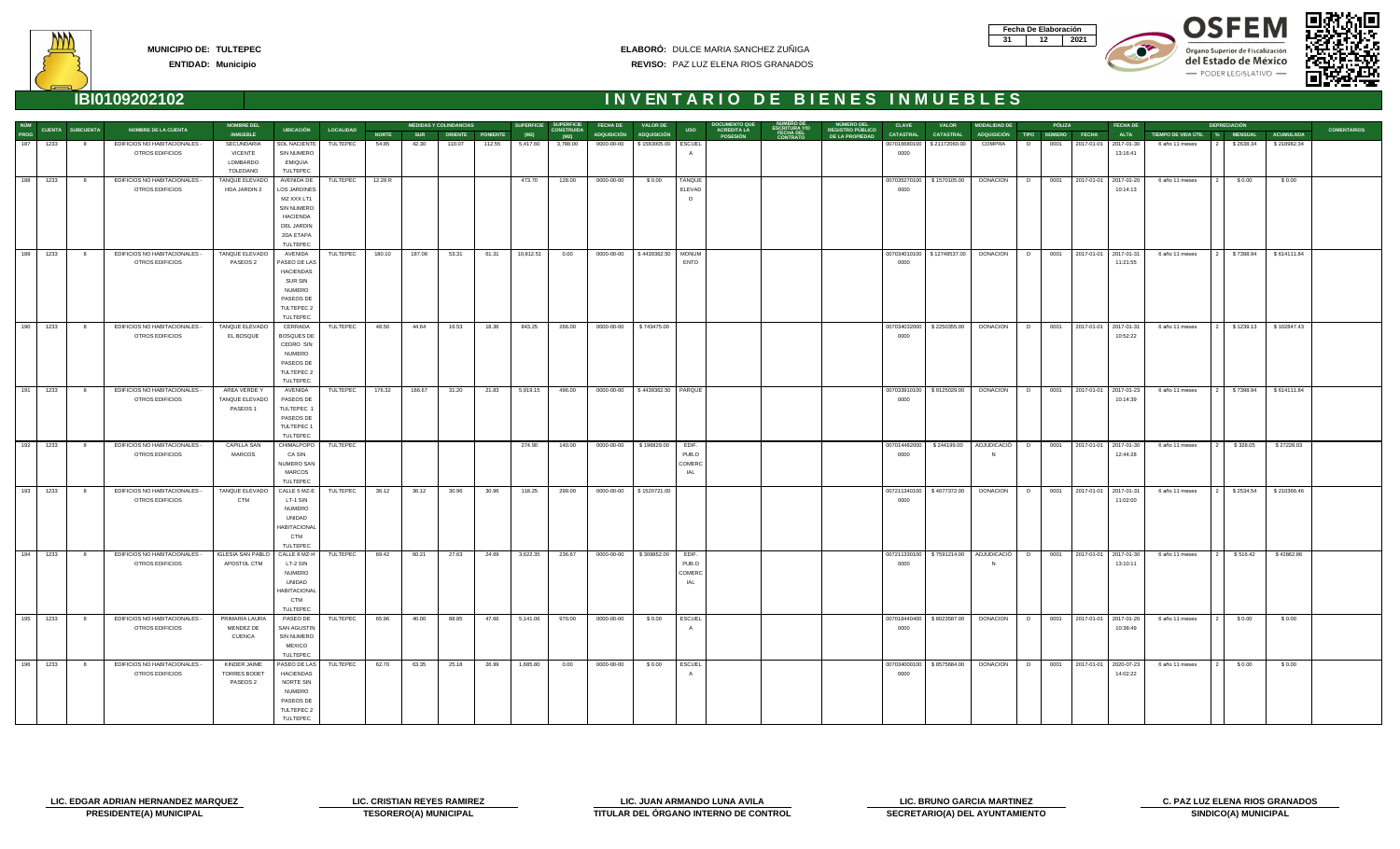| Fecha De Elaboración |  |
|----------------------|--|
|                      |  |









### **ENTIDAD: Municipio**

### **ELABORÓ:** DULCE MARIA SANCHEZ ZUÑIGA **REVISO:** PAZ LUZ ELENA RIOS GRANADOS

|             |            | <b>NOMBRE DEL</b><br>CUENTA SUBCUENTA |                                                  |                                 | <b>MEDIDAS Y COLINDANCIAS</b><br><b>UBICACIÓN</b><br><b>LOCALIDAD</b> |                 |              |            | SUPERFICIE SUPERFICIE<br><b>FECHA DE</b><br><b>VALOR DE</b> |        |           |                           |            |                                    | <b>DOCUMENTO QUI</b><br><b>NUMERO DEL</b><br><b>CLAVE</b><br><b>MODALIDAD DE</b><br>PÓLIZA<br><b>FECHA DE</b><br><b>VALOR</b> |                                       |                                                 |                                            |                      |                                               | <b>DEPRECIACIÓN</b>                           |    |      |                            |             |                               |           |                  |                    |
|-------------|------------|---------------------------------------|--------------------------------------------------|---------------------------------|-----------------------------------------------------------------------|-----------------|--------------|------------|-------------------------------------------------------------|--------|-----------|---------------------------|------------|------------------------------------|-------------------------------------------------------------------------------------------------------------------------------|---------------------------------------|-------------------------------------------------|--------------------------------------------|----------------------|-----------------------------------------------|-----------------------------------------------|----|------|----------------------------|-------------|-------------------------------|-----------|------------------|--------------------|
| NÚM<br>PROG |            |                                       | <b>NOMBRE DE LA CUENTA</b>                       | <b>INMUEBLE</b>                 |                                                                       |                 | <b>NORTE</b> | <b>SUR</b> | ORIENTE PONIENTE                                            |        | (M2)      | <b>CONSTRUIDA</b><br>(M2) |            | ADQUISICIÓN ADQUISICIÓN            | <b>USO</b>                                                                                                                    | <b>ACREDITA LA</b><br><b>POSESIÓN</b> | <b>ESCRITURA Y/O<br/>FECHA DEL<br/>CONTRATO</b> | <b>REGISTRO PÚBLICO</b><br>DE LA PROPIEDAD | <b>CATASTRAL</b>     | <b>CATASTRAL</b>                              | ADQUISICIÓN TIPO NÚMERO FECHA                 |    |      |                            | <b>ALTA</b> | TIEMPO DE VIDA ÚTIL % MENSUAL |           | <b>ACUMULADA</b> | <b>COMENTARIOS</b> |
| 187         | 1233       | - 8                                   | EDIFICIOS NO HABITACIONALES -                    | SECUNDARIA                      | <b>SOL NACIENTE</b>                                                   | TULTEPEC        | 54.85        | 42.30      | 110.07                                                      | 112.55 | 5,417.60  | 3,788.00                  | 0000-00-00 | \$1583005.00                       | ESCUEL                                                                                                                        |                                       |                                                 |                                            |                      | 007016680100 \$21172060.00                    | COMPRA                                        | D. | 0001 | 2017-01-01 2017-01-30      |             | 6 año 11 meses                | \$2638.34 | \$218982.34      |                    |
|             |            |                                       | OTROS EDIFICIOS                                  | VICENTE                         | <b>SIN NUMERO</b>                                                     |                 |              |            |                                                             |        |           |                           |            |                                    |                                                                                                                               |                                       |                                                 |                                            | 0000                 |                                               |                                               |    |      |                            | 13:16:41    |                               |           |                  |                    |
|             |            |                                       |                                                  | LOMBARDO                        | EMIQUIA                                                               |                 |              |            |                                                             |        |           |                           |            |                                    |                                                                                                                               |                                       |                                                 |                                            |                      |                                               |                                               |    |      |                            |             |                               |           |                  |                    |
|             |            |                                       |                                                  | TOLEDANO                        | TULTEPEC                                                              |                 |              |            |                                                             |        |           |                           |            |                                    |                                                                                                                               |                                       |                                                 |                                            |                      |                                               |                                               |    |      |                            |             |                               |           |                  |                    |
|             | 188 1233   | 8 <sup>8</sup>                        | EDIFICIOS NO HABITACIONALES -                    | TANQUE ELEVADO                  | AVENIDA DE                                                            | TULTEPEC        | 12.28 R      |            |                                                             |        | 473.70    | 128.00                    | 0000-00-00 | \$0.00                             | TANQUE                                                                                                                        |                                       |                                                 |                                            |                      | 007035270100   \$1570105.00                   | DONACION                                      | D  |      | 0001 2017-01-01 2017-01-20 |             | 6 año 11 meses                | \$0.00    | \$0.00           |                    |
|             |            |                                       | OTROS EDIFICIOS                                  | HDA JARDIN 2                    | LOS JARDINES                                                          |                 |              |            |                                                             |        |           |                           |            |                                    | ELEVAD                                                                                                                        |                                       |                                                 |                                            | 0000                 |                                               |                                               |    |      |                            | 10:14:13    |                               |           |                  |                    |
|             |            |                                       |                                                  |                                 | MZ XXX LT1                                                            |                 |              |            |                                                             |        |           |                           |            |                                    | $\Omega$                                                                                                                      |                                       |                                                 |                                            |                      |                                               |                                               |    |      |                            |             |                               |           |                  |                    |
|             |            |                                       |                                                  |                                 | <b>SIN NUMERO</b>                                                     |                 |              |            |                                                             |        |           |                           |            |                                    |                                                                                                                               |                                       |                                                 |                                            |                      |                                               |                                               |    |      |                            |             |                               |           |                  |                    |
|             |            |                                       |                                                  |                                 | <b>HACIENDA</b>                                                       |                 |              |            |                                                             |        |           |                           |            |                                    |                                                                                                                               |                                       |                                                 |                                            |                      |                                               |                                               |    |      |                            |             |                               |           |                  |                    |
|             |            |                                       |                                                  |                                 | DEL JARDIN                                                            |                 |              |            |                                                             |        |           |                           |            |                                    |                                                                                                                               |                                       |                                                 |                                            |                      |                                               |                                               |    |      |                            |             |                               |           |                  |                    |
|             |            |                                       |                                                  |                                 | 2DA ETAPA                                                             |                 |              |            |                                                             |        |           |                           |            |                                    |                                                                                                                               |                                       |                                                 |                                            |                      |                                               |                                               |    |      |                            |             |                               |           |                  |                    |
|             |            |                                       |                                                  |                                 | TULTEPEC                                                              |                 |              |            |                                                             |        |           |                           |            |                                    |                                                                                                                               |                                       |                                                 |                                            |                      |                                               |                                               |    |      |                            |             |                               |           |                  |                    |
|             | 189 1233   | 8 <sup>8</sup>                        | EDIFICIOS NO HABITACIONALES -                    | TANQUE ELEVADO                  | AVENIDA                                                               | TULTEPEC        | 180.10       | 187.08     | 53.31                                                       | 61.31  | 10,812.51 | 0.00                      | 0000-00-00 | \$4439362.50                       | <b>MONUM</b>                                                                                                                  |                                       |                                                 |                                            |                      | 007034010100   \$12748537.00                  | <b>DONACION</b>                               | D  |      | 0001 2017-01-01 2017-01-31 |             | 6 año 11 meses                | \$7398.94 | \$614111.84      |                    |
|             |            |                                       | <b>OTROS EDIFICIOS</b>                           | PASEOS 2                        | PASEO DE LAS                                                          |                 |              |            |                                                             |        |           |                           |            |                                    | <b>ENTO</b>                                                                                                                   |                                       |                                                 |                                            | 0000                 |                                               |                                               |    |      |                            | 11:21:55    |                               |           |                  |                    |
|             |            |                                       |                                                  |                                 | <b>HACIENDAS</b>                                                      |                 |              |            |                                                             |        |           |                           |            |                                    |                                                                                                                               |                                       |                                                 |                                            |                      |                                               |                                               |    |      |                            |             |                               |           |                  |                    |
|             |            |                                       |                                                  |                                 | <b>SUR SIN</b>                                                        |                 |              |            |                                                             |        |           |                           |            |                                    |                                                                                                                               |                                       |                                                 |                                            |                      |                                               |                                               |    |      |                            |             |                               |           |                  |                    |
|             |            |                                       |                                                  |                                 | <b>NUMERO</b>                                                         |                 |              |            |                                                             |        |           |                           |            |                                    |                                                                                                                               |                                       |                                                 |                                            |                      |                                               |                                               |    |      |                            |             |                               |           |                  |                    |
|             |            |                                       |                                                  |                                 | PASEOS DE                                                             |                 |              |            |                                                             |        |           |                           |            |                                    |                                                                                                                               |                                       |                                                 |                                            |                      |                                               |                                               |    |      |                            |             |                               |           |                  |                    |
|             |            |                                       |                                                  |                                 | TULTEPEC 2                                                            |                 |              |            |                                                             |        |           |                           |            |                                    |                                                                                                                               |                                       |                                                 |                                            |                      |                                               |                                               |    |      |                            |             |                               |           |                  |                    |
|             |            |                                       |                                                  |                                 | <b>TULTEPEC</b>                                                       |                 |              |            |                                                             |        |           |                           |            |                                    |                                                                                                                               |                                       |                                                 |                                            |                      |                                               |                                               |    |      |                            |             |                               |           |                  |                    |
| 190         | 1233       | 8                                     | EDIFICIOS NO HABITACIONALES -<br>OTROS EDIFICIOS | TANQUE ELEVADO<br>EL BOSQUE     | CERRADA<br><b>BOSQUES DE</b>                                          | TULTEPEC        | 48.50        | 44.64      | 16.53                                                       | 18.36  | 843.25    | 266.00                    | 0000-00-00 | \$743475.00                        |                                                                                                                               |                                       |                                                 |                                            | 007034032000<br>0000 | \$2250355.00                                  | DONACION                                      | D  |      | 0001 2017-01-01 2017-01-31 | 10:52:22    | 6 año 11 meses                | \$1239.13 | \$102847.43      |                    |
|             |            |                                       |                                                  |                                 | CEDRO SIN                                                             |                 |              |            |                                                             |        |           |                           |            |                                    |                                                                                                                               |                                       |                                                 |                                            |                      |                                               |                                               |    |      |                            |             |                               |           |                  |                    |
|             |            |                                       |                                                  |                                 | <b>NUMERO</b>                                                         |                 |              |            |                                                             |        |           |                           |            |                                    |                                                                                                                               |                                       |                                                 |                                            |                      |                                               |                                               |    |      |                            |             |                               |           |                  |                    |
|             |            |                                       |                                                  |                                 | PASEOS DE                                                             |                 |              |            |                                                             |        |           |                           |            |                                    |                                                                                                                               |                                       |                                                 |                                            |                      |                                               |                                               |    |      |                            |             |                               |           |                  |                    |
|             |            |                                       |                                                  |                                 | TULTEPEC 2                                                            |                 |              |            |                                                             |        |           |                           |            |                                    |                                                                                                                               |                                       |                                                 |                                            |                      |                                               |                                               |    |      |                            |             |                               |           |                  |                    |
|             |            |                                       |                                                  |                                 | TULTEPEC                                                              |                 |              |            |                                                             |        |           |                           |            |                                    |                                                                                                                               |                                       |                                                 |                                            |                      |                                               |                                               |    |      |                            |             |                               |           |                  |                    |
|             | 191 1233   | 8 <sup>1</sup>                        | EDIFICIOS NO HABITACIONALES -                    | AREA VERDE Y                    | AVENIDA                                                               | <b>TULTEPEC</b> | 176.32       | 166.67     | 31.20                                                       | 21.83  | 5,919.15  | 496.00                    |            | 0000-00-00   \$4439362.50   PARQUE |                                                                                                                               |                                       |                                                 |                                            |                      | 007033910100   \$9125029.00                   | DONACION                                      | D  |      | 0001 2017-01-01 2017-01-23 |             | 6 año 11 meses                | \$7398.94 | \$614111.84      |                    |
|             |            |                                       | <b>OTROS EDIFICIOS</b>                           | TANQUE ELEVADO                  | PASEOS DE                                                             |                 |              |            |                                                             |        |           |                           |            |                                    |                                                                                                                               |                                       |                                                 |                                            | 0000                 |                                               |                                               |    |      |                            | 10:14:39    |                               |           |                  |                    |
|             |            |                                       |                                                  | PASEOS 1                        | TULTEPEC                                                              |                 |              |            |                                                             |        |           |                           |            |                                    |                                                                                                                               |                                       |                                                 |                                            |                      |                                               |                                               |    |      |                            |             |                               |           |                  |                    |
|             |            |                                       |                                                  |                                 | PASEOS DE                                                             |                 |              |            |                                                             |        |           |                           |            |                                    |                                                                                                                               |                                       |                                                 |                                            |                      |                                               |                                               |    |      |                            |             |                               |           |                  |                    |
|             |            |                                       |                                                  |                                 | TULTEPEC 1                                                            |                 |              |            |                                                             |        |           |                           |            |                                    |                                                                                                                               |                                       |                                                 |                                            |                      |                                               |                                               |    |      |                            |             |                               |           |                  |                    |
|             |            |                                       |                                                  |                                 | TULTEPEC                                                              |                 |              |            |                                                             |        |           |                           |            |                                    |                                                                                                                               |                                       |                                                 |                                            |                      |                                               |                                               |    |      |                            |             |                               |           |                  |                    |
|             | 192 1233   | 8 <sup>1</sup>                        | EDIFICIOS NO HABITACIONALES -                    | CAPILLA SAN                     | CHIMALPOPO                                                            | TULTEPEC        |              |            |                                                             |        | 274.90    | 140.00                    |            | 0000-00-00   \$196829.00           | EDIF.                                                                                                                         |                                       |                                                 |                                            | 007014482000         |                                               | \$244199.00 ADJUDICACIÓ D                     |    |      | 0001 2017-01-01 2017-01-30 |             | 6 año 11 meses                | \$328.05  | \$27228.03       |                    |
|             |            |                                       | <b>OTROS EDIFICIOS</b>                           | MARCOS                          | CA SIN                                                                |                 |              |            |                                                             |        |           |                           |            |                                    | PUB.O                                                                                                                         |                                       |                                                 |                                            | 0000                 |                                               |                                               |    |      |                            | 12:44:28    |                               |           |                  |                    |
|             |            |                                       |                                                  |                                 | NUMERO SAN                                                            |                 |              |            |                                                             |        |           |                           |            |                                    | COMERC                                                                                                                        |                                       |                                                 |                                            |                      |                                               |                                               |    |      |                            |             |                               |           |                  |                    |
|             |            |                                       |                                                  |                                 | <b>MARCOS</b>                                                         |                 |              |            |                                                             |        |           |                           |            |                                    | IAL                                                                                                                           |                                       |                                                 |                                            |                      |                                               |                                               |    |      |                            |             |                               |           |                  |                    |
|             |            |                                       |                                                  |                                 | TULTEPEC                                                              |                 |              |            |                                                             |        |           |                           |            |                                    |                                                                                                                               |                                       |                                                 |                                            |                      |                                               |                                               |    |      |                            |             |                               |           |                  |                    |
|             | 193 1233   | 8 <sup>8</sup>                        | EDIFICIOS NO HABITACIONALES -<br>OTROS EDIFICIOS | TANQUE ELEVADO<br><b>CTM</b>    | CALLE 5 MZ-E                                                          | TULTEPEC        | 36.12        | 36.12      | 30.96                                                       | 30.96  | 118.25    | 299.00                    | 0000-00-00 | \$1520721.00                       |                                                                                                                               |                                       |                                                 |                                            | 007211340100<br>0000 | \$4077372.00                                  | <b>DONACION</b>                               | D  |      | 0001 2017-01-01 2017-01-31 | 11:02:00    | 6 año 11 meses                | \$2534.54 | \$210366.46      |                    |
|             |            |                                       |                                                  |                                 | LT-1 SIN<br><b>NUMERO</b>                                             |                 |              |            |                                                             |        |           |                           |            |                                    |                                                                                                                               |                                       |                                                 |                                            |                      |                                               |                                               |    |      |                            |             |                               |           |                  |                    |
|             |            |                                       |                                                  |                                 | UNIDAD                                                                |                 |              |            |                                                             |        |           |                           |            |                                    |                                                                                                                               |                                       |                                                 |                                            |                      |                                               |                                               |    |      |                            |             |                               |           |                  |                    |
|             |            |                                       |                                                  |                                 | <b>HABITACIONAL</b>                                                   |                 |              |            |                                                             |        |           |                           |            |                                    |                                                                                                                               |                                       |                                                 |                                            |                      |                                               |                                               |    |      |                            |             |                               |           |                  |                    |
|             |            |                                       |                                                  |                                 | <b>CTM</b>                                                            |                 |              |            |                                                             |        |           |                           |            |                                    |                                                                                                                               |                                       |                                                 |                                            |                      |                                               |                                               |    |      |                            |             |                               |           |                  |                    |
|             |            |                                       |                                                  |                                 | TULTEPEC                                                              |                 |              |            |                                                             |        |           |                           |            |                                    |                                                                                                                               |                                       |                                                 |                                            |                      |                                               |                                               |    |      |                            |             |                               |           |                  |                    |
|             | 194 1233   | 8 <sup>8</sup>                        | EDIFICIOS NO HABITACIONALES -                    | <b>IGLESIA SAN PABLO</b>        | CALLE 8 MZ-H                                                          | TULTEPEC        | 69.42        | 60.21      | 27.63                                                       | 24.69  | 3,622.35  | 236.67                    | 0000-00-00 | \$309852.00                        | EDIF.                                                                                                                         |                                       |                                                 |                                            |                      | 007211330100   \$7591214.00   ADJUDICACIÓ   D |                                               |    |      | 0001 2017-01-01 2017-01-30 |             | 6 año 11 meses                | \$516.42  | \$42862.86       |                    |
|             |            |                                       | OTROS EDIFICIOS                                  | APOSTOL CTM                     | LT-2 SIN                                                              |                 |              |            |                                                             |        |           |                           |            |                                    | PUB.O                                                                                                                         |                                       |                                                 |                                            | 0000                 |                                               |                                               |    |      |                            | 13:10:11    |                               |           |                  |                    |
|             |            |                                       |                                                  |                                 | <b>NUMERO</b>                                                         |                 |              |            |                                                             |        |           |                           |            |                                    | <b>COMERO</b>                                                                                                                 |                                       |                                                 |                                            |                      |                                               |                                               |    |      |                            |             |                               |           |                  |                    |
|             |            |                                       |                                                  |                                 | UNIDAD                                                                |                 |              |            |                                                             |        |           |                           |            |                                    | IAL                                                                                                                           |                                       |                                                 |                                            |                      |                                               |                                               |    |      |                            |             |                               |           |                  |                    |
|             |            |                                       |                                                  |                                 | <b>HABITACIONAL</b>                                                   |                 |              |            |                                                             |        |           |                           |            |                                    |                                                                                                                               |                                       |                                                 |                                            |                      |                                               |                                               |    |      |                            |             |                               |           |                  |                    |
|             |            |                                       |                                                  |                                 | <b>CTM</b>                                                            |                 |              |            |                                                             |        |           |                           |            |                                    |                                                                                                                               |                                       |                                                 |                                            |                      |                                               |                                               |    |      |                            |             |                               |           |                  |                    |
|             |            |                                       |                                                  |                                 | TULTEPEC                                                              |                 |              |            |                                                             |        |           |                           |            |                                    |                                                                                                                               |                                       |                                                 |                                            |                      |                                               |                                               |    |      |                            |             |                               |           |                  |                    |
|             | $195$ 1233 | 8 <sup>2</sup>                        | EDIFICIOS NO HABITACIONALES -                    | PRIMARIA LAURA                  | PASEO DE                                                              | TULTEPEC        | 65.96        | 40.00      | 88.85                                                       | 47.66  | 5,141.06  | 970.00                    | 0000-00-00 | \$0.00                             | ESCUEL                                                                                                                        |                                       |                                                 |                                            |                      | 007018440400   \$8023587.00                   | DONACION   D   0001   2017-01-01   2017-01-20 |    |      |                            |             | 6 año 11 meses                | \$0.00    | \$0.00           |                    |
|             |            |                                       | OTROS EDIFICIOS                                  | MENDEZ DE                       | <b>SAN AGUSTIN</b>                                                    |                 |              |            |                                                             |        |           |                           |            |                                    | A                                                                                                                             |                                       |                                                 |                                            | 0000                 |                                               |                                               |    |      |                            | 10:38:49    |                               |           |                  |                    |
|             |            |                                       |                                                  | <b>CUENCA</b>                   | SIN NUMERO                                                            |                 |              |            |                                                             |        |           |                           |            |                                    |                                                                                                                               |                                       |                                                 |                                            |                      |                                               |                                               |    |      |                            |             |                               |           |                  |                    |
|             |            |                                       |                                                  |                                 | MEXICO                                                                |                 |              |            |                                                             |        |           |                           |            |                                    |                                                                                                                               |                                       |                                                 |                                            |                      |                                               |                                               |    |      |                            |             |                               |           |                  |                    |
|             |            |                                       |                                                  |                                 | TULTEPEC                                                              |                 |              |            |                                                             |        |           |                           |            |                                    |                                                                                                                               |                                       |                                                 |                                            |                      |                                               |                                               |    |      |                            |             |                               |           |                  |                    |
|             | 196 1233   | 8 <sup>8</sup>                        | EDIFICIOS NO HABITACIONALES -                    | <b>KINDER JAIME</b>             | PASEO DE LAS TULTEPEC                                                 |                 | 62.70        | 63.35      | 25.18                                                       | 26.99  | 1,685.80  | 0.00                      | 0000-00-00 | \$0.00                             | <b>ESCUEL</b><br>A                                                                                                            |                                       |                                                 |                                            | 0000                 | 007034000100   \$8575684.00                   | DONACION D                                    |    |      | 0001 2017-01-01 2020-07-23 |             | 6 año 11 meses                | \$0.00    | \$0.00           |                    |
|             |            |                                       | OTROS EDIFICIOS                                  | <b>TORRES BODET</b><br>PASEOS 2 | HACIENDAS<br>NORTE SIN                                                |                 |              |            |                                                             |        |           |                           |            |                                    |                                                                                                                               |                                       |                                                 |                                            |                      |                                               |                                               |    |      |                            | 14:02:22    |                               |           |                  |                    |
|             |            |                                       |                                                  |                                 | <b>NUMERO</b>                                                         |                 |              |            |                                                             |        |           |                           |            |                                    |                                                                                                                               |                                       |                                                 |                                            |                      |                                               |                                               |    |      |                            |             |                               |           |                  |                    |
|             |            |                                       |                                                  |                                 | PASEOS DE                                                             |                 |              |            |                                                             |        |           |                           |            |                                    |                                                                                                                               |                                       |                                                 |                                            |                      |                                               |                                               |    |      |                            |             |                               |           |                  |                    |
|             |            |                                       |                                                  |                                 | TULTEPEC 2                                                            |                 |              |            |                                                             |        |           |                           |            |                                    |                                                                                                                               |                                       |                                                 |                                            |                      |                                               |                                               |    |      |                            |             |                               |           |                  |                    |
|             |            |                                       |                                                  |                                 | TULTEPEC                                                              |                 |              |            |                                                             |        |           |                           |            |                                    |                                                                                                                               |                                       |                                                 |                                            |                      |                                               |                                               |    |      |                            |             |                               |           |                  |                    |
|             |            |                                       |                                                  |                                 |                                                                       |                 |              |            |                                                             |        |           |                           |            |                                    |                                                                                                                               |                                       |                                                 |                                            |                      |                                               |                                               |    |      |                            |             |                               |           |                  |                    |